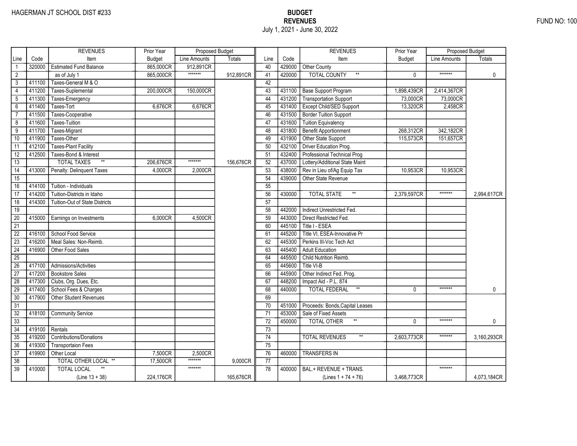|                 |        | <b>REVENUES</b>                       | Prior Year    | Proposed Budget |               |                 |        | <b>REVENUES</b>                         | Prior Year    | Proposed Budget |               |
|-----------------|--------|---------------------------------------|---------------|-----------------|---------------|-----------------|--------|-----------------------------------------|---------------|-----------------|---------------|
| Line            | Code   | Item                                  | <b>Budget</b> | Line Amounts    | <b>Totals</b> | Line            | Code   | Item                                    | <b>Budget</b> | Line Amounts    | <b>Totals</b> |
|                 | 320000 | <b>Estimated Fund Balance</b>         | 865,000CR     | 912,891CR       |               | 40              |        | 429000 Other County                     |               |                 |               |
| $\overline{2}$  |        | as of July 1                          | 865,000CR     | *******         | 912,891CR     | 41              | 420000 | <b>TOTAL COUNTY</b><br>$\star\star$     | 0             | *******         | $\mathbf 0$   |
| 3               | 411100 | Taxes-General M & O                   |               |                 |               | 42              |        |                                         |               |                 |               |
| 4               | 411200 | Taxes-Suplemental                     | 200,000CR     | 150,000CR       |               | 43              | 431100 | Base Support Program                    | 1,898,439CR   | 2,414,367CR     |               |
| $\overline{5}$  | 411300 | Taxes-Emergency                       |               |                 |               | 44              | 431200 | Transportation Support                  | 73,000CR      | 73,000CR        |               |
| $\overline{6}$  | 411400 | Taxes-Tort                            | 6,676CR       | 6,676CR         |               | 45              | 431400 | <b>Except Child/SED Support</b>         | 13,320CR      | 2,458CR         |               |
| $\overline{7}$  | 411500 | Taxes-Cooperative                     |               |                 |               | 46              | 431500 | <b>Border Tuition Support</b>           |               |                 |               |
| $\overline{8}$  | 411600 | Taxes-Tuition                         |               |                 |               | 47              | 431600 | <b>Tuition Equivalency</b>              |               |                 |               |
| $\overline{9}$  | 411700 | Taxes-Migrant                         |               |                 |               | 48              | 431800 | <b>Benefit Apportionment</b>            | 268,312CR     | 342,182CR       |               |
| 10              | 411900 | Taxes-Other                           |               |                 |               | 49              | 431900 | Other State Support                     | 115,573CR     | 151,657CR       |               |
| 11              | 412100 | <b>Taxes-Plant Facility</b>           |               |                 |               | 50              | 432100 | Driver Education Prog.                  |               |                 |               |
| $\overline{12}$ | 412500 | Taxes-Bond & Interest                 |               |                 |               | 51              | 432400 | Professional Technical Prog             |               |                 |               |
| 13              |        | $^{\star\star}$<br><b>TOTAL TAXES</b> | 206,676CR     | *******         | 156,676CR     | 52              | 437000 | Lottery/Additional State Maint          |               |                 |               |
| $\overline{14}$ | 413000 | Penalty: Delinquent Taxes             | 4,000CR       | 2,000CR         |               | 53              | 438000 | Rev in Lieu of/Ag Equip Tax             | 10,953CR      | 10,953CR        |               |
| $\overline{15}$ |        |                                       |               |                 |               | $\overline{54}$ | 439000 | Other State Revenue                     |               |                 |               |
| 16              | 414100 | Tuition - Individuals                 |               |                 |               | 55              |        |                                         |               |                 |               |
| $\overline{17}$ | 414200 | Tuition-Districts in Idaho            |               |                 |               | 56              | 430000 | $^{\star\star}$<br><b>TOTAL STATE</b>   | 2,379,597CR   | *******         | 2,994,617CR   |
| 18              | 414300 | Tuition-Out of State Districts        |               |                 |               | 57              |        |                                         |               |                 |               |
| 19              |        |                                       |               |                 |               | 58              | 442000 | Indirect Unrestricted Fed.              |               |                 |               |
| 20              | 415000 | Earnings on Investments               | 6,000CR       | 4,500CR         |               | 59              | 443000 | Direct Restricted Fed.                  |               |                 |               |
| $\overline{21}$ |        |                                       |               |                 |               | 60              | 445100 | Title I - ESEA                          |               |                 |               |
| $\overline{22}$ | 416100 | School Food Service                   |               |                 |               | 61              | 445200 | Title VI, ESEA-Innovative Pr            |               |                 |               |
| $\overline{23}$ | 416200 | Meal Sales: Non-Reimb.                |               |                 |               | $\overline{62}$ | 445300 | Perkins III-Voc Tech Act                |               |                 |               |
| $\overline{24}$ | 416900 | Other Food Sales                      |               |                 |               | 63              | 445400 | <b>Adult Education</b>                  |               |                 |               |
| 25              |        |                                       |               |                 |               | 64              | 445500 | Child Nutrition Reimb.                  |               |                 |               |
| 26              | 417100 | Admissions/Activities                 |               |                 |               | 65              | 445600 | Title VI-B                              |               |                 |               |
| 27              | 417200 | <b>Bookstore Sales</b>                |               |                 |               | 66              | 445900 | Other Indirect Fed. Prog.               |               |                 |               |
| 28              | 417300 | Clubs, Org. Dues, Etc.                |               |                 |               | 67              | 448200 | Impact Aid - P.L. 874                   |               |                 |               |
| 29              | 417400 | School Fees & Charges                 |               |                 |               | 68              | 440000 | <b>TOTAL FEDERAL</b><br>$^{\star\star}$ | $\mathbf{0}$  | *******         | $\mathbf{0}$  |
| 30              | 417900 | <b>Other Student Revenues</b>         |               |                 |               | 69              |        |                                         |               |                 |               |
| 31              |        |                                       |               |                 |               | 70              | 451000 | Proceeds: Bonds, Capital Leases         |               |                 |               |
| $\overline{32}$ | 418100 | <b>Community Service</b>              |               |                 |               | $\overline{71}$ | 453000 | Sale of Fixed Assets                    |               |                 |               |
| $\overline{33}$ |        |                                       |               |                 |               | 72              | 450000 | <b>TOTAL OTHER</b><br>$^{\star\star}$   | $\Omega$      | *******         | $\mathbf{0}$  |
| 34              | 419100 | Rentals                               |               |                 |               | 73              |        |                                         |               |                 |               |
| 35              | 419200 | <b>Contributions/Donations</b>        |               |                 |               | 74              |        | <b>TOTAL REVENUES</b>                   | 2,603,773CR   | *******         | 3,160,293CR   |
| 36              | 419300 | <b>Transportaion Fees</b>             |               |                 |               | 75              |        |                                         |               |                 |               |
| 37              | 419900 | Other Local                           | 7,500CR       | 2,500CR         |               | 76              | 460000 | <b>TRANSFERS IN</b>                     |               |                 |               |
| 38              |        | <b>TOTAL OTHER LOCAL **</b>           | 17,500CR      | $******$        | 9,000CR       | $\overline{77}$ |        |                                         |               |                 |               |
| $\overline{39}$ | 410000 | <b>TOTAL LOCAL</b>                    |               | *******         |               | 78              | 400000 | BAL.+ REVENUE + TRANS.                  |               | *******         |               |
|                 |        | $(Line 13 + 38)$                      | 224,176CR     |                 | 165,676CR     |                 |        | $(Lines 1 + 74 + 76)$                   | 3,468,773CR   |                 | 4,073,184CR   |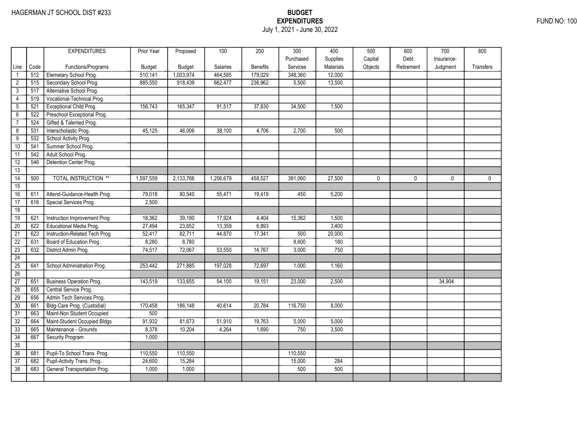## EXPENDITURES FUND NO: 100 July 1, 2021 - June 30, 2022

|                 |      | <b>EXPENDITURES</b>             | Prior Year | Proposed      | 100             | 200             | 300       | 400       | 500          | 600        | 700          | 800              |
|-----------------|------|---------------------------------|------------|---------------|-----------------|-----------------|-----------|-----------|--------------|------------|--------------|------------------|
|                 |      |                                 |            |               |                 |                 | Purchased | Supplies  | Capital      | Debt       | Insurance-   |                  |
| Line            | Code | Functions/Programs              | Budget     | <b>Budget</b> | <b>Salaries</b> | <b>Benefits</b> | Services  | Materials | Objects      | Retirement | Judgment     | <b>Transfers</b> |
|                 | 512  | Elemetary School Prog.          | 510,141    | 1,003,974     | 464,585         | 179,029         | 348,360   | 12,000    |              |            |              |                  |
| $\overline{2}$  | 515  | Secondary School Prog.          | 885,550    | 918,439       | 662,477         | 236,962         | 5,500     | 13,500    |              |            |              |                  |
| $\mathbf{3}$    | 517  | Alternative School Prog.        |            |               |                 |                 |           |           |              |            |              |                  |
| $\overline{4}$  | 519  | Vocational-Technical Prog.      |            |               |                 |                 |           |           |              |            |              |                  |
| $\overline{5}$  | 521  | Exceptional Child Prog.         | 156,743    | 165,347       | 91,517          | 37.830          | 34.500    | 1.500     |              |            |              |                  |
| 6               | 522  | Preschool Exceptional Prog.     |            |               |                 |                 |           |           |              |            |              |                  |
| $\overline{7}$  | 524  | Gifted & Talented Prog.         |            |               |                 |                 |           |           |              |            |              |                  |
| 8               | 531  | Interscholastic Prog.           | 45,125     | 46,006        | 38,100          | 4,706           | 2,700     | 500       |              |            |              |                  |
| $\overline{9}$  | 532  | School Activity Prog.           |            |               |                 |                 |           |           |              |            |              |                  |
| 10              | 541  | Summer School Prog.             |            |               |                 |                 |           |           |              |            |              |                  |
| 11              | 542  | Adult School Prog.              |            |               |                 |                 |           |           |              |            |              |                  |
| 12              | 546  | Detention Center Prog.          |            |               |                 |                 |           |           |              |            |              |                  |
| 13              |      |                                 |            |               |                 |                 |           |           |              |            |              |                  |
| $\overline{14}$ | 500  | <b>TOTAL INSTRUCTION **</b>     | 1,597,559  | 2,133,766     | 1,256,679       | 458,527         | 391,060   | 27,500    | $\mathbf{0}$ | 0          | $\mathbf{0}$ | $\mathbf{0}$     |
| 15              |      |                                 |            |               |                 |                 |           |           |              |            |              |                  |
| 16              | 611  | Attend-Guidance-Health Prog     | 79,018     | 80,540        | 55,471          | 19,419          | 450       | 5,200     |              |            |              |                  |
| 17              | 616  | Special Services Prog.          | 2,500      |               |                 |                 |           |           |              |            |              |                  |
| 18              |      |                                 |            |               |                 |                 |           |           |              |            |              |                  |
| 19              | 621  | Instruction Improvement Prog    | 18,362     | 39,190        | 17,924          | 4,404           | 15,362    | 1,500     |              |            |              |                  |
| $\overline{20}$ | 622  | Educational Media Prog.         | 27,494     | 23,652        | 13,359          | 6,893           |           | 3,400     |              |            |              |                  |
| $\overline{21}$ | 623  | Instruction-Related Tech Prog   | 52,417     | 82,711        | 44,870          | 17,341          | 500       | 20,000    |              |            |              |                  |
| $\overline{22}$ | 631  | Board of Education Prog.        | 8,280      | 8,780         |                 |                 | 8,600     | 180       |              |            |              |                  |
| $\overline{23}$ | 632  | District Admin Prog.            | 74,517     | 72,067        | 53,550          | 14,767          | 3,000     | 750       |              |            |              |                  |
| $\overline{24}$ |      |                                 |            |               |                 |                 |           |           |              |            |              |                  |
| 25              | 641  | School Administration Prog.     | 253,442    | 271,885       | 197,028         | 72,697          | 1,000     | 1,160     |              |            |              |                  |
| 26              |      |                                 |            |               |                 |                 |           |           |              |            |              |                  |
| $\overline{27}$ | 651  | <b>Business Operation Prog.</b> | 143,519    | 133,655       | 54,100          | 19,151          | 23,000    | 2,500     |              |            | 34,904       |                  |
| $\overline{28}$ | 655  | Central Service Prog.           |            |               |                 |                 |           |           |              |            |              |                  |
| 29              | 656  | Admin Tech Services Prog.       |            |               |                 |                 |           |           |              |            |              |                  |
| $\overline{30}$ | 661  | Bldg-Care Prog. (Custodial)     | 170,458    | 186,148       | 40,614          | 20,784          | 116,750   | 8,000     |              |            |              |                  |
| $\overline{31}$ | 663  | Maint-Non Student Occupied      | 500        |               |                 |                 |           |           |              |            |              |                  |
| 32              | 664  | Maint-Student Occupied Bldgs    | 91,932     | 81,673        | 51,910          | 19,763          | 5,000     | 5,000     |              |            |              |                  |
| 33              | 665  | Maintenance - Grounds           | 8,378      | 10,204        | 4,264           | 1,690           | 750       | 3,500     |              |            |              |                  |
| 34              | 667  | Security Program                | 1,000      |               |                 |                 |           |           |              |            |              |                  |
| 35              |      |                                 |            |               |                 |                 |           |           |              |            |              |                  |
| 36              | 681  | Pupil-To School Trans. Prog.    | 110,550    | 110,550       |                 |                 | 110,550   |           |              |            |              |                  |
| 37              | 682  | Pupil-Activity Trans. Prog.     | 24,600     | 15,284        |                 |                 | 15,000    | 284       |              |            |              |                  |
| 38              | 683  | General Transportation Prog.    | 1,000      | 1,000         |                 |                 | 500       | 500       |              |            |              |                  |
|                 |      |                                 |            |               |                 |                 |           |           |              |            |              |                  |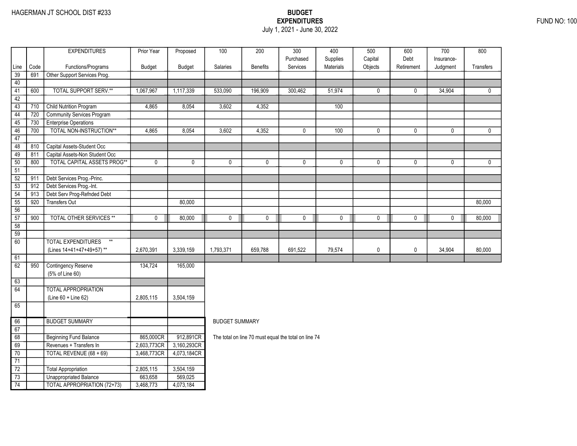## EXPENDITURES FUND NO: 100 July 1, 2021 - June 30, 2022

|                 |      | <b>EXPENDITURES</b>                          | Prior Year  | Proposed      | 100                   | 200                                                  | 300                   | 400                   | 500                | 600                | 700                    | 800          |
|-----------------|------|----------------------------------------------|-------------|---------------|-----------------------|------------------------------------------------------|-----------------------|-----------------------|--------------------|--------------------|------------------------|--------------|
| Line            | Code | Functions/Programs                           | Budget      | <b>Budget</b> | Salaries              | <b>Benefits</b>                                      | Purchased<br>Services | Supplies<br>Materials | Capital<br>Objects | Debt<br>Retirement | Insurance-<br>Judgment | Transfers    |
| 39              | 691  | Other Support Services Prog.                 |             |               |                       |                                                      |                       |                       |                    |                    |                        |              |
| 40              |      |                                              |             |               |                       |                                                      |                       |                       |                    |                    |                        |              |
| 41              | 600  | <b>TOTAL SUPPORT SERV.**</b>                 | 1,067,967   | 1,117,339     | 533,090               | 196,909                                              | 300,462               | 51,974                | $\mathbf 0$        | $\mathbf{0}$       | 34,904                 | $\mathbf{0}$ |
| 42              |      |                                              |             |               |                       |                                                      |                       |                       |                    |                    |                        |              |
| $\overline{43}$ | 710  | <b>Child Nutrition Program</b>               | 4,865       | 8,054         | 3,602                 | 4,352                                                |                       | 100                   |                    |                    |                        |              |
| 44              | 720  | <b>Community Services Program</b>            |             |               |                       |                                                      |                       |                       |                    |                    |                        |              |
| 45              | 730  | <b>Enterprise Operations</b>                 |             |               |                       |                                                      |                       |                       |                    |                    |                        |              |
| 46              | 700  | TOTAL NON-INSTRUCTION**                      | 4,865       | 8,054         | 3,602                 | 4,352                                                | $\mathbf 0$           | 100                   | 0                  | $\mathbf 0$        | 0                      | $\mathbf 0$  |
| 47              |      |                                              |             |               |                       |                                                      |                       |                       |                    |                    |                        |              |
| 48              | 810  | Capital Assets-Student Occ                   |             |               |                       |                                                      |                       |                       |                    |                    |                        |              |
| 49              | 811  | Capital Assets-Non Student Occ               |             |               |                       |                                                      |                       |                       |                    |                    |                        |              |
| 50              | 800  | <b>TOTAL CAPITAL ASSETS PROG**</b>           | $\mathbf 0$ | $\mathbf 0$   | $\mathbf 0$           | $\mathbf 0$                                          | $\mathbf{0}$          | $\mathbf 0$           | $\mathbf 0$        | $\mathbf 0$        | $\mathbf 0$            | $\mathbf{0}$ |
| 51              |      |                                              |             |               |                       |                                                      |                       |                       |                    |                    |                        |              |
| $\overline{52}$ | 911  | Debt Services Prog.-Princ.                   |             |               |                       |                                                      |                       |                       |                    |                    |                        |              |
| $\overline{53}$ | 912  | Debt Services Prog.-Int.                     |             |               |                       |                                                      |                       |                       |                    |                    |                        |              |
| 54              | 913  | Debt Serv Prog-Refnded Debt                  |             |               |                       |                                                      |                       |                       |                    |                    |                        |              |
| 55              | 920  | <b>Transfers Out</b>                         |             | 80,000        |                       |                                                      |                       |                       |                    |                    |                        | 80,000       |
| 56              |      |                                              |             |               |                       |                                                      |                       |                       |                    |                    |                        |              |
| $\overline{57}$ | 900  | <b>TOTAL OTHER SERVICES **</b>               | $\mathbf 0$ | 80,000        | 0                     | $\mathbf 0$                                          | $\mathbf 0$           | $\pmb{0}$             | $\mathbf 0$        | $\mathbf 0$        | $\mathbf 0$            | 80,000       |
| 58              |      |                                              |             |               |                       |                                                      |                       |                       |                    |                    |                        |              |
| 59              |      |                                              |             |               |                       |                                                      |                       |                       |                    |                    |                        |              |
| $\overline{60}$ |      | <b>TOTAL EXPENDITURES</b><br>$^{\star\star}$ |             |               |                       |                                                      |                       |                       |                    |                    |                        |              |
|                 |      | (Lines 14+41+47+49+57)**                     | 2,670,391   | 3,339,159     | 1,793,371             | 659,788                                              | 691,522               | 79,574                | 0                  | $\mathbf 0$        | 34,904                 | 80,000       |
| 61              |      |                                              |             |               |                       |                                                      |                       |                       |                    |                    |                        |              |
| 62              | 950  | <b>Contingency Reserve</b>                   | 134,724     | 165,000       |                       |                                                      |                       |                       |                    |                    |                        |              |
|                 |      | (5% of Line 60)                              |             |               |                       |                                                      |                       |                       |                    |                    |                        |              |
| 63              |      |                                              |             |               |                       |                                                      |                       |                       |                    |                    |                        |              |
| 64              |      | <b>TOTAL APPROPRIATION</b>                   |             |               |                       |                                                      |                       |                       |                    |                    |                        |              |
|                 |      | $(Line 60 + Line 62)$                        | 2,805,115   | 3,504,159     |                       |                                                      |                       |                       |                    |                    |                        |              |
| 65              |      |                                              |             |               |                       |                                                      |                       |                       |                    |                    |                        |              |
| 66              |      | <b>BUDGET SUMMARY</b>                        |             |               | <b>BUDGET SUMMARY</b> |                                                      |                       |                       |                    |                    |                        |              |
| 67              |      |                                              |             |               |                       |                                                      |                       |                       |                    |                    |                        |              |
| 68              |      | <b>Beginning Fund Balance</b>                | 865,000CR   | 912,891CR     |                       | The total on line 70 must equal the total on line 74 |                       |                       |                    |                    |                        |              |
| 69              |      | Revenues + Transfers In                      | 2,603,773CR | 3,160,293CR   |                       |                                                      |                       |                       |                    |                    |                        |              |
| 70              |      | TOTAL REVENUE (68 + 69)                      | 3,468,773CR | 4,073,184CR   |                       |                                                      |                       |                       |                    |                    |                        |              |
| 71              |      |                                              |             |               |                       |                                                      |                       |                       |                    |                    |                        |              |
| $\overline{72}$ |      | <b>Total Appropriation</b>                   | 2,805,115   | 3,504,159     |                       |                                                      |                       |                       |                    |                    |                        |              |
| $\overline{73}$ |      | <b>Unappropriated Balance</b>                | 663,658     | 569,025       |                       |                                                      |                       |                       |                    |                    |                        |              |
| 74              |      | TOTAL APPROPRIATION (72+73)                  | 3,468,773   | 4,073,184     |                       |                                                      |                       |                       |                    |                    |                        |              |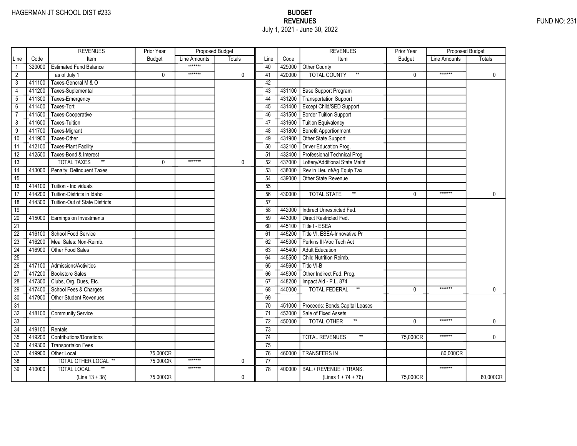|                 |        | <b>REVENUES</b>                       | Prior Year    | Proposed Budget |               |                 |        | <b>REVENUES</b>                         | Prior Year    | <b>Proposed Budget</b> |              |
|-----------------|--------|---------------------------------------|---------------|-----------------|---------------|-----------------|--------|-----------------------------------------|---------------|------------------------|--------------|
| Line            | Code   | Item                                  | <b>Budget</b> | Line Amounts    | <b>Totals</b> | Line            | Code   | Item                                    | <b>Budget</b> | Line Amounts           | Totals       |
| $\mathbf{1}$    | 320000 | <b>Estimated Fund Balance</b>         |               | *******         |               | 40              | 429000 | Other County                            |               |                        |              |
| $\overline{2}$  |        | as of July 1                          | 0             | *******         | 0             | 41              | 420000 | <b>TOTAL COUNTY</b><br>$^{\star\star}$  | 0             | *******                | $\mathbf 0$  |
| 3               | 411100 | Taxes-General M & O                   |               |                 |               | 42              |        |                                         |               |                        |              |
| $\overline{4}$  | 411200 | Taxes-Suplemental                     |               |                 |               | 43              | 431100 | <b>Base Support Program</b>             |               |                        |              |
| 5               | 411300 | Taxes-Emergency                       |               |                 |               | 44              | 431200 | <b>Transportation Support</b>           |               |                        |              |
| $6\overline{}$  | 411400 | Taxes-Tort                            |               |                 |               | 45              | 431400 | Except Child/SED Support                |               |                        |              |
| $\overline{7}$  | 411500 | Taxes-Cooperative                     |               |                 |               | 46              | 431500 | <b>Border Tuition Support</b>           |               |                        |              |
| 8               | 411600 | <b>Taxes-Tuition</b>                  |               |                 |               | 47              | 431600 | <b>Tuition Equivalency</b>              |               |                        |              |
| $\overline{9}$  | 411700 | Taxes-Migrant                         |               |                 |               | 48              | 431800 | <b>Benefit Apportionment</b>            |               |                        |              |
| 10              | 411900 | Taxes-Other                           |               |                 |               | 49              | 431900 | Other State Support                     |               |                        |              |
| 11              | 412100 | <b>Taxes-Plant Facility</b>           |               |                 |               | 50              | 432100 | Driver Education Prog.                  |               |                        |              |
| 12              | 412500 | Taxes-Bond & Interest                 |               |                 |               | 51              | 432400 | Professional Technical Prog             |               |                        |              |
| 13              |        | $\ast\ast$<br><b>TOTAL TAXES</b>      | 0             | *******         | 0             | 52              | 437000 | Lottery/Additional State Maint          |               |                        |              |
| $\overline{14}$ | 413000 | Penalty: Delinquent Taxes             |               |                 |               | 53              | 438000 | Rev in Lieu of/Ag Equip Tax             |               |                        |              |
| $\overline{15}$ |        |                                       |               |                 |               | 54              | 439000 | Other State Revenue                     |               |                        |              |
| 16              | 414100 | Tuition - Individuals                 |               |                 |               | 55              |        |                                         |               |                        |              |
| 17              | 414200 | Tuition-Districts in Idaho            |               |                 |               | 56              | 430000 | $^{\star\star}$<br><b>TOTAL STATE</b>   | $\Omega$      | *******                | $\mathbf{0}$ |
| $\overline{18}$ | 414300 | <b>Tuition-Out of State Districts</b> |               |                 |               | $\overline{57}$ |        |                                         |               |                        |              |
| 19              |        |                                       |               |                 |               | 58              | 442000 | Indirect Unrestricted Fed.              |               |                        |              |
| $\overline{20}$ | 415000 | Earnings on Investments               |               |                 |               | 59              | 443000 | Direct Restricted Fed.                  |               |                        |              |
| $\overline{21}$ |        |                                       |               |                 |               | 60              | 445100 | Title I - ESEA                          |               |                        |              |
| $\overline{22}$ | 416100 | School Food Service                   |               |                 |               | 61              | 445200 | Title VI, ESEA-Innovative Pr            |               |                        |              |
| $\overline{23}$ | 416200 | Meal Sales: Non-Reimb.                |               |                 |               | 62              | 445300 | Perkins III-Voc Tech Act                |               |                        |              |
| $\overline{24}$ | 416900 | Other Food Sales                      |               |                 |               | 63              | 445400 | <b>Adult Education</b>                  |               |                        |              |
| $\overline{25}$ |        |                                       |               |                 |               | 64              | 445500 | Child Nutrition Reimb.                  |               |                        |              |
| 26              | 417100 | Admissions/Activities                 |               |                 |               | 65              | 445600 | Title VI-B                              |               |                        |              |
| 27              | 417200 | <b>Bookstore Sales</b>                |               |                 |               | 66              | 445900 | Other Indirect Fed. Prog.               |               |                        |              |
| 28              | 417300 | Clubs, Org. Dues, Etc.                |               |                 |               | 67              | 448200 | Impact Aid - P.L. 874                   |               |                        |              |
| 29              | 417400 | School Fees & Charges                 |               |                 |               | 68              | 440000 | <b>TOTAL FEDERAL</b><br>$^{\star\star}$ | 0             | *******                | 0            |
| 30              | 417900 | Other Student Revenues                |               |                 |               | 69              |        |                                         |               |                        |              |
| $\overline{31}$ |        |                                       |               |                 |               | 70              | 451000 | Proceeds: Bonds, Capital Leases         |               |                        |              |
| $\overline{32}$ | 418100 | <b>Community Service</b>              |               |                 |               | 71              | 453000 | Sale of Fixed Assets                    |               |                        |              |
| $\overline{33}$ |        |                                       |               |                 |               | $\overline{72}$ | 450000 | <b>TOTAL OTHER</b>                      | $\Omega$      | *******                | 0            |
| 34              | 419100 | Rentals                               |               |                 |               | 73              |        |                                         |               |                        |              |
| 35              | 419200 | <b>Contributions/Donations</b>        |               |                 |               | 74              |        | <b>TOTAL REVENUES</b>                   | 75,000CR      | *******                | 0            |
| 36              | 419300 | <b>Transportaion Fees</b>             |               |                 |               | 75              |        |                                         |               |                        |              |
| $\overline{37}$ | 419900 | Other Local                           | 75,000CR      |                 |               | 76              | 460000 | <b>TRANSFERS IN</b>                     |               | 80,000CR               |              |
| 38              |        | TOTAL OTHER LOCAL **                  | 75.000CR      | *******         | 0             | 77              |        |                                         |               |                        |              |
| $\overline{39}$ | 410000 | <b>TOTAL LOCAL</b>                    |               | *******         |               | 78              | 400000 | BAL.+ REVENUE + TRANS.                  |               | *******                |              |
|                 |        | $(Line 13 + 38)$                      | 75,000CR      |                 | 0             |                 |        | (Lines $1 + 74 + 76$ )                  | 75,000CR      |                        | 80,000CR     |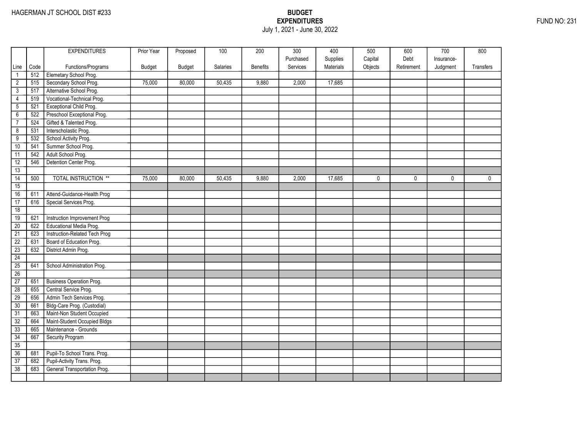## EXPENDITURES FUND NO: 231 July 1, 2021 - June 30, 2022

|                 |      | <b>EXPENDITURES</b>            | Prior Year | Proposed      | 100      | 200             | 300       | 400       | 500          | 600          | 700        | 800          |
|-----------------|------|--------------------------------|------------|---------------|----------|-----------------|-----------|-----------|--------------|--------------|------------|--------------|
|                 |      |                                |            |               |          |                 | Purchased | Supplies  | Capital      | Debt         | Insurance- |              |
| Line            | Code | Functions/Programs             | Budget     | <b>Budget</b> | Salaries | <b>Benefits</b> | Services  | Materials | Objects      | Retirement   | Judgment   | Transfers    |
| $\mathbf{1}$    | 512  | Elemetary School Prog.         |            |               |          |                 |           |           |              |              |            |              |
| $\overline{2}$  | 515  | Secondary School Prog.         | 75,000     | 80,000        | 50,435   | 9,880           | 2,000     | 17,685    |              |              |            |              |
| $\mathbf{3}$    | 517  | Alternative School Prog.       |            |               |          |                 |           |           |              |              |            |              |
| 4               | 519  | Vocational-Technical Prog.     |            |               |          |                 |           |           |              |              |            |              |
| $\overline{5}$  | 521  | <b>Exceptional Child Prog.</b> |            |               |          |                 |           |           |              |              |            |              |
| $\overline{6}$  | 522  | Preschool Exceptional Prog.    |            |               |          |                 |           |           |              |              |            |              |
| $\overline{7}$  | 524  | Gifted & Talented Prog.        |            |               |          |                 |           |           |              |              |            |              |
| 8               | 531  | Interscholastic Prog.          |            |               |          |                 |           |           |              |              |            |              |
| $\overline{9}$  | 532  | School Activity Prog.          |            |               |          |                 |           |           |              |              |            |              |
| 10              | 541  | Summer School Prog.            |            |               |          |                 |           |           |              |              |            |              |
| 11              | 542  | Adult School Prog.             |            |               |          |                 |           |           |              |              |            |              |
| 12              | 546  | Detention Center Prog.         |            |               |          |                 |           |           |              |              |            |              |
| 13              |      |                                |            |               |          |                 |           |           |              |              |            |              |
| $\overline{14}$ | 500  | <b>TOTAL INSTRUCTION **</b>    | 75,000     | 80,000        | 50,435   | 9,880           | 2,000     | 17,685    | $\mathbf{0}$ | $\mathbf{0}$ | 0          | $\mathbf{0}$ |
| 15              |      |                                |            |               |          |                 |           |           |              |              |            |              |
| 16              | 611  | Attend-Guidance-Health Prog    |            |               |          |                 |           |           |              |              |            |              |
| 17              | 616  | Special Services Prog.         |            |               |          |                 |           |           |              |              |            |              |
| 18              |      |                                |            |               |          |                 |           |           |              |              |            |              |
| 19              | 621  | Instruction Improvement Prog   |            |               |          |                 |           |           |              |              |            |              |
| $\overline{20}$ | 622  | Educational Media Prog.        |            |               |          |                 |           |           |              |              |            |              |
| $\overline{21}$ | 623  | Instruction-Related Tech Prog  |            |               |          |                 |           |           |              |              |            |              |
| $\overline{22}$ | 631  | Board of Education Prog.       |            |               |          |                 |           |           |              |              |            |              |
| 23              | 632  | District Admin Prog.           |            |               |          |                 |           |           |              |              |            |              |
| 24              |      |                                |            |               |          |                 |           |           |              |              |            |              |
| 25              | 641  | School Administration Prog.    |            |               |          |                 |           |           |              |              |            |              |
| 26              |      |                                |            |               |          |                 |           |           |              |              |            |              |
| $\overline{27}$ | 651  | Business Operation Prog.       |            |               |          |                 |           |           |              |              |            |              |
| $\overline{28}$ | 655  | Central Service Prog.          |            |               |          |                 |           |           |              |              |            |              |
| 29              | 656  | Admin Tech Services Prog.      |            |               |          |                 |           |           |              |              |            |              |
| 30              | 661  | Bldg-Care Prog. (Custodial)    |            |               |          |                 |           |           |              |              |            |              |
| $\overline{31}$ | 663  | Maint-Non Student Occupied     |            |               |          |                 |           |           |              |              |            |              |
| 32              | 664  | Maint-Student Occupied Bldgs   |            |               |          |                 |           |           |              |              |            |              |
| 33              | 665  | Maintenance - Grounds          |            |               |          |                 |           |           |              |              |            |              |
| 34              | 667  | Security Program               |            |               |          |                 |           |           |              |              |            |              |
| 35              |      |                                |            |               |          |                 |           |           |              |              |            |              |
| 36              | 681  | Pupil-To School Trans. Prog.   |            |               |          |                 |           |           |              |              |            |              |
| $\overline{37}$ | 682  | Pupil-Activity Trans. Prog.    |            |               |          |                 |           |           |              |              |            |              |
| 38              | 683  | General Transportation Prog.   |            |               |          |                 |           |           |              |              |            |              |
|                 |      |                                |            |               |          |                 |           |           |              |              |            |              |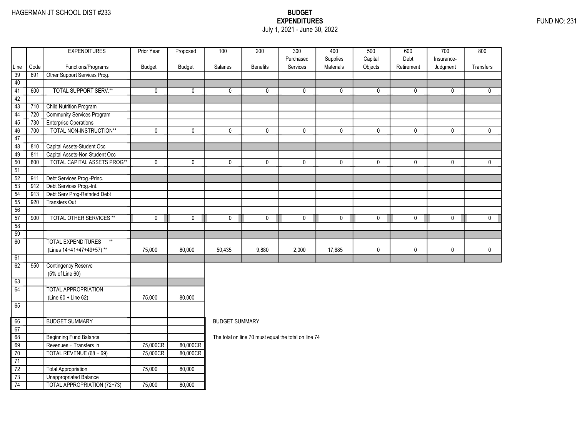### EXPENDITURES FUND NO: 231 July 1, 2021 - June 30, 2022

|                 |      | <b>EXPENDITURES</b>               | Prior Year  | Proposed    | $\overline{100}$      | 200                                                  | $\overline{300}$      | 400                   | 500                | 600                | $\overline{700}$       | 800          |
|-----------------|------|-----------------------------------|-------------|-------------|-----------------------|------------------------------------------------------|-----------------------|-----------------------|--------------------|--------------------|------------------------|--------------|
|                 | Code | Functions/Programs                | Budget      | Budget      | Salaries              | <b>Benefits</b>                                      | Purchased<br>Services | Supplies<br>Materials | Capital<br>Objects | Debt<br>Retirement | Insurance-<br>Judgment | Transfers    |
| Line<br>39      | 691  | Other Support Services Prog.      |             |             |                       |                                                      |                       |                       |                    |                    |                        |              |
| 40              |      |                                   |             |             |                       |                                                      |                       |                       |                    |                    |                        |              |
| 41              | 600  | <b>TOTAL SUPPORT SERV.**</b>      | 0           | 0           | 0                     | $\mathbf{0}$                                         | 0                     | $\mathbf{0}$          | 0                  | 0                  | 0                      | $\mathbf{0}$ |
| 42              |      |                                   |             |             |                       |                                                      |                       |                       |                    |                    |                        |              |
| 43              | 710  | <b>Child Nutrition Program</b>    |             |             |                       |                                                      |                       |                       |                    |                    |                        |              |
| 44              | 720  | <b>Community Services Program</b> |             |             |                       |                                                      |                       |                       |                    |                    |                        |              |
| 45              | 730  | <b>Enterprise Operations</b>      |             |             |                       |                                                      |                       |                       |                    |                    |                        |              |
| 46              | 700  | TOTAL NON-INSTRUCTION**           | 0           | 0           | 0                     | 0                                                    | $\mathbf 0$           | 0                     | 0                  | 0                  | 0                      | $\mathbf 0$  |
| 47              |      |                                   |             |             |                       |                                                      |                       |                       |                    |                    |                        |              |
| 48              | 810  | Capital Assets-Student Occ        |             |             |                       |                                                      |                       |                       |                    |                    |                        |              |
| 49              | 811  | Capital Assets-Non Student Occ    |             |             |                       |                                                      |                       |                       |                    |                    |                        |              |
| 50              | 800  | TOTAL CAPITAL ASSETS PROG**       | $\pmb{0}$   | 0           | $\mathbf 0$           | $\mathbf 0$                                          | $\mathbf 0$           | $\pmb{0}$             | $\pmb{0}$          | $\mathbf 0$        | $\mathbf 0$            | $\mathbf 0$  |
| 51              |      |                                   |             |             |                       |                                                      |                       |                       |                    |                    |                        |              |
| $\overline{52}$ | 911  | Debt Services Prog.-Princ.        |             |             |                       |                                                      |                       |                       |                    |                    |                        |              |
| 53              | 912  | Debt Services Prog.-Int.          |             |             |                       |                                                      |                       |                       |                    |                    |                        |              |
| 54              | 913  | Debt Serv Prog-Refnded Debt       |             |             |                       |                                                      |                       |                       |                    |                    |                        |              |
| 55              | 920  | Transfers Out                     |             |             |                       |                                                      |                       |                       |                    |                    |                        |              |
| 56              |      |                                   |             |             |                       |                                                      |                       |                       |                    |                    |                        |              |
| 57              | 900  | <b>TOTAL OTHER SERVICES **</b>    | $\mathbf 0$ | $\mathbf 0$ | $\mathbf 0$           | $\mathbf 0$                                          | $\mathbf 0$           | $\mathbf 0$           | $\mathbf 0$        | $\mathbf 0$        | $\mathbf 0$            | $\mathbf 0$  |
| 58              |      |                                   |             |             |                       |                                                      |                       |                       |                    |                    |                        |              |
| $\overline{59}$ |      |                                   |             |             |                       |                                                      |                       |                       |                    |                    |                        |              |
| 60              |      | <b>TOTAL EXPENDITURES</b><br>$**$ |             |             |                       |                                                      |                       |                       |                    |                    |                        |              |
|                 |      | (Lines 14+41+47+49+57)**          | 75,000      | 80,000      | 50,435                | 9,880                                                | 2,000                 | 17,685                | 0                  | $\mathbf 0$        | 0                      | $\mathbf 0$  |
| 61              |      |                                   |             |             |                       |                                                      |                       |                       |                    |                    |                        |              |
| 62              | 950  | <b>Contingency Reserve</b>        |             |             |                       |                                                      |                       |                       |                    |                    |                        |              |
|                 |      | (5% of Line 60)                   |             |             |                       |                                                      |                       |                       |                    |                    |                        |              |
| 63              |      |                                   |             |             |                       |                                                      |                       |                       |                    |                    |                        |              |
| 64              |      | <b>TOTAL APPROPRIATION</b>        |             |             |                       |                                                      |                       |                       |                    |                    |                        |              |
|                 |      | (Line 60 + Line 62)               | 75,000      | 80,000      |                       |                                                      |                       |                       |                    |                    |                        |              |
| 65              |      |                                   |             |             |                       |                                                      |                       |                       |                    |                    |                        |              |
| 66              |      | <b>BUDGET SUMMARY</b>             |             |             | <b>BUDGET SUMMARY</b> |                                                      |                       |                       |                    |                    |                        |              |
| 67              |      |                                   |             |             |                       |                                                      |                       |                       |                    |                    |                        |              |
| 68              |      | <b>Beginning Fund Balance</b>     |             |             |                       | The total on line 70 must equal the total on line 74 |                       |                       |                    |                    |                        |              |
| 69              |      | Revenues + Transfers In           | 75,000CR    | 80,000CR    |                       |                                                      |                       |                       |                    |                    |                        |              |
| 70              |      | TOTAL REVENUE (68 + 69)           | 75,000CR    | 80,000CR    |                       |                                                      |                       |                       |                    |                    |                        |              |
| $\overline{71}$ |      |                                   |             |             |                       |                                                      |                       |                       |                    |                    |                        |              |
| $\overline{72}$ |      | Total Appropriation               | 75,000      | 80,000      |                       |                                                      |                       |                       |                    |                    |                        |              |
| $\overline{73}$ |      | <b>Unappropriated Balance</b>     |             |             |                       |                                                      |                       |                       |                    |                    |                        |              |
| 74              |      | TOTAL APPROPRIATION (72+73)       | 75,000      | 80,000      |                       |                                                      |                       |                       |                    |                    |                        |              |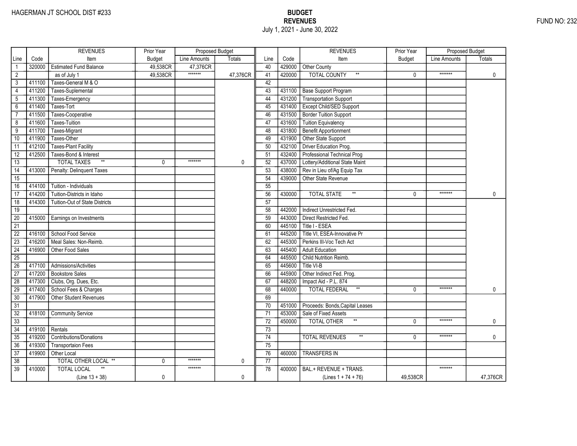|                 |        | <b>REVENUES</b>                       | Prior Year    | Proposed Budget |          |                 |        | <b>REVENUES</b>                          | Prior Year    | <b>Proposed Budget</b> |               |
|-----------------|--------|---------------------------------------|---------------|-----------------|----------|-----------------|--------|------------------------------------------|---------------|------------------------|---------------|
| Line            | Code   | Item                                  | <b>Budget</b> | Line Amounts    | Totals   | Line            | Code   | Item                                     | <b>Budget</b> | Line Amounts           | <b>Totals</b> |
| $\mathbf{1}$    | 320000 | <b>Estimated Fund Balance</b>         | 49,538CR      | 47,376CR        |          | 40              | 429000 | Other County                             |               |                        |               |
| $\overline{2}$  |        | as of July 1                          | 49,538CR      | *******         | 47,376CR | 41              | 420000 | <b>TOTAL COUNTY</b><br>$^{\star\star}$   | $\mathbf{0}$  | *******                | $\mathbf 0$   |
| 3               | 411100 | Taxes-General M & O                   |               |                 |          | 42              |        |                                          |               |                        |               |
| $\overline{4}$  | 411200 | Taxes-Suplemental                     |               |                 |          | 43              | 431100 | <b>Base Support Program</b>              |               |                        |               |
| $5\phantom{.0}$ | 411300 | Taxes-Emergency                       |               |                 |          | 44              | 431200 | Transportation Support                   |               |                        |               |
| $6\overline{}$  | 411400 | Taxes-Tort                            |               |                 |          | 45              | 431400 | Except Child/SED Support                 |               |                        |               |
| $\overline{7}$  | 411500 | Taxes-Cooperative                     |               |                 |          | 46              | 431500 | <b>Border Tuition Support</b>            |               |                        |               |
| 8               | 411600 | Taxes-Tuition                         |               |                 |          | 47              | 431600 | <b>Tuition Equivalency</b>               |               |                        |               |
| 9               | 411700 | Taxes-Migrant                         |               |                 |          | 48              | 431800 | <b>Benefit Apportionment</b>             |               |                        |               |
| 10              | 411900 | Taxes-Other                           |               |                 |          | 49              | 431900 | Other State Support                      |               |                        |               |
| 11              | 412100 | <b>Taxes-Plant Facility</b>           |               |                 |          | 50              | 432100 | Driver Education Prog.                   |               |                        |               |
| $\overline{12}$ | 412500 | Taxes-Bond & Interest                 |               |                 |          | 51              | 432400 | Professional Technical Prog              |               |                        |               |
| 13              |        | $\star\star$<br><b>TOTAL TAXES</b>    | $\Omega$      | *******         | 0        | 52              | 437000 | Lottery/Additional State Maint           |               |                        |               |
| 14              | 413000 | Penalty: Delinquent Taxes             |               |                 |          | 53              | 438000 | Rev in Lieu of/Ag Equip Tax              |               |                        |               |
| $\overline{15}$ |        |                                       |               |                 |          | 54              | 439000 | Other State Revenue                      |               |                        |               |
| 16              | 414100 | Tuition - Individuals                 |               |                 |          | 55              |        |                                          |               |                        |               |
| 17              | 414200 | Tuition-Districts in Idaho            |               |                 |          | 56              | 430000 | $^{\star\star}$<br><b>TOTAL STATE</b>    | $\Omega$      | *******                | 0             |
| 18              | 414300 | <b>Tuition-Out of State Districts</b> |               |                 |          | 57              |        |                                          |               |                        |               |
| 19              |        |                                       |               |                 |          | 58              | 442000 | Indirect Unrestricted Fed.               |               |                        |               |
| $\overline{20}$ | 415000 | Earnings on Investments               |               |                 |          | 59              | 443000 | Direct Restricted Fed.                   |               |                        |               |
| 21              |        |                                       |               |                 |          | 60              | 445100 | Title I - ESEA                           |               |                        |               |
| 22              | 416100 | School Food Service                   |               |                 |          | 61              | 445200 | Title VI, ESEA-Innovative Pr             |               |                        |               |
| $\overline{23}$ | 416200 | Meal Sales: Non-Reimb.                |               |                 |          | 62              | 445300 | Perkins III-Voc Tech Act                 |               |                        |               |
| $\overline{24}$ | 416900 | Other Food Sales                      |               |                 |          | 63              | 445400 | <b>Adult Education</b>                   |               |                        |               |
| $\overline{25}$ |        |                                       |               |                 |          | 64              | 445500 | Child Nutrition Reimb.                   |               |                        |               |
| 26              | 417100 | Admissions/Activities                 |               |                 |          | 65              | 445600 | Title VI-B                               |               |                        |               |
| $\overline{27}$ | 417200 | <b>Bookstore Sales</b>                |               |                 |          | 66              | 445900 | Other Indirect Fed. Prog.                |               |                        |               |
| 28              | 417300 | Clubs, Org. Dues, Etc.                |               |                 |          | 67              | 448200 | Impact Aid - P.L. 874                    |               |                        |               |
| 29              | 417400 | School Fees & Charges                 |               |                 |          | 68              | 440000 | $^{\star\star}$<br>TOTAL FEDERAL         | 0             | *******                | 0             |
| $\overline{30}$ | 417900 | Other Student Revenues                |               |                 |          | 69              |        |                                          |               |                        |               |
| 31              |        |                                       |               |                 |          | 70              | 451000 | Proceeds: Bonds, Capital Leases          |               |                        |               |
| $\overline{32}$ | 418100 | <b>Community Service</b>              |               |                 |          | 71              | 453000 | Sale of Fixed Assets                     |               |                        |               |
| 33              |        |                                       |               |                 |          | $\overline{72}$ | 450000 | <b>TOTAL OTHER</b>                       | $\Omega$      | *******                | 0             |
| $\overline{34}$ | 419100 | Rentals                               |               |                 |          | 73              |        |                                          |               |                        |               |
| 35              | 419200 | <b>Contributions/Donations</b>        |               |                 |          | 74              |        | <b>TOTAL REVENUES</b><br>$^{\star\star}$ | $\mathbf{0}$  | *******                | 0             |
| 36              | 419300 | <b>Transportaion Fees</b>             |               |                 |          | 75              |        |                                          |               |                        |               |
| 37              | 419900 | Other Local                           |               |                 |          | 76              | 460000 | <b>TRANSFERS IN</b>                      |               |                        |               |
| 38              |        | TOTAL OTHER LOCAL **                  | 0             | *******         | 0        | 77              |        |                                          |               |                        |               |
| 39              | 410000 | <b>TOTAL LOCAL</b>                    |               | *******         |          | 78              | 400000 | BAL.+ REVENUE + TRANS.                   |               | *******                |               |
|                 |        | $(Line 13 + 38)$                      | 0             |                 | 0        |                 |        | (Lines $1 + 74 + 76$ )                   | 49,538CR      |                        | 47,376CR      |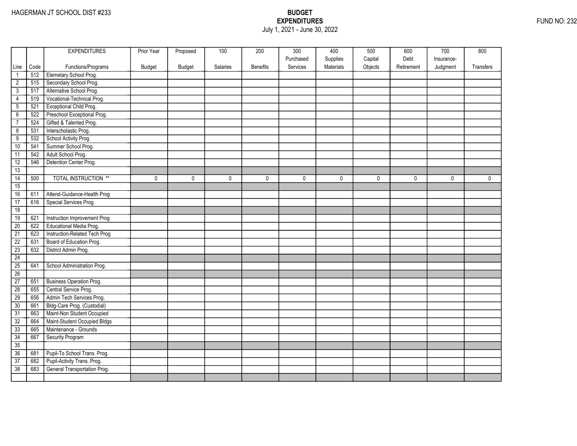## EXPENDITURES FUND NO: 232 July 1, 2021 - June 30, 2022

|                 |      | <b>EXPENDITURES</b>             | Prior Year | Proposed      | 100      | 200             | 300       | 400       | 500     | 600        | 700        | 800         |
|-----------------|------|---------------------------------|------------|---------------|----------|-----------------|-----------|-----------|---------|------------|------------|-------------|
|                 |      |                                 |            |               |          |                 | Purchased | Supplies  | Capital | Debt       | Insurance- |             |
| Line            | Code | Functions/Programs              | Budget     | <b>Budget</b> | Salaries | <b>Benefits</b> | Services  | Materials | Objects | Retirement | Judgment   | Transfers   |
| $\mathbf{1}$    | 512  | Elemetary School Prog.          |            |               |          |                 |           |           |         |            |            |             |
| $\overline{2}$  | 515  | Secondary School Prog.          |            |               |          |                 |           |           |         |            |            |             |
| $\overline{3}$  | 517  | Alternative School Prog.        |            |               |          |                 |           |           |         |            |            |             |
| 4               | 519  | Vocational-Technical Prog.      |            |               |          |                 |           |           |         |            |            |             |
| $\overline{5}$  | 521  | Exceptional Child Prog.         |            |               |          |                 |           |           |         |            |            |             |
| $\overline{6}$  | 522  | Preschool Exceptional Prog.     |            |               |          |                 |           |           |         |            |            |             |
| $\overline{7}$  | 524  | Gifted & Talented Prog.         |            |               |          |                 |           |           |         |            |            |             |
| $\overline{8}$  | 531  | Interscholastic Prog.           |            |               |          |                 |           |           |         |            |            |             |
| $\overline{9}$  | 532  | School Activity Prog.           |            |               |          |                 |           |           |         |            |            |             |
| 10              | 541  | Summer School Prog.             |            |               |          |                 |           |           |         |            |            |             |
| 11              | 542  | Adult School Prog.              |            |               |          |                 |           |           |         |            |            |             |
| 12              | 546  | Detention Center Prog.          |            |               |          |                 |           |           |         |            |            |             |
| 13              |      |                                 |            |               |          |                 |           |           |         |            |            |             |
| $\overline{14}$ | 500  | <b>TOTAL INSTRUCTION **</b>     | 0          | $\mathbf 0$   | 0        | 0               | 0         | 0         | 0       | 0          | 0          | $\mathbf 0$ |
| 15              |      |                                 |            |               |          |                 |           |           |         |            |            |             |
| 16              | 611  | Attend-Guidance-Health Prog     |            |               |          |                 |           |           |         |            |            |             |
| 17              | 616  | Special Services Prog.          |            |               |          |                 |           |           |         |            |            |             |
| 18              |      |                                 |            |               |          |                 |           |           |         |            |            |             |
| 19              | 621  | Instruction Improvement Prog    |            |               |          |                 |           |           |         |            |            |             |
| 20              | 622  | Educational Media Prog.         |            |               |          |                 |           |           |         |            |            |             |
| $\overline{21}$ | 623  | Instruction-Related Tech Prog   |            |               |          |                 |           |           |         |            |            |             |
| $\overline{22}$ | 631  | Board of Education Prog.        |            |               |          |                 |           |           |         |            |            |             |
| $\overline{23}$ | 632  | District Admin Prog.            |            |               |          |                 |           |           |         |            |            |             |
| 24              |      |                                 |            |               |          |                 |           |           |         |            |            |             |
| 25              | 641  | School Administration Prog.     |            |               |          |                 |           |           |         |            |            |             |
| 26              |      |                                 |            |               |          |                 |           |           |         |            |            |             |
| 27              | 651  | <b>Business Operation Prog.</b> |            |               |          |                 |           |           |         |            |            |             |
| $\overline{28}$ | 655  | Central Service Prog.           |            |               |          |                 |           |           |         |            |            |             |
| 29              | 656  | Admin Tech Services Prog.       |            |               |          |                 |           |           |         |            |            |             |
| 30              | 661  | Bldg-Care Prog. (Custodial)     |            |               |          |                 |           |           |         |            |            |             |
| $\overline{31}$ | 663  | Maint-Non Student Occupied      |            |               |          |                 |           |           |         |            |            |             |
| 32              | 664  | Maint-Student Occupied Bldgs    |            |               |          |                 |           |           |         |            |            |             |
| 33              | 665  | Maintenance - Grounds           |            |               |          |                 |           |           |         |            |            |             |
| 34              | 667  | Security Program                |            |               |          |                 |           |           |         |            |            |             |
| 35              |      |                                 |            |               |          |                 |           |           |         |            |            |             |
| 36              | 681  | Pupil-To School Trans. Prog.    |            |               |          |                 |           |           |         |            |            |             |
| $\overline{37}$ | 682  | Pupil-Activity Trans. Prog.     |            |               |          |                 |           |           |         |            |            |             |
| 38              | 683  | General Transportation Prog.    |            |               |          |                 |           |           |         |            |            |             |
|                 |      |                                 |            |               |          |                 |           |           |         |            |            |             |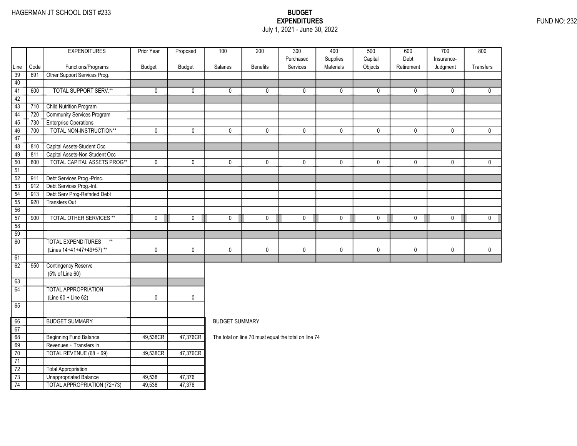### EXPENDITURES FUND NO: 232 July 1, 2021 - June 30, 2022

| Purchased<br>Supplies<br>Capital<br>Debt<br>Insurance-<br>Services<br>Materials<br>Objects<br>Code<br>Functions/Programs<br>Budget<br><b>Budget</b><br><b>Salaries</b><br><b>Benefits</b><br>Retirement<br><b>Transfers</b><br>Line<br>Judgment<br>39<br>691<br>Other Support Services Prog.<br>40<br><b>TOTAL SUPPORT SERV.**</b><br>600<br>41<br>0<br>0<br>0<br>0<br>0<br>0<br>$\mathbf 0$<br>0<br>0<br>0<br>42<br><b>Child Nutrition Program</b><br>43<br>710<br>Community Services Program<br>44<br>720<br><b>Enterprise Operations</b><br>45<br>730<br>TOTAL NON-INSTRUCTION**<br>46<br>700<br>$\mathbf 0$<br>0<br>0<br>0<br>$\mathbf 0$<br>0<br>$\mathbf 0$<br>$\mathbf 0$<br>0<br>$\mathbf 0$<br>47<br>Capital Assets-Student Occ<br>48<br>810<br>Capital Assets-Non Student Occ<br>49<br>811<br><b>TOTAL CAPITAL ASSETS PROG**</b><br>50<br>800<br>0<br>0<br>0<br>0<br>0<br>0<br>0<br>$\mathbf 0$<br>0<br>0<br>51<br>Debt Services Prog.-Princ.<br>$\overline{52}$<br>911<br>$\overline{53}$<br>Debt Services Prog.-Int.<br>912<br>Debt Serv Prog-Refnded Debt<br>54<br>913<br>55<br><b>Transfers Out</b><br>920<br>56<br><b>TOTAL OTHER SERVICES **</b><br>57<br>900<br>$\mathbf 0$<br>0<br>0<br>$\mathbf 0$<br>0<br>0<br>0<br>0<br>0<br>0<br>58<br>$\overline{59}$<br><b>TOTAL EXPENDITURES</b><br>60<br>$**$<br>$\pmb{0}$<br>(Lines 14+41+47+49+57)**<br>0<br>0<br>0<br>0<br>$\mathbf 0$<br>0<br>0<br>$\mathbf 0$<br>0<br>61<br>62<br>950<br><b>Contingency Reserve</b><br>(5% of Line 60)<br>63<br>64<br><b>TOTAL APPROPRIATION</b><br>(Line 60 + Line 62)<br>0<br>0<br>65<br><b>BUDGET SUMMARY</b><br>66<br><b>BUDGET SUMMARY</b><br>67<br>68<br><b>Beginning Fund Balance</b><br>49,538CR<br>47,376CR<br>The total on line 70 must equal the total on line 74<br>69<br>Revenues + Transfers In<br>TOTAL REVENUE (68 + 69)<br>70<br>49,538CR<br>47,376CR<br>71<br>$\overline{72}$<br>Total Appropriation<br>$\overline{73}$<br>Unappropriated Balance<br>47,376<br>49,538<br>74<br>49,538 |  | <b>EXPENDITURES</b>                | Prior Year | Proposed | $\overline{100}$ | 200 | $\overline{300}$ | 400 | 500 | 600 | $\overline{700}$ | 800 |
|--------------------------------------------------------------------------------------------------------------------------------------------------------------------------------------------------------------------------------------------------------------------------------------------------------------------------------------------------------------------------------------------------------------------------------------------------------------------------------------------------------------------------------------------------------------------------------------------------------------------------------------------------------------------------------------------------------------------------------------------------------------------------------------------------------------------------------------------------------------------------------------------------------------------------------------------------------------------------------------------------------------------------------------------------------------------------------------------------------------------------------------------------------------------------------------------------------------------------------------------------------------------------------------------------------------------------------------------------------------------------------------------------------------------------------------------------------------------------------------------------------------------------------------------------------------------------------------------------------------------------------------------------------------------------------------------------------------------------------------------------------------------------------------------------------------------------------------------------------------------------------------------------------------------------------------------------------------------------------------------------------|--|------------------------------------|------------|----------|------------------|-----|------------------|-----|-----|-----|------------------|-----|
|                                                                                                                                                                                                                                                                                                                                                                                                                                                                                                                                                                                                                                                                                                                                                                                                                                                                                                                                                                                                                                                                                                                                                                                                                                                                                                                                                                                                                                                                                                                                                                                                                                                                                                                                                                                                                                                                                                                                                                                                        |  |                                    |            |          |                  |     |                  |     |     |     |                  |     |
|                                                                                                                                                                                                                                                                                                                                                                                                                                                                                                                                                                                                                                                                                                                                                                                                                                                                                                                                                                                                                                                                                                                                                                                                                                                                                                                                                                                                                                                                                                                                                                                                                                                                                                                                                                                                                                                                                                                                                                                                        |  |                                    |            |          |                  |     |                  |     |     |     |                  |     |
|                                                                                                                                                                                                                                                                                                                                                                                                                                                                                                                                                                                                                                                                                                                                                                                                                                                                                                                                                                                                                                                                                                                                                                                                                                                                                                                                                                                                                                                                                                                                                                                                                                                                                                                                                                                                                                                                                                                                                                                                        |  |                                    |            |          |                  |     |                  |     |     |     |                  |     |
|                                                                                                                                                                                                                                                                                                                                                                                                                                                                                                                                                                                                                                                                                                                                                                                                                                                                                                                                                                                                                                                                                                                                                                                                                                                                                                                                                                                                                                                                                                                                                                                                                                                                                                                                                                                                                                                                                                                                                                                                        |  |                                    |            |          |                  |     |                  |     |     |     |                  |     |
|                                                                                                                                                                                                                                                                                                                                                                                                                                                                                                                                                                                                                                                                                                                                                                                                                                                                                                                                                                                                                                                                                                                                                                                                                                                                                                                                                                                                                                                                                                                                                                                                                                                                                                                                                                                                                                                                                                                                                                                                        |  |                                    |            |          |                  |     |                  |     |     |     |                  |     |
|                                                                                                                                                                                                                                                                                                                                                                                                                                                                                                                                                                                                                                                                                                                                                                                                                                                                                                                                                                                                                                                                                                                                                                                                                                                                                                                                                                                                                                                                                                                                                                                                                                                                                                                                                                                                                                                                                                                                                                                                        |  |                                    |            |          |                  |     |                  |     |     |     |                  |     |
|                                                                                                                                                                                                                                                                                                                                                                                                                                                                                                                                                                                                                                                                                                                                                                                                                                                                                                                                                                                                                                                                                                                                                                                                                                                                                                                                                                                                                                                                                                                                                                                                                                                                                                                                                                                                                                                                                                                                                                                                        |  |                                    |            |          |                  |     |                  |     |     |     |                  |     |
|                                                                                                                                                                                                                                                                                                                                                                                                                                                                                                                                                                                                                                                                                                                                                                                                                                                                                                                                                                                                                                                                                                                                                                                                                                                                                                                                                                                                                                                                                                                                                                                                                                                                                                                                                                                                                                                                                                                                                                                                        |  |                                    |            |          |                  |     |                  |     |     |     |                  |     |
|                                                                                                                                                                                                                                                                                                                                                                                                                                                                                                                                                                                                                                                                                                                                                                                                                                                                                                                                                                                                                                                                                                                                                                                                                                                                                                                                                                                                                                                                                                                                                                                                                                                                                                                                                                                                                                                                                                                                                                                                        |  |                                    |            |          |                  |     |                  |     |     |     |                  |     |
|                                                                                                                                                                                                                                                                                                                                                                                                                                                                                                                                                                                                                                                                                                                                                                                                                                                                                                                                                                                                                                                                                                                                                                                                                                                                                                                                                                                                                                                                                                                                                                                                                                                                                                                                                                                                                                                                                                                                                                                                        |  |                                    |            |          |                  |     |                  |     |     |     |                  |     |
|                                                                                                                                                                                                                                                                                                                                                                                                                                                                                                                                                                                                                                                                                                                                                                                                                                                                                                                                                                                                                                                                                                                                                                                                                                                                                                                                                                                                                                                                                                                                                                                                                                                                                                                                                                                                                                                                                                                                                                                                        |  |                                    |            |          |                  |     |                  |     |     |     |                  |     |
|                                                                                                                                                                                                                                                                                                                                                                                                                                                                                                                                                                                                                                                                                                                                                                                                                                                                                                                                                                                                                                                                                                                                                                                                                                                                                                                                                                                                                                                                                                                                                                                                                                                                                                                                                                                                                                                                                                                                                                                                        |  |                                    |            |          |                  |     |                  |     |     |     |                  |     |
|                                                                                                                                                                                                                                                                                                                                                                                                                                                                                                                                                                                                                                                                                                                                                                                                                                                                                                                                                                                                                                                                                                                                                                                                                                                                                                                                                                                                                                                                                                                                                                                                                                                                                                                                                                                                                                                                                                                                                                                                        |  |                                    |            |          |                  |     |                  |     |     |     |                  |     |
|                                                                                                                                                                                                                                                                                                                                                                                                                                                                                                                                                                                                                                                                                                                                                                                                                                                                                                                                                                                                                                                                                                                                                                                                                                                                                                                                                                                                                                                                                                                                                                                                                                                                                                                                                                                                                                                                                                                                                                                                        |  |                                    |            |          |                  |     |                  |     |     |     |                  |     |
|                                                                                                                                                                                                                                                                                                                                                                                                                                                                                                                                                                                                                                                                                                                                                                                                                                                                                                                                                                                                                                                                                                                                                                                                                                                                                                                                                                                                                                                                                                                                                                                                                                                                                                                                                                                                                                                                                                                                                                                                        |  |                                    |            |          |                  |     |                  |     |     |     |                  |     |
|                                                                                                                                                                                                                                                                                                                                                                                                                                                                                                                                                                                                                                                                                                                                                                                                                                                                                                                                                                                                                                                                                                                                                                                                                                                                                                                                                                                                                                                                                                                                                                                                                                                                                                                                                                                                                                                                                                                                                                                                        |  |                                    |            |          |                  |     |                  |     |     |     |                  |     |
|                                                                                                                                                                                                                                                                                                                                                                                                                                                                                                                                                                                                                                                                                                                                                                                                                                                                                                                                                                                                                                                                                                                                                                                                                                                                                                                                                                                                                                                                                                                                                                                                                                                                                                                                                                                                                                                                                                                                                                                                        |  |                                    |            |          |                  |     |                  |     |     |     |                  |     |
|                                                                                                                                                                                                                                                                                                                                                                                                                                                                                                                                                                                                                                                                                                                                                                                                                                                                                                                                                                                                                                                                                                                                                                                                                                                                                                                                                                                                                                                                                                                                                                                                                                                                                                                                                                                                                                                                                                                                                                                                        |  |                                    |            |          |                  |     |                  |     |     |     |                  |     |
|                                                                                                                                                                                                                                                                                                                                                                                                                                                                                                                                                                                                                                                                                                                                                                                                                                                                                                                                                                                                                                                                                                                                                                                                                                                                                                                                                                                                                                                                                                                                                                                                                                                                                                                                                                                                                                                                                                                                                                                                        |  |                                    |            |          |                  |     |                  |     |     |     |                  |     |
|                                                                                                                                                                                                                                                                                                                                                                                                                                                                                                                                                                                                                                                                                                                                                                                                                                                                                                                                                                                                                                                                                                                                                                                                                                                                                                                                                                                                                                                                                                                                                                                                                                                                                                                                                                                                                                                                                                                                                                                                        |  |                                    |            |          |                  |     |                  |     |     |     |                  |     |
|                                                                                                                                                                                                                                                                                                                                                                                                                                                                                                                                                                                                                                                                                                                                                                                                                                                                                                                                                                                                                                                                                                                                                                                                                                                                                                                                                                                                                                                                                                                                                                                                                                                                                                                                                                                                                                                                                                                                                                                                        |  |                                    |            |          |                  |     |                  |     |     |     |                  |     |
|                                                                                                                                                                                                                                                                                                                                                                                                                                                                                                                                                                                                                                                                                                                                                                                                                                                                                                                                                                                                                                                                                                                                                                                                                                                                                                                                                                                                                                                                                                                                                                                                                                                                                                                                                                                                                                                                                                                                                                                                        |  |                                    |            |          |                  |     |                  |     |     |     |                  |     |
|                                                                                                                                                                                                                                                                                                                                                                                                                                                                                                                                                                                                                                                                                                                                                                                                                                                                                                                                                                                                                                                                                                                                                                                                                                                                                                                                                                                                                                                                                                                                                                                                                                                                                                                                                                                                                                                                                                                                                                                                        |  |                                    |            |          |                  |     |                  |     |     |     |                  |     |
|                                                                                                                                                                                                                                                                                                                                                                                                                                                                                                                                                                                                                                                                                                                                                                                                                                                                                                                                                                                                                                                                                                                                                                                                                                                                                                                                                                                                                                                                                                                                                                                                                                                                                                                                                                                                                                                                                                                                                                                                        |  |                                    |            |          |                  |     |                  |     |     |     |                  |     |
|                                                                                                                                                                                                                                                                                                                                                                                                                                                                                                                                                                                                                                                                                                                                                                                                                                                                                                                                                                                                                                                                                                                                                                                                                                                                                                                                                                                                                                                                                                                                                                                                                                                                                                                                                                                                                                                                                                                                                                                                        |  |                                    |            |          |                  |     |                  |     |     |     |                  |     |
|                                                                                                                                                                                                                                                                                                                                                                                                                                                                                                                                                                                                                                                                                                                                                                                                                                                                                                                                                                                                                                                                                                                                                                                                                                                                                                                                                                                                                                                                                                                                                                                                                                                                                                                                                                                                                                                                                                                                                                                                        |  |                                    |            |          |                  |     |                  |     |     |     |                  |     |
|                                                                                                                                                                                                                                                                                                                                                                                                                                                                                                                                                                                                                                                                                                                                                                                                                                                                                                                                                                                                                                                                                                                                                                                                                                                                                                                                                                                                                                                                                                                                                                                                                                                                                                                                                                                                                                                                                                                                                                                                        |  |                                    |            |          |                  |     |                  |     |     |     |                  |     |
|                                                                                                                                                                                                                                                                                                                                                                                                                                                                                                                                                                                                                                                                                                                                                                                                                                                                                                                                                                                                                                                                                                                                                                                                                                                                                                                                                                                                                                                                                                                                                                                                                                                                                                                                                                                                                                                                                                                                                                                                        |  |                                    |            |          |                  |     |                  |     |     |     |                  |     |
|                                                                                                                                                                                                                                                                                                                                                                                                                                                                                                                                                                                                                                                                                                                                                                                                                                                                                                                                                                                                                                                                                                                                                                                                                                                                                                                                                                                                                                                                                                                                                                                                                                                                                                                                                                                                                                                                                                                                                                                                        |  |                                    |            |          |                  |     |                  |     |     |     |                  |     |
|                                                                                                                                                                                                                                                                                                                                                                                                                                                                                                                                                                                                                                                                                                                                                                                                                                                                                                                                                                                                                                                                                                                                                                                                                                                                                                                                                                                                                                                                                                                                                                                                                                                                                                                                                                                                                                                                                                                                                                                                        |  |                                    |            |          |                  |     |                  |     |     |     |                  |     |
|                                                                                                                                                                                                                                                                                                                                                                                                                                                                                                                                                                                                                                                                                                                                                                                                                                                                                                                                                                                                                                                                                                                                                                                                                                                                                                                                                                                                                                                                                                                                                                                                                                                                                                                                                                                                                                                                                                                                                                                                        |  |                                    |            |          |                  |     |                  |     |     |     |                  |     |
|                                                                                                                                                                                                                                                                                                                                                                                                                                                                                                                                                                                                                                                                                                                                                                                                                                                                                                                                                                                                                                                                                                                                                                                                                                                                                                                                                                                                                                                                                                                                                                                                                                                                                                                                                                                                                                                                                                                                                                                                        |  |                                    |            |          |                  |     |                  |     |     |     |                  |     |
|                                                                                                                                                                                                                                                                                                                                                                                                                                                                                                                                                                                                                                                                                                                                                                                                                                                                                                                                                                                                                                                                                                                                                                                                                                                                                                                                                                                                                                                                                                                                                                                                                                                                                                                                                                                                                                                                                                                                                                                                        |  |                                    |            |          |                  |     |                  |     |     |     |                  |     |
|                                                                                                                                                                                                                                                                                                                                                                                                                                                                                                                                                                                                                                                                                                                                                                                                                                                                                                                                                                                                                                                                                                                                                                                                                                                                                                                                                                                                                                                                                                                                                                                                                                                                                                                                                                                                                                                                                                                                                                                                        |  |                                    |            |          |                  |     |                  |     |     |     |                  |     |
|                                                                                                                                                                                                                                                                                                                                                                                                                                                                                                                                                                                                                                                                                                                                                                                                                                                                                                                                                                                                                                                                                                                                                                                                                                                                                                                                                                                                                                                                                                                                                                                                                                                                                                                                                                                                                                                                                                                                                                                                        |  |                                    |            |          |                  |     |                  |     |     |     |                  |     |
|                                                                                                                                                                                                                                                                                                                                                                                                                                                                                                                                                                                                                                                                                                                                                                                                                                                                                                                                                                                                                                                                                                                                                                                                                                                                                                                                                                                                                                                                                                                                                                                                                                                                                                                                                                                                                                                                                                                                                                                                        |  |                                    |            |          |                  |     |                  |     |     |     |                  |     |
|                                                                                                                                                                                                                                                                                                                                                                                                                                                                                                                                                                                                                                                                                                                                                                                                                                                                                                                                                                                                                                                                                                                                                                                                                                                                                                                                                                                                                                                                                                                                                                                                                                                                                                                                                                                                                                                                                                                                                                                                        |  |                                    |            |          |                  |     |                  |     |     |     |                  |     |
|                                                                                                                                                                                                                                                                                                                                                                                                                                                                                                                                                                                                                                                                                                                                                                                                                                                                                                                                                                                                                                                                                                                                                                                                                                                                                                                                                                                                                                                                                                                                                                                                                                                                                                                                                                                                                                                                                                                                                                                                        |  |                                    |            |          |                  |     |                  |     |     |     |                  |     |
|                                                                                                                                                                                                                                                                                                                                                                                                                                                                                                                                                                                                                                                                                                                                                                                                                                                                                                                                                                                                                                                                                                                                                                                                                                                                                                                                                                                                                                                                                                                                                                                                                                                                                                                                                                                                                                                                                                                                                                                                        |  |                                    |            |          |                  |     |                  |     |     |     |                  |     |
|                                                                                                                                                                                                                                                                                                                                                                                                                                                                                                                                                                                                                                                                                                                                                                                                                                                                                                                                                                                                                                                                                                                                                                                                                                                                                                                                                                                                                                                                                                                                                                                                                                                                                                                                                                                                                                                                                                                                                                                                        |  | <b>TOTAL APPROPRIATION (72+73)</b> |            | 47,376   |                  |     |                  |     |     |     |                  |     |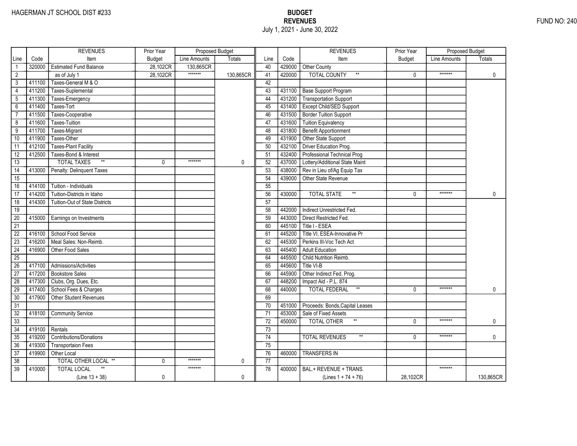|                 |        | <b>REVENUES</b>                       | Prior Year    | <b>Proposed Budget</b> |           |                 |        | <b>REVENUES</b>                          | Prior Year    | <b>Proposed Budget</b> |               |
|-----------------|--------|---------------------------------------|---------------|------------------------|-----------|-----------------|--------|------------------------------------------|---------------|------------------------|---------------|
| Line            | Code   | Item                                  | <b>Budget</b> | Line Amounts           | Totals    | Line            | Code   | Item                                     | <b>Budget</b> | Line Amounts           | <b>Totals</b> |
| $\mathbf{1}$    | 320000 | <b>Estimated Fund Balance</b>         | 28,102CR      | 130,865CR              |           | 40              | 429000 | Other County                             |               |                        |               |
| $\overline{2}$  |        | as of July 1                          | 28,102CR      | *******                | 130,865CR | 41              | 420000 | <b>TOTAL COUNTY</b><br>$^{\star\star}$   | $\mathbf{0}$  | *******                | $\mathbf 0$   |
| 3               | 411100 | Taxes-General M & O                   |               |                        |           | 42              |        |                                          |               |                        |               |
| $\overline{4}$  | 411200 | Taxes-Suplemental                     |               |                        |           | 43              | 431100 | <b>Base Support Program</b>              |               |                        |               |
| $5\phantom{.0}$ | 411300 | Taxes-Emergency                       |               |                        |           | 44              | 431200 | Transportation Support                   |               |                        |               |
| $6\overline{}$  | 411400 | Taxes-Tort                            |               |                        |           | 45              | 431400 | Except Child/SED Support                 |               |                        |               |
| $\overline{7}$  | 411500 | Taxes-Cooperative                     |               |                        |           | 46              | 431500 | <b>Border Tuition Support</b>            |               |                        |               |
| 8               | 411600 | Taxes-Tuition                         |               |                        |           | 47              | 431600 | <b>Tuition Equivalency</b>               |               |                        |               |
| 9               | 411700 | Taxes-Migrant                         |               |                        |           | 48              | 431800 | <b>Benefit Apportionment</b>             |               |                        |               |
| 10              | 411900 | Taxes-Other                           |               |                        |           | 49              | 431900 | Other State Support                      |               |                        |               |
| 11              | 412100 | <b>Taxes-Plant Facility</b>           |               |                        |           | 50              | 432100 | Driver Education Prog.                   |               |                        |               |
| $\overline{12}$ | 412500 | Taxes-Bond & Interest                 |               |                        |           | 51              | 432400 | Professional Technical Prog              |               |                        |               |
| 13              |        | $\star\star$<br><b>TOTAL TAXES</b>    | $\Omega$      | *******                | 0         | 52              | 437000 | Lottery/Additional State Maint           |               |                        |               |
| 14              | 413000 | Penalty: Delinquent Taxes             |               |                        |           | 53              | 438000 | Rev in Lieu of/Ag Equip Tax              |               |                        |               |
| $\overline{15}$ |        |                                       |               |                        |           | 54              | 439000 | Other State Revenue                      |               |                        |               |
| 16              | 414100 | Tuition - Individuals                 |               |                        |           | 55              |        |                                          |               |                        |               |
| 17              | 414200 | Tuition-Districts in Idaho            |               |                        |           | 56              | 430000 | $^{\star\star}$<br><b>TOTAL STATE</b>    | $\Omega$      | *******                | 0             |
| 18              | 414300 | <b>Tuition-Out of State Districts</b> |               |                        |           | 57              |        |                                          |               |                        |               |
| 19              |        |                                       |               |                        |           | 58              | 442000 | Indirect Unrestricted Fed.               |               |                        |               |
| $\overline{20}$ | 415000 | Earnings on Investments               |               |                        |           | 59              | 443000 | Direct Restricted Fed.                   |               |                        |               |
| 21              |        |                                       |               |                        |           | 60              | 445100 | Title I - ESEA                           |               |                        |               |
| 22              | 416100 | School Food Service                   |               |                        |           | 61              | 445200 | Title VI, ESEA-Innovative Pr             |               |                        |               |
| $\overline{23}$ | 416200 | Meal Sales: Non-Reimb.                |               |                        |           | 62              | 445300 | Perkins III-Voc Tech Act                 |               |                        |               |
| $\overline{24}$ | 416900 | Other Food Sales                      |               |                        |           | 63              | 445400 | <b>Adult Education</b>                   |               |                        |               |
| $\overline{25}$ |        |                                       |               |                        |           | 64              | 445500 | Child Nutrition Reimb.                   |               |                        |               |
| 26              | 417100 | Admissions/Activities                 |               |                        |           | 65              | 445600 | Title VI-B                               |               |                        |               |
| $\overline{27}$ | 417200 | <b>Bookstore Sales</b>                |               |                        |           | 66              | 445900 | Other Indirect Fed. Prog.                |               |                        |               |
| $\overline{28}$ | 417300 | Clubs, Org. Dues, Etc.                |               |                        |           | 67              | 448200 | Impact Aid - P.L. 874                    |               |                        |               |
| 29              | 417400 | School Fees & Charges                 |               |                        |           | 68              | 440000 | $^{\star\star}$<br>TOTAL FEDERAL         | 0             | *******                | 0             |
| $\overline{30}$ | 417900 | Other Student Revenues                |               |                        |           | 69              |        |                                          |               |                        |               |
| 31              |        |                                       |               |                        |           | 70              | 451000 | Proceeds: Bonds, Capital Leases          |               |                        |               |
| $\overline{32}$ | 418100 | <b>Community Service</b>              |               |                        |           | 71              | 453000 | Sale of Fixed Assets                     |               |                        |               |
| 33              |        |                                       |               |                        |           | $\overline{72}$ | 450000 | <b>TOTAL OTHER</b>                       | $\Omega$      | *******                | 0             |
| $\overline{34}$ | 419100 | Rentals                               |               |                        |           | 73              |        |                                          |               |                        |               |
| 35              | 419200 | Contributions/Donations               |               |                        |           | 74              |        | <b>TOTAL REVENUES</b><br>$^{\star\star}$ | $\mathbf{0}$  | *******                | 0             |
| 36              | 419300 | <b>Transportaion Fees</b>             |               |                        |           | 75              |        |                                          |               |                        |               |
| 37              | 419900 | Other Local                           |               |                        |           | 76              | 460000 | <b>TRANSFERS IN</b>                      |               |                        |               |
| 38              |        | TOTAL OTHER LOCAL **                  | 0             | *******                | 0         | 77              |        |                                          |               |                        |               |
| 39              | 410000 | <b>TOTAL LOCAL</b>                    |               | *******                |           | 78              | 400000 | BAL.+ REVENUE + TRANS.                   |               | *******                |               |
|                 |        | $(Line 13 + 38)$                      | 0             |                        | 0         |                 |        | (Lines $1 + 74 + 76$ )                   | 28,102CR      |                        | 130,865CR     |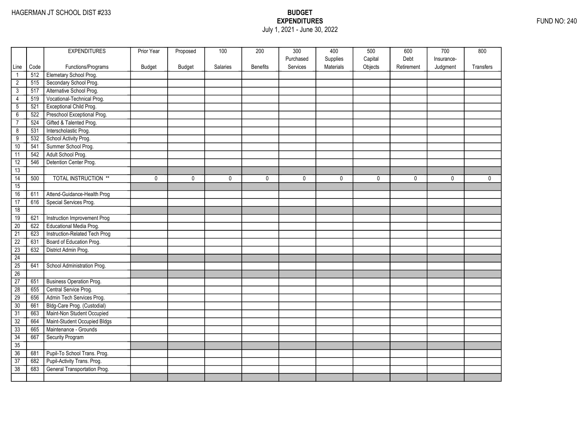## EXPENDITURES FUND NO: 240 July 1, 2021 - June 30, 2022

|                 |      | <b>EXPENDITURES</b>             | Prior Year | Proposed      | 100      | 200             | 300       | 400       | 500     | 600        | 700        | 800         |
|-----------------|------|---------------------------------|------------|---------------|----------|-----------------|-----------|-----------|---------|------------|------------|-------------|
|                 |      |                                 |            |               |          |                 | Purchased | Supplies  | Capital | Debt       | Insurance- |             |
| Line            | Code | Functions/Programs              | Budget     | <b>Budget</b> | Salaries | <b>Benefits</b> | Services  | Materials | Objects | Retirement | Judgment   | Transfers   |
| $\mathbf{1}$    | 512  | Elemetary School Prog.          |            |               |          |                 |           |           |         |            |            |             |
| $\overline{2}$  | 515  | Secondary School Prog.          |            |               |          |                 |           |           |         |            |            |             |
| $\overline{3}$  | 517  | Alternative School Prog.        |            |               |          |                 |           |           |         |            |            |             |
| 4               | 519  | Vocational-Technical Prog.      |            |               |          |                 |           |           |         |            |            |             |
| $\overline{5}$  | 521  | Exceptional Child Prog.         |            |               |          |                 |           |           |         |            |            |             |
| $\overline{6}$  | 522  | Preschool Exceptional Prog.     |            |               |          |                 |           |           |         |            |            |             |
| $\overline{7}$  | 524  | Gifted & Talented Prog.         |            |               |          |                 |           |           |         |            |            |             |
| $\overline{8}$  | 531  | Interscholastic Prog.           |            |               |          |                 |           |           |         |            |            |             |
| $\overline{9}$  | 532  | School Activity Prog.           |            |               |          |                 |           |           |         |            |            |             |
| 10              | 541  | Summer School Prog.             |            |               |          |                 |           |           |         |            |            |             |
| 11              | 542  | Adult School Prog.              |            |               |          |                 |           |           |         |            |            |             |
| 12              | 546  | Detention Center Prog.          |            |               |          |                 |           |           |         |            |            |             |
| 13              |      |                                 |            |               |          |                 |           |           |         |            |            |             |
| $\overline{14}$ | 500  | <b>TOTAL INSTRUCTION **</b>     | 0          | $\mathbf 0$   | 0        | 0               | 0         | 0         | 0       | 0          | 0          | $\mathbf 0$ |
| 15              |      |                                 |            |               |          |                 |           |           |         |            |            |             |
| 16              | 611  | Attend-Guidance-Health Prog     |            |               |          |                 |           |           |         |            |            |             |
| 17              | 616  | Special Services Prog.          |            |               |          |                 |           |           |         |            |            |             |
| 18              |      |                                 |            |               |          |                 |           |           |         |            |            |             |
| 19              | 621  | Instruction Improvement Prog    |            |               |          |                 |           |           |         |            |            |             |
| 20              | 622  | Educational Media Prog.         |            |               |          |                 |           |           |         |            |            |             |
| $\overline{21}$ | 623  | Instruction-Related Tech Prog   |            |               |          |                 |           |           |         |            |            |             |
| $\overline{22}$ | 631  | Board of Education Prog.        |            |               |          |                 |           |           |         |            |            |             |
| $\overline{23}$ | 632  | District Admin Prog.            |            |               |          |                 |           |           |         |            |            |             |
| 24              |      |                                 |            |               |          |                 |           |           |         |            |            |             |
| 25              | 641  | School Administration Prog.     |            |               |          |                 |           |           |         |            |            |             |
| 26              |      |                                 |            |               |          |                 |           |           |         |            |            |             |
| 27              | 651  | <b>Business Operation Prog.</b> |            |               |          |                 |           |           |         |            |            |             |
| $\overline{28}$ | 655  | Central Service Prog.           |            |               |          |                 |           |           |         |            |            |             |
| 29              | 656  | Admin Tech Services Prog.       |            |               |          |                 |           |           |         |            |            |             |
| 30              | 661  | Bldg-Care Prog. (Custodial)     |            |               |          |                 |           |           |         |            |            |             |
| $\overline{31}$ | 663  | Maint-Non Student Occupied      |            |               |          |                 |           |           |         |            |            |             |
| 32              | 664  | Maint-Student Occupied Bldgs    |            |               |          |                 |           |           |         |            |            |             |
| 33              | 665  | Maintenance - Grounds           |            |               |          |                 |           |           |         |            |            |             |
| 34              | 667  | Security Program                |            |               |          |                 |           |           |         |            |            |             |
| 35              |      |                                 |            |               |          |                 |           |           |         |            |            |             |
| 36              | 681  | Pupil-To School Trans. Prog.    |            |               |          |                 |           |           |         |            |            |             |
| $\overline{37}$ | 682  | Pupil-Activity Trans. Prog.     |            |               |          |                 |           |           |         |            |            |             |
| 38              | 683  | General Transportation Prog.    |            |               |          |                 |           |           |         |            |            |             |
|                 |      |                                 |            |               |          |                 |           |           |         |            |            |             |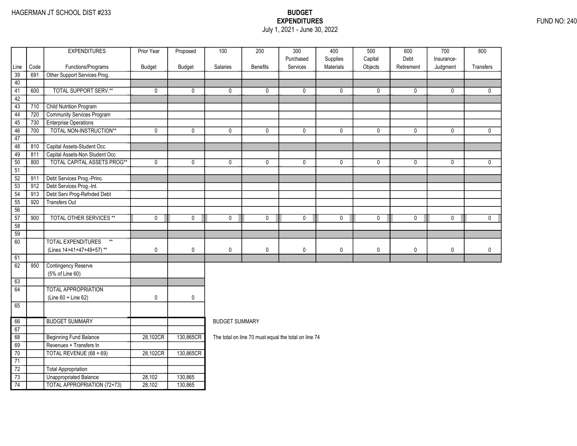### EXPENDITURES FUND NO: 240 July 1, 2021 - June 30, 2022

|                 |      | <b>EXPENDITURES</b>                | Prior Year  | Proposed      | 100                   | 200             | $\overline{300}$                                     | 400                   | 500                | 600                | $\overline{700}$       | 800              |
|-----------------|------|------------------------------------|-------------|---------------|-----------------------|-----------------|------------------------------------------------------|-----------------------|--------------------|--------------------|------------------------|------------------|
| Line            | Code | Functions/Programs                 | Budget      | <b>Budget</b> | Salaries              | <b>Benefits</b> | Purchased<br>Services                                | Supplies<br>Materials | Capital<br>Objects | Debt<br>Retirement | Insurance-<br>Judgment | <b>Transfers</b> |
| 39              | 691  | Other Support Services Prog.       |             |               |                       |                 |                                                      |                       |                    |                    |                        |                  |
| 40              |      |                                    |             |               |                       |                 |                                                      |                       |                    |                    |                        |                  |
| 41              | 600  | <b>TOTAL SUPPORT SERV.**</b>       | 0           | 0             | 0                     | 0               | $\mathbf 0$                                          | 0                     | 0                  | 0                  | 0                      | 0                |
| 42              |      |                                    |             |               |                       |                 |                                                      |                       |                    |                    |                        |                  |
| 43              | 710  | <b>Child Nutrition Program</b>     |             |               |                       |                 |                                                      |                       |                    |                    |                        |                  |
| 44              | 720  | Community Services Program         |             |               |                       |                 |                                                      |                       |                    |                    |                        |                  |
| 45              | 730  | <b>Enterprise Operations</b>       |             |               |                       |                 |                                                      |                       |                    |                    |                        |                  |
| 46              | 700  | TOTAL NON-INSTRUCTION**            | $\mathbf 0$ | 0             | $\mathbf 0$           | 0               | $\mathbf 0$                                          | 0                     | 0                  | 0                  | $\mathbf 0$            | 0                |
| 47              |      |                                    |             |               |                       |                 |                                                      |                       |                    |                    |                        |                  |
| 48              | 810  | Capital Assets-Student Occ         |             |               |                       |                 |                                                      |                       |                    |                    |                        |                  |
| 49              | 811  | Capital Assets-Non Student Occ     |             |               |                       |                 |                                                      |                       |                    |                    |                        |                  |
| 50              | 800  | <b>TOTAL CAPITAL ASSETS PROG**</b> | 0           | 0             | $\mathbf{0}$          | 0               | $\mathbf{0}$                                         | 0                     | $\mathbf 0$        | 0                  | $\mathbf{0}$           | $\mathbf{0}$     |
| 51              |      |                                    |             |               |                       |                 |                                                      |                       |                    |                    |                        |                  |
| $\overline{52}$ | 911  | Debt Services Prog.-Princ.         |             |               |                       |                 |                                                      |                       |                    |                    |                        |                  |
| 53              | 912  | Debt Services Prog.-Int.           |             |               |                       |                 |                                                      |                       |                    |                    |                        |                  |
| 54              | 913  | Debt Serv Prog-Refnded Debt        |             |               |                       |                 |                                                      |                       |                    |                    |                        |                  |
| 55              | 920  | <b>Transfers Out</b>               |             |               |                       |                 |                                                      |                       |                    |                    |                        |                  |
| 56              |      |                                    |             |               |                       |                 |                                                      |                       |                    |                    |                        |                  |
| 57              | 900  | <b>TOTAL OTHER SERVICES **</b>     | 0           | 0             | 0                     | 0               | $\mathbf 0$                                          | 0                     | 0                  | 0                  | $\mathbf 0$            | $\mathbf 0$      |
| 58              |      |                                    |             |               |                       |                 |                                                      |                       |                    |                    |                        |                  |
| $\overline{59}$ |      |                                    |             |               |                       |                 |                                                      |                       |                    |                    |                        |                  |
| 60              |      | <b>TOTAL EXPENDITURES</b><br>$**$  |             |               |                       |                 |                                                      |                       |                    |                    |                        |                  |
|                 |      | (Lines 14+41+47+49+57)**           | 0           | 0             | $\pmb{0}$             | 0               | $\mathbf 0$                                          | 0                     | 0                  | 0                  | 0                      | 0                |
| 61              |      |                                    |             |               |                       |                 |                                                      |                       |                    |                    |                        |                  |
| 62              | 950  | <b>Contingency Reserve</b>         |             |               |                       |                 |                                                      |                       |                    |                    |                        |                  |
|                 |      | (5% of Line 60)                    |             |               |                       |                 |                                                      |                       |                    |                    |                        |                  |
| 63              |      |                                    |             |               |                       |                 |                                                      |                       |                    |                    |                        |                  |
| 64              |      | <b>TOTAL APPROPRIATION</b>         |             |               |                       |                 |                                                      |                       |                    |                    |                        |                  |
|                 |      | (Line 60 + Line 62)                | 0           | 0             |                       |                 |                                                      |                       |                    |                    |                        |                  |
| 65              |      |                                    |             |               |                       |                 |                                                      |                       |                    |                    |                        |                  |
|                 |      |                                    |             |               |                       |                 |                                                      |                       |                    |                    |                        |                  |
| 66              |      | <b>BUDGET SUMMARY</b>              |             |               | <b>BUDGET SUMMARY</b> |                 |                                                      |                       |                    |                    |                        |                  |
| 67              |      |                                    |             |               |                       |                 |                                                      |                       |                    |                    |                        |                  |
| 68              |      | <b>Beginning Fund Balance</b>      | 28,102CR    | 130,865CR     |                       |                 | The total on line 70 must equal the total on line 74 |                       |                    |                    |                        |                  |
| 69              |      | Revenues + Transfers In            |             |               |                       |                 |                                                      |                       |                    |                    |                        |                  |
| 70              |      | TOTAL REVENUE (68 + 69)            | 28,102CR    | 130,865CR     |                       |                 |                                                      |                       |                    |                    |                        |                  |
| 71              |      |                                    |             |               |                       |                 |                                                      |                       |                    |                    |                        |                  |
| $\overline{72}$ |      | Total Appropriation                |             |               |                       |                 |                                                      |                       |                    |                    |                        |                  |
| 73              |      | <b>Unappropriated Balance</b>      | 28,102      | 130,865       |                       |                 |                                                      |                       |                    |                    |                        |                  |
| 74              |      | <b>TOTAL APPROPRIATION (72+73)</b> | 28,102      | 130,865       |                       |                 |                                                      |                       |                    |                    |                        |                  |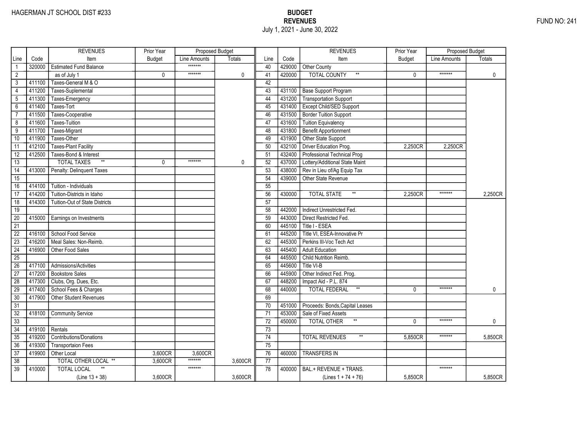|                 |        | <b>REVENUES</b>                       | Prior Year    | Proposed Budget |               |                 |        | <b>REVENUES</b>                       | Prior Year    | Proposed Budget |               |
|-----------------|--------|---------------------------------------|---------------|-----------------|---------------|-----------------|--------|---------------------------------------|---------------|-----------------|---------------|
| Line            | Code   | Item                                  | <b>Budget</b> | Line Amounts    | <b>Totals</b> | Line            | Code   | Item                                  | <b>Budget</b> | Line Amounts    | <b>Totals</b> |
|                 | 320000 | <b>Estimated Fund Balance</b>         |               | *******         |               | 40              |        | 429000 Other County                   |               |                 |               |
| $\overline{2}$  |        | as of July 1                          | 0             | *******         | $\mathbf 0$   | 41              | 420000 | <b>TOTAL COUNTY</b>                   | $\mathbf{0}$  | *******         | $\mathbf 0$   |
| 3               | 411100 | Taxes-General M & O                   |               |                 |               | 42              |        |                                       |               |                 |               |
| 4               | 411200 | Taxes-Suplemental                     |               |                 |               | 43              |        | 431100 Base Support Program           |               |                 |               |
| 5               | 411300 | Taxes-Emergency                       |               |                 |               | 44              |        | 431200 Transportation Support         |               |                 |               |
| 6               | 411400 | Taxes-Tort                            |               |                 |               | 45              | 431400 | <b>Except Child/SED Support</b>       |               |                 |               |
| $\overline{7}$  | 411500 | Taxes-Cooperative                     |               |                 |               | 46              | 431500 | Border Tuition Support                |               |                 |               |
| 8               | 411600 | <b>Taxes-Tuition</b>                  |               |                 |               | 47              | 431600 | Tuition Equivalency                   |               |                 |               |
| $\overline{9}$  | 411700 | Taxes-Migrant                         |               |                 |               | 48              | 431800 | Benefit Apportionment                 |               |                 |               |
| 10              | 411900 | Taxes-Other                           |               |                 |               | 49              | 431900 | Other State Support                   |               |                 |               |
| 11              | 412100 | <b>Taxes-Plant Facility</b>           |               |                 |               | 50              | 432100 | Driver Education Prog.                | 2,250CR       | 2,250CR         |               |
| $\overline{12}$ | 412500 | Taxes-Bond & Interest                 |               |                 |               | 51              | 432400 | Professional Technical Prog           |               |                 |               |
| 13              |        | $\ast\ast$<br><b>TOTAL TAXES</b>      | 0             | *******         | 0             | 52              | 437000 | Lottery/Additional State Maint        |               |                 |               |
| $\overline{14}$ | 413000 | Penalty: Delinquent Taxes             |               |                 |               | 53              | 438000 | Rev in Lieu of/Ag Equip Tax           |               |                 |               |
| $\overline{15}$ |        |                                       |               |                 |               | 54              | 439000 | <b>Other State Revenue</b>            |               |                 |               |
| 16              | 414100 | Tuition - Individuals                 |               |                 |               | 55              |        |                                       |               |                 |               |
| 17              | 414200 | Tuition-Districts in Idaho            |               |                 |               | 56              | 430000 | $**$<br><b>TOTAL STATE</b>            | 2.250CR       | *******         | 2.250CR       |
| $\overline{18}$ | 414300 | <b>Tuition-Out of State Districts</b> |               |                 |               | 57              |        |                                       |               |                 |               |
| 19              |        |                                       |               |                 |               | 58              | 442000 | Indirect Unrestricted Fed.            |               |                 |               |
| 20              | 415000 | Earnings on Investments               |               |                 |               | 59              | 443000 | Direct Restricted Fed.                |               |                 |               |
| $\overline{21}$ |        |                                       |               |                 |               | 60              | 445100 | Title I - ESEA                        |               |                 |               |
| $\overline{22}$ | 416100 | School Food Service                   |               |                 |               | 61              | 445200 | Title VI, ESEA-Innovative Pr          |               |                 |               |
| $\overline{23}$ | 416200 | Meal Sales: Non-Reimb.                |               |                 |               | 62              | 445300 | Perkins III-Voc Tech Act              |               |                 |               |
| $\overline{24}$ | 416900 | Other Food Sales                      |               |                 |               | 63              | 445400 | <b>Adult Education</b>                |               |                 |               |
| $\overline{25}$ |        |                                       |               |                 |               | 64              | 445500 | Child Nutrition Reimb.                |               |                 |               |
| 26              | 417100 | Admissions/Activities                 |               |                 |               | 65              | 445600 | Title VI-B                            |               |                 |               |
| $\overline{27}$ | 417200 | <b>Bookstore Sales</b>                |               |                 |               | 66              | 445900 | Other Indirect Fed. Prog.             |               |                 |               |
| 28              | 417300 | Clubs, Org. Dues, Etc.                |               |                 |               | 67              | 448200 | Impact Aid - P.L. 874                 |               |                 |               |
| 29              | 417400 | School Fees & Charges                 |               |                 |               | 68              | 440000 | $^{\star\star}$<br>TOTAL FEDERAL      | $\mathbf{0}$  | *******         | $\mathbf{0}$  |
| 30              | 417900 | <b>Other Student Revenues</b>         |               |                 |               | 69              |        |                                       |               |                 |               |
| $\overline{31}$ |        |                                       |               |                 |               | 70              | 451000 | Proceeds: Bonds, Capital Leases       |               |                 |               |
| $\overline{32}$ | 418100 | <b>Community Service</b>              |               |                 |               | $\overline{71}$ | 453000 | Sale of Fixed Assets                  |               |                 |               |
| 33              |        |                                       |               |                 |               | 72              | 450000 | $^{\star\star}$<br>TOTAL OTHER        | $\mathbf{0}$  | *******         | $\mathbf{0}$  |
| $\overline{34}$ | 419100 | Rentals                               |               |                 |               | 73              |        |                                       |               |                 |               |
| 35              | 419200 | <b>Contributions/Donations</b>        |               |                 |               | 74              |        | <b>TOTAL REVENUES</b><br>$\star\star$ | 5,850CR       | *******         | 5,850CR       |
| 36              | 419300 | <b>Transportaion Fees</b>             |               |                 |               | 75              |        |                                       |               |                 |               |
| $\overline{37}$ | 419900 | Other Local                           | 3,600CR       | 3,600CR         |               | 76              | 460000 | <b>TRANSFERS IN</b>                   |               |                 |               |
| 38              |        | TOTAL OTHER LOCAL **                  | 3.600CR       | *******         | 3,600CR       | 77              |        |                                       |               |                 |               |
| $\overline{39}$ | 410000 | <b>TOTAL LOCAL</b>                    |               | *******         |               | 78              | 400000 | BAL.+ REVENUE + TRANS.                |               | *******         |               |
|                 |        | $(Line 13 + 38)$                      | 3,600CR       |                 | 3,600CR       |                 |        | (Lines $1 + 74 + 76$ )                | 5,850CR       |                 | 5,850CR       |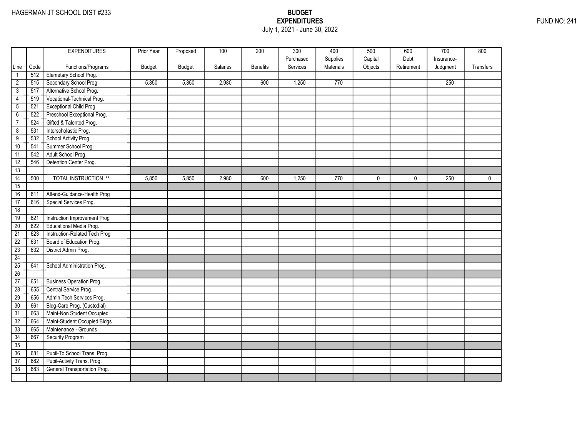### EXPENDITURES FUND NO: 241 July 1, 2021 - June 30, 2022

|                 |      | <b>EXPENDITURES</b>           | Prior Year    | Proposed      | 100      | 200             | 300       | 400       | 500         | 600        | 700              | 800       |
|-----------------|------|-------------------------------|---------------|---------------|----------|-----------------|-----------|-----------|-------------|------------|------------------|-----------|
|                 |      |                               |               |               |          |                 | Purchased | Supplies  | Capital     | Debt       | Insurance-       |           |
| Line            | Code | Functions/Programs            | <b>Budget</b> | <b>Budget</b> | Salaries | <b>Benefits</b> | Services  | Materials | Objects     | Retirement | Judgment         | Transfers |
| $\mathbf{1}$    | 512  | Elemetary School Prog.        |               |               |          |                 |           |           |             |            |                  |           |
| $\overline{2}$  | 515  | Secondary School Prog.        | 5,850         | 5,850         | 2,980    | 600             | 1,250     | 770       |             |            | 250              |           |
| 3               | 517  | Alternative School Prog.      |               |               |          |                 |           |           |             |            |                  |           |
| $\overline{4}$  | 519  | Vocational-Technical Prog.    |               |               |          |                 |           |           |             |            |                  |           |
| 5               | 521  | Exceptional Child Prog.       |               |               |          |                 |           |           |             |            |                  |           |
| $\overline{6}$  | 522  | Preschool Exceptional Prog.   |               |               |          |                 |           |           |             |            |                  |           |
| $\overline{7}$  | 524  | Gifted & Talented Prog.       |               |               |          |                 |           |           |             |            |                  |           |
| $\overline{8}$  | 531  | Interscholastic Prog.         |               |               |          |                 |           |           |             |            |                  |           |
| $\overline{9}$  | 532  | School Activity Prog.         |               |               |          |                 |           |           |             |            |                  |           |
| 10              | 541  | Summer School Prog.           |               |               |          |                 |           |           |             |            |                  |           |
| 11              | 542  | Adult School Prog.            |               |               |          |                 |           |           |             |            |                  |           |
| 12              | 546  | Detention Center Prog.        |               |               |          |                 |           |           |             |            |                  |           |
| 13              |      |                               |               |               |          |                 |           |           |             |            |                  |           |
| $\overline{14}$ | 500  | <b>TOTAL INSTRUCTION **</b>   | 5,850         | 5,850         | 2,980    | 600             | 1,250     | 770       | $\mathbf 0$ | 0          | $\overline{250}$ | 0         |
| $\overline{15}$ |      |                               |               |               |          |                 |           |           |             |            |                  |           |
| 16              | 611  | Attend-Guidance-Health Prog   |               |               |          |                 |           |           |             |            |                  |           |
| 17              | 616  | Special Services Prog.        |               |               |          |                 |           |           |             |            |                  |           |
| 18              |      |                               |               |               |          |                 |           |           |             |            |                  |           |
| 19              | 621  | Instruction Improvement Prog  |               |               |          |                 |           |           |             |            |                  |           |
| $\overline{20}$ | 622  | Educational Media Prog.       |               |               |          |                 |           |           |             |            |                  |           |
| $\overline{21}$ | 623  | Instruction-Related Tech Prog |               |               |          |                 |           |           |             |            |                  |           |
| $\overline{22}$ | 631  | Board of Education Prog.      |               |               |          |                 |           |           |             |            |                  |           |
| $\overline{23}$ | 632  | District Admin Prog.          |               |               |          |                 |           |           |             |            |                  |           |
| 24              |      |                               |               |               |          |                 |           |           |             |            |                  |           |
| 25              | 641  | School Administration Prog.   |               |               |          |                 |           |           |             |            |                  |           |
| 26              |      |                               |               |               |          |                 |           |           |             |            |                  |           |
| 27              | 651  | Business Operation Prog.      |               |               |          |                 |           |           |             |            |                  |           |
| $\overline{28}$ | 655  | Central Service Prog.         |               |               |          |                 |           |           |             |            |                  |           |
| 29              | 656  | Admin Tech Services Prog.     |               |               |          |                 |           |           |             |            |                  |           |
| 30              | 661  | Bldg-Care Prog. (Custodial)   |               |               |          |                 |           |           |             |            |                  |           |
| $\overline{31}$ | 663  | Maint-Non Student Occupied    |               |               |          |                 |           |           |             |            |                  |           |
| 32              | 664  | Maint-Student Occupied Bldgs  |               |               |          |                 |           |           |             |            |                  |           |
| 33              | 665  | Maintenance - Grounds         |               |               |          |                 |           |           |             |            |                  |           |
| 34              | 667  | <b>Security Program</b>       |               |               |          |                 |           |           |             |            |                  |           |
| 35              |      |                               |               |               |          |                 |           |           |             |            |                  |           |
| 36              | 681  | Pupil-To School Trans. Prog.  |               |               |          |                 |           |           |             |            |                  |           |
| $\overline{37}$ | 682  | Pupil-Activity Trans. Prog.   |               |               |          |                 |           |           |             |            |                  |           |
| $\overline{38}$ | 683  | General Transportation Prog.  |               |               |          |                 |           |           |             |            |                  |           |
|                 |      |                               |               |               |          |                 |           |           |             |            |                  |           |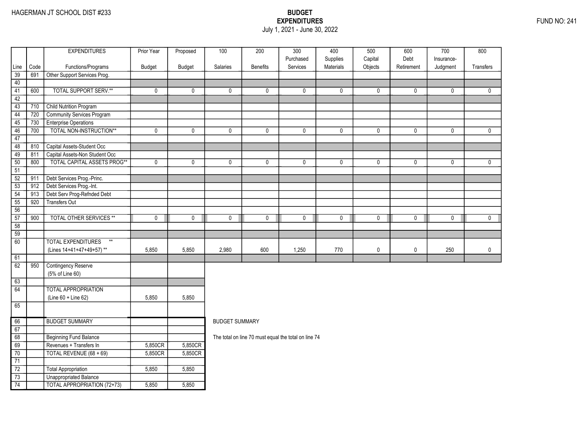### EXPENDITURES FUND NO: 241 July 1, 2021 - June 30, 2022

| Supplies<br>Capital<br>Debt<br>Purchased<br>Insurance-<br>Materials<br>Objects<br>Code<br>Functions/Programs<br>Budget<br>Budget<br>Salaries<br><b>Benefits</b><br>Services<br>Retirement<br>Judgment<br>Line<br>Other Support Services Prog.<br>39<br>691<br>40<br><b>TOTAL SUPPORT SERV.**</b><br>600<br>41<br>$\mathbf 0$<br>$\mathbf 0$<br>0<br>$\mathbf 0$<br>0<br>0<br>0<br>$\mathbf 0$<br>0<br>42<br><b>Child Nutrition Program</b><br>43<br>710<br>Community Services Program<br>720<br>44<br>45<br>730<br><b>Enterprise Operations</b><br>TOTAL NON-INSTRUCTION**<br>46<br>700<br>$\mathbf 0$<br>$\mathbf 0$<br>$\mathbf 0$<br>$\mathbf 0$<br>$\mathbf 0$<br>0<br>$\mathbf 0$<br>$\mathbf 0$<br>$\mathbf 0$<br>47<br>Capital Assets-Student Occ<br>48<br>810<br>Capital Assets-Non Student Occ<br>49<br>811<br><b>TOTAL CAPITAL ASSETS PROG**</b><br>50<br>800<br>$\mathbf 0$<br>$\mathbf 0$<br>$\mathbf 0$<br>$\mathbf 0$<br>$\mathbf 0$<br>0<br>0<br>$\mathbf 0$<br>$\mathbf 0$<br>51<br>Debt Services Prog.-Princ.<br>$\overline{52}$<br>911<br>Debt Services Prog.-Int.<br>53<br>912<br>Debt Serv Prog-Refnded Debt<br>54<br>913<br>55<br>920<br><b>Transfers Out</b><br>56<br><b>TOTAL OTHER SERVICES **</b><br>$\mathbf 0$<br>57<br>900<br>$\mathbf 0$<br>0<br>$\mathbf 0$<br>$\mathbf 0$<br>$\mathbf 0$<br>$\mathbf 0$<br>$\mathbf 0$<br>$\mathbf 0$<br>58<br>$\overline{59}$<br>$\overline{60}$<br><b>TOTAL EXPENDITURES</b><br>$***$<br>(Lines 14+41+47+49+57)**<br>1,250<br>0<br>$\mathbf 0$<br>5,850<br>5,850<br>2,980<br>600<br>770<br>250 | Transfers<br>$\mathbf{0}$<br>$\mathbf 0$<br>$\mathbf 0$ |  |  |  |  |  |  |  |
|-----------------------------------------------------------------------------------------------------------------------------------------------------------------------------------------------------------------------------------------------------------------------------------------------------------------------------------------------------------------------------------------------------------------------------------------------------------------------------------------------------------------------------------------------------------------------------------------------------------------------------------------------------------------------------------------------------------------------------------------------------------------------------------------------------------------------------------------------------------------------------------------------------------------------------------------------------------------------------------------------------------------------------------------------------------------------------------------------------------------------------------------------------------------------------------------------------------------------------------------------------------------------------------------------------------------------------------------------------------------------------------------------------------------------------------------------------------------------------------------------------------------------------------------------------------------|---------------------------------------------------------|--|--|--|--|--|--|--|
|                                                                                                                                                                                                                                                                                                                                                                                                                                                                                                                                                                                                                                                                                                                                                                                                                                                                                                                                                                                                                                                                                                                                                                                                                                                                                                                                                                                                                                                                                                                                                                 |                                                         |  |  |  |  |  |  |  |
|                                                                                                                                                                                                                                                                                                                                                                                                                                                                                                                                                                                                                                                                                                                                                                                                                                                                                                                                                                                                                                                                                                                                                                                                                                                                                                                                                                                                                                                                                                                                                                 |                                                         |  |  |  |  |  |  |  |
|                                                                                                                                                                                                                                                                                                                                                                                                                                                                                                                                                                                                                                                                                                                                                                                                                                                                                                                                                                                                                                                                                                                                                                                                                                                                                                                                                                                                                                                                                                                                                                 |                                                         |  |  |  |  |  |  |  |
|                                                                                                                                                                                                                                                                                                                                                                                                                                                                                                                                                                                                                                                                                                                                                                                                                                                                                                                                                                                                                                                                                                                                                                                                                                                                                                                                                                                                                                                                                                                                                                 |                                                         |  |  |  |  |  |  |  |
|                                                                                                                                                                                                                                                                                                                                                                                                                                                                                                                                                                                                                                                                                                                                                                                                                                                                                                                                                                                                                                                                                                                                                                                                                                                                                                                                                                                                                                                                                                                                                                 |                                                         |  |  |  |  |  |  |  |
|                                                                                                                                                                                                                                                                                                                                                                                                                                                                                                                                                                                                                                                                                                                                                                                                                                                                                                                                                                                                                                                                                                                                                                                                                                                                                                                                                                                                                                                                                                                                                                 |                                                         |  |  |  |  |  |  |  |
|                                                                                                                                                                                                                                                                                                                                                                                                                                                                                                                                                                                                                                                                                                                                                                                                                                                                                                                                                                                                                                                                                                                                                                                                                                                                                                                                                                                                                                                                                                                                                                 |                                                         |  |  |  |  |  |  |  |
|                                                                                                                                                                                                                                                                                                                                                                                                                                                                                                                                                                                                                                                                                                                                                                                                                                                                                                                                                                                                                                                                                                                                                                                                                                                                                                                                                                                                                                                                                                                                                                 |                                                         |  |  |  |  |  |  |  |
|                                                                                                                                                                                                                                                                                                                                                                                                                                                                                                                                                                                                                                                                                                                                                                                                                                                                                                                                                                                                                                                                                                                                                                                                                                                                                                                                                                                                                                                                                                                                                                 |                                                         |  |  |  |  |  |  |  |
|                                                                                                                                                                                                                                                                                                                                                                                                                                                                                                                                                                                                                                                                                                                                                                                                                                                                                                                                                                                                                                                                                                                                                                                                                                                                                                                                                                                                                                                                                                                                                                 |                                                         |  |  |  |  |  |  |  |
|                                                                                                                                                                                                                                                                                                                                                                                                                                                                                                                                                                                                                                                                                                                                                                                                                                                                                                                                                                                                                                                                                                                                                                                                                                                                                                                                                                                                                                                                                                                                                                 |                                                         |  |  |  |  |  |  |  |
|                                                                                                                                                                                                                                                                                                                                                                                                                                                                                                                                                                                                                                                                                                                                                                                                                                                                                                                                                                                                                                                                                                                                                                                                                                                                                                                                                                                                                                                                                                                                                                 |                                                         |  |  |  |  |  |  |  |
|                                                                                                                                                                                                                                                                                                                                                                                                                                                                                                                                                                                                                                                                                                                                                                                                                                                                                                                                                                                                                                                                                                                                                                                                                                                                                                                                                                                                                                                                                                                                                                 |                                                         |  |  |  |  |  |  |  |
|                                                                                                                                                                                                                                                                                                                                                                                                                                                                                                                                                                                                                                                                                                                                                                                                                                                                                                                                                                                                                                                                                                                                                                                                                                                                                                                                                                                                                                                                                                                                                                 |                                                         |  |  |  |  |  |  |  |
|                                                                                                                                                                                                                                                                                                                                                                                                                                                                                                                                                                                                                                                                                                                                                                                                                                                                                                                                                                                                                                                                                                                                                                                                                                                                                                                                                                                                                                                                                                                                                                 |                                                         |  |  |  |  |  |  |  |
|                                                                                                                                                                                                                                                                                                                                                                                                                                                                                                                                                                                                                                                                                                                                                                                                                                                                                                                                                                                                                                                                                                                                                                                                                                                                                                                                                                                                                                                                                                                                                                 |                                                         |  |  |  |  |  |  |  |
|                                                                                                                                                                                                                                                                                                                                                                                                                                                                                                                                                                                                                                                                                                                                                                                                                                                                                                                                                                                                                                                                                                                                                                                                                                                                                                                                                                                                                                                                                                                                                                 |                                                         |  |  |  |  |  |  |  |
|                                                                                                                                                                                                                                                                                                                                                                                                                                                                                                                                                                                                                                                                                                                                                                                                                                                                                                                                                                                                                                                                                                                                                                                                                                                                                                                                                                                                                                                                                                                                                                 |                                                         |  |  |  |  |  |  |  |
|                                                                                                                                                                                                                                                                                                                                                                                                                                                                                                                                                                                                                                                                                                                                                                                                                                                                                                                                                                                                                                                                                                                                                                                                                                                                                                                                                                                                                                                                                                                                                                 |                                                         |  |  |  |  |  |  |  |
|                                                                                                                                                                                                                                                                                                                                                                                                                                                                                                                                                                                                                                                                                                                                                                                                                                                                                                                                                                                                                                                                                                                                                                                                                                                                                                                                                                                                                                                                                                                                                                 | $\mathbf 0$                                             |  |  |  |  |  |  |  |
|                                                                                                                                                                                                                                                                                                                                                                                                                                                                                                                                                                                                                                                                                                                                                                                                                                                                                                                                                                                                                                                                                                                                                                                                                                                                                                                                                                                                                                                                                                                                                                 |                                                         |  |  |  |  |  |  |  |
|                                                                                                                                                                                                                                                                                                                                                                                                                                                                                                                                                                                                                                                                                                                                                                                                                                                                                                                                                                                                                                                                                                                                                                                                                                                                                                                                                                                                                                                                                                                                                                 |                                                         |  |  |  |  |  |  |  |
|                                                                                                                                                                                                                                                                                                                                                                                                                                                                                                                                                                                                                                                                                                                                                                                                                                                                                                                                                                                                                                                                                                                                                                                                                                                                                                                                                                                                                                                                                                                                                                 |                                                         |  |  |  |  |  |  |  |
|                                                                                                                                                                                                                                                                                                                                                                                                                                                                                                                                                                                                                                                                                                                                                                                                                                                                                                                                                                                                                                                                                                                                                                                                                                                                                                                                                                                                                                                                                                                                                                 | $\mathbf 0$                                             |  |  |  |  |  |  |  |
| 61                                                                                                                                                                                                                                                                                                                                                                                                                                                                                                                                                                                                                                                                                                                                                                                                                                                                                                                                                                                                                                                                                                                                                                                                                                                                                                                                                                                                                                                                                                                                                              |                                                         |  |  |  |  |  |  |  |
| 62<br><b>Contingency Reserve</b><br>950                                                                                                                                                                                                                                                                                                                                                                                                                                                                                                                                                                                                                                                                                                                                                                                                                                                                                                                                                                                                                                                                                                                                                                                                                                                                                                                                                                                                                                                                                                                         |                                                         |  |  |  |  |  |  |  |
| (5% of Line 60)                                                                                                                                                                                                                                                                                                                                                                                                                                                                                                                                                                                                                                                                                                                                                                                                                                                                                                                                                                                                                                                                                                                                                                                                                                                                                                                                                                                                                                                                                                                                                 |                                                         |  |  |  |  |  |  |  |
| 63                                                                                                                                                                                                                                                                                                                                                                                                                                                                                                                                                                                                                                                                                                                                                                                                                                                                                                                                                                                                                                                                                                                                                                                                                                                                                                                                                                                                                                                                                                                                                              |                                                         |  |  |  |  |  |  |  |
| <b>TOTAL APPROPRIATION</b><br>64                                                                                                                                                                                                                                                                                                                                                                                                                                                                                                                                                                                                                                                                                                                                                                                                                                                                                                                                                                                                                                                                                                                                                                                                                                                                                                                                                                                                                                                                                                                                |                                                         |  |  |  |  |  |  |  |
| (Line 60 + Line 62)<br>5,850<br>5,850                                                                                                                                                                                                                                                                                                                                                                                                                                                                                                                                                                                                                                                                                                                                                                                                                                                                                                                                                                                                                                                                                                                                                                                                                                                                                                                                                                                                                                                                                                                           |                                                         |  |  |  |  |  |  |  |
| 65                                                                                                                                                                                                                                                                                                                                                                                                                                                                                                                                                                                                                                                                                                                                                                                                                                                                                                                                                                                                                                                                                                                                                                                                                                                                                                                                                                                                                                                                                                                                                              |                                                         |  |  |  |  |  |  |  |
| <b>BUDGET SUMMARY</b><br>66<br><b>BUDGET SUMMARY</b>                                                                                                                                                                                                                                                                                                                                                                                                                                                                                                                                                                                                                                                                                                                                                                                                                                                                                                                                                                                                                                                                                                                                                                                                                                                                                                                                                                                                                                                                                                            |                                                         |  |  |  |  |  |  |  |
| 67                                                                                                                                                                                                                                                                                                                                                                                                                                                                                                                                                                                                                                                                                                                                                                                                                                                                                                                                                                                                                                                                                                                                                                                                                                                                                                                                                                                                                                                                                                                                                              |                                                         |  |  |  |  |  |  |  |
| 68<br><b>Beginning Fund Balance</b><br>The total on line 70 must equal the total on line 74                                                                                                                                                                                                                                                                                                                                                                                                                                                                                                                                                                                                                                                                                                                                                                                                                                                                                                                                                                                                                                                                                                                                                                                                                                                                                                                                                                                                                                                                     |                                                         |  |  |  |  |  |  |  |
| 69<br>Revenues + Transfers In<br>5,850CR<br>5,850CR                                                                                                                                                                                                                                                                                                                                                                                                                                                                                                                                                                                                                                                                                                                                                                                                                                                                                                                                                                                                                                                                                                                                                                                                                                                                                                                                                                                                                                                                                                             |                                                         |  |  |  |  |  |  |  |
| 70<br>5,850CR<br>5,850CR<br>TOTAL REVENUE (68 + 69)                                                                                                                                                                                                                                                                                                                                                                                                                                                                                                                                                                                                                                                                                                                                                                                                                                                                                                                                                                                                                                                                                                                                                                                                                                                                                                                                                                                                                                                                                                             |                                                         |  |  |  |  |  |  |  |
| $\overline{71}$                                                                                                                                                                                                                                                                                                                                                                                                                                                                                                                                                                                                                                                                                                                                                                                                                                                                                                                                                                                                                                                                                                                                                                                                                                                                                                                                                                                                                                                                                                                                                 |                                                         |  |  |  |  |  |  |  |
| $\overline{72}$<br>Total Appropriation<br>5,850<br>5,850                                                                                                                                                                                                                                                                                                                                                                                                                                                                                                                                                                                                                                                                                                                                                                                                                                                                                                                                                                                                                                                                                                                                                                                                                                                                                                                                                                                                                                                                                                        |                                                         |  |  |  |  |  |  |  |
| <b>Unappropriated Balance</b><br>$\overline{73}$                                                                                                                                                                                                                                                                                                                                                                                                                                                                                                                                                                                                                                                                                                                                                                                                                                                                                                                                                                                                                                                                                                                                                                                                                                                                                                                                                                                                                                                                                                                |                                                         |  |  |  |  |  |  |  |
| TOTAL APPROPRIATION (72+73)<br>74<br>5,850<br>5,850                                                                                                                                                                                                                                                                                                                                                                                                                                                                                                                                                                                                                                                                                                                                                                                                                                                                                                                                                                                                                                                                                                                                                                                                                                                                                                                                                                                                                                                                                                             |                                                         |  |  |  |  |  |  |  |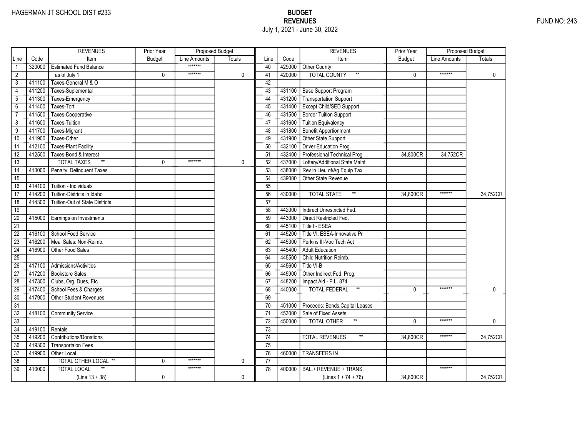|                 |        | <b>REVENUES</b>                       | Prior Year    | Proposed Budget |               |                 |        | <b>REVENUES</b>                          | Prior Year    | Proposed Budget |               |
|-----------------|--------|---------------------------------------|---------------|-----------------|---------------|-----------------|--------|------------------------------------------|---------------|-----------------|---------------|
| Line            | Code   | Item                                  | <b>Budget</b> | Line Amounts    | <b>Totals</b> | Line            | Code   | Item                                     | <b>Budget</b> | Line Amounts    | <b>Totals</b> |
|                 | 320000 | <b>Estimated Fund Balance</b>         |               | *******         |               | 40              |        | 429000 Other County                      |               |                 |               |
| $\overline{2}$  |        | as of July 1                          | 0             | *******         | $\mathbf 0$   | 41              | 420000 | <b>TOTAL COUNTY</b><br>$^{\star\star}$   | $\mathbf{0}$  | *******         | $\mathbf 0$   |
| 3               | 411100 | Taxes-General M & O                   |               |                 |               | 42              |        |                                          |               |                 |               |
| 4               | 411200 | Taxes-Suplemental                     |               |                 |               | 43              |        | 431100 Base Support Program              |               |                 |               |
| 5               | 411300 | Taxes-Emergency                       |               |                 |               | 44              |        | 431200 Transportation Support            |               |                 |               |
| $6\overline{}$  | 411400 | Taxes-Tort                            |               |                 |               | 45              | 431400 | <b>Except Child/SED Support</b>          |               |                 |               |
| $\overline{7}$  | 411500 | Taxes-Cooperative                     |               |                 |               | 46              | 431500 | Border Tuition Support                   |               |                 |               |
| 8               | 411600 | <b>Taxes-Tuition</b>                  |               |                 |               | 47              | 431600 | <b>Tuition Equivalency</b>               |               |                 |               |
| $\overline{9}$  | 411700 | Taxes-Migrant                         |               |                 |               | 48              | 431800 | Benefit Apportionment                    |               |                 |               |
| 10              | 411900 | Taxes-Other                           |               |                 |               | 49              | 431900 | Other State Support                      |               |                 |               |
| 11              | 412100 | <b>Taxes-Plant Facility</b>           |               |                 |               | 50              | 432100 | Driver Education Prog.                   |               |                 |               |
| $\overline{12}$ | 412500 | Taxes-Bond & Interest                 |               |                 |               | 51              | 432400 | Professional Technical Prog              | 34,800CR      | 34,752CR        |               |
| 13              |        | $\ast\ast$<br><b>TOTAL TAXES</b>      | $\Omega$      | *******         | 0             | 52              | 437000 | Lottery/Additional State Maint           |               |                 |               |
| $\overline{14}$ | 413000 | Penalty: Delinquent Taxes             |               |                 |               | $\overline{53}$ | 438000 | Rev in Lieu of/Ag Equip Tax              |               |                 |               |
| $\overline{15}$ |        |                                       |               |                 |               | 54              | 439000 | <b>Other State Revenue</b>               |               |                 |               |
| 16              | 414100 | Tuition - Individuals                 |               |                 |               | 55              |        |                                          |               |                 |               |
| 17              | 414200 | Tuition-Districts in Idaho            |               |                 |               | 56              | 430000 | $**$<br><b>TOTAL STATE</b>               | 34.800CR      | *******         | 34,752CR      |
| $\overline{18}$ | 414300 | <b>Tuition-Out of State Districts</b> |               |                 |               | 57              |        |                                          |               |                 |               |
| 19              |        |                                       |               |                 |               | 58              | 442000 | Indirect Unrestricted Fed.               |               |                 |               |
| 20              | 415000 | Earnings on Investments               |               |                 |               | 59              | 443000 | Direct Restricted Fed.                   |               |                 |               |
| $\overline{21}$ |        |                                       |               |                 |               | 60              | 445100 | Title I - ESEA                           |               |                 |               |
| $\overline{22}$ | 416100 | School Food Service                   |               |                 |               | 61              | 445200 | Title VI, ESEA-Innovative Pr             |               |                 |               |
| $\overline{23}$ | 416200 | Meal Sales: Non-Reimb.                |               |                 |               | $\overline{62}$ | 445300 | Perkins III-Voc Tech Act                 |               |                 |               |
| $\overline{24}$ | 416900 | Other Food Sales                      |               |                 |               | 63              | 445400 | <b>Adult Education</b>                   |               |                 |               |
| $\overline{25}$ |        |                                       |               |                 |               | 64              | 445500 | Child Nutrition Reimb.                   |               |                 |               |
| 26              | 417100 | Admissions/Activities                 |               |                 |               | 65              | 445600 | Title VI-B                               |               |                 |               |
| $\overline{27}$ | 417200 | <b>Bookstore Sales</b>                |               |                 |               | 66              | 445900 | Other Indirect Fed. Prog.                |               |                 |               |
| 28              | 417300 | Clubs, Org. Dues, Etc.                |               |                 |               | 67              | 448200 | Impact Aid - P.L. 874                    |               |                 |               |
| 29              | 417400 | School Fees & Charges                 |               |                 |               | 68              | 440000 | $^{\star\star}$<br>TOTAL FEDERAL         | $\mathbf{0}$  | *******         | $\mathbf{0}$  |
| 30              | 417900 | <b>Other Student Revenues</b>         |               |                 |               | 69              |        |                                          |               |                 |               |
| $\overline{31}$ |        |                                       |               |                 |               | 70              | 451000 | Proceeds: Bonds, Capital Leases          |               |                 |               |
| $\overline{32}$ | 418100 | <b>Community Service</b>              |               |                 |               | $\overline{71}$ | 453000 | Sale of Fixed Assets                     |               |                 |               |
| 33              |        |                                       |               |                 |               | 72              | 450000 | $^{\star\star}$<br>TOTAL OTHER           | $\mathbf{0}$  | *******         | $\mathbf{0}$  |
| $\overline{34}$ | 419100 | Rentals                               |               |                 |               | 73              |        |                                          |               |                 |               |
| 35              | 419200 | <b>Contributions/Donations</b>        |               |                 |               | 74              |        | <b>TOTAL REVENUES</b><br>$^{\star\star}$ | 34,800CR      | *******         | 34,752CR      |
| 36              | 419300 | <b>Transportaion Fees</b>             |               |                 |               | 75              |        |                                          |               |                 |               |
| $\overline{37}$ | 419900 | Other Local                           |               |                 |               | 76              | 460000 | <b>TRANSFERS IN</b>                      |               |                 |               |
| 38              |        | TOTAL OTHER LOCAL **                  | 0             | *******         | 0             | $\overline{77}$ |        |                                          |               |                 |               |
| $\overline{39}$ | 410000 | <b>TOTAL LOCAL</b>                    |               | *******         |               | 78              | 400000 | BAL.+ REVENUE + TRANS.                   |               | *******         |               |
|                 |        | $(Line 13 + 38)$                      | 0             |                 | $\mathbf 0$   |                 |        | (Lines $1 + 74 + 76$ )                   | 34,800CR      |                 | 34,752CR      |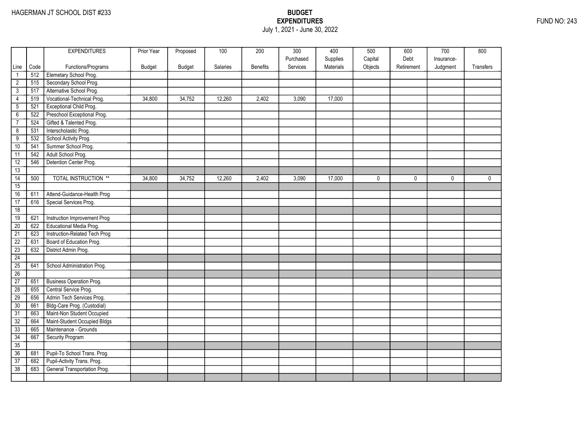### EXPENDITURES FUND NO: 243 July 1, 2021 - June 30, 2022

|                 |      | <b>EXPENDITURES</b>             | Prior Year | Proposed      | 100      | 200             | 300                   | 400                   | 500                | 600                | 700                    | 800       |
|-----------------|------|---------------------------------|------------|---------------|----------|-----------------|-----------------------|-----------------------|--------------------|--------------------|------------------------|-----------|
| Line            | Code | Functions/Programs              | Budget     | <b>Budget</b> | Salaries | <b>Benefits</b> | Purchased<br>Services | Supplies<br>Materials | Capital<br>Objects | Debt<br>Retirement | Insurance-<br>Judgment | Transfers |
| $\mathbf{1}$    | 512  | Elemetary School Prog.          |            |               |          |                 |                       |                       |                    |                    |                        |           |
| $\overline{2}$  | 515  | Secondary School Prog.          |            |               |          |                 |                       |                       |                    |                    |                        |           |
| $\mathfrak{Z}$  | 517  | Alternative School Prog.        |            |               |          |                 |                       |                       |                    |                    |                        |           |
| $\overline{4}$  | 519  | Vocational-Technical Prog.      | 34,800     | 34,752        | 12,260   | 2,402           | 3,090                 | 17,000                |                    |                    |                        |           |
| $\overline{5}$  | 521  | Exceptional Child Prog.         |            |               |          |                 |                       |                       |                    |                    |                        |           |
| $\overline{6}$  | 522  | Preschool Exceptional Prog.     |            |               |          |                 |                       |                       |                    |                    |                        |           |
| $\overline{7}$  | 524  | Gifted & Talented Prog.         |            |               |          |                 |                       |                       |                    |                    |                        |           |
|                 | 531  | Interscholastic Prog.           |            |               |          |                 |                       |                       |                    |                    |                        |           |
| 8               |      | School Activity Prog.           |            |               |          |                 |                       |                       |                    |                    |                        |           |
| 9               | 532  |                                 |            |               |          |                 |                       |                       |                    |                    |                        |           |
| 10              | 541  | Summer School Prog.             |            |               |          |                 |                       |                       |                    |                    |                        |           |
| 11              | 542  | Adult School Prog.              |            |               |          |                 |                       |                       |                    |                    |                        |           |
| 12              | 546  | Detention Center Prog.          |            |               |          |                 |                       |                       |                    |                    |                        |           |
| 13              |      |                                 |            |               |          |                 |                       |                       |                    |                    |                        |           |
| $\overline{14}$ | 500  | <b>TOTAL INSTRUCTION **</b>     | 34,800     | 34,752        | 12,260   | 2,402           | 3,090                 | 17,000                | $\mathbf 0$        | 0                  | $\mathbf 0$            | 0         |
| 15              |      |                                 |            |               |          |                 |                       |                       |                    |                    |                        |           |
| 16              | 611  | Attend-Guidance-Health Prog     |            |               |          |                 |                       |                       |                    |                    |                        |           |
| 17              | 616  | Special Services Prog.          |            |               |          |                 |                       |                       |                    |                    |                        |           |
| 18              |      |                                 |            |               |          |                 |                       |                       |                    |                    |                        |           |
| 19              | 621  | Instruction Improvement Prog    |            |               |          |                 |                       |                       |                    |                    |                        |           |
| $\overline{20}$ | 622  | Educational Media Prog.         |            |               |          |                 |                       |                       |                    |                    |                        |           |
| $\overline{21}$ | 623  | Instruction-Related Tech Prog   |            |               |          |                 |                       |                       |                    |                    |                        |           |
| $\overline{22}$ | 631  | Board of Education Prog.        |            |               |          |                 |                       |                       |                    |                    |                        |           |
| $\overline{23}$ | 632  | District Admin Prog.            |            |               |          |                 |                       |                       |                    |                    |                        |           |
| 24              |      |                                 |            |               |          |                 |                       |                       |                    |                    |                        |           |
| 25              | 641  | School Administration Prog.     |            |               |          |                 |                       |                       |                    |                    |                        |           |
| 26              |      |                                 |            |               |          |                 |                       |                       |                    |                    |                        |           |
| 27              | 651  | <b>Business Operation Prog.</b> |            |               |          |                 |                       |                       |                    |                    |                        |           |
| $\overline{28}$ | 655  | Central Service Prog.           |            |               |          |                 |                       |                       |                    |                    |                        |           |
| 29              | 656  | Admin Tech Services Prog.       |            |               |          |                 |                       |                       |                    |                    |                        |           |
| $\overline{30}$ | 661  | Bldg-Care Prog. (Custodial)     |            |               |          |                 |                       |                       |                    |                    |                        |           |
| $\overline{31}$ | 663  | Maint-Non Student Occupied      |            |               |          |                 |                       |                       |                    |                    |                        |           |
| 32              | 664  | Maint-Student Occupied Bldgs    |            |               |          |                 |                       |                       |                    |                    |                        |           |
| 33              | 665  | Maintenance - Grounds           |            |               |          |                 |                       |                       |                    |                    |                        |           |
| 34              | 667  | Security Program                |            |               |          |                 |                       |                       |                    |                    |                        |           |
| 35              |      |                                 |            |               |          |                 |                       |                       |                    |                    |                        |           |
| 36              | 681  | Pupil-To School Trans. Prog.    |            |               |          |                 |                       |                       |                    |                    |                        |           |
| 37              | 682  | Pupil-Activity Trans. Prog.     |            |               |          |                 |                       |                       |                    |                    |                        |           |
| 38              | 683  | General Transportation Prog.    |            |               |          |                 |                       |                       |                    |                    |                        |           |
|                 |      |                                 |            |               |          |                 |                       |                       |                    |                    |                        |           |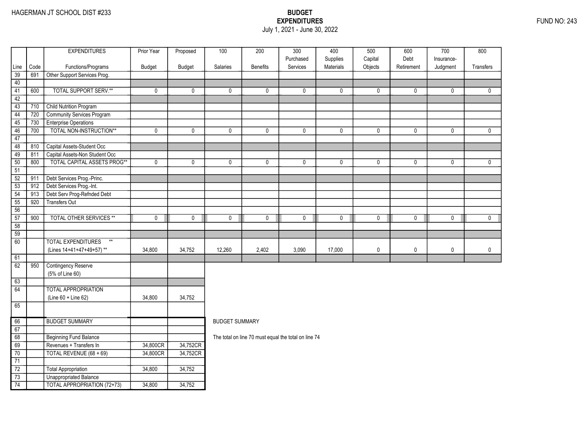### EXPENDITURES FUND NO: 243 July 1, 2021 - June 30, 2022

|                                    |      | <b>EXPENDITURES</b>                | Prior Year  | Proposed    | 100                   | 200             | 300                                                  | 400                   | 500                | 600                | 700                    | 800          |
|------------------------------------|------|------------------------------------|-------------|-------------|-----------------------|-----------------|------------------------------------------------------|-----------------------|--------------------|--------------------|------------------------|--------------|
| Line                               | Code | Functions/Programs                 | Budget      | Budget      | Salaries              | <b>Benefits</b> | Purchased<br>Services                                | Supplies<br>Materials | Capital<br>Objects | Debt<br>Retirement | Insurance-<br>Judgment | Transfers    |
| 39                                 | 691  | Other Support Services Prog.       |             |             |                       |                 |                                                      |                       |                    |                    |                        |              |
| 40                                 |      |                                    |             |             |                       |                 |                                                      |                       |                    |                    |                        |              |
| 41                                 | 600  | <b>TOTAL SUPPORT SERV.**</b>       | 0           | 0           | 0                     | 0               | 0                                                    | $\mathbf 0$           | 0                  | $\mathbf 0$        | 0                      | $\mathbf{0}$ |
| 42                                 |      |                                    |             |             |                       |                 |                                                      |                       |                    |                    |                        |              |
| 43                                 | 710  | <b>Child Nutrition Program</b>     |             |             |                       |                 |                                                      |                       |                    |                    |                        |              |
| 44                                 | 720  | <b>Community Services Program</b>  |             |             |                       |                 |                                                      |                       |                    |                    |                        |              |
| 45                                 | 730  | <b>Enterprise Operations</b>       |             |             |                       |                 |                                                      |                       |                    |                    |                        |              |
| 46                                 | 700  | TOTAL NON-INSTRUCTION**            | $\pmb{0}$   | $\mathbf 0$ | 0                     | 0               | 0                                                    | $\mathbf 0$           | 0                  | $\mathbf 0$        | 0                      | $\mathbf{0}$ |
| 47                                 |      |                                    |             |             |                       |                 |                                                      |                       |                    |                    |                        |              |
| 48                                 | 810  | Capital Assets-Student Occ         |             |             |                       |                 |                                                      |                       |                    |                    |                        |              |
| 49                                 | 811  | Capital Assets-Non Student Occ     |             |             |                       |                 |                                                      |                       |                    |                    |                        |              |
| 50                                 | 800  | <b>TOTAL CAPITAL ASSETS PROG**</b> | $\mathbf 0$ | $\mathbf 0$ | 0                     | $\mathbf 0$     | $\mathbf{0}$                                         | $\mathbf 0$           | $\mathbf 0$        | $\mathbf{0}$       | $\mathbf{0}$           | $\mathbf{0}$ |
| 51                                 |      |                                    |             |             |                       |                 |                                                      |                       |                    |                    |                        |              |
| $\overline{52}$                    | 911  | Debt Services Prog.-Princ.         |             |             |                       |                 |                                                      |                       |                    |                    |                        |              |
| 53                                 | 912  | Debt Services Prog.-Int.           |             |             |                       |                 |                                                      |                       |                    |                    |                        |              |
| 54                                 | 913  | Debt Serv Prog-Refnded Debt        |             |             |                       |                 |                                                      |                       |                    |                    |                        |              |
| 55                                 | 920  | <b>Transfers Out</b>               |             |             |                       |                 |                                                      |                       |                    |                    |                        |              |
| 56                                 |      |                                    |             |             |                       |                 |                                                      |                       |                    |                    |                        |              |
| 57                                 | 900  | <b>TOTAL OTHER SERVICES **</b>     | $\mathbf 0$ | $\pmb{0}$   | 0                     | $\overline{0}$  | $\mathbf 0$                                          | $\pmb{0}$             | $\pmb{0}$          | $\pmb{0}$          | 0                      | $\mathbf 0$  |
| 58                                 |      |                                    |             |             |                       |                 |                                                      |                       |                    |                    |                        |              |
| $\overline{59}$<br>$\overline{60}$ |      | <b>TOTAL EXPENDITURES</b><br>$**$  |             |             |                       |                 |                                                      |                       |                    |                    |                        |              |
|                                    |      |                                    |             |             | 12,260                |                 |                                                      |                       |                    |                    |                        |              |
| 61                                 |      | (Lines 14+41+47+49+57)**           | 34,800      | 34,752      |                       | 2,402           | 3,090                                                | 17,000                | 0                  | 0                  | 0                      | $\pmb{0}$    |
| 62                                 | 950  | Contingency Reserve                |             |             |                       |                 |                                                      |                       |                    |                    |                        |              |
|                                    |      | (5% of Line 60)                    |             |             |                       |                 |                                                      |                       |                    |                    |                        |              |
| 63                                 |      |                                    |             |             |                       |                 |                                                      |                       |                    |                    |                        |              |
| 64                                 |      | <b>TOTAL APPROPRIATION</b>         |             |             |                       |                 |                                                      |                       |                    |                    |                        |              |
|                                    |      | (Line 60 + Line 62)                | 34,800      | 34,752      |                       |                 |                                                      |                       |                    |                    |                        |              |
| 65                                 |      |                                    |             |             |                       |                 |                                                      |                       |                    |                    |                        |              |
|                                    |      |                                    |             |             |                       |                 |                                                      |                       |                    |                    |                        |              |
| 66                                 |      | <b>BUDGET SUMMARY</b>              |             |             | <b>BUDGET SUMMARY</b> |                 |                                                      |                       |                    |                    |                        |              |
| 67                                 |      |                                    |             |             |                       |                 |                                                      |                       |                    |                    |                        |              |
| 68                                 |      | <b>Beginning Fund Balance</b>      |             |             |                       |                 | The total on line 70 must equal the total on line 74 |                       |                    |                    |                        |              |
| 69                                 |      | Revenues + Transfers In            | 34,800CR    | 34,752CR    |                       |                 |                                                      |                       |                    |                    |                        |              |
| 70                                 |      | TOTAL REVENUE (68 + 69)            | 34,800CR    | 34,752CR    |                       |                 |                                                      |                       |                    |                    |                        |              |
| 71                                 |      |                                    |             |             |                       |                 |                                                      |                       |                    |                    |                        |              |
| $\overline{72}$                    |      | Total Appropriation                | 34,800      | 34,752      |                       |                 |                                                      |                       |                    |                    |                        |              |
| 73                                 |      | Unappropriated Balance             |             |             |                       |                 |                                                      |                       |                    |                    |                        |              |
| 74                                 |      | <b>TOTAL APPROPRIATION (72+73)</b> | 34,800      | 34,752      |                       |                 |                                                      |                       |                    |                    |                        |              |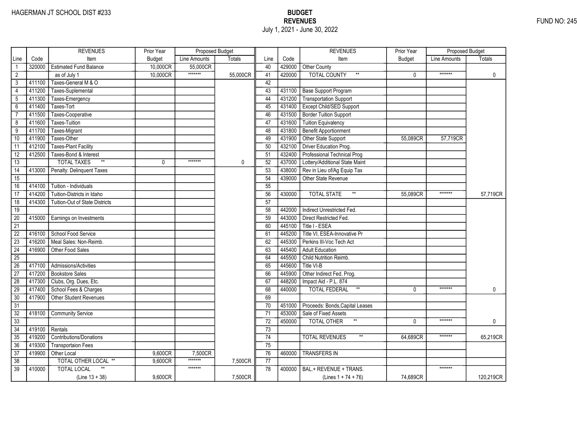|                 |        | <b>REVENUES</b>                       | Prior Year    | Proposed Budget |               |                 |        | <b>REVENUES</b>                       | Prior Year    | Proposed Budget |               |
|-----------------|--------|---------------------------------------|---------------|-----------------|---------------|-----------------|--------|---------------------------------------|---------------|-----------------|---------------|
| Line            | Code   | Item                                  | <b>Budget</b> | Line Amounts    | <b>Totals</b> | Line            | Code   | Item                                  | <b>Budget</b> | Line Amounts    | <b>Totals</b> |
|                 | 320000 | <b>Estimated Fund Balance</b>         | 10,000CR      | 55,000CR        |               | 40              |        | 429000 Other County                   |               |                 |               |
| $\overline{2}$  |        | as of July 1                          | 10,000CR      | *******         | 55,000CR      | 41              | 420000 | <b>TOTAL COUNTY</b>                   | $\mathbf{0}$  | *******         | $\mathbf 0$   |
| 3               | 411100 | Taxes-General M & O                   |               |                 |               | 42              |        |                                       |               |                 |               |
| 4               | 411200 | Taxes-Suplemental                     |               |                 |               | 43              |        | 431100 Base Support Program           |               |                 |               |
| 5               | 411300 | Taxes-Emergency                       |               |                 |               | 44              |        | 431200 Transportation Support         |               |                 |               |
| 6               | 411400 | Taxes-Tort                            |               |                 |               | 45              | 431400 | <b>Except Child/SED Support</b>       |               |                 |               |
| $\overline{7}$  | 411500 | Taxes-Cooperative                     |               |                 |               | 46              | 431500 | Border Tuition Support                |               |                 |               |
| 8               | 411600 | <b>Taxes-Tuition</b>                  |               |                 |               | 47              | 431600 | Tuition Equivalency                   |               |                 |               |
| $\overline{9}$  | 411700 | Taxes-Migrant                         |               |                 |               | 48              | 431800 | Benefit Apportionment                 |               |                 |               |
| 10              | 411900 | Taxes-Other                           |               |                 |               | 49              | 431900 | Other State Support                   | 55,089CR      | 57,719CR        |               |
| 11              | 412100 | <b>Taxes-Plant Facility</b>           |               |                 |               | 50              | 432100 | Driver Education Prog.                |               |                 |               |
| $\overline{12}$ | 412500 | Taxes-Bond & Interest                 |               |                 |               | 51              | 432400 | Professional Technical Prog           |               |                 |               |
| 13              |        | $\ast\ast$<br><b>TOTAL TAXES</b>      | 0             | *******         | 0             | 52              | 437000 | Lottery/Additional State Maint        |               |                 |               |
| $\overline{14}$ | 413000 | Penalty: Delinquent Taxes             |               |                 |               | $\overline{53}$ | 438000 | Rev in Lieu of/Ag Equip Tax           |               |                 |               |
| $\overline{15}$ |        |                                       |               |                 |               | 54              | 439000 | <b>Other State Revenue</b>            |               |                 |               |
| 16              | 414100 | Tuition - Individuals                 |               |                 |               | 55              |        |                                       |               |                 |               |
| 17              | 414200 | Tuition-Districts in Idaho            |               |                 |               | 56              | 430000 | $**$<br><b>TOTAL STATE</b>            | 55.089CR      | *******         | 57,719CR      |
| $\overline{18}$ | 414300 | <b>Tuition-Out of State Districts</b> |               |                 |               | 57              |        |                                       |               |                 |               |
| 19              |        |                                       |               |                 |               | 58              | 442000 | Indirect Unrestricted Fed.            |               |                 |               |
| 20              | 415000 | Earnings on Investments               |               |                 |               | 59              | 443000 | Direct Restricted Fed.                |               |                 |               |
| $\overline{21}$ |        |                                       |               |                 |               | 60              | 445100 | Title I - ESEA                        |               |                 |               |
| $\overline{22}$ | 416100 | School Food Service                   |               |                 |               | 61              | 445200 | Title VI, ESEA-Innovative Pr          |               |                 |               |
| $\overline{23}$ | 416200 | Meal Sales: Non-Reimb.                |               |                 |               | 62              | 445300 | Perkins III-Voc Tech Act              |               |                 |               |
| $\overline{24}$ | 416900 | Other Food Sales                      |               |                 |               | 63              | 445400 | <b>Adult Education</b>                |               |                 |               |
| $\overline{25}$ |        |                                       |               |                 |               | 64              | 445500 | Child Nutrition Reimb.                |               |                 |               |
| 26              | 417100 | Admissions/Activities                 |               |                 |               | 65              | 445600 | Title VI-B                            |               |                 |               |
| $\overline{27}$ | 417200 | <b>Bookstore Sales</b>                |               |                 |               | 66              | 445900 | Other Indirect Fed. Prog.             |               |                 |               |
| 28              | 417300 | Clubs, Org. Dues, Etc.                |               |                 |               | 67              | 448200 | Impact Aid - P.L. 874                 |               |                 |               |
| 29              | 417400 | School Fees & Charges                 |               |                 |               | 68              | 440000 | $^{\star\star}$<br>TOTAL FEDERAL      | $\mathbf{0}$  | *******         | $\mathbf{0}$  |
| 30              | 417900 | <b>Other Student Revenues</b>         |               |                 |               | 69              |        |                                       |               |                 |               |
| $\overline{31}$ |        |                                       |               |                 |               | 70              | 451000 | Proceeds: Bonds, Capital Leases       |               |                 |               |
| $\overline{32}$ | 418100 | <b>Community Service</b>              |               |                 |               | $\overline{71}$ | 453000 | Sale of Fixed Assets                  |               |                 |               |
| 33              |        |                                       |               |                 |               | 72              | 450000 | $^{\star\star}$<br><b>TOTAL OTHER</b> | $\mathbf{0}$  | *******         | $\mathbf{0}$  |
| $\overline{34}$ | 419100 | Rentals                               |               |                 |               | 73              |        |                                       |               |                 |               |
| 35              | 419200 | <b>Contributions/Donations</b>        |               |                 |               | 74              |        | <b>TOTAL REVENUES</b><br>$\star\star$ | 64.689CR      | *******         | 65,219CR      |
| 36              | 419300 | <b>Transportaion Fees</b>             |               |                 |               | 75              |        |                                       |               |                 |               |
| $\overline{37}$ | 419900 | Other Local                           | 9,600CR       | 7,500CR         |               | 76              | 460000 | <b>TRANSFERS IN</b>                   |               |                 |               |
| 38              |        | TOTAL OTHER LOCAL **                  | 9.600CR       | *******         | 7,500CR       | 77              |        |                                       |               |                 |               |
| $\overline{39}$ | 410000 | <b>TOTAL LOCAL</b>                    |               | *******         |               | 78              | 400000 | BAL.+ REVENUE + TRANS.                |               | *******         |               |
|                 |        | $(Line 13 + 38)$                      | 9.600CR       |                 | 7,500CR       |                 |        | (Lines $1 + 74 + 76$ )                | 74,689CR      |                 | 120,219CR     |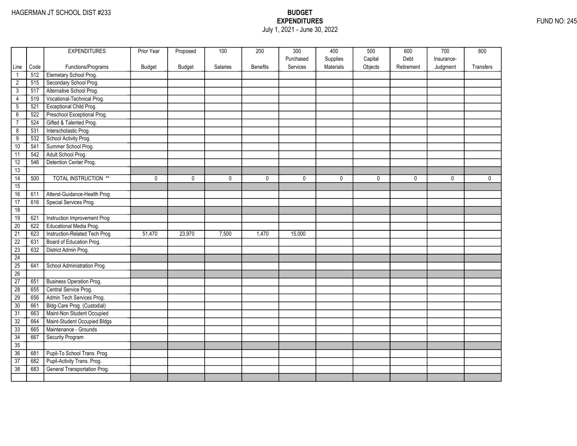## EXPENDITURES FUND NO: 245 July 1, 2021 - June 30, 2022

|                                    |            | <b>EXPENDITURES</b>            | Prior Year    | Proposed      | 100      | 200             | 300<br>Purchased | 400<br>Supplies | 500<br>Capital | 600<br>Debt  | 700<br>Insurance- | 800          |
|------------------------------------|------------|--------------------------------|---------------|---------------|----------|-----------------|------------------|-----------------|----------------|--------------|-------------------|--------------|
| Line                               | Code       | Functions/Programs             | <b>Budget</b> | <b>Budget</b> | Salaries | <b>Benefits</b> | Services         | Materials       | Objects        | Retirement   | Judgment          | Transfers    |
| $\mathbf{1}$                       | 512        | Elemetary School Prog.         |               |               |          |                 |                  |                 |                |              |                   |              |
| $\overline{2}$                     | 515        | Secondary School Prog.         |               |               |          |                 |                  |                 |                |              |                   |              |
| $\overline{3}$                     | 517        | Alternative School Prog.       |               |               |          |                 |                  |                 |                |              |                   |              |
| 4                                  | 519        | Vocational-Technical Prog.     |               |               |          |                 |                  |                 |                |              |                   |              |
| $\overline{5}$                     | 521        | <b>Exceptional Child Prog.</b> |               |               |          |                 |                  |                 |                |              |                   |              |
| $6\overline{}$                     | 522        | Preschool Exceptional Prog.    |               |               |          |                 |                  |                 |                |              |                   |              |
| $\overline{7}$                     | 524        | Gifted & Talented Prog.        |               |               |          |                 |                  |                 |                |              |                   |              |
| $\overline{8}$                     | 531        | Interscholastic Prog.          |               |               |          |                 |                  |                 |                |              |                   |              |
| $\overline{9}$                     | 532        | School Activity Prog.          |               |               |          |                 |                  |                 |                |              |                   |              |
| 10                                 | 541        | Summer School Prog.            |               |               |          |                 |                  |                 |                |              |                   |              |
| 11                                 | 542        | Adult School Prog.             |               |               |          |                 |                  |                 |                |              |                   |              |
| 12                                 | 546        | Detention Center Prog.         |               |               |          |                 |                  |                 |                |              |                   |              |
| 13                                 |            |                                |               |               |          |                 |                  |                 |                |              |                   |              |
| $\overline{14}$                    | 500        | <b>TOTAL INSTRUCTION **</b>    | 0             | $\mathbf{0}$  | 0        | $\mathbf{0}$    | $\mathbf 0$      | 0               | $\mathbf{0}$   | $\mathbf{0}$ | $\mathbf 0$       | $\mathbf{0}$ |
| 15                                 |            |                                |               |               |          |                 |                  |                 |                |              |                   |              |
| 16                                 | 611        | Attend-Guidance-Health Prog    |               |               |          |                 |                  |                 |                |              |                   |              |
| 17                                 | 616        | Special Services Prog.         |               |               |          |                 |                  |                 |                |              |                   |              |
| 18                                 |            |                                |               |               |          |                 |                  |                 |                |              |                   |              |
| 19                                 | 621        | Instruction Improvement Prog   |               |               |          |                 |                  |                 |                |              |                   |              |
| 20                                 | 622        | Educational Media Prog.        |               |               |          |                 |                  |                 |                |              |                   |              |
| $\overline{21}$                    | 623        | Instruction-Related Tech Prog  | 51,470        | 23,970        | 7,500    | 1,470           | 15,000           |                 |                |              |                   |              |
| $\overline{22}$                    | 631        | Board of Education Prog.       |               |               |          |                 |                  |                 |                |              |                   |              |
| 23                                 | 632        | District Admin Prog.           |               |               |          |                 |                  |                 |                |              |                   |              |
| 24                                 |            |                                |               |               |          |                 |                  |                 |                |              |                   |              |
| 25                                 | 641        | School Administration Prog.    |               |               |          |                 |                  |                 |                |              |                   |              |
| 26                                 |            |                                |               |               |          |                 |                  |                 |                |              |                   |              |
| $\overline{27}$                    | 651        | Business Operation Prog.       |               |               |          |                 |                  |                 |                |              |                   |              |
| $\overline{28}$                    | 655        | Central Service Prog.          |               |               |          |                 |                  |                 |                |              |                   |              |
| 29                                 | 656        | Admin Tech Services Prog.      |               |               |          |                 |                  |                 |                |              |                   |              |
| $\overline{30}$                    | 661        | Bldg-Care Prog. (Custodial)    |               |               |          |                 |                  |                 |                |              |                   |              |
| $\overline{31}$                    | 663        | Maint-Non Student Occupied     |               |               |          |                 |                  |                 |                |              |                   |              |
| 32                                 | 664        | Maint-Student Occupied Bldgs   |               |               |          |                 |                  |                 |                |              |                   |              |
| 33                                 | 665        | Maintenance - Grounds          |               |               |          |                 |                  |                 |                |              |                   |              |
| 34                                 | 667        | <b>Security Program</b>        |               |               |          |                 |                  |                 |                |              |                   |              |
| 35<br>36                           |            | Pupil-To School Trans. Prog.   |               |               |          |                 |                  |                 |                |              |                   |              |
|                                    | 681<br>682 | Pupil-Activity Trans. Prog.    |               |               |          |                 |                  |                 |                |              |                   |              |
| $\overline{37}$<br>$\overline{38}$ | 683        | General Transportation Prog.   |               |               |          |                 |                  |                 |                |              |                   |              |
|                                    |            |                                |               |               |          |                 |                  |                 |                |              |                   |              |
|                                    |            |                                |               |               |          |                 |                  |                 |                |              |                   |              |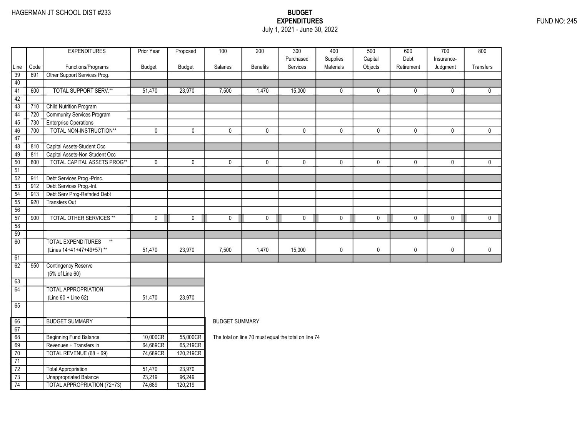### EXPENDITURES FUND NO: 245 July 1, 2021 - June 30, 2022

| Purchased<br>Supplies<br>Capital<br>Debt<br>Insurance-<br>Services<br>Materials<br>Objects<br>Code<br>Functions/Programs<br>Budget<br><b>Budget</b><br><b>Salaries</b><br><b>Benefits</b><br>Retirement<br>Transfers<br>Line<br>Judgment<br>39<br>691<br>Other Support Services Prog.<br>40<br><b>TOTAL SUPPORT SERV.**</b><br>41<br>600<br>23,970<br>7,500<br>15,000<br>51,470<br>1,470<br>$\mathbf 0$<br>0<br>$\mathbf 0$<br>0<br>$\mathbf{0}$<br>42<br>43<br>Child Nutrition Program<br>710<br>$\overline{44}$<br>720<br><b>Community Services Program</b><br>45<br><b>Enterprise Operations</b><br>730<br>TOTAL NON-INSTRUCTION**<br>46<br>700<br>$\pmb{0}$<br>$\pmb{0}$<br>0<br>$\pmb{0}$<br>$\mathbf 0$<br>$\pmb{0}$<br>$\pmb{0}$<br>$\pmb{0}$<br>0<br>$\mathbf 0$<br>47<br>Capital Assets-Student Occ<br>48<br>810<br>49<br>Capital Assets-Non Student Occ<br>811<br><b>TOTAL CAPITAL ASSETS PROG**</b><br>50<br>$\mathbf 0$<br>$\mathbf 0$<br>$\mathbf 0$<br>800<br>$\mathbf 0$<br>0<br>$\mathbf 0$<br>$\mathbf{0}$<br>0<br>$\mathbf 0$<br>0<br>51<br>52<br>Debt Services Prog.-Princ.<br>911<br>$\overline{53}$<br>Debt Services Prog.-Int.<br>912<br>54<br>Debt Serv Prog-Refnded Debt<br>913<br>55<br>920<br><b>Transfers Out</b><br>56<br>$\overline{57}$<br><b>TOTAL OTHER SERVICES **</b><br>$\mathbf 0$<br>$\mathbf 0$<br>$\mathbf 0$<br>$\mathbf 0$<br>$\mathbf 0$<br>$\mathbf 0$<br>900<br>0<br>$\mathbf{0}$<br>$\mathbf 0$<br>$\mathbf 0$<br>58<br>59<br>$\overline{60}$<br><b>TOTAL EXPENDITURES</b><br>$***$<br>51,470<br>$\mathbf 0$<br>0<br>$\mathbf 0$<br>0<br>$\mathbf 0$<br>(Lines 14+41+47+49+57)**<br>23,970<br>7,500<br>1,470<br>15,000<br>61<br>62<br><b>Contingency Reserve</b><br>950<br>(5% of Line 60)<br>63<br>64<br><b>TOTAL APPROPRIATION</b><br>(Line 60 + Line 62)<br>51,470<br>23,970<br>65<br><b>BUDGET SUMMARY</b><br>66<br><b>BUDGET SUMMARY</b><br>67<br>68<br>55,000CR<br><b>Beginning Fund Balance</b><br>10,000CR<br>The total on line 70 must equal the total on line 74<br>69<br>64,689CR<br>Revenues + Transfers In<br>65,219CR<br>74,689CR<br>120,219CR<br>70<br>TOTAL REVENUE (68 + 69)<br>$\overline{71}$<br>$\overline{72}$<br><b>Total Appropriation</b><br>51,470<br>23,970<br>23,219<br>$\overline{73}$<br><b>Unappropriated Balance</b><br>96,249 |    | <b>EXPENDITURES</b>                | Prior Year | Proposed | 100 | 200 | $\overline{300}$ | 400 | 500 | 600 | 700 | 800 |
|------------------------------------------------------------------------------------------------------------------------------------------------------------------------------------------------------------------------------------------------------------------------------------------------------------------------------------------------------------------------------------------------------------------------------------------------------------------------------------------------------------------------------------------------------------------------------------------------------------------------------------------------------------------------------------------------------------------------------------------------------------------------------------------------------------------------------------------------------------------------------------------------------------------------------------------------------------------------------------------------------------------------------------------------------------------------------------------------------------------------------------------------------------------------------------------------------------------------------------------------------------------------------------------------------------------------------------------------------------------------------------------------------------------------------------------------------------------------------------------------------------------------------------------------------------------------------------------------------------------------------------------------------------------------------------------------------------------------------------------------------------------------------------------------------------------------------------------------------------------------------------------------------------------------------------------------------------------------------------------------------------------------------------------------------------------------------------------------------------------------------------------------------------------------------------------------------------------------------------------------------------------------------------------------------------|----|------------------------------------|------------|----------|-----|-----|------------------|-----|-----|-----|-----|-----|
|                                                                                                                                                                                                                                                                                                                                                                                                                                                                                                                                                                                                                                                                                                                                                                                                                                                                                                                                                                                                                                                                                                                                                                                                                                                                                                                                                                                                                                                                                                                                                                                                                                                                                                                                                                                                                                                                                                                                                                                                                                                                                                                                                                                                                                                                                                            |    |                                    |            |          |     |     |                  |     |     |     |     |     |
|                                                                                                                                                                                                                                                                                                                                                                                                                                                                                                                                                                                                                                                                                                                                                                                                                                                                                                                                                                                                                                                                                                                                                                                                                                                                                                                                                                                                                                                                                                                                                                                                                                                                                                                                                                                                                                                                                                                                                                                                                                                                                                                                                                                                                                                                                                            |    |                                    |            |          |     |     |                  |     |     |     |     |     |
|                                                                                                                                                                                                                                                                                                                                                                                                                                                                                                                                                                                                                                                                                                                                                                                                                                                                                                                                                                                                                                                                                                                                                                                                                                                                                                                                                                                                                                                                                                                                                                                                                                                                                                                                                                                                                                                                                                                                                                                                                                                                                                                                                                                                                                                                                                            |    |                                    |            |          |     |     |                  |     |     |     |     |     |
|                                                                                                                                                                                                                                                                                                                                                                                                                                                                                                                                                                                                                                                                                                                                                                                                                                                                                                                                                                                                                                                                                                                                                                                                                                                                                                                                                                                                                                                                                                                                                                                                                                                                                                                                                                                                                                                                                                                                                                                                                                                                                                                                                                                                                                                                                                            |    |                                    |            |          |     |     |                  |     |     |     |     |     |
|                                                                                                                                                                                                                                                                                                                                                                                                                                                                                                                                                                                                                                                                                                                                                                                                                                                                                                                                                                                                                                                                                                                                                                                                                                                                                                                                                                                                                                                                                                                                                                                                                                                                                                                                                                                                                                                                                                                                                                                                                                                                                                                                                                                                                                                                                                            |    |                                    |            |          |     |     |                  |     |     |     |     |     |
|                                                                                                                                                                                                                                                                                                                                                                                                                                                                                                                                                                                                                                                                                                                                                                                                                                                                                                                                                                                                                                                                                                                                                                                                                                                                                                                                                                                                                                                                                                                                                                                                                                                                                                                                                                                                                                                                                                                                                                                                                                                                                                                                                                                                                                                                                                            |    |                                    |            |          |     |     |                  |     |     |     |     |     |
|                                                                                                                                                                                                                                                                                                                                                                                                                                                                                                                                                                                                                                                                                                                                                                                                                                                                                                                                                                                                                                                                                                                                                                                                                                                                                                                                                                                                                                                                                                                                                                                                                                                                                                                                                                                                                                                                                                                                                                                                                                                                                                                                                                                                                                                                                                            |    |                                    |            |          |     |     |                  |     |     |     |     |     |
|                                                                                                                                                                                                                                                                                                                                                                                                                                                                                                                                                                                                                                                                                                                                                                                                                                                                                                                                                                                                                                                                                                                                                                                                                                                                                                                                                                                                                                                                                                                                                                                                                                                                                                                                                                                                                                                                                                                                                                                                                                                                                                                                                                                                                                                                                                            |    |                                    |            |          |     |     |                  |     |     |     |     |     |
|                                                                                                                                                                                                                                                                                                                                                                                                                                                                                                                                                                                                                                                                                                                                                                                                                                                                                                                                                                                                                                                                                                                                                                                                                                                                                                                                                                                                                                                                                                                                                                                                                                                                                                                                                                                                                                                                                                                                                                                                                                                                                                                                                                                                                                                                                                            |    |                                    |            |          |     |     |                  |     |     |     |     |     |
|                                                                                                                                                                                                                                                                                                                                                                                                                                                                                                                                                                                                                                                                                                                                                                                                                                                                                                                                                                                                                                                                                                                                                                                                                                                                                                                                                                                                                                                                                                                                                                                                                                                                                                                                                                                                                                                                                                                                                                                                                                                                                                                                                                                                                                                                                                            |    |                                    |            |          |     |     |                  |     |     |     |     |     |
|                                                                                                                                                                                                                                                                                                                                                                                                                                                                                                                                                                                                                                                                                                                                                                                                                                                                                                                                                                                                                                                                                                                                                                                                                                                                                                                                                                                                                                                                                                                                                                                                                                                                                                                                                                                                                                                                                                                                                                                                                                                                                                                                                                                                                                                                                                            |    |                                    |            |          |     |     |                  |     |     |     |     |     |
|                                                                                                                                                                                                                                                                                                                                                                                                                                                                                                                                                                                                                                                                                                                                                                                                                                                                                                                                                                                                                                                                                                                                                                                                                                                                                                                                                                                                                                                                                                                                                                                                                                                                                                                                                                                                                                                                                                                                                                                                                                                                                                                                                                                                                                                                                                            |    |                                    |            |          |     |     |                  |     |     |     |     |     |
|                                                                                                                                                                                                                                                                                                                                                                                                                                                                                                                                                                                                                                                                                                                                                                                                                                                                                                                                                                                                                                                                                                                                                                                                                                                                                                                                                                                                                                                                                                                                                                                                                                                                                                                                                                                                                                                                                                                                                                                                                                                                                                                                                                                                                                                                                                            |    |                                    |            |          |     |     |                  |     |     |     |     |     |
|                                                                                                                                                                                                                                                                                                                                                                                                                                                                                                                                                                                                                                                                                                                                                                                                                                                                                                                                                                                                                                                                                                                                                                                                                                                                                                                                                                                                                                                                                                                                                                                                                                                                                                                                                                                                                                                                                                                                                                                                                                                                                                                                                                                                                                                                                                            |    |                                    |            |          |     |     |                  |     |     |     |     |     |
|                                                                                                                                                                                                                                                                                                                                                                                                                                                                                                                                                                                                                                                                                                                                                                                                                                                                                                                                                                                                                                                                                                                                                                                                                                                                                                                                                                                                                                                                                                                                                                                                                                                                                                                                                                                                                                                                                                                                                                                                                                                                                                                                                                                                                                                                                                            |    |                                    |            |          |     |     |                  |     |     |     |     |     |
|                                                                                                                                                                                                                                                                                                                                                                                                                                                                                                                                                                                                                                                                                                                                                                                                                                                                                                                                                                                                                                                                                                                                                                                                                                                                                                                                                                                                                                                                                                                                                                                                                                                                                                                                                                                                                                                                                                                                                                                                                                                                                                                                                                                                                                                                                                            |    |                                    |            |          |     |     |                  |     |     |     |     |     |
|                                                                                                                                                                                                                                                                                                                                                                                                                                                                                                                                                                                                                                                                                                                                                                                                                                                                                                                                                                                                                                                                                                                                                                                                                                                                                                                                                                                                                                                                                                                                                                                                                                                                                                                                                                                                                                                                                                                                                                                                                                                                                                                                                                                                                                                                                                            |    |                                    |            |          |     |     |                  |     |     |     |     |     |
|                                                                                                                                                                                                                                                                                                                                                                                                                                                                                                                                                                                                                                                                                                                                                                                                                                                                                                                                                                                                                                                                                                                                                                                                                                                                                                                                                                                                                                                                                                                                                                                                                                                                                                                                                                                                                                                                                                                                                                                                                                                                                                                                                                                                                                                                                                            |    |                                    |            |          |     |     |                  |     |     |     |     |     |
|                                                                                                                                                                                                                                                                                                                                                                                                                                                                                                                                                                                                                                                                                                                                                                                                                                                                                                                                                                                                                                                                                                                                                                                                                                                                                                                                                                                                                                                                                                                                                                                                                                                                                                                                                                                                                                                                                                                                                                                                                                                                                                                                                                                                                                                                                                            |    |                                    |            |          |     |     |                  |     |     |     |     |     |
|                                                                                                                                                                                                                                                                                                                                                                                                                                                                                                                                                                                                                                                                                                                                                                                                                                                                                                                                                                                                                                                                                                                                                                                                                                                                                                                                                                                                                                                                                                                                                                                                                                                                                                                                                                                                                                                                                                                                                                                                                                                                                                                                                                                                                                                                                                            |    |                                    |            |          |     |     |                  |     |     |     |     |     |
|                                                                                                                                                                                                                                                                                                                                                                                                                                                                                                                                                                                                                                                                                                                                                                                                                                                                                                                                                                                                                                                                                                                                                                                                                                                                                                                                                                                                                                                                                                                                                                                                                                                                                                                                                                                                                                                                                                                                                                                                                                                                                                                                                                                                                                                                                                            |    |                                    |            |          |     |     |                  |     |     |     |     |     |
|                                                                                                                                                                                                                                                                                                                                                                                                                                                                                                                                                                                                                                                                                                                                                                                                                                                                                                                                                                                                                                                                                                                                                                                                                                                                                                                                                                                                                                                                                                                                                                                                                                                                                                                                                                                                                                                                                                                                                                                                                                                                                                                                                                                                                                                                                                            |    |                                    |            |          |     |     |                  |     |     |     |     |     |
|                                                                                                                                                                                                                                                                                                                                                                                                                                                                                                                                                                                                                                                                                                                                                                                                                                                                                                                                                                                                                                                                                                                                                                                                                                                                                                                                                                                                                                                                                                                                                                                                                                                                                                                                                                                                                                                                                                                                                                                                                                                                                                                                                                                                                                                                                                            |    |                                    |            |          |     |     |                  |     |     |     |     |     |
|                                                                                                                                                                                                                                                                                                                                                                                                                                                                                                                                                                                                                                                                                                                                                                                                                                                                                                                                                                                                                                                                                                                                                                                                                                                                                                                                                                                                                                                                                                                                                                                                                                                                                                                                                                                                                                                                                                                                                                                                                                                                                                                                                                                                                                                                                                            |    |                                    |            |          |     |     |                  |     |     |     |     |     |
|                                                                                                                                                                                                                                                                                                                                                                                                                                                                                                                                                                                                                                                                                                                                                                                                                                                                                                                                                                                                                                                                                                                                                                                                                                                                                                                                                                                                                                                                                                                                                                                                                                                                                                                                                                                                                                                                                                                                                                                                                                                                                                                                                                                                                                                                                                            |    |                                    |            |          |     |     |                  |     |     |     |     |     |
|                                                                                                                                                                                                                                                                                                                                                                                                                                                                                                                                                                                                                                                                                                                                                                                                                                                                                                                                                                                                                                                                                                                                                                                                                                                                                                                                                                                                                                                                                                                                                                                                                                                                                                                                                                                                                                                                                                                                                                                                                                                                                                                                                                                                                                                                                                            |    |                                    |            |          |     |     |                  |     |     |     |     |     |
|                                                                                                                                                                                                                                                                                                                                                                                                                                                                                                                                                                                                                                                                                                                                                                                                                                                                                                                                                                                                                                                                                                                                                                                                                                                                                                                                                                                                                                                                                                                                                                                                                                                                                                                                                                                                                                                                                                                                                                                                                                                                                                                                                                                                                                                                                                            |    |                                    |            |          |     |     |                  |     |     |     |     |     |
|                                                                                                                                                                                                                                                                                                                                                                                                                                                                                                                                                                                                                                                                                                                                                                                                                                                                                                                                                                                                                                                                                                                                                                                                                                                                                                                                                                                                                                                                                                                                                                                                                                                                                                                                                                                                                                                                                                                                                                                                                                                                                                                                                                                                                                                                                                            |    |                                    |            |          |     |     |                  |     |     |     |     |     |
|                                                                                                                                                                                                                                                                                                                                                                                                                                                                                                                                                                                                                                                                                                                                                                                                                                                                                                                                                                                                                                                                                                                                                                                                                                                                                                                                                                                                                                                                                                                                                                                                                                                                                                                                                                                                                                                                                                                                                                                                                                                                                                                                                                                                                                                                                                            |    |                                    |            |          |     |     |                  |     |     |     |     |     |
|                                                                                                                                                                                                                                                                                                                                                                                                                                                                                                                                                                                                                                                                                                                                                                                                                                                                                                                                                                                                                                                                                                                                                                                                                                                                                                                                                                                                                                                                                                                                                                                                                                                                                                                                                                                                                                                                                                                                                                                                                                                                                                                                                                                                                                                                                                            |    |                                    |            |          |     |     |                  |     |     |     |     |     |
|                                                                                                                                                                                                                                                                                                                                                                                                                                                                                                                                                                                                                                                                                                                                                                                                                                                                                                                                                                                                                                                                                                                                                                                                                                                                                                                                                                                                                                                                                                                                                                                                                                                                                                                                                                                                                                                                                                                                                                                                                                                                                                                                                                                                                                                                                                            |    |                                    |            |          |     |     |                  |     |     |     |     |     |
|                                                                                                                                                                                                                                                                                                                                                                                                                                                                                                                                                                                                                                                                                                                                                                                                                                                                                                                                                                                                                                                                                                                                                                                                                                                                                                                                                                                                                                                                                                                                                                                                                                                                                                                                                                                                                                                                                                                                                                                                                                                                                                                                                                                                                                                                                                            |    |                                    |            |          |     |     |                  |     |     |     |     |     |
|                                                                                                                                                                                                                                                                                                                                                                                                                                                                                                                                                                                                                                                                                                                                                                                                                                                                                                                                                                                                                                                                                                                                                                                                                                                                                                                                                                                                                                                                                                                                                                                                                                                                                                                                                                                                                                                                                                                                                                                                                                                                                                                                                                                                                                                                                                            |    |                                    |            |          |     |     |                  |     |     |     |     |     |
|                                                                                                                                                                                                                                                                                                                                                                                                                                                                                                                                                                                                                                                                                                                                                                                                                                                                                                                                                                                                                                                                                                                                                                                                                                                                                                                                                                                                                                                                                                                                                                                                                                                                                                                                                                                                                                                                                                                                                                                                                                                                                                                                                                                                                                                                                                            |    |                                    |            |          |     |     |                  |     |     |     |     |     |
|                                                                                                                                                                                                                                                                                                                                                                                                                                                                                                                                                                                                                                                                                                                                                                                                                                                                                                                                                                                                                                                                                                                                                                                                                                                                                                                                                                                                                                                                                                                                                                                                                                                                                                                                                                                                                                                                                                                                                                                                                                                                                                                                                                                                                                                                                                            |    |                                    |            |          |     |     |                  |     |     |     |     |     |
|                                                                                                                                                                                                                                                                                                                                                                                                                                                                                                                                                                                                                                                                                                                                                                                                                                                                                                                                                                                                                                                                                                                                                                                                                                                                                                                                                                                                                                                                                                                                                                                                                                                                                                                                                                                                                                                                                                                                                                                                                                                                                                                                                                                                                                                                                                            |    |                                    |            |          |     |     |                  |     |     |     |     |     |
|                                                                                                                                                                                                                                                                                                                                                                                                                                                                                                                                                                                                                                                                                                                                                                                                                                                                                                                                                                                                                                                                                                                                                                                                                                                                                                                                                                                                                                                                                                                                                                                                                                                                                                                                                                                                                                                                                                                                                                                                                                                                                                                                                                                                                                                                                                            |    |                                    |            |          |     |     |                  |     |     |     |     |     |
|                                                                                                                                                                                                                                                                                                                                                                                                                                                                                                                                                                                                                                                                                                                                                                                                                                                                                                                                                                                                                                                                                                                                                                                                                                                                                                                                                                                                                                                                                                                                                                                                                                                                                                                                                                                                                                                                                                                                                                                                                                                                                                                                                                                                                                                                                                            |    |                                    |            |          |     |     |                  |     |     |     |     |     |
|                                                                                                                                                                                                                                                                                                                                                                                                                                                                                                                                                                                                                                                                                                                                                                                                                                                                                                                                                                                                                                                                                                                                                                                                                                                                                                                                                                                                                                                                                                                                                                                                                                                                                                                                                                                                                                                                                                                                                                                                                                                                                                                                                                                                                                                                                                            |    |                                    |            |          |     |     |                  |     |     |     |     |     |
|                                                                                                                                                                                                                                                                                                                                                                                                                                                                                                                                                                                                                                                                                                                                                                                                                                                                                                                                                                                                                                                                                                                                                                                                                                                                                                                                                                                                                                                                                                                                                                                                                                                                                                                                                                                                                                                                                                                                                                                                                                                                                                                                                                                                                                                                                                            | 74 | <b>TOTAL APPROPRIATION (72+73)</b> | 74,689     | 120,219  |     |     |                  |     |     |     |     |     |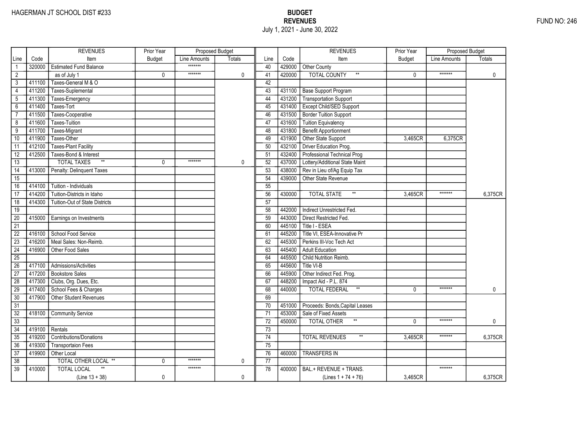|                 |        | <b>REVENUES</b>                       | Prior Year    | Proposed Budget |               |                 |        | <b>REVENUES</b>                       | Prior Year    | Proposed Budget |               |
|-----------------|--------|---------------------------------------|---------------|-----------------|---------------|-----------------|--------|---------------------------------------|---------------|-----------------|---------------|
| Line            | Code   | Item                                  | <b>Budget</b> | Line Amounts    | <b>Totals</b> | Line            | Code   | Item                                  | <b>Budget</b> | Line Amounts    | <b>Totals</b> |
|                 | 320000 | <b>Estimated Fund Balance</b>         |               | *******         |               | 40              |        | 429000 Other County                   |               |                 |               |
| $\overline{2}$  |        | as of July 1                          | 0             | *******         | $\mathbf 0$   | 41              | 420000 | <b>TOTAL COUNTY</b>                   | $\mathbf{0}$  | *******         | $\mathbf 0$   |
| 3               | 411100 | Taxes-General M & O                   |               |                 |               | 42              |        |                                       |               |                 |               |
| 4               | 411200 | Taxes-Suplemental                     |               |                 |               | 43              |        | 431100 Base Support Program           |               |                 |               |
| 5               | 411300 | Taxes-Emergency                       |               |                 |               | 44              |        | 431200 Transportation Support         |               |                 |               |
| $6\overline{}$  | 411400 | Taxes-Tort                            |               |                 |               | 45              | 431400 | <b>Except Child/SED Support</b>       |               |                 |               |
| $\overline{7}$  | 411500 | Taxes-Cooperative                     |               |                 |               | 46              | 431500 | Border Tuition Support                |               |                 |               |
| 8               | 411600 | <b>Taxes-Tuition</b>                  |               |                 |               | 47              | 431600 | <b>Tuition Equivalency</b>            |               |                 |               |
| $\overline{9}$  | 411700 | Taxes-Migrant                         |               |                 |               | 48              | 431800 | Benefit Apportionment                 |               |                 |               |
| 10              | 411900 | Taxes-Other                           |               |                 |               | 49              | 431900 | Other State Support                   | 3,465CR       | 6,375CR         |               |
| 11              | 412100 | <b>Taxes-Plant Facility</b>           |               |                 |               | 50              | 432100 | Driver Education Prog.                |               |                 |               |
| $\overline{12}$ | 412500 | Taxes-Bond & Interest                 |               |                 |               | 51              | 432400 | Professional Technical Prog           |               |                 |               |
| 13              |        | $\ast\ast$<br><b>TOTAL TAXES</b>      | 0             | *******         | 0             | 52              | 437000 | Lottery/Additional State Maint        |               |                 |               |
| $\overline{14}$ | 413000 | Penalty: Delinquent Taxes             |               |                 |               | 53              | 438000 | Rev in Lieu of/Ag Equip Tax           |               |                 |               |
| $\overline{15}$ |        |                                       |               |                 |               | 54              | 439000 | Other State Revenue                   |               |                 |               |
| 16              | 414100 | Tuition - Individuals                 |               |                 |               | 55              |        |                                       |               |                 |               |
| 17              | 414200 | Tuition-Districts in Idaho            |               |                 |               | 56              | 430000 | $**$<br><b>TOTAL STATE</b>            | 3.465CR       | *******         | 6.375CR       |
| $\overline{18}$ | 414300 | <b>Tuition-Out of State Districts</b> |               |                 |               | 57              |        |                                       |               |                 |               |
| 19              |        |                                       |               |                 |               | 58              | 442000 | Indirect Unrestricted Fed.            |               |                 |               |
| 20              | 415000 | Earnings on Investments               |               |                 |               | 59              | 443000 | Direct Restricted Fed.                |               |                 |               |
| $\overline{21}$ |        |                                       |               |                 |               | 60              | 445100 | Title I - ESEA                        |               |                 |               |
| $\overline{22}$ | 416100 | School Food Service                   |               |                 |               | 61              | 445200 | Title VI, ESEA-Innovative Pr          |               |                 |               |
| $\overline{23}$ | 416200 | Meal Sales: Non-Reimb.                |               |                 |               | 62              | 445300 | Perkins III-Voc Tech Act              |               |                 |               |
| $\overline{24}$ | 416900 | Other Food Sales                      |               |                 |               | 63              | 445400 | <b>Adult Education</b>                |               |                 |               |
| $\overline{25}$ |        |                                       |               |                 |               | 64              | 445500 | Child Nutrition Reimb.                |               |                 |               |
| 26              | 417100 | Admissions/Activities                 |               |                 |               | 65              | 445600 | Title VI-B                            |               |                 |               |
| $\overline{27}$ | 417200 | <b>Bookstore Sales</b>                |               |                 |               | 66              | 445900 | Other Indirect Fed. Prog.             |               |                 |               |
| 28              | 417300 | Clubs, Org. Dues, Etc.                |               |                 |               | 67              | 448200 | Impact Aid - P.L. 874                 |               |                 |               |
| 29              | 417400 | School Fees & Charges                 |               |                 |               | 68              | 440000 | $^{\star\star}$<br>TOTAL FEDERAL      | $\mathbf{0}$  | *******         | $\mathbf{0}$  |
| 30              | 417900 | <b>Other Student Revenues</b>         |               |                 |               | 69              |        |                                       |               |                 |               |
| $\overline{31}$ |        |                                       |               |                 |               | 70              | 451000 | Proceeds: Bonds, Capital Leases       |               |                 |               |
| $\overline{32}$ | 418100 | <b>Community Service</b>              |               |                 |               | $\overline{71}$ | 453000 | Sale of Fixed Assets                  |               |                 |               |
| 33              |        |                                       |               |                 |               | 72              | 450000 | $^{\star\star}$<br>TOTAL OTHER        | $\mathbf{0}$  | *******         | $\mathbf{0}$  |
| $\overline{34}$ | 419100 | Rentals                               |               |                 |               | 73              |        |                                       |               |                 |               |
| 35              | 419200 | <b>Contributions/Donations</b>        |               |                 |               | 74              |        | <b>TOTAL REVENUES</b><br>$\star\star$ | 3.465CR       | *******         | 6,375CR       |
| 36              | 419300 | <b>Transportaion Fees</b>             |               |                 |               | 75              |        |                                       |               |                 |               |
| $\overline{37}$ | 419900 | Other Local                           |               |                 |               | 76              | 460000 | <b>TRANSFERS IN</b>                   |               |                 |               |
| 38              |        | TOTAL OTHER LOCAL **                  | 0             | *******         | 0             | $\overline{77}$ |        |                                       |               |                 |               |
| $\overline{39}$ | 410000 | <b>TOTAL LOCAL</b>                    |               | *******         |               | 78              | 400000 | BAL.+ REVENUE + TRANS.                |               | *******         |               |
|                 |        | $(Line 13 + 38)$                      | 0             |                 | $\mathbf 0$   |                 |        | (Lines $1 + 74 + 76$ )                | 3,465CR       |                 | 6,375CR       |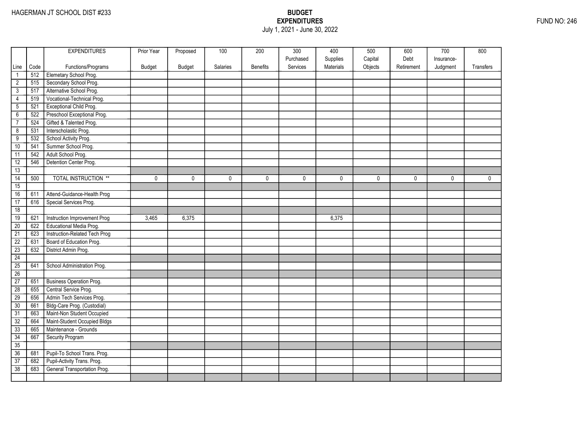## EXPENDITURES FUND NO: 246 July 1, 2021 - June 30, 2022

|                 |      | <b>EXPENDITURES</b>             | Prior Year | Proposed      | 100      | 200             | 300       | 400       | 500     | 600        | 700        | 800         |
|-----------------|------|---------------------------------|------------|---------------|----------|-----------------|-----------|-----------|---------|------------|------------|-------------|
|                 |      |                                 |            |               |          |                 | Purchased | Supplies  | Capital | Debt       | Insurance- |             |
| Line            | Code | Functions/Programs              | Budget     | <b>Budget</b> | Salaries | <b>Benefits</b> | Services  | Materials | Objects | Retirement | Judgment   | Transfers   |
| $\mathbf{1}$    | 512  | Elemetary School Prog.          |            |               |          |                 |           |           |         |            |            |             |
| $\overline{2}$  | 515  | Secondary School Prog.          |            |               |          |                 |           |           |         |            |            |             |
| $\overline{3}$  | 517  | Alternative School Prog.        |            |               |          |                 |           |           |         |            |            |             |
| 4               | 519  | Vocational-Technical Prog.      |            |               |          |                 |           |           |         |            |            |             |
| $\overline{5}$  | 521  | Exceptional Child Prog.         |            |               |          |                 |           |           |         |            |            |             |
| $\overline{6}$  | 522  | Preschool Exceptional Prog.     |            |               |          |                 |           |           |         |            |            |             |
| $\overline{7}$  | 524  | Gifted & Talented Prog.         |            |               |          |                 |           |           |         |            |            |             |
| $\overline{8}$  | 531  | Interscholastic Prog.           |            |               |          |                 |           |           |         |            |            |             |
| $\overline{9}$  | 532  | School Activity Prog.           |            |               |          |                 |           |           |         |            |            |             |
| 10              | 541  | Summer School Prog.             |            |               |          |                 |           |           |         |            |            |             |
| 11              | 542  | Adult School Prog.              |            |               |          |                 |           |           |         |            |            |             |
| 12              | 546  | Detention Center Prog.          |            |               |          |                 |           |           |         |            |            |             |
| 13              |      |                                 |            |               |          |                 |           |           |         |            |            |             |
| $\overline{14}$ | 500  | <b>TOTAL INSTRUCTION **</b>     | 0          | $\mathbf 0$   | 0        | 0               | 0         | 0         | 0       | 0          | 0          | $\mathbf 0$ |
| 15              |      |                                 |            |               |          |                 |           |           |         |            |            |             |
| 16              | 611  | Attend-Guidance-Health Prog     |            |               |          |                 |           |           |         |            |            |             |
| 17              | 616  | Special Services Prog.          |            |               |          |                 |           |           |         |            |            |             |
| 18              |      |                                 |            |               |          |                 |           |           |         |            |            |             |
| 19              | 621  | Instruction Improvement Prog    | 3,465      | 6,375         |          |                 |           | 6,375     |         |            |            |             |
| 20              | 622  | Educational Media Prog.         |            |               |          |                 |           |           |         |            |            |             |
| $\overline{21}$ | 623  | Instruction-Related Tech Prog   |            |               |          |                 |           |           |         |            |            |             |
| $\overline{22}$ | 631  | Board of Education Prog.        |            |               |          |                 |           |           |         |            |            |             |
| $\overline{23}$ | 632  | District Admin Prog.            |            |               |          |                 |           |           |         |            |            |             |
| 24              |      |                                 |            |               |          |                 |           |           |         |            |            |             |
| 25              | 641  | School Administration Prog.     |            |               |          |                 |           |           |         |            |            |             |
| 26              |      |                                 |            |               |          |                 |           |           |         |            |            |             |
| 27              | 651  | <b>Business Operation Prog.</b> |            |               |          |                 |           |           |         |            |            |             |
| $\overline{28}$ | 655  | Central Service Prog.           |            |               |          |                 |           |           |         |            |            |             |
| 29              | 656  | Admin Tech Services Prog.       |            |               |          |                 |           |           |         |            |            |             |
| 30              | 661  | Bldg-Care Prog. (Custodial)     |            |               |          |                 |           |           |         |            |            |             |
| $\overline{31}$ | 663  | Maint-Non Student Occupied      |            |               |          |                 |           |           |         |            |            |             |
| 32              | 664  | Maint-Student Occupied Bldgs    |            |               |          |                 |           |           |         |            |            |             |
| 33              | 665  | Maintenance - Grounds           |            |               |          |                 |           |           |         |            |            |             |
| 34              | 667  | Security Program                |            |               |          |                 |           |           |         |            |            |             |
| 35              |      |                                 |            |               |          |                 |           |           |         |            |            |             |
| 36              | 681  | Pupil-To School Trans. Prog.    |            |               |          |                 |           |           |         |            |            |             |
| $\overline{37}$ | 682  | Pupil-Activity Trans. Prog.     |            |               |          |                 |           |           |         |            |            |             |
| 38              | 683  | General Transportation Prog.    |            |               |          |                 |           |           |         |            |            |             |
|                 |      |                                 |            |               |          |                 |           |           |         |            |            |             |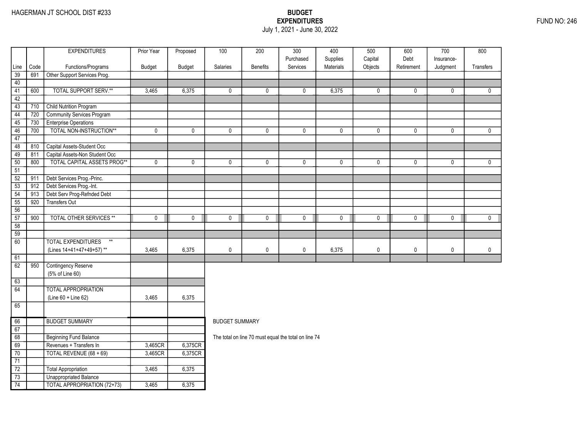### EXPENDITURES FUND NO: 246 July 1, 2021 - June 30, 2022

|                 |      | <b>EXPENDITURES</b>                | Prior Year  | Proposed | 100                   | 200                                                  | $\overline{300}$      | 400                   | 500                | 600                | 700                    | 800          |
|-----------------|------|------------------------------------|-------------|----------|-----------------------|------------------------------------------------------|-----------------------|-----------------------|--------------------|--------------------|------------------------|--------------|
| Line            | Code | Functions/Programs                 | Budget      | Budget   | Salaries              | <b>Benefits</b>                                      | Purchased<br>Services | Supplies<br>Materials | Capital<br>Objects | Debt<br>Retirement | Insurance-<br>Judgment | Transfers    |
| 39              | 691  | Other Support Services Prog.       |             |          |                       |                                                      |                       |                       |                    |                    |                        |              |
| 40              |      |                                    |             |          |                       |                                                      |                       |                       |                    |                    |                        |              |
| 41              | 600  | <b>TOTAL SUPPORT SERV.**</b>       | 3,465       | 6,375    | 0                     | 0                                                    | 0                     | 6,375                 | 0                  | $\mathbf 0$        | $\mathbf 0$            | $\mathbf{0}$ |
| 42              |      |                                    |             |          |                       |                                                      |                       |                       |                    |                    |                        |              |
| $\overline{43}$ | 710  | <b>Child Nutrition Program</b>     |             |          |                       |                                                      |                       |                       |                    |                    |                        |              |
| $\overline{44}$ | 720  | Community Services Program         |             |          |                       |                                                      |                       |                       |                    |                    |                        |              |
| 45              | 730  | <b>Enterprise Operations</b>       |             |          |                       |                                                      |                       |                       |                    |                    |                        |              |
| 46              | 700  | TOTAL NON-INSTRUCTION**            | $\mathbf 0$ | 0        | $\mathbf 0$           | $\mathbf 0$                                          | $\mathbf 0$           | $\mathbf 0$           | $\pmb{0}$          | $\mathbf 0$        | $\mathbf 0$            | $\mathbf 0$  |
| 47              |      |                                    |             |          |                       |                                                      |                       |                       |                    |                    |                        |              |
| 48              | 810  | Capital Assets-Student Occ         |             |          |                       |                                                      |                       |                       |                    |                    |                        |              |
| 49              | 811  | Capital Assets-Non Student Occ     |             |          |                       |                                                      |                       |                       |                    |                    |                        |              |
| 50              | 800  | <b>TOTAL CAPITAL ASSETS PROG**</b> | $\mathbf 0$ | 0        | 0                     | 0                                                    | 0                     | $\mathbf 0$           | 0                  | $\mathbf 0$        | $\mathbf 0$            | $\mathbf 0$  |
| 51              |      |                                    |             |          |                       |                                                      |                       |                       |                    |                    |                        |              |
| $\overline{52}$ | 911  | Debt Services Prog.-Princ.         |             |          |                       |                                                      |                       |                       |                    |                    |                        |              |
| $\overline{53}$ | 912  | Debt Services Prog.-Int.           |             |          |                       |                                                      |                       |                       |                    |                    |                        |              |
| 54              | 913  | Debt Serv Prog-Refnded Debt        |             |          |                       |                                                      |                       |                       |                    |                    |                        |              |
| 55              | 920  | <b>Transfers Out</b>               |             |          |                       |                                                      |                       |                       |                    |                    |                        |              |
| 56              |      |                                    |             |          |                       |                                                      |                       |                       |                    |                    |                        |              |
| $\overline{57}$ | 900  | <b>TOTAL OTHER SERVICES **</b>     | $\mathbf 0$ | 0        | $\pmb{0}$             | $\mathbf 0$                                          | $\mathsf{O}$          | $\mathbf 0$           | $\mathbf 0$        | 0                  | $\mathsf{O}$           | $\mathbf 0$  |
| 58              |      |                                    |             |          |                       |                                                      |                       |                       |                    |                    |                        |              |
| 59              |      |                                    |             |          |                       |                                                      |                       |                       |                    |                    |                        |              |
| 60              |      | <b>TOTAL EXPENDITURES</b><br>$**$  |             |          |                       |                                                      |                       |                       |                    |                    |                        |              |
|                 |      | (Lines 14+41+47+49+57)**           | 3,465       | 6.375    | 0                     | $\mathbf 0$                                          | 0                     | 6,375                 | 0                  | $\mathbf 0$        | 0                      | $\mathbf 0$  |
| 61              |      |                                    |             |          |                       |                                                      |                       |                       |                    |                    |                        |              |
| 62              | 950  | <b>Contingency Reserve</b>         |             |          |                       |                                                      |                       |                       |                    |                    |                        |              |
|                 |      | (5% of Line 60)                    |             |          |                       |                                                      |                       |                       |                    |                    |                        |              |
| 63              |      |                                    |             |          |                       |                                                      |                       |                       |                    |                    |                        |              |
| 64              |      | <b>TOTAL APPROPRIATION</b>         |             |          |                       |                                                      |                       |                       |                    |                    |                        |              |
|                 |      | (Line 60 + Line 62)                | 3,465       | 6,375    |                       |                                                      |                       |                       |                    |                    |                        |              |
| 65              |      |                                    |             |          |                       |                                                      |                       |                       |                    |                    |                        |              |
| 66              |      | <b>BUDGET SUMMARY</b>              |             |          | <b>BUDGET SUMMARY</b> |                                                      |                       |                       |                    |                    |                        |              |
| 67              |      |                                    |             |          |                       |                                                      |                       |                       |                    |                    |                        |              |
| 68              |      | <b>Beginning Fund Balance</b>      |             |          |                       | The total on line 70 must equal the total on line 74 |                       |                       |                    |                    |                        |              |
| 69              |      | Revenues + Transfers In            | 3,465CR     | 6,375CR  |                       |                                                      |                       |                       |                    |                    |                        |              |
| 70              |      | TOTAL REVENUE (68 + 69)            | 3,465CR     | 6,375CR  |                       |                                                      |                       |                       |                    |                    |                        |              |
| 71              |      |                                    |             |          |                       |                                                      |                       |                       |                    |                    |                        |              |
| $\overline{72}$ |      | Total Appropriation                | 3,465       | 6,375    |                       |                                                      |                       |                       |                    |                    |                        |              |
| $\overline{73}$ |      | <b>Unappropriated Balance</b>      |             |          |                       |                                                      |                       |                       |                    |                    |                        |              |
| 74              |      | TOTAL APPROPRIATION (72+73)        | 3,465       | 6,375    |                       |                                                      |                       |                       |                    |                    |                        |              |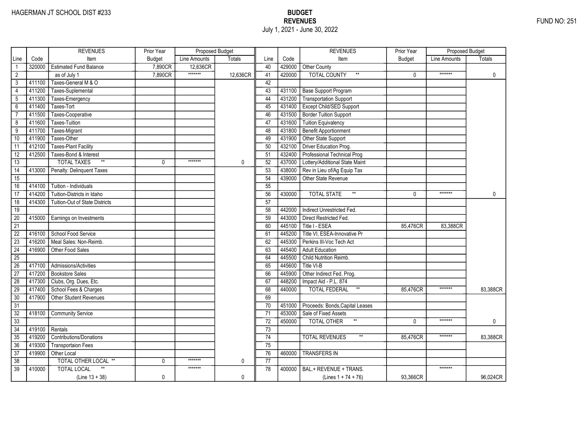|                 |        | <b>REVENUES</b>                       | Prior Year    | Proposed Budget |          |                 |        | <b>REVENUES</b>                        | Prior Year    | Proposed Budget |             |
|-----------------|--------|---------------------------------------|---------------|-----------------|----------|-----------------|--------|----------------------------------------|---------------|-----------------|-------------|
| Line            | Code   | Item                                  | <b>Budget</b> | Line Amounts    | Totals   | Line            | Code   | Item                                   | <b>Budget</b> | Line Amounts    | Totals      |
|                 | 320000 | <b>Estimated Fund Balance</b>         | 7,890CR       | 12,636CR        |          | 40              | 429000 | Other County                           |               |                 |             |
| $\overline{2}$  |        | as of July 1                          | 7,890CR       | *******         | 12,636CR | 41              | 420000 | <b>TOTAL COUNTY</b><br>$^{\star\star}$ | 0             | *******         | $\mathbf 0$ |
| 3               | 411100 | Taxes-General M & O                   |               |                 |          | 42              |        |                                        |               |                 |             |
| 4               | 411200 | Taxes-Suplemental                     |               |                 |          | 43              | 431100 | <b>Base Support Program</b>            |               |                 |             |
| 5               | 411300 | Taxes-Emergency                       |               |                 |          | 44              | 431200 | <b>Transportation Support</b>          |               |                 |             |
| $6\overline{}$  | 411400 | Taxes-Tort                            |               |                 |          | 45              | 431400 | Except Child/SED Support               |               |                 |             |
| $\overline{7}$  | 411500 | Taxes-Cooperative                     |               |                 |          | 46              | 431500 | <b>Border Tuition Support</b>          |               |                 |             |
| 8               | 411600 | <b>Taxes-Tuition</b>                  |               |                 |          | 47              | 431600 | <b>Tuition Equivalency</b>             |               |                 |             |
| $\overline{9}$  | 411700 | Taxes-Migrant                         |               |                 |          | 48              | 431800 | <b>Benefit Apportionment</b>           |               |                 |             |
| 10              | 411900 | Taxes-Other                           |               |                 |          | 49              | 431900 | Other State Support                    |               |                 |             |
| 11              | 412100 | <b>Taxes-Plant Facility</b>           |               |                 |          | 50              | 432100 | Driver Education Prog.                 |               |                 |             |
| 12              | 412500 | Taxes-Bond & Interest                 |               |                 |          | 51              | 432400 | Professional Technical Prog            |               |                 |             |
| 13              |        | $\ast\ast$<br><b>TOTAL TAXES</b>      | 0             | *******         | 0        | 52              | 437000 | Lottery/Additional State Maint         |               |                 |             |
| $\overline{14}$ | 413000 | Penalty: Delinquent Taxes             |               |                 |          | 53              | 438000 | Rev in Lieu of/Ag Equip Tax            |               |                 |             |
| $\overline{15}$ |        |                                       |               |                 |          | 54              | 439000 | Other State Revenue                    |               |                 |             |
| 16              | 414100 | Tuition - Individuals                 |               |                 |          | 55              |        |                                        |               |                 |             |
| 17              | 414200 | Tuition-Districts in Idaho            |               |                 |          | 56              | 430000 | $^{\star\star}$<br><b>TOTAL STATE</b>  | $\Omega$      | *******         | 0           |
| $\overline{18}$ | 414300 | <b>Tuition-Out of State Districts</b> |               |                 |          | $\overline{57}$ |        |                                        |               |                 |             |
| 19              |        |                                       |               |                 |          | 58              | 442000 | Indirect Unrestricted Fed.             |               |                 |             |
| $\overline{20}$ | 415000 | Earnings on Investments               |               |                 |          | 59              | 443000 | Direct Restricted Fed.                 |               |                 |             |
| $\overline{21}$ |        |                                       |               |                 |          | 60              | 445100 | Title I - ESEA                         | 85,476CR      | 83.388CR        |             |
| $\overline{22}$ | 416100 | School Food Service                   |               |                 |          | 61              | 445200 | Title VI, ESEA-Innovative Pr           |               |                 |             |
| $\overline{23}$ | 416200 | Meal Sales: Non-Reimb.                |               |                 |          | 62              | 445300 | Perkins III-Voc Tech Act               |               |                 |             |
| $\overline{24}$ | 416900 | Other Food Sales                      |               |                 |          | 63              | 445400 | <b>Adult Education</b>                 |               |                 |             |
| $\overline{25}$ |        |                                       |               |                 |          | 64              | 445500 | Child Nutrition Reimb.                 |               |                 |             |
| 26              | 417100 | Admissions/Activities                 |               |                 |          | 65              | 445600 | Title VI-B                             |               |                 |             |
| 27              | 417200 | <b>Bookstore Sales</b>                |               |                 |          | 66              | 445900 | Other Indirect Fed. Prog.              |               |                 |             |
| 28              | 417300 | Clubs, Org. Dues, Etc.                |               |                 |          | 67              | 448200 | Impact Aid - P.L. 874                  |               |                 |             |
| 29              | 417400 | School Fees & Charges                 |               |                 |          | 68              | 440000 | $^{\star\star}$<br>TOTAL FEDERAL       | 85,476CR      | *******         | 83,388CR    |
| 30              | 417900 | Other Student Revenues                |               |                 |          | 69              |        |                                        |               |                 |             |
| $\overline{31}$ |        |                                       |               |                 |          | 70              | 451000 | Proceeds: Bonds, Capital Leases        |               |                 |             |
| $\overline{32}$ | 418100 | <b>Community Service</b>              |               |                 |          | 71              | 453000 | Sale of Fixed Assets                   |               |                 |             |
| $\overline{33}$ |        |                                       |               |                 |          | $\overline{72}$ | 450000 | <b>TOTAL OTHER</b>                     | $\Omega$      | *******         | 0           |
| 34              | 419100 | Rentals                               |               |                 |          | 73              |        |                                        |               |                 |             |
| 35              | 419200 | <b>Contributions/Donations</b>        |               |                 |          | 74              |        | <b>TOTAL REVENUES</b>                  | 85,476CR      | *******         | 83,388CR    |
| 36              | 419300 | <b>Transportaion Fees</b>             |               |                 |          | 75              |        |                                        |               |                 |             |
| $\overline{37}$ | 419900 | Other Local                           |               |                 |          | 76              | 460000 | <b>TRANSFERS IN</b>                    |               |                 |             |
| 38              |        | TOTAL OTHER LOCAL **                  | 0             | *******         | 0        | 77              |        |                                        |               |                 |             |
| $\overline{39}$ | 410000 | <b>TOTAL LOCAL</b>                    |               | *******         |          | 78              | 400000 | BAL.+ REVENUE + TRANS.                 |               | *******         |             |
|                 |        | $(Line 13 + 38)$                      | 0             |                 | 0        |                 |        | (Lines $1 + 74 + 76$ )                 | 93,366CR      |                 | 96,024CR    |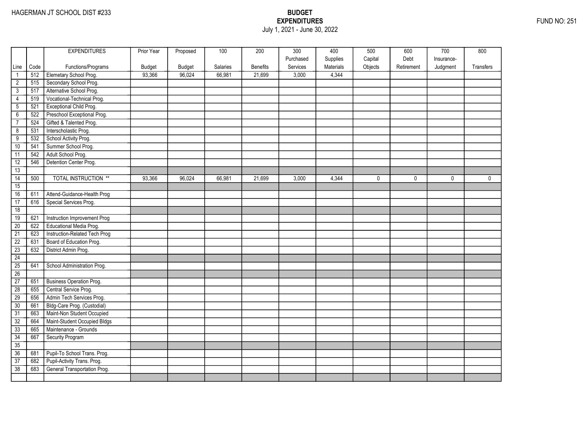### EXPENDITURES FUND NO: 251 July 1, 2021 - June 30, 2022

|                 |      | <b>EXPENDITURES</b>             | Prior Year    | Proposed | 100             | 200             | 300       | 400       | 500     | 600        | 700        | 800       |
|-----------------|------|---------------------------------|---------------|----------|-----------------|-----------------|-----------|-----------|---------|------------|------------|-----------|
|                 |      |                                 |               |          |                 |                 | Purchased | Supplies  | Capital | Debt       | Insurance- |           |
| Line            | Code | Functions/Programs              | <b>Budget</b> | Budget   | <b>Salaries</b> | <b>Benefits</b> | Services  | Materials | Objects | Retirement | Judgment   | Transfers |
| $\mathbf{1}$    | 512  | Elemetary School Prog.          | 93,366        | 96,024   | 66,981          | 21.699          | 3,000     | 4,344     |         |            |            |           |
| $\overline{2}$  | 515  | Secondary School Prog.          |               |          |                 |                 |           |           |         |            |            |           |
| $\mathbf{3}$    | 517  | Alternative School Prog.        |               |          |                 |                 |           |           |         |            |            |           |
| 4               | 519  | Vocational-Technical Prog.      |               |          |                 |                 |           |           |         |            |            |           |
| $\overline{5}$  | 521  | Exceptional Child Prog.         |               |          |                 |                 |           |           |         |            |            |           |
| $\overline{6}$  | 522  | Preschool Exceptional Prog.     |               |          |                 |                 |           |           |         |            |            |           |
| $\overline{7}$  | 524  | Gifted & Talented Prog.         |               |          |                 |                 |           |           |         |            |            |           |
| $\overline{8}$  | 531  | Interscholastic Prog.           |               |          |                 |                 |           |           |         |            |            |           |
| $\overline{9}$  | 532  | School Activity Prog.           |               |          |                 |                 |           |           |         |            |            |           |
| 10              | 541  | Summer School Prog.             |               |          |                 |                 |           |           |         |            |            |           |
| 11              | 542  | Adult School Prog.              |               |          |                 |                 |           |           |         |            |            |           |
| 12              | 546  | Detention Center Prog.          |               |          |                 |                 |           |           |         |            |            |           |
| 13              |      |                                 |               |          |                 |                 |           |           |         |            |            |           |
| $\overline{14}$ | 500  | <b>TOTAL INSTRUCTION **</b>     | 93,366        | 96,024   | 66,981          | 21,699          | 3,000     | 4,344     | 0       | 0          | $\Omega$   | 0         |
| 15              |      |                                 |               |          |                 |                 |           |           |         |            |            |           |
| 16              | 611  | Attend-Guidance-Health Prog     |               |          |                 |                 |           |           |         |            |            |           |
| 17              | 616  | Special Services Prog.          |               |          |                 |                 |           |           |         |            |            |           |
| 18              |      |                                 |               |          |                 |                 |           |           |         |            |            |           |
| 19              | 621  | Instruction Improvement Prog    |               |          |                 |                 |           |           |         |            |            |           |
| $\overline{20}$ | 622  | Educational Media Prog.         |               |          |                 |                 |           |           |         |            |            |           |
| $\overline{21}$ | 623  | Instruction-Related Tech Prog   |               |          |                 |                 |           |           |         |            |            |           |
| $\overline{22}$ | 631  | Board of Education Prog.        |               |          |                 |                 |           |           |         |            |            |           |
| $\overline{23}$ | 632  | District Admin Prog.            |               |          |                 |                 |           |           |         |            |            |           |
| 24              |      |                                 |               |          |                 |                 |           |           |         |            |            |           |
| 25              | 641  | School Administration Prog.     |               |          |                 |                 |           |           |         |            |            |           |
| 26              |      |                                 |               |          |                 |                 |           |           |         |            |            |           |
| $\overline{27}$ | 651  | <b>Business Operation Prog.</b> |               |          |                 |                 |           |           |         |            |            |           |
| $\overline{28}$ | 655  | Central Service Prog.           |               |          |                 |                 |           |           |         |            |            |           |
| $\overline{29}$ | 656  | Admin Tech Services Prog.       |               |          |                 |                 |           |           |         |            |            |           |
| 30              | 661  | Bldg-Care Prog. (Custodial)     |               |          |                 |                 |           |           |         |            |            |           |
| $\overline{31}$ | 663  | Maint-Non Student Occupied      |               |          |                 |                 |           |           |         |            |            |           |
| 32              | 664  | Maint-Student Occupied Bldgs    |               |          |                 |                 |           |           |         |            |            |           |
| 33              | 665  | Maintenance - Grounds           |               |          |                 |                 |           |           |         |            |            |           |
| 34              | 667  | <b>Security Program</b>         |               |          |                 |                 |           |           |         |            |            |           |
| 35              |      |                                 |               |          |                 |                 |           |           |         |            |            |           |
| 36              | 681  | Pupil-To School Trans. Prog.    |               |          |                 |                 |           |           |         |            |            |           |
| 37              | 682  | Pupil-Activity Trans. Prog.     |               |          |                 |                 |           |           |         |            |            |           |
| $\overline{38}$ | 683  | General Transportation Prog.    |               |          |                 |                 |           |           |         |            |            |           |
|                 |      |                                 |               |          |                 |                 |           |           |         |            |            |           |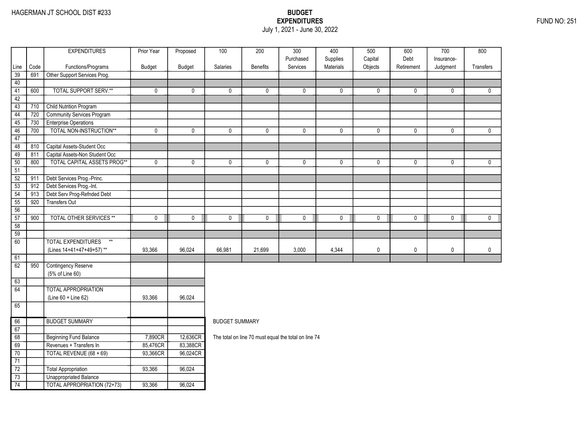### EXPENDITURES FUND NO: 251 July 1, 2021 - June 30, 2022

|                 |      | <b>EXPENDITURES</b>                                | Prior Year  | Proposed    | 100                   | 200                                                  | $\overline{300}$      | 400                   | 500                | 600                | $\overline{700}$ | 800          |
|-----------------|------|----------------------------------------------------|-------------|-------------|-----------------------|------------------------------------------------------|-----------------------|-----------------------|--------------------|--------------------|------------------|--------------|
|                 | Code |                                                    |             |             | Salaries              | <b>Benefits</b>                                      | Purchased<br>Services | Supplies<br>Materials | Capital<br>Objects | Debt<br>Retirement | Insurance-       | Transfers    |
| Line<br>39      | 691  | Functions/Programs<br>Other Support Services Prog. | Budget      | Budget      |                       |                                                      |                       |                       |                    |                    | Judgment         |              |
| 40              |      |                                                    |             |             |                       |                                                      |                       |                       |                    |                    |                  |              |
| 41              | 600  | <b>TOTAL SUPPORT SERV.**</b>                       | 0           | 0           | 0                     | $\mathbf{0}$                                         | 0                     | $\mathbf{0}$          | 0                  | 0                  | 0                | $\mathbf{0}$ |
| 42              |      |                                                    |             |             |                       |                                                      |                       |                       |                    |                    |                  |              |
| 43              | 710  | Child Nutrition Program                            |             |             |                       |                                                      |                       |                       |                    |                    |                  |              |
| 44              | 720  | <b>Community Services Program</b>                  |             |             |                       |                                                      |                       |                       |                    |                    |                  |              |
| 45              | 730  | <b>Enterprise Operations</b>                       |             |             |                       |                                                      |                       |                       |                    |                    |                  |              |
| 46              | 700  | TOTAL NON-INSTRUCTION**                            | 0           | 0           | 0                     | 0                                                    | $\mathbf 0$           | 0                     | 0                  | 0                  | 0                | $\mathbf 0$  |
| 47              |      |                                                    |             |             |                       |                                                      |                       |                       |                    |                    |                  |              |
| 48              | 810  | Capital Assets-Student Occ                         |             |             |                       |                                                      |                       |                       |                    |                    |                  |              |
| 49              | 811  | Capital Assets-Non Student Occ                     |             |             |                       |                                                      |                       |                       |                    |                    |                  |              |
| 50              | 800  | <b>TOTAL CAPITAL ASSETS PROG**</b>                 | $\pmb{0}$   | 0           | $\mathbf 0$           | $\mathbf 0$                                          | $\mathbf 0$           | $\pmb{0}$             | $\pmb{0}$          | $\mathbf 0$        | $\mathbf 0$      | $\mathbf 0$  |
| 51              |      |                                                    |             |             |                       |                                                      |                       |                       |                    |                    |                  |              |
| $\overline{52}$ | 911  | Debt Services Prog.-Princ.                         |             |             |                       |                                                      |                       |                       |                    |                    |                  |              |
| 53              | 912  | Debt Services Prog.-Int.                           |             |             |                       |                                                      |                       |                       |                    |                    |                  |              |
| 54              | 913  | Debt Serv Prog-Refnded Debt                        |             |             |                       |                                                      |                       |                       |                    |                    |                  |              |
| 55              | 920  | Transfers Out                                      |             |             |                       |                                                      |                       |                       |                    |                    |                  |              |
| 56              |      |                                                    |             |             |                       |                                                      |                       |                       |                    |                    |                  |              |
| 57              | 900  | <b>TOTAL OTHER SERVICES **</b>                     | $\mathbf 0$ | $\mathbf 0$ | $\mathbf 0$           | $\mathbf 0$                                          | $\mathbf 0$           | $\mathbf 0$           | $\mathbf 0$        | $\mathbf 0$        | $\mathbf 0$      | $\mathbf 0$  |
| 58              |      |                                                    |             |             |                       |                                                      |                       |                       |                    |                    |                  |              |
| $\overline{59}$ |      |                                                    |             |             |                       |                                                      |                       |                       |                    |                    |                  |              |
| 60              |      | <b>TOTAL EXPENDITURES</b><br>$**$                  |             |             |                       |                                                      |                       |                       |                    |                    |                  |              |
|                 |      | (Lines 14+41+47+49+57)**                           | 93,366      | 96,024      | 66,981                | 21,699                                               | 3,000                 | 4,344                 | 0                  | $\mathbf 0$        | 0                | $\mathbf 0$  |
| 61              |      |                                                    |             |             |                       |                                                      |                       |                       |                    |                    |                  |              |
| 62              | 950  | <b>Contingency Reserve</b>                         |             |             |                       |                                                      |                       |                       |                    |                    |                  |              |
|                 |      | (5% of Line 60)                                    |             |             |                       |                                                      |                       |                       |                    |                    |                  |              |
| 63              |      |                                                    |             |             |                       |                                                      |                       |                       |                    |                    |                  |              |
| 64              |      | <b>TOTAL APPROPRIATION</b>                         |             |             |                       |                                                      |                       |                       |                    |                    |                  |              |
|                 |      | (Line 60 + Line 62)                                | 93.366      | 96.024      |                       |                                                      |                       |                       |                    |                    |                  |              |
| 65              |      |                                                    |             |             |                       |                                                      |                       |                       |                    |                    |                  |              |
| 66              |      | <b>BUDGET SUMMARY</b>                              |             |             | <b>BUDGET SUMMARY</b> |                                                      |                       |                       |                    |                    |                  |              |
| 67              |      |                                                    |             |             |                       |                                                      |                       |                       |                    |                    |                  |              |
| 68              |      | Beginning Fund Balance                             | 7,890CR     | 12,636CR    |                       | The total on line 70 must equal the total on line 74 |                       |                       |                    |                    |                  |              |
| 69              |      | Revenues + Transfers In                            | 85,476CR    | 83,388CR    |                       |                                                      |                       |                       |                    |                    |                  |              |
| 70              |      | TOTAL REVENUE (68 + 69)                            | 93,366CR    | 96,024CR    |                       |                                                      |                       |                       |                    |                    |                  |              |
| $\overline{71}$ |      |                                                    |             |             |                       |                                                      |                       |                       |                    |                    |                  |              |
| $\overline{72}$ |      | Total Appropriation                                | 93,366      | 96,024      |                       |                                                      |                       |                       |                    |                    |                  |              |
| $\overline{73}$ |      | <b>Unappropriated Balance</b>                      |             |             |                       |                                                      |                       |                       |                    |                    |                  |              |
| 74              |      | TOTAL APPROPRIATION (72+73)                        | 93,366      | 96,024      |                       |                                                      |                       |                       |                    |                    |                  |              |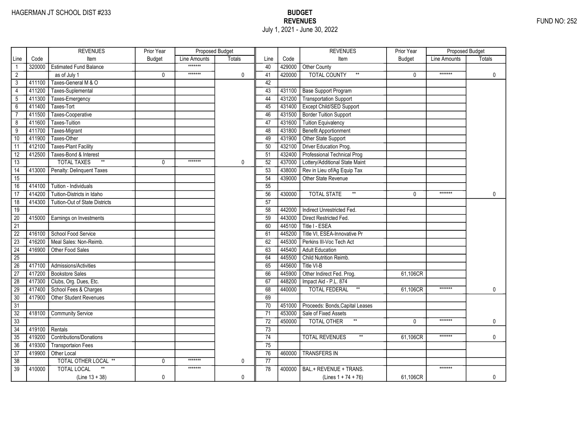|                 |        | <b>REVENUES</b>                       | Prior Year    | Proposed Budget |        |                 |        | <b>REVENUES</b>                         | Prior Year    | Proposed Budget |               |
|-----------------|--------|---------------------------------------|---------------|-----------------|--------|-----------------|--------|-----------------------------------------|---------------|-----------------|---------------|
| Line            | Code   | Item                                  | <b>Budget</b> | Line Amounts    | Totals | Line            | Code   | Item                                    | <b>Budget</b> | Line Amounts    | <b>Totals</b> |
| $\mathbf{1}$    | 320000 | <b>Estimated Fund Balance</b>         |               | *******         |        | 40              | 429000 | Other County                            |               |                 |               |
| $\overline{2}$  |        | as of July 1                          | 0             | *******         | 0      | 41              | 420000 | <b>TOTAL COUNTY</b><br>$^{\star\star}$  | 0             | *******         | $\mathbf 0$   |
| 3               | 411100 | Taxes-General M & O                   |               |                 |        | 42              |        |                                         |               |                 |               |
| $\overline{4}$  | 411200 | Taxes-Suplemental                     |               |                 |        | 43              |        | 431100 Base Support Program             |               |                 |               |
| $\sqrt{5}$      | 411300 | Taxes-Emergency                       |               |                 |        | 44              |        | 431200 Transportation Support           |               |                 |               |
| $6\overline{}$  | 411400 | Taxes-Tort                            |               |                 |        | 45              | 431400 | <b>Except Child/SED Support</b>         |               |                 |               |
| $\overline{7}$  | 411500 | Taxes-Cooperative                     |               |                 |        | 46              | 431500 | Border Tuition Support                  |               |                 |               |
| 8               | 411600 | Taxes-Tuition                         |               |                 |        | 47              | 431600 | <b>Tuition Equivalency</b>              |               |                 |               |
| 9               | 411700 | Taxes-Migrant                         |               |                 |        | 48              | 431800 | Benefit Apportionment                   |               |                 |               |
| 10              | 411900 | Taxes-Other                           |               |                 |        | 49              | 431900 | Other State Support                     |               |                 |               |
| 11              | 412100 | <b>Taxes-Plant Facility</b>           |               |                 |        | 50              | 432100 | Driver Education Prog.                  |               |                 |               |
| $\overline{12}$ | 412500 | Taxes-Bond & Interest                 |               |                 |        | 51              | 432400 | Professional Technical Prog             |               |                 |               |
| 13              |        | $\ast\ast$<br><b>TOTAL TAXES</b>      | $\Omega$      | *******         | 0      | 52              | 437000 | Lottery/Additional State Maint          |               |                 |               |
| 14              | 413000 | Penalty: Delinquent Taxes             |               |                 |        | 53              | 438000 | Rev in Lieu of/Ag Equip Tax             |               |                 |               |
| $\overline{15}$ |        |                                       |               |                 |        | 54              | 439000 | Other State Revenue                     |               |                 |               |
| 16              | 414100 | Tuition - Individuals                 |               |                 |        | $\overline{55}$ |        |                                         |               |                 |               |
| 17              | 414200 | Tuition-Districts in Idaho            |               |                 |        | 56              | 430000 | $^{\star\star}$<br><b>TOTAL STATE</b>   | $\Omega$      | *******         | 0             |
| 18              | 414300 | <b>Tuition-Out of State Districts</b> |               |                 |        | $\overline{57}$ |        |                                         |               |                 |               |
| 19              |        |                                       |               |                 |        | 58              | 442000 | Indirect Unrestricted Fed.              |               |                 |               |
| $\overline{20}$ | 415000 | Earnings on Investments               |               |                 |        | 59              | 443000 | Direct Restricted Fed.                  |               |                 |               |
| 21              |        |                                       |               |                 |        | 60              | 445100 | Title I - ESEA                          |               |                 |               |
| $\overline{22}$ | 416100 | School Food Service                   |               |                 |        | 61              | 445200 | Title VI, ESEA-Innovative Pr            |               |                 |               |
| $\overline{23}$ | 416200 | Meal Sales: Non-Reimb.                |               |                 |        | 62              | 445300 | Perkins III-Voc Tech Act                |               |                 |               |
| $\overline{24}$ | 416900 | Other Food Sales                      |               |                 |        | 63              | 445400 | <b>Adult Education</b>                  |               |                 |               |
| $\overline{25}$ |        |                                       |               |                 |        | 64              | 445500 | Child Nutrition Reimb.                  |               |                 |               |
| 26              | 417100 | Admissions/Activities                 |               |                 |        | 65              | 445600 | Title VI-B                              |               |                 |               |
| 27              | 417200 | <b>Bookstore Sales</b>                |               |                 |        | 66              | 445900 | Other Indirect Fed. Prog.               | 61,106CR      |                 |               |
| 28              | 417300 | Clubs, Org. Dues, Etc.                |               |                 |        | 67              | 448200 | Impact Aid - P.L. 874                   |               |                 |               |
| 29              | 417400 | School Fees & Charges                 |               |                 |        | 68              | 440000 | <b>TOTAL FEDERAL</b><br>$^{\star\star}$ | 61,106CR      | *******         | 0             |
| $\overline{30}$ | 417900 | Other Student Revenues                |               |                 |        | 69              |        |                                         |               |                 |               |
| $\overline{31}$ |        |                                       |               |                 |        | 70              | 451000 | Proceeds: Bonds, Capital Leases         |               |                 |               |
| $\overline{32}$ | 418100 | <b>Community Service</b>              |               |                 |        | 71              | 453000 | Sale of Fixed Assets                    |               |                 |               |
| 33              |        |                                       |               |                 |        | 72              | 450000 | <b>TOTAL OTHER</b><br>$^{\star\star}$   | $\Omega$      | *******         | 0             |
| $\overline{34}$ | 419100 | Rentals                               |               |                 |        | 73              |        |                                         |               |                 |               |
| 35              | 419200 | <b>Contributions/Donations</b>        |               |                 |        | $\overline{74}$ |        | <b>TOTAL REVENUES</b><br>$\star\star$   | 61,106CR      | *******         | 0             |
| 36              | 419300 | <b>Transportaion Fees</b>             |               |                 |        | 75              |        |                                         |               |                 |               |
| 37              | 419900 | Other Local                           |               |                 |        | 76              | 460000 | <b>TRANSFERS IN</b>                     |               |                 |               |
| 38              |        | TOTAL OTHER LOCAL **                  | $\mathbf{0}$  | *******         | 0      | 77              |        |                                         |               |                 |               |
| 39              | 410000 | <b>TOTAL LOCAL</b>                    |               | *******         |        | 78              | 400000 | BAL.+ REVENUE + TRANS.                  |               | *******         |               |
|                 |        | $(Line 13 + 38)$                      | 0             |                 | 0      |                 |        | (Lines $1 + 74 + 76$ )                  | 61,106CR      |                 | 0             |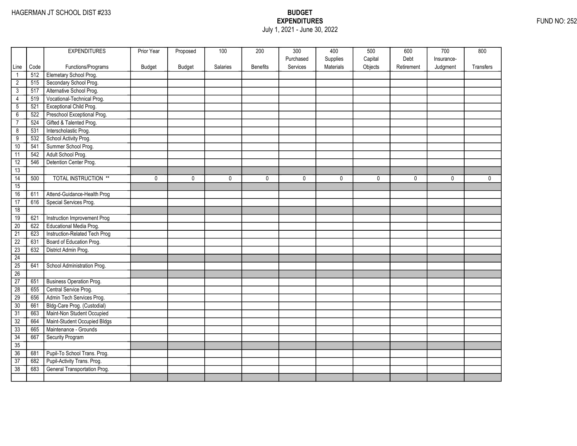## EXPENDITURES FUND NO: 252 July 1, 2021 - June 30, 2022

|                 |      | <b>EXPENDITURES</b>             | Prior Year | Proposed      | 100      | 200             | 300       | 400       | 500     | 600        | 700        | 800         |
|-----------------|------|---------------------------------|------------|---------------|----------|-----------------|-----------|-----------|---------|------------|------------|-------------|
|                 |      |                                 |            |               |          |                 | Purchased | Supplies  | Capital | Debt       | Insurance- |             |
| Line            | Code | Functions/Programs              | Budget     | <b>Budget</b> | Salaries | <b>Benefits</b> | Services  | Materials | Objects | Retirement | Judgment   | Transfers   |
| $\mathbf{1}$    | 512  | Elemetary School Prog.          |            |               |          |                 |           |           |         |            |            |             |
| $\overline{2}$  | 515  | Secondary School Prog.          |            |               |          |                 |           |           |         |            |            |             |
| $\overline{3}$  | 517  | Alternative School Prog.        |            |               |          |                 |           |           |         |            |            |             |
| 4               | 519  | Vocational-Technical Prog.      |            |               |          |                 |           |           |         |            |            |             |
| $\overline{5}$  | 521  | Exceptional Child Prog.         |            |               |          |                 |           |           |         |            |            |             |
| $\overline{6}$  | 522  | Preschool Exceptional Prog.     |            |               |          |                 |           |           |         |            |            |             |
| $\overline{7}$  | 524  | Gifted & Talented Prog.         |            |               |          |                 |           |           |         |            |            |             |
| $\overline{8}$  | 531  | Interscholastic Prog.           |            |               |          |                 |           |           |         |            |            |             |
| $\overline{9}$  | 532  | School Activity Prog.           |            |               |          |                 |           |           |         |            |            |             |
| 10              | 541  | Summer School Prog.             |            |               |          |                 |           |           |         |            |            |             |
| 11              | 542  | Adult School Prog.              |            |               |          |                 |           |           |         |            |            |             |
| 12              | 546  | Detention Center Prog.          |            |               |          |                 |           |           |         |            |            |             |
| 13              |      |                                 |            |               |          |                 |           |           |         |            |            |             |
| $\overline{14}$ | 500  | <b>TOTAL INSTRUCTION **</b>     | 0          | $\mathbf 0$   | 0        | 0               | 0         | 0         | 0       | 0          | 0          | $\mathbf 0$ |
| 15              |      |                                 |            |               |          |                 |           |           |         |            |            |             |
| 16              | 611  | Attend-Guidance-Health Prog     |            |               |          |                 |           |           |         |            |            |             |
| 17              | 616  | Special Services Prog.          |            |               |          |                 |           |           |         |            |            |             |
| 18              |      |                                 |            |               |          |                 |           |           |         |            |            |             |
| 19              | 621  | Instruction Improvement Prog    |            |               |          |                 |           |           |         |            |            |             |
| 20              | 622  | Educational Media Prog.         |            |               |          |                 |           |           |         |            |            |             |
| $\overline{21}$ | 623  | Instruction-Related Tech Prog   |            |               |          |                 |           |           |         |            |            |             |
| $\overline{22}$ | 631  | Board of Education Prog.        |            |               |          |                 |           |           |         |            |            |             |
| $\overline{23}$ | 632  | District Admin Prog.            |            |               |          |                 |           |           |         |            |            |             |
| 24              |      |                                 |            |               |          |                 |           |           |         |            |            |             |
| 25              | 641  | School Administration Prog.     |            |               |          |                 |           |           |         |            |            |             |
| 26              |      |                                 |            |               |          |                 |           |           |         |            |            |             |
| 27              | 651  | <b>Business Operation Prog.</b> |            |               |          |                 |           |           |         |            |            |             |
| $\overline{28}$ | 655  | Central Service Prog.           |            |               |          |                 |           |           |         |            |            |             |
| 29              | 656  | Admin Tech Services Prog.       |            |               |          |                 |           |           |         |            |            |             |
| 30              | 661  | Bldg-Care Prog. (Custodial)     |            |               |          |                 |           |           |         |            |            |             |
| $\overline{31}$ | 663  | Maint-Non Student Occupied      |            |               |          |                 |           |           |         |            |            |             |
| 32              | 664  | Maint-Student Occupied Bldgs    |            |               |          |                 |           |           |         |            |            |             |
| 33              | 665  | Maintenance - Grounds           |            |               |          |                 |           |           |         |            |            |             |
| 34              | 667  | Security Program                |            |               |          |                 |           |           |         |            |            |             |
| 35              |      |                                 |            |               |          |                 |           |           |         |            |            |             |
| 36              | 681  | Pupil-To School Trans. Prog.    |            |               |          |                 |           |           |         |            |            |             |
| $\overline{37}$ | 682  | Pupil-Activity Trans. Prog.     |            |               |          |                 |           |           |         |            |            |             |
| 38              | 683  | General Transportation Prog.    |            |               |          |                 |           |           |         |            |            |             |
|                 |      |                                 |            |               |          |                 |           |           |         |            |            |             |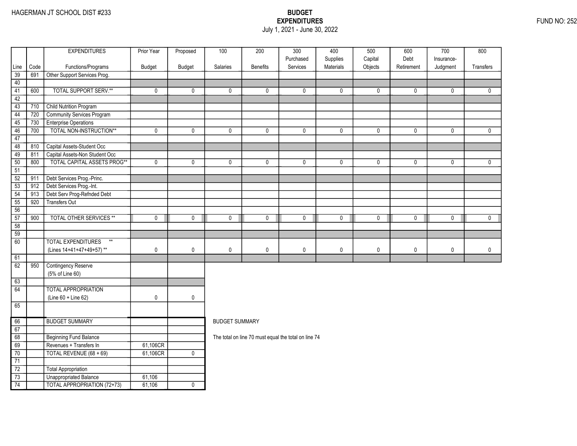### EXPENDITURES FUND NO: 252 July 1, 2021 - June 30, 2022

|                 |      | <b>EXPENDITURES</b>                | Prior Year  | Proposed      | 100                   | 200             | 300                                                  | 400                   | 500                | 600                | 700                    | 800         |
|-----------------|------|------------------------------------|-------------|---------------|-----------------------|-----------------|------------------------------------------------------|-----------------------|--------------------|--------------------|------------------------|-------------|
| Line            | Code | Functions/Programs                 | Budget      | <b>Budget</b> | Salaries              | <b>Benefits</b> | Purchased<br>Services                                | Supplies<br>Materials | Capital<br>Objects | Debt<br>Retirement | Insurance-<br>Judgment | Transfers   |
| 39              | 691  | Other Support Services Prog.       |             |               |                       |                 |                                                      |                       |                    |                    |                        |             |
| 40              |      |                                    |             |               |                       |                 |                                                      |                       |                    |                    |                        |             |
| 41              | 600  | <b>TOTAL SUPPORT SERV.**</b>       | $\mathbf 0$ | 0             | 0                     | $\mathbf 0$     | 0                                                    | $\mathbf 0$           | 0                  | 0                  | 0                      | 0           |
| 42              |      |                                    |             |               |                       |                 |                                                      |                       |                    |                    |                        |             |
| 43              | 710  | <b>Child Nutrition Program</b>     |             |               |                       |                 |                                                      |                       |                    |                    |                        |             |
| 44              | 720  | Community Services Program         |             |               |                       |                 |                                                      |                       |                    |                    |                        |             |
| 45              | 730  | <b>Enterprise Operations</b>       |             |               |                       |                 |                                                      |                       |                    |                    |                        |             |
| 46              | 700  | TOTAL NON-INSTRUCTION**            | $\pmb{0}$   | 0             | 0                     | $\mathbf 0$     | 0                                                    | 0                     | 0                  | $\mathbf 0$        | 0                      | $\mathbf 0$ |
| 47              |      |                                    |             |               |                       |                 |                                                      |                       |                    |                    |                        |             |
| 48              | 810  | Capital Assets-Student Occ         |             |               |                       |                 |                                                      |                       |                    |                    |                        |             |
| 49              | 811  | Capital Assets-Non Student Occ     |             |               |                       |                 |                                                      |                       |                    |                    |                        |             |
| 50              | 800  | <b>TOTAL CAPITAL ASSETS PROG**</b> | $\mathbf 0$ | 0             | 0                     | $\mathbf 0$     | $\mathbf{0}$                                         | $\mathbf 0$           | 0                  | 0                  | 0                      | $\mathbf 0$ |
| 51              |      |                                    |             |               |                       |                 |                                                      |                       |                    |                    |                        |             |
| $\overline{52}$ | 911  | Debt Services Prog.-Princ.         |             |               |                       |                 |                                                      |                       |                    |                    |                        |             |
| 53              | 912  | Debt Services Prog.-Int.           |             |               |                       |                 |                                                      |                       |                    |                    |                        |             |
| 54              | 913  | Debt Serv Prog-Refnded Debt        |             |               |                       |                 |                                                      |                       |                    |                    |                        |             |
| 55              | 920  | <b>Transfers Out</b>               |             |               |                       |                 |                                                      |                       |                    |                    |                        |             |
| 56              |      |                                    |             |               |                       |                 |                                                      |                       |                    |                    |                        |             |
| 57              | 900  | <b>TOTAL OTHER SERVICES **</b>     | $\mathbf 0$ | 0             | 0                     | $\mathbf 0$     | $\mathbf{0}$                                         | $\mathbf 0$           | $\mathbf 0$        | 0                  | $\mathbf 0$            | $\mathbf 0$ |
| 58              |      |                                    |             |               |                       |                 |                                                      |                       |                    |                    |                        |             |
| $\overline{59}$ |      |                                    |             |               |                       |                 |                                                      |                       |                    |                    |                        |             |
| 60              |      | <b>TOTAL EXPENDITURES</b><br>$**$  |             |               |                       |                 |                                                      |                       |                    |                    |                        |             |
|                 |      | (Lines 14+41+47+49+57)**           | $\pmb{0}$   | 0             | 0                     | $\mathbf 0$     | 0                                                    | 0                     | 0                  | $\pmb{0}$          | $\mathbf 0$            | $\mathbf 0$ |
| 61              |      |                                    |             |               |                       |                 |                                                      |                       |                    |                    |                        |             |
| 62              | 950  | <b>Contingency Reserve</b>         |             |               |                       |                 |                                                      |                       |                    |                    |                        |             |
|                 |      | (5% of Line 60)                    |             |               |                       |                 |                                                      |                       |                    |                    |                        |             |
| 63              |      |                                    |             |               |                       |                 |                                                      |                       |                    |                    |                        |             |
| 64              |      | <b>TOTAL APPROPRIATION</b>         |             |               |                       |                 |                                                      |                       |                    |                    |                        |             |
|                 |      | (Line 60 + Line 62)                | $\mathbf 0$ | 0             |                       |                 |                                                      |                       |                    |                    |                        |             |
| 65              |      |                                    |             |               |                       |                 |                                                      |                       |                    |                    |                        |             |
| 66              |      | <b>BUDGET SUMMARY</b>              |             |               | <b>BUDGET SUMMARY</b> |                 |                                                      |                       |                    |                    |                        |             |
| 67              |      |                                    |             |               |                       |                 |                                                      |                       |                    |                    |                        |             |
| 68              |      | <b>Beginning Fund Balance</b>      |             |               |                       |                 | The total on line 70 must equal the total on line 74 |                       |                    |                    |                        |             |
| 69              |      | Revenues + Transfers In            | 61,106CR    |               |                       |                 |                                                      |                       |                    |                    |                        |             |
| 70              |      | TOTAL REVENUE (68 + 69)            | 61,106CR    | $\mathbf 0$   |                       |                 |                                                      |                       |                    |                    |                        |             |
| $\overline{71}$ |      |                                    |             |               |                       |                 |                                                      |                       |                    |                    |                        |             |
| $\overline{72}$ |      | Total Appropriation                |             |               |                       |                 |                                                      |                       |                    |                    |                        |             |
| $\overline{73}$ |      | Unappropriated Balance             | 61,106      |               |                       |                 |                                                      |                       |                    |                    |                        |             |
| 74              |      | <b>TOTAL APPROPRIATION (72+73)</b> | 61,106      | 0             |                       |                 |                                                      |                       |                    |                    |                        |             |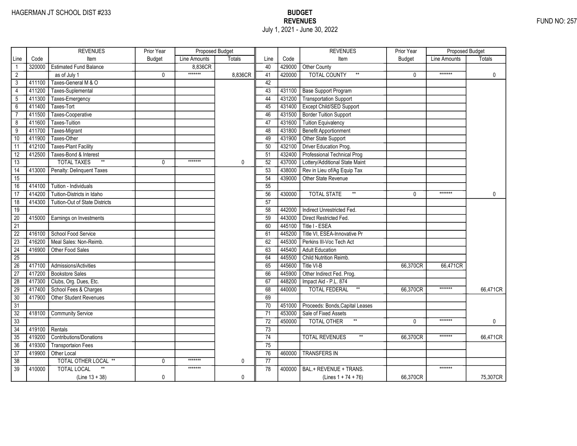|                 |        | <b>REVENUES</b>                       | Prior Year    | Proposed Budget |         |                 |        | <b>REVENUES</b>                        | Prior Year    | <b>Proposed Budget</b> |              |
|-----------------|--------|---------------------------------------|---------------|-----------------|---------|-----------------|--------|----------------------------------------|---------------|------------------------|--------------|
| Line            | Code   | Item                                  | <b>Budget</b> | Line Amounts    | Totals  | Line            | Code   | Item                                   | <b>Budget</b> | Line Amounts           | Totals       |
|                 | 320000 | <b>Estimated Fund Balance</b>         |               | 8,836CR         |         | 40              | 429000 | Other County                           |               |                        |              |
| $\overline{2}$  |        | as of July 1                          | 0             | *******         | 8,836CR | 41              | 420000 | <b>TOTAL COUNTY</b><br>$^{\star\star}$ | 0             | *******                | $\mathbf 0$  |
| 3               | 411100 | Taxes-General M & O                   |               |                 |         | 42              |        |                                        |               |                        |              |
| $\overline{4}$  | 411200 | Taxes-Suplemental                     |               |                 |         | 43              | 431100 | <b>Base Support Program</b>            |               |                        |              |
| 5               | 411300 | Taxes-Emergency                       |               |                 |         | 44              | 431200 | <b>Transportation Support</b>          |               |                        |              |
| $6\overline{}$  | 411400 | Taxes-Tort                            |               |                 |         | 45              | 431400 | Except Child/SED Support               |               |                        |              |
| $\overline{7}$  | 411500 | Taxes-Cooperative                     |               |                 |         | 46              | 431500 | <b>Border Tuition Support</b>          |               |                        |              |
| 8               | 411600 | Taxes-Tuition                         |               |                 |         | 47              | 431600 | <b>Tuition Equivalency</b>             |               |                        |              |
| $\overline{9}$  | 411700 | Taxes-Migrant                         |               |                 |         | 48              | 431800 | <b>Benefit Apportionment</b>           |               |                        |              |
| 10              | 411900 | Taxes-Other                           |               |                 |         | 49              | 431900 | Other State Support                    |               |                        |              |
| 11              | 412100 | <b>Taxes-Plant Facility</b>           |               |                 |         | 50              | 432100 | Driver Education Prog.                 |               |                        |              |
| 12              | 412500 | Taxes-Bond & Interest                 |               |                 |         | 51              | 432400 | Professional Technical Prog            |               |                        |              |
| 13              |        | $\ast\ast$<br><b>TOTAL TAXES</b>      | 0             | *******         | 0       | 52              | 437000 | Lottery/Additional State Maint         |               |                        |              |
| $\overline{14}$ | 413000 | Penalty: Delinquent Taxes             |               |                 |         | 53              | 438000 | Rev in Lieu of/Ag Equip Tax            |               |                        |              |
| $\overline{15}$ |        |                                       |               |                 |         | 54              | 439000 | Other State Revenue                    |               |                        |              |
| 16              | 414100 | Tuition - Individuals                 |               |                 |         | 55              |        |                                        |               |                        |              |
| 17              | 414200 | Tuition-Districts in Idaho            |               |                 |         | 56              | 430000 | $^{\star\star}$<br><b>TOTAL STATE</b>  | $\Omega$      | *******                | $\mathbf{0}$ |
| $\overline{18}$ | 414300 | <b>Tuition-Out of State Districts</b> |               |                 |         | $\overline{57}$ |        |                                        |               |                        |              |
| 19              |        |                                       |               |                 |         | 58              | 442000 | Indirect Unrestricted Fed.             |               |                        |              |
| $\overline{20}$ | 415000 | Earnings on Investments               |               |                 |         | 59              | 443000 | Direct Restricted Fed.                 |               |                        |              |
| $\overline{21}$ |        |                                       |               |                 |         | 60              | 445100 | Title I - ESEA                         |               |                        |              |
| $\overline{22}$ | 416100 | School Food Service                   |               |                 |         | 61              | 445200 | Title VI, ESEA-Innovative Pr           |               |                        |              |
| $\overline{23}$ | 416200 | Meal Sales: Non-Reimb.                |               |                 |         | 62              | 445300 | Perkins III-Voc Tech Act               |               |                        |              |
| $\overline{24}$ | 416900 | Other Food Sales                      |               |                 |         | 63              | 445400 | <b>Adult Education</b>                 |               |                        |              |
| $\overline{25}$ |        |                                       |               |                 |         | 64              | 445500 | Child Nutrition Reimb.                 |               |                        |              |
| 26              | 417100 | Admissions/Activities                 |               |                 |         | 65              | 445600 | Title VI-B                             | 66,370CR      | 66,471CR               |              |
| 27              | 417200 | <b>Bookstore Sales</b>                |               |                 |         | 66              | 445900 | Other Indirect Fed. Prog.              |               |                        |              |
| 28              | 417300 | Clubs, Org. Dues, Etc.                |               |                 |         | 67              | 448200 | Impact Aid - P.L. 874                  |               |                        |              |
| 29              | 417400 | School Fees & Charges                 |               |                 |         | 68              | 440000 | $^{\star\star}$<br>TOTAL FEDERAL       | 66,370CR      | *******                | 66,471CR     |
| 30              | 417900 | Other Student Revenues                |               |                 |         | 69              |        |                                        |               |                        |              |
| $\overline{31}$ |        |                                       |               |                 |         | 70              | 451000 | Proceeds: Bonds, Capital Leases        |               |                        |              |
| $\overline{32}$ | 418100 | <b>Community Service</b>              |               |                 |         | 71              | 453000 | Sale of Fixed Assets                   |               |                        |              |
| $\overline{33}$ |        |                                       |               |                 |         | $\overline{72}$ | 450000 | <b>TOTAL OTHER</b>                     | $\Omega$      | *******                | 0            |
| 34              | 419100 | Rentals                               |               |                 |         | 73              |        |                                        |               |                        |              |
| 35              | 419200 | <b>Contributions/Donations</b>        |               |                 |         | 74              |        | <b>TOTAL REVENUES</b>                  | 66,370CR      | *******                | 66,471CR     |
| 36              | 419300 | <b>Transportaion Fees</b>             |               |                 |         | 75              |        |                                        |               |                        |              |
| $\overline{37}$ | 419900 | Other Local                           |               |                 |         | 76              | 460000 | <b>TRANSFERS IN</b>                    |               |                        |              |
| 38              |        | TOTAL OTHER LOCAL **                  | 0             | *******         | 0       | 77              |        |                                        |               |                        |              |
| $\overline{39}$ | 410000 | <b>TOTAL LOCAL</b>                    |               | *******         |         | 78              | 400000 | BAL.+ REVENUE + TRANS.                 |               | *******                |              |
|                 |        | $(Line 13 + 38)$                      | 0             |                 | 0       |                 |        | (Lines $1 + 74 + 76$ )                 | 66,370CR      |                        | 75,307CR     |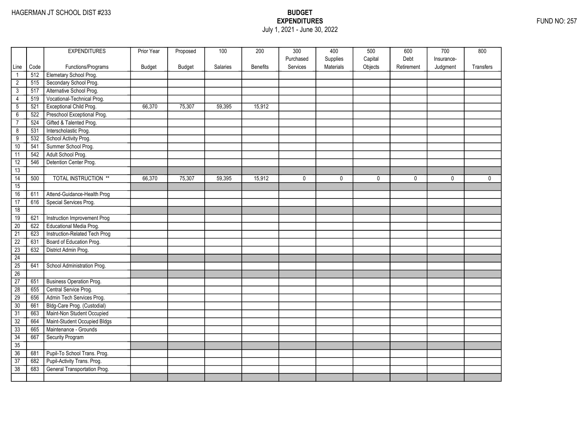### EXPENDITURES FUND NO: 257 July 1, 2021 - June 30, 2022

|                       |            | <b>EXPENDITURES</b>                                      | Prior Year    | Proposed      | 100      | 200      | 300<br>Purchased | 400<br>Supplies | 500<br>Capital | 600<br>Debt | 700<br>Insurance- | 800          |
|-----------------------|------------|----------------------------------------------------------|---------------|---------------|----------|----------|------------------|-----------------|----------------|-------------|-------------------|--------------|
| Line                  | Code       | Functions/Programs                                       | <b>Budget</b> | <b>Budget</b> | Salaries | Benefits | Services         | Materials       | Objects        | Retirement  | Judgment          | Transfers    |
| $\mathbf{1}$          | 512        | Elemetary School Prog.                                   |               |               |          |          |                  |                 |                |             |                   |              |
| $\overline{2}$        | 515        | Secondary School Prog.                                   |               |               |          |          |                  |                 |                |             |                   |              |
| 3                     | 517        | Alternative School Prog.                                 |               |               |          |          |                  |                 |                |             |                   |              |
| $\overline{4}$        | 519        | Vocational-Technical Prog.                               |               |               |          |          |                  |                 |                |             |                   |              |
| $\overline{5}$        | 521        | <b>Exceptional Child Prog.</b>                           | 66,370        | 75,307        | 59,395   | 15,912   |                  |                 |                |             |                   |              |
| $\overline{6}$        | 522        | Preschool Exceptional Prog.                              |               |               |          |          |                  |                 |                |             |                   |              |
| $\overline{7}$        | 524        | Gifted & Talented Prog.                                  |               |               |          |          |                  |                 |                |             |                   |              |
| $\overline{8}$        | 531        | Interscholastic Prog.                                    |               |               |          |          |                  |                 |                |             |                   |              |
| $\overline{9}$        | 532        | School Activity Prog.                                    |               |               |          |          |                  |                 |                |             |                   |              |
| 10                    | 541        | Summer School Prog.                                      |               |               |          |          |                  |                 |                |             |                   |              |
| 11                    | 542        | Adult School Prog.                                       |               |               |          |          |                  |                 |                |             |                   |              |
| 12                    | 546        | Detention Center Prog.                                   |               |               |          |          |                  |                 |                |             |                   |              |
| 13                    |            |                                                          |               |               |          |          |                  |                 |                |             |                   |              |
| $\overline{14}$       | 500        | <b>TOTAL INSTRUCTION **</b>                              | 66,370        | 75,307        | 59,395   | 15,912   | 0                | 0               | 0              | 0           | $\mathbf{0}$      | $\mathbf{0}$ |
| 15                    |            |                                                          |               |               |          |          |                  |                 |                |             |                   |              |
| 16                    | 611        | Attend-Guidance-Health Prog                              |               |               |          |          |                  |                 |                |             |                   |              |
| 17                    | 616        | Special Services Prog.                                   |               |               |          |          |                  |                 |                |             |                   |              |
| 18                    |            |                                                          |               |               |          |          |                  |                 |                |             |                   |              |
| 19                    | 621        | Instruction Improvement Prog                             |               |               |          |          |                  |                 |                |             |                   |              |
| $\overline{20}$       | 622        | Educational Media Prog.                                  |               |               |          |          |                  |                 |                |             |                   |              |
| $\overline{21}$       | 623        | Instruction-Related Tech Prog                            |               |               |          |          |                  |                 |                |             |                   |              |
| $\overline{22}$       | 631        | Board of Education Prog.                                 |               |               |          |          |                  |                 |                |             |                   |              |
| $\overline{23}$       | 632        | District Admin Prog.                                     |               |               |          |          |                  |                 |                |             |                   |              |
| 24                    |            |                                                          |               |               |          |          |                  |                 |                |             |                   |              |
| 25                    | 641        | School Administration Prog.                              |               |               |          |          |                  |                 |                |             |                   |              |
| 26                    |            |                                                          |               |               |          |          |                  |                 |                |             |                   |              |
| 27                    | 651        | <b>Business Operation Prog.</b><br>Central Service Prog. |               |               |          |          |                  |                 |                |             |                   |              |
| $\overline{28}$<br>29 | 655<br>656 | Admin Tech Services Prog.                                |               |               |          |          |                  |                 |                |             |                   |              |
| $\overline{30}$       | 661        | Bldg-Care Prog. (Custodial)                              |               |               |          |          |                  |                 |                |             |                   |              |
|                       |            | Maint-Non Student Occupied                               |               |               |          |          |                  |                 |                |             |                   |              |
| $\overline{31}$<br>32 | 663<br>664 | Maint-Student Occupied Bldgs                             |               |               |          |          |                  |                 |                |             |                   |              |
| 33                    | 665        | Maintenance - Grounds                                    |               |               |          |          |                  |                 |                |             |                   |              |
| 34                    | 667        | <b>Security Program</b>                                  |               |               |          |          |                  |                 |                |             |                   |              |
| 35                    |            |                                                          |               |               |          |          |                  |                 |                |             |                   |              |
| 36                    | 681        | Pupil-To School Trans. Prog.                             |               |               |          |          |                  |                 |                |             |                   |              |
| $\overline{37}$       | 682        | Pupil-Activity Trans. Prog.                              |               |               |          |          |                  |                 |                |             |                   |              |
| 38                    | 683        | General Transportation Prog.                             |               |               |          |          |                  |                 |                |             |                   |              |
|                       |            |                                                          |               |               |          |          |                  |                 |                |             |                   |              |
|                       |            |                                                          |               |               |          |          |                  |                 |                |             |                   |              |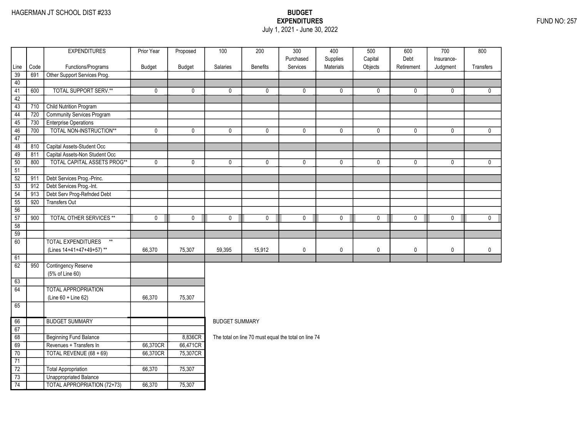### EXPENDITURES FUND NO: 257 July 1, 2021 - June 30, 2022

|                 |      | <b>EXPENDITURES</b>                                | Prior Year  | Proposed    | 100                   | 200                                                  | $\overline{300}$      | 400                   | 500                | 600                | $\overline{700}$ | 800          |
|-----------------|------|----------------------------------------------------|-------------|-------------|-----------------------|------------------------------------------------------|-----------------------|-----------------------|--------------------|--------------------|------------------|--------------|
|                 | Code |                                                    |             |             | Salaries              | <b>Benefits</b>                                      | Purchased<br>Services | Supplies<br>Materials | Capital<br>Objects | Debt<br>Retirement | Insurance-       | Transfers    |
| Line<br>39      | 691  | Functions/Programs<br>Other Support Services Prog. | Budget      | Budget      |                       |                                                      |                       |                       |                    |                    | Judgment         |              |
| 40              |      |                                                    |             |             |                       |                                                      |                       |                       |                    |                    |                  |              |
| 41              | 600  | <b>TOTAL SUPPORT SERV.**</b>                       | 0           | 0           | 0                     | $\mathbf{0}$                                         | 0                     | $\mathbf{0}$          | 0                  | 0                  | 0                | $\mathbf{0}$ |
| 42              |      |                                                    |             |             |                       |                                                      |                       |                       |                    |                    |                  |              |
| 43              | 710  | <b>Child Nutrition Program</b>                     |             |             |                       |                                                      |                       |                       |                    |                    |                  |              |
| 44              | 720  | Community Services Program                         |             |             |                       |                                                      |                       |                       |                    |                    |                  |              |
| 45              | 730  | <b>Enterprise Operations</b>                       |             |             |                       |                                                      |                       |                       |                    |                    |                  |              |
| 46              | 700  | TOTAL NON-INSTRUCTION**                            | 0           | 0           | 0                     | 0                                                    | $\mathbf 0$           | 0                     | 0                  | $\mathbf 0$        | 0                | $\mathbf 0$  |
| 47              |      |                                                    |             |             |                       |                                                      |                       |                       |                    |                    |                  |              |
| 48              | 810  | Capital Assets-Student Occ                         |             |             |                       |                                                      |                       |                       |                    |                    |                  |              |
| 49              | 811  | Capital Assets-Non Student Occ                     |             |             |                       |                                                      |                       |                       |                    |                    |                  |              |
| 50              | 800  | TOTAL CAPITAL ASSETS PROG**                        | 0           | 0           | $\mathbf 0$           | $\mathbf 0$                                          | $\mathbf 0$           | $\pmb{0}$             | $\pmb{0}$          | $\mathbf 0$        | $\mathbf 0$      | $\mathbf 0$  |
| 51              |      |                                                    |             |             |                       |                                                      |                       |                       |                    |                    |                  |              |
| $\overline{52}$ | 911  | Debt Services Prog.-Princ.                         |             |             |                       |                                                      |                       |                       |                    |                    |                  |              |
| 53              | 912  | Debt Services Prog.-Int.                           |             |             |                       |                                                      |                       |                       |                    |                    |                  |              |
| 54              | 913  | Debt Serv Prog-Refnded Debt                        |             |             |                       |                                                      |                       |                       |                    |                    |                  |              |
| 55              | 920  | Transfers Out                                      |             |             |                       |                                                      |                       |                       |                    |                    |                  |              |
| 56              |      |                                                    |             |             |                       |                                                      |                       |                       |                    |                    |                  |              |
| 57              | 900  | <b>TOTAL OTHER SERVICES **</b>                     | $\mathbf 0$ | $\mathbf 0$ | $\mathbf 0$           | $\mathbf 0$                                          | $\mathbf 0$           | $\mathbf 0$           | $\mathbf 0$        | $\mathbf 0$        | $\mathbf 0$      | $\mathbf 0$  |
| 58              |      |                                                    |             |             |                       |                                                      |                       |                       |                    |                    |                  |              |
| $\overline{59}$ |      |                                                    |             |             |                       |                                                      |                       |                       |                    |                    |                  |              |
| 60              |      | <b>TOTAL EXPENDITURES</b><br>$**$                  |             |             |                       |                                                      |                       |                       |                    |                    |                  |              |
|                 |      | (Lines 14+41+47+49+57)**                           | 66,370      | 75,307      | 59,395                | 15,912                                               | $\mathbf 0$           | 0                     | 0                  | $\mathbf 0$        | 0                | $\mathbf 0$  |
| 61              |      |                                                    |             |             |                       |                                                      |                       |                       |                    |                    |                  |              |
| 62              | 950  | <b>Contingency Reserve</b>                         |             |             |                       |                                                      |                       |                       |                    |                    |                  |              |
|                 |      | (5% of Line 60)                                    |             |             |                       |                                                      |                       |                       |                    |                    |                  |              |
| 63              |      |                                                    |             |             |                       |                                                      |                       |                       |                    |                    |                  |              |
| 64              |      | <b>TOTAL APPROPRIATION</b>                         |             |             |                       |                                                      |                       |                       |                    |                    |                  |              |
|                 |      | (Line 60 + Line 62)                                | 66,370      | 75.307      |                       |                                                      |                       |                       |                    |                    |                  |              |
| 65              |      |                                                    |             |             |                       |                                                      |                       |                       |                    |                    |                  |              |
| 66              |      | <b>BUDGET SUMMARY</b>                              |             |             | <b>BUDGET SUMMARY</b> |                                                      |                       |                       |                    |                    |                  |              |
| 67              |      |                                                    |             |             |                       |                                                      |                       |                       |                    |                    |                  |              |
| 68              |      | <b>Beginning Fund Balance</b>                      |             | 8,836CR     |                       | The total on line 70 must equal the total on line 74 |                       |                       |                    |                    |                  |              |
| 69              |      | Revenues + Transfers In                            | 66,370CR    | 66,471CR    |                       |                                                      |                       |                       |                    |                    |                  |              |
| 70              |      | TOTAL REVENUE (68 + 69)                            | 66,370CR    | 75,307CR    |                       |                                                      |                       |                       |                    |                    |                  |              |
| $\overline{71}$ |      |                                                    |             |             |                       |                                                      |                       |                       |                    |                    |                  |              |
| $\overline{72}$ |      | Total Appropriation                                | 66,370      | 75,307      |                       |                                                      |                       |                       |                    |                    |                  |              |
| $\overline{73}$ |      | <b>Unappropriated Balance</b>                      |             |             |                       |                                                      |                       |                       |                    |                    |                  |              |
| 74              |      | TOTAL APPROPRIATION (72+73)                        | 66,370      | 75,307      |                       |                                                      |                       |                       |                    |                    |                  |              |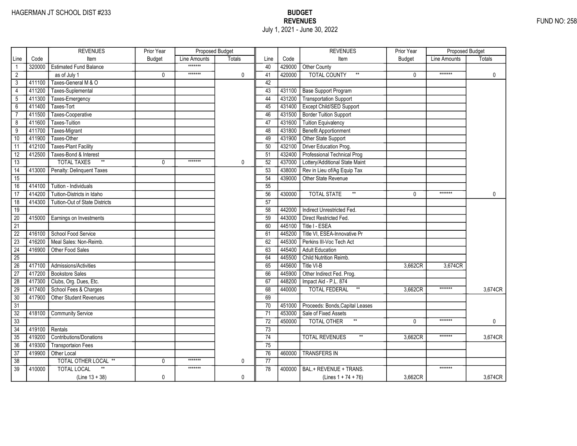|                 |        | <b>REVENUES</b>                       | Prior Year    | Proposed Budget |               |                 |        | <b>REVENUES</b>                        | Prior Year    | <b>Proposed Budget</b> |              |
|-----------------|--------|---------------------------------------|---------------|-----------------|---------------|-----------------|--------|----------------------------------------|---------------|------------------------|--------------|
| Line            | Code   | Item                                  | <b>Budget</b> | Line Amounts    | <b>Totals</b> | Line            | Code   | Item                                   | <b>Budget</b> | Line Amounts           | Totals       |
|                 | 320000 | <b>Estimated Fund Balance</b>         |               | *******         |               | 40              | 429000 | Other County                           |               |                        |              |
| $\overline{2}$  |        | as of July 1                          | 0             | *******         | 0             | 41              | 420000 | <b>TOTAL COUNTY</b><br>$^{\star\star}$ | 0             | *******                | $\mathbf 0$  |
| 3               | 411100 | Taxes-General M & O                   |               |                 |               | 42              |        |                                        |               |                        |              |
| $\overline{4}$  | 411200 | Taxes-Suplemental                     |               |                 |               | 43              | 431100 | <b>Base Support Program</b>            |               |                        |              |
| 5               | 411300 | Taxes-Emergency                       |               |                 |               | 44              | 431200 | <b>Transportation Support</b>          |               |                        |              |
| $6\overline{}$  | 411400 | Taxes-Tort                            |               |                 |               | 45              | 431400 | Except Child/SED Support               |               |                        |              |
| $\overline{7}$  | 411500 | Taxes-Cooperative                     |               |                 |               | 46              | 431500 | <b>Border Tuition Support</b>          |               |                        |              |
| 8               | 411600 | Taxes-Tuition                         |               |                 |               | 47              | 431600 | <b>Tuition Equivalency</b>             |               |                        |              |
| $\overline{9}$  | 411700 | Taxes-Migrant                         |               |                 |               | 48              | 431800 | <b>Benefit Apportionment</b>           |               |                        |              |
| 10              | 411900 | Taxes-Other                           |               |                 |               | 49              | 431900 | Other State Support                    |               |                        |              |
| 11              | 412100 | <b>Taxes-Plant Facility</b>           |               |                 |               | 50              | 432100 | Driver Education Prog.                 |               |                        |              |
| 12              | 412500 | Taxes-Bond & Interest                 |               |                 |               | 51              | 432400 | Professional Technical Prog            |               |                        |              |
| 13              |        | $\ast\ast$<br><b>TOTAL TAXES</b>      | 0             | *******         | 0             | 52              | 437000 | Lottery/Additional State Maint         |               |                        |              |
| $\overline{14}$ | 413000 | Penalty: Delinquent Taxes             |               |                 |               | 53              | 438000 | Rev in Lieu of/Ag Equip Tax            |               |                        |              |
| $\overline{15}$ |        |                                       |               |                 |               | 54              | 439000 | Other State Revenue                    |               |                        |              |
| 16              | 414100 | Tuition - Individuals                 |               |                 |               | 55              |        |                                        |               |                        |              |
| 17              | 414200 | Tuition-Districts in Idaho            |               |                 |               | 56              | 430000 | $^{\star\star}$<br><b>TOTAL STATE</b>  | $\Omega$      | *******                | $\mathbf{0}$ |
| $\overline{18}$ | 414300 | <b>Tuition-Out of State Districts</b> |               |                 |               | $\overline{57}$ |        |                                        |               |                        |              |
| 19              |        |                                       |               |                 |               | 58              | 442000 | Indirect Unrestricted Fed.             |               |                        |              |
| $\overline{20}$ | 415000 | Earnings on Investments               |               |                 |               | 59              | 443000 | Direct Restricted Fed.                 |               |                        |              |
| $\overline{21}$ |        |                                       |               |                 |               | 60              | 445100 | Title I - ESEA                         |               |                        |              |
| $\overline{22}$ | 416100 | School Food Service                   |               |                 |               | 61              | 445200 | Title VI, ESEA-Innovative Pr           |               |                        |              |
| $\overline{23}$ | 416200 | Meal Sales: Non-Reimb.                |               |                 |               | 62              | 445300 | Perkins III-Voc Tech Act               |               |                        |              |
| $\overline{24}$ | 416900 | Other Food Sales                      |               |                 |               | 63              | 445400 | <b>Adult Education</b>                 |               |                        |              |
| $\overline{25}$ |        |                                       |               |                 |               | 64              | 445500 | Child Nutrition Reimb.                 |               |                        |              |
| 26              | 417100 | Admissions/Activities                 |               |                 |               | 65              | 445600 | Title VI-B                             | 3,662CR       | 3,674CR                |              |
| 27              | 417200 | <b>Bookstore Sales</b>                |               |                 |               | 66              | 445900 | Other Indirect Fed. Prog.              |               |                        |              |
| 28              | 417300 | Clubs, Org. Dues, Etc.                |               |                 |               | 67              | 448200 | Impact Aid - P.L. 874                  |               |                        |              |
| 29              | 417400 | School Fees & Charges                 |               |                 |               | 68              | 440000 | $^{\star\star}$<br>TOTAL FEDERAL       | 3,662CR       | *******                | 3,674CR      |
| 30              | 417900 | Other Student Revenues                |               |                 |               | 69              |        |                                        |               |                        |              |
| $\overline{31}$ |        |                                       |               |                 |               | 70              | 451000 | Proceeds: Bonds, Capital Leases        |               |                        |              |
| $\overline{32}$ | 418100 | <b>Community Service</b>              |               |                 |               | 71              | 453000 | Sale of Fixed Assets                   |               |                        |              |
| $\overline{33}$ |        |                                       |               |                 |               | $\overline{72}$ | 450000 | <b>TOTAL OTHER</b>                     | $\Omega$      | *******                | 0            |
| 34              | 419100 | Rentals                               |               |                 |               | 73              |        |                                        |               |                        |              |
| 35              | 419200 | <b>Contributions/Donations</b>        |               |                 |               | 74              |        | <b>TOTAL REVENUES</b>                  | 3,662CR       | *******                | 3,674CR      |
| 36              | 419300 | <b>Transportaion Fees</b>             |               |                 |               | 75              |        |                                        |               |                        |              |
| $\overline{37}$ | 419900 | Other Local                           |               |                 |               | 76              | 460000 | <b>TRANSFERS IN</b>                    |               |                        |              |
| 38              |        | TOTAL OTHER LOCAL **                  | 0             | *******         | 0             | $\overline{77}$ |        |                                        |               |                        |              |
| $\overline{39}$ | 410000 | <b>TOTAL LOCAL</b>                    |               | *******         |               | 78              | 400000 | BAL.+ REVENUE + TRANS.                 |               | *******                |              |
|                 |        | $(Line 13 + 38)$                      | 0             |                 | 0             |                 |        | (Lines $1 + 74 + 76$ )                 | 3,662CR       |                        | 3,674CR      |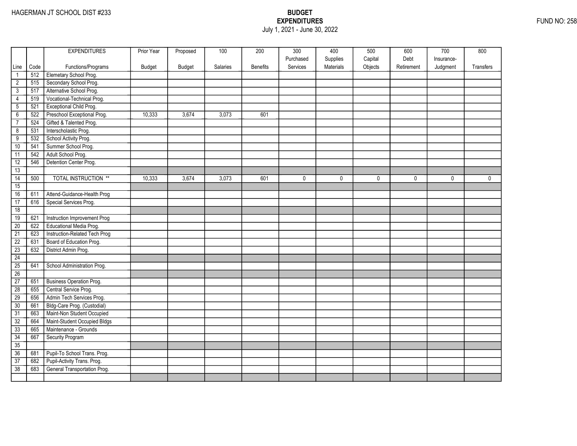## EXPENDITURES FUND NO: 258 July 1, 2021 - June 30, 2022

|                 |      | <b>EXPENDITURES</b>             | Prior Year | Proposed      | 100      | 200             | 300                   | 400                   | 500                | 600                | 700        | 800         |
|-----------------|------|---------------------------------|------------|---------------|----------|-----------------|-----------------------|-----------------------|--------------------|--------------------|------------|-------------|
| Line            | Code | Functions/Programs              | Budget     | <b>Budget</b> | Salaries | <b>Benefits</b> | Purchased<br>Services | Supplies<br>Materials | Capital<br>Objects | Debt<br>Retirement | Insurance- | Transfers   |
| $\mathbf{1}$    | 512  | Elemetary School Prog.          |            |               |          |                 |                       |                       |                    |                    | Judgment   |             |
| $\overline{2}$  | 515  | Secondary School Prog.          |            |               |          |                 |                       |                       |                    |                    |            |             |
| $\overline{3}$  | 517  | Alternative School Prog.        |            |               |          |                 |                       |                       |                    |                    |            |             |
| 4               | 519  | Vocational-Technical Prog.      |            |               |          |                 |                       |                       |                    |                    |            |             |
| $\overline{5}$  | 521  | Exceptional Child Prog.         |            |               |          |                 |                       |                       |                    |                    |            |             |
| $\overline{6}$  | 522  | Preschool Exceptional Prog.     | 10,333     | 3,674         | 3,073    | 601             |                       |                       |                    |                    |            |             |
| $\overline{7}$  | 524  | Gifted & Talented Prog.         |            |               |          |                 |                       |                       |                    |                    |            |             |
| $\overline{8}$  | 531  | Interscholastic Prog.           |            |               |          |                 |                       |                       |                    |                    |            |             |
| $\overline{9}$  | 532  | School Activity Prog.           |            |               |          |                 |                       |                       |                    |                    |            |             |
| 10              | 541  | Summer School Prog.             |            |               |          |                 |                       |                       |                    |                    |            |             |
| 11              | 542  | Adult School Prog.              |            |               |          |                 |                       |                       |                    |                    |            |             |
| 12              | 546  | Detention Center Prog.          |            |               |          |                 |                       |                       |                    |                    |            |             |
| 13              |      |                                 |            |               |          |                 |                       |                       |                    |                    |            |             |
| $\overline{14}$ | 500  | <b>TOTAL INSTRUCTION **</b>     | 10,333     | 3,674         | 3,073    | 601             | 0                     | 0                     | 0                  | 0                  | 0          | $\mathbf 0$ |
| 15              |      |                                 |            |               |          |                 |                       |                       |                    |                    |            |             |
| 16              | 611  | Attend-Guidance-Health Prog     |            |               |          |                 |                       |                       |                    |                    |            |             |
| 17              | 616  | Special Services Prog.          |            |               |          |                 |                       |                       |                    |                    |            |             |
| 18              |      |                                 |            |               |          |                 |                       |                       |                    |                    |            |             |
| 19              | 621  | Instruction Improvement Prog    |            |               |          |                 |                       |                       |                    |                    |            |             |
| 20              | 622  | Educational Media Prog.         |            |               |          |                 |                       |                       |                    |                    |            |             |
| $\overline{21}$ | 623  | Instruction-Related Tech Prog   |            |               |          |                 |                       |                       |                    |                    |            |             |
| $\overline{22}$ | 631  | Board of Education Prog.        |            |               |          |                 |                       |                       |                    |                    |            |             |
| $\overline{23}$ | 632  | District Admin Prog.            |            |               |          |                 |                       |                       |                    |                    |            |             |
| 24              |      |                                 |            |               |          |                 |                       |                       |                    |                    |            |             |
| 25              | 641  | School Administration Prog.     |            |               |          |                 |                       |                       |                    |                    |            |             |
| 26              |      |                                 |            |               |          |                 |                       |                       |                    |                    |            |             |
| 27              | 651  | <b>Business Operation Prog.</b> |            |               |          |                 |                       |                       |                    |                    |            |             |
| $\overline{28}$ | 655  | Central Service Prog.           |            |               |          |                 |                       |                       |                    |                    |            |             |
| 29              | 656  | Admin Tech Services Prog.       |            |               |          |                 |                       |                       |                    |                    |            |             |
| 30              | 661  | Bldg-Care Prog. (Custodial)     |            |               |          |                 |                       |                       |                    |                    |            |             |
| $\overline{31}$ | 663  | Maint-Non Student Occupied      |            |               |          |                 |                       |                       |                    |                    |            |             |
| 32              | 664  | Maint-Student Occupied Bldgs    |            |               |          |                 |                       |                       |                    |                    |            |             |
| 33              | 665  | Maintenance - Grounds           |            |               |          |                 |                       |                       |                    |                    |            |             |
| 34              | 667  | Security Program                |            |               |          |                 |                       |                       |                    |                    |            |             |
| 35              |      |                                 |            |               |          |                 |                       |                       |                    |                    |            |             |
| 36              | 681  | Pupil-To School Trans. Prog.    |            |               |          |                 |                       |                       |                    |                    |            |             |
| $\overline{37}$ | 682  | Pupil-Activity Trans. Prog.     |            |               |          |                 |                       |                       |                    |                    |            |             |
| 38              | 683  | General Transportation Prog.    |            |               |          |                 |                       |                       |                    |                    |            |             |
|                 |      |                                 |            |               |          |                 |                       |                       |                    |                    |            |             |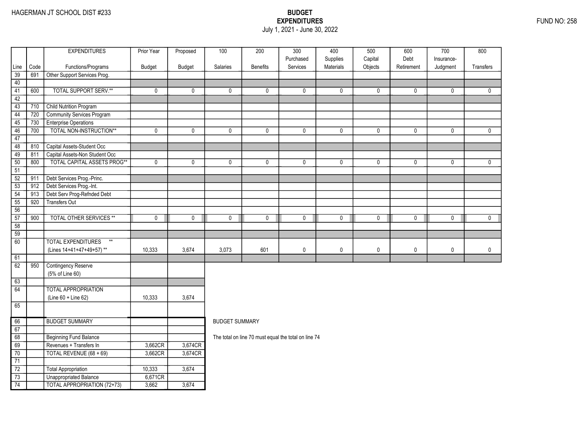### EXPENDITURES FUND NO: 258 July 1, 2021 - June 30, 2022

|                 |      | <b>EXPENDITURES</b>                          | Prior Year  | Proposed     | 100                   | 200                                                  | $\overline{300}$      | 400                   | 500                | 600                | 700                    | 800          |
|-----------------|------|----------------------------------------------|-------------|--------------|-----------------------|------------------------------------------------------|-----------------------|-----------------------|--------------------|--------------------|------------------------|--------------|
|                 | Code | Functions/Programs                           | Budget      | Budget       | Salaries              | <b>Benefits</b>                                      | Purchased<br>Services | Supplies<br>Materials | Capital<br>Objects | Debt<br>Retirement | Insurance-<br>Judgment | Transfers    |
| Line<br>39      | 691  | Other Support Services Prog.                 |             |              |                       |                                                      |                       |                       |                    |                    |                        |              |
| 40              |      |                                              |             |              |                       |                                                      |                       |                       |                    |                    |                        |              |
| 41              | 600  | <b>TOTAL SUPPORT SERV.**</b>                 | $\mathbf 0$ | $\mathbf{0}$ | 0                     | 0                                                    | 0                     | $\mathbf 0$           | 0                  | $\mathbf 0$        | 0                      | $\mathbf{0}$ |
| 42              |      |                                              |             |              |                       |                                                      |                       |                       |                    |                    |                        |              |
| $\overline{43}$ | 710  | Child Nutrition Program                      |             |              |                       |                                                      |                       |                       |                    |                    |                        |              |
| 44              | 720  | <b>Community Services Program</b>            |             |              |                       |                                                      |                       |                       |                    |                    |                        |              |
| 45              | 730  | <b>Enterprise Operations</b>                 |             |              |                       |                                                      |                       |                       |                    |                    |                        |              |
| 46              | 700  | TOTAL NON-INSTRUCTION**                      | $\pmb{0}$   | 0            | 0                     | 0                                                    | $\mathbf 0$           | 0                     | 0                  | $\mathbf 0$        | 0                      | $\mathbf 0$  |
| 47              |      |                                              |             |              |                       |                                                      |                       |                       |                    |                    |                        |              |
| 48              | 810  | Capital Assets-Student Occ                   |             |              |                       |                                                      |                       |                       |                    |                    |                        |              |
| 49              | 811  | Capital Assets-Non Student Occ               |             |              |                       |                                                      |                       |                       |                    |                    |                        |              |
| 50              | 800  | <b>TOTAL CAPITAL ASSETS PROG**</b>           | $\pmb{0}$   | $\pmb{0}$    | 0                     | $\pmb{0}$                                            | $\mathbf 0$           | $\pmb{0}$             | $\pmb{0}$          | 0                  | $\mathbf 0$            | $\mathbf 0$  |
| $\overline{51}$ |      |                                              |             |              |                       |                                                      |                       |                       |                    |                    |                        |              |
| $\overline{52}$ | 911  | Debt Services Prog.-Princ.                   |             |              |                       |                                                      |                       |                       |                    |                    |                        |              |
| 53              | 912  | Debt Services Prog.-Int.                     |             |              |                       |                                                      |                       |                       |                    |                    |                        |              |
| 54              | 913  | Debt Serv Prog-Refnded Debt                  |             |              |                       |                                                      |                       |                       |                    |                    |                        |              |
| 55              | 920  | <b>Transfers Out</b>                         |             |              |                       |                                                      |                       |                       |                    |                    |                        |              |
| 56              |      |                                              |             |              |                       |                                                      |                       |                       |                    |                    |                        |              |
| 57              | 900  | <b>TOTAL OTHER SERVICES **</b>               | $\mathbf 0$ | $\mathbf 0$  | $\mathbf 0$           | $\mathbf 0$                                          | $\mathbf 0$           | $\mathbf 0$           | $\mathbf 0$        | $\mathbf 0$        | $\mathbf 0$            | $\mathbf 0$  |
| 58              |      |                                              |             |              |                       |                                                      |                       |                       |                    |                    |                        |              |
| $\overline{59}$ |      |                                              |             |              |                       |                                                      |                       |                       |                    |                    |                        |              |
| $\overline{60}$ |      | <b>TOTAL EXPENDITURES</b><br>$^{\star\star}$ |             |              |                       |                                                      |                       |                       |                    |                    |                        |              |
|                 |      | (Lines 14+41+47+49+57)**                     | 10,333      | 3,674        | 3,073                 | 601                                                  | $\mathbf 0$           | $\mathbf 0$           | 0                  | $\mathbf 0$        | 0                      | $\mathbf 0$  |
| 61              |      |                                              |             |              |                       |                                                      |                       |                       |                    |                    |                        |              |
| 62              | 950  | <b>Contingency Reserve</b>                   |             |              |                       |                                                      |                       |                       |                    |                    |                        |              |
|                 |      | (5% of Line 60)                              |             |              |                       |                                                      |                       |                       |                    |                    |                        |              |
| 63              |      |                                              |             |              |                       |                                                      |                       |                       |                    |                    |                        |              |
| 64              |      | <b>TOTAL APPROPRIATION</b>                   |             |              |                       |                                                      |                       |                       |                    |                    |                        |              |
|                 |      | (Line 60 + Line 62)                          | 10.333      | 3,674        |                       |                                                      |                       |                       |                    |                    |                        |              |
| 65              |      |                                              |             |              |                       |                                                      |                       |                       |                    |                    |                        |              |
| 66              |      | <b>BUDGET SUMMARY</b>                        |             |              | <b>BUDGET SUMMARY</b> |                                                      |                       |                       |                    |                    |                        |              |
| 67              |      |                                              |             |              |                       |                                                      |                       |                       |                    |                    |                        |              |
| 68              |      | Beginning Fund Balance                       |             |              |                       | The total on line 70 must equal the total on line 74 |                       |                       |                    |                    |                        |              |
| 69              |      | Revenues + Transfers In                      | 3,662CR     | 3,674CR      |                       |                                                      |                       |                       |                    |                    |                        |              |
| 70              |      | TOTAL REVENUE (68 + 69)                      | 3,662CR     | 3,674CR      |                       |                                                      |                       |                       |                    |                    |                        |              |
| 71              |      |                                              |             |              |                       |                                                      |                       |                       |                    |                    |                        |              |
| $\overline{72}$ |      | Total Appropriation                          | 10,333      | 3,674        |                       |                                                      |                       |                       |                    |                    |                        |              |
| $\overline{73}$ |      | <b>Unappropriated Balance</b>                | 6,671CR     |              |                       |                                                      |                       |                       |                    |                    |                        |              |
| 74              |      | TOTAL APPROPRIATION (72+73)                  | 3,662       | 3,674        |                       |                                                      |                       |                       |                    |                    |                        |              |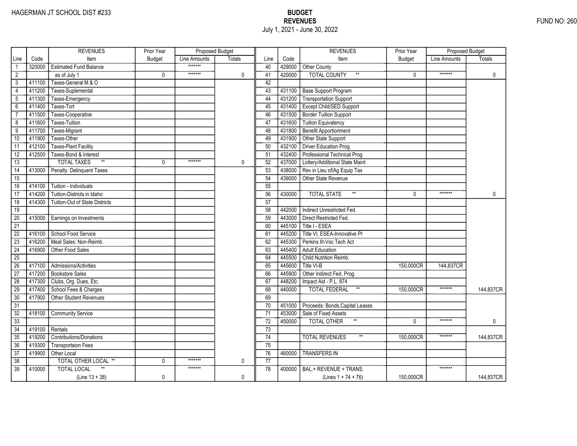|                 |        | <b>REVENUES</b>                       | Prior Year    | Proposed Budget |               |                 |        | <b>REVENUES</b>                       | Prior Year    | <b>Proposed Budget</b> |              |
|-----------------|--------|---------------------------------------|---------------|-----------------|---------------|-----------------|--------|---------------------------------------|---------------|------------------------|--------------|
| Line            | Code   | Item                                  | <b>Budget</b> | Line Amounts    | <b>Totals</b> | Line            | Code   | Item                                  | <b>Budget</b> | Line Amounts           | Totals       |
|                 | 320000 | <b>Estimated Fund Balance</b>         |               | *******         |               | 40              | 429000 | Other County                          |               |                        |              |
| $\overline{2}$  |        | as of July 1                          | 0             | *******         | 0             | 41              | 420000 | <b>TOTAL COUNTY</b><br>$\star\star$   | 0             | *******                | $\mathbf 0$  |
| 3               | 411100 | Taxes-General M & O                   |               |                 |               | 42              |        |                                       |               |                        |              |
| $\overline{4}$  | 411200 | Taxes-Suplemental                     |               |                 |               | 43              | 431100 | <b>Base Support Program</b>           |               |                        |              |
| 5               | 411300 | Taxes-Emergency                       |               |                 |               | 44              | 431200 | <b>Transportation Support</b>         |               |                        |              |
| $6\overline{}$  | 411400 | Taxes-Tort                            |               |                 |               | 45              | 431400 | Except Child/SED Support              |               |                        |              |
| $\overline{7}$  | 411500 | Taxes-Cooperative                     |               |                 |               | 46              | 431500 | <b>Border Tuition Support</b>         |               |                        |              |
| 8               | 411600 | <b>Taxes-Tuition</b>                  |               |                 |               | 47              | 431600 | <b>Tuition Equivalency</b>            |               |                        |              |
| $\overline{9}$  | 411700 | Taxes-Migrant                         |               |                 |               | 48              | 431800 | <b>Benefit Apportionment</b>          |               |                        |              |
| 10              | 411900 | Taxes-Other                           |               |                 |               | 49              | 431900 | Other State Support                   |               |                        |              |
| 11              | 412100 | <b>Taxes-Plant Facility</b>           |               |                 |               | 50              | 432100 | Driver Education Prog.                |               |                        |              |
| 12              | 412500 | Taxes-Bond & Interest                 |               |                 |               | 51              | 432400 | Professional Technical Prog           |               |                        |              |
| 13              |        | $\ast\ast$<br><b>TOTAL TAXES</b>      | 0             | *******         | 0             | 52              | 437000 | Lottery/Additional State Maint        |               |                        |              |
| $\overline{14}$ | 413000 | Penalty: Delinquent Taxes             |               |                 |               | 53              | 438000 | Rev in Lieu of/Ag Equip Tax           |               |                        |              |
| $\overline{15}$ |        |                                       |               |                 |               | 54              | 439000 | Other State Revenue                   |               |                        |              |
| 16              | 414100 | Tuition - Individuals                 |               |                 |               | 55              |        |                                       |               |                        |              |
| 17              | 414200 | Tuition-Districts in Idaho            |               |                 |               | 56              | 430000 | $^{\star\star}$<br><b>TOTAL STATE</b> | $\Omega$      | *******                | $\mathbf{0}$ |
| $\overline{18}$ | 414300 | <b>Tuition-Out of State Districts</b> |               |                 |               | $\overline{57}$ |        |                                       |               |                        |              |
| 19              |        |                                       |               |                 |               | 58              | 442000 | Indirect Unrestricted Fed.            |               |                        |              |
| $\overline{20}$ | 415000 | Earnings on Investments               |               |                 |               | 59              | 443000 | Direct Restricted Fed.                |               |                        |              |
| $\overline{21}$ |        |                                       |               |                 |               | 60              | 445100 | Title I - ESEA                        |               |                        |              |
| $\overline{22}$ | 416100 | School Food Service                   |               |                 |               | 61              | 445200 | Title VI, ESEA-Innovative Pr          |               |                        |              |
| $\overline{23}$ | 416200 | Meal Sales: Non-Reimb.                |               |                 |               | 62              | 445300 | Perkins III-Voc Tech Act              |               |                        |              |
| $\overline{24}$ | 416900 | Other Food Sales                      |               |                 |               | 63              | 445400 | <b>Adult Education</b>                |               |                        |              |
| $\overline{25}$ |        |                                       |               |                 |               | 64              | 445500 | Child Nutrition Reimb.                |               |                        |              |
| 26              | 417100 | Admissions/Activities                 |               |                 |               | 65              | 445600 | Title VI-B                            | 150,000CR     | 144,837CR              |              |
| 27              | 417200 | <b>Bookstore Sales</b>                |               |                 |               | 66              | 445900 | Other Indirect Fed. Prog.             |               |                        |              |
| 28              | 417300 | Clubs, Org. Dues, Etc.                |               |                 |               | 67              | 448200 | Impact Aid - P.L. 874                 |               |                        |              |
| 29              | 417400 | School Fees & Charges                 |               |                 |               | 68              | 440000 | $^{\star\star}$<br>TOTAL FEDERAL      | 150,000CR     | *******                | 144,837CR    |
| 30              | 417900 | Other Student Revenues                |               |                 |               | 69              |        |                                       |               |                        |              |
| $\overline{31}$ |        |                                       |               |                 |               | 70              | 451000 | Proceeds: Bonds, Capital Leases       |               |                        |              |
| $\overline{32}$ | 418100 | <b>Community Service</b>              |               |                 |               | 71              | 453000 | Sale of Fixed Assets                  |               |                        |              |
| $\overline{33}$ |        |                                       |               |                 |               | $\overline{72}$ | 450000 | <b>TOTAL OTHER</b>                    | $\Omega$      | *******                | 0            |
| 34              | 419100 | Rentals                               |               |                 |               | 73              |        |                                       |               |                        |              |
| 35              | 419200 | <b>Contributions/Donations</b>        |               |                 |               | 74              |        | <b>TOTAL REVENUES</b>                 | 150,000CR     | *******                | 144,837CR    |
| 36              | 419300 | <b>Transportaion Fees</b>             |               |                 |               | 75              |        |                                       |               |                        |              |
| $\overline{37}$ | 419900 | Other Local                           |               |                 |               | 76              | 460000 | <b>TRANSFERS IN</b>                   |               |                        |              |
| 38              |        | TOTAL OTHER LOCAL **                  | 0             | *******         | 0             | 77              |        |                                       |               |                        |              |
| $\overline{39}$ | 410000 | <b>TOTAL LOCAL</b>                    |               | *******         |               | 78              | 400000 | BAL.+ REVENUE + TRANS.                |               | *******                |              |
|                 |        | $(Line 13 + 38)$                      | 0             |                 | 0             |                 |        | (Lines $1 + 74 + 76$ )                | 150,000CR     |                        | 144,837CR    |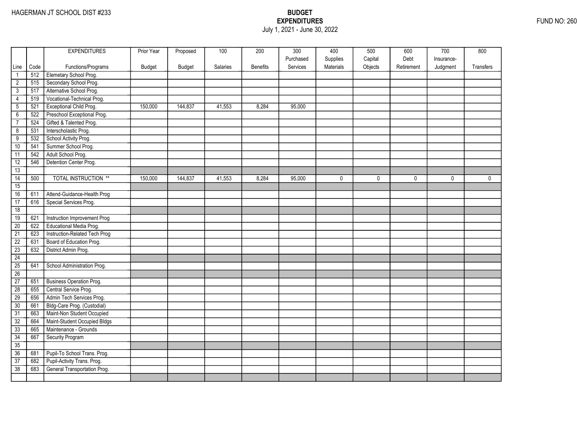### EXPENDITURES FUND NO: 260 July 1, 2021 - June 30, 2022

|                      |      | <b>EXPENDITURES</b>             | Prior Year    | Proposed      | 100      | 200             | 300                   | 400                   | 500                | 600                | 700          | 800          |
|----------------------|------|---------------------------------|---------------|---------------|----------|-----------------|-----------------------|-----------------------|--------------------|--------------------|--------------|--------------|
|                      | Code | Functions/Programs              |               | <b>Budget</b> | Salaries | <b>Benefits</b> | Purchased<br>Services | Supplies<br>Materials | Capital<br>Objects | Debt<br>Retirement | Insurance-   | Transfers    |
| Line<br>$\mathbf{1}$ | 512  | Elemetary School Prog.          | <b>Budget</b> |               |          |                 |                       |                       |                    |                    | Judgment     |              |
| $\overline{2}$       | 515  | Secondary School Prog.          |               |               |          |                 |                       |                       |                    |                    |              |              |
| $\overline{3}$       | 517  | Alternative School Prog.        |               |               |          |                 |                       |                       |                    |                    |              |              |
| 4                    | 519  | Vocational-Technical Prog.      |               |               |          |                 |                       |                       |                    |                    |              |              |
| $\overline{5}$       | 521  | Exceptional Child Prog.         | 150,000       | 144,837       | 41,553   | 8,284           | 95,000                |                       |                    |                    |              |              |
| $\overline{6}$       | 522  | Preschool Exceptional Prog.     |               |               |          |                 |                       |                       |                    |                    |              |              |
| $\overline{7}$       | 524  | Gifted & Talented Prog.         |               |               |          |                 |                       |                       |                    |                    |              |              |
| $\overline{8}$       | 531  | Interscholastic Prog.           |               |               |          |                 |                       |                       |                    |                    |              |              |
| $\overline{9}$       | 532  | School Activity Prog.           |               |               |          |                 |                       |                       |                    |                    |              |              |
| 10                   | 541  | Summer School Prog.             |               |               |          |                 |                       |                       |                    |                    |              |              |
| 11                   | 542  | Adult School Prog.              |               |               |          |                 |                       |                       |                    |                    |              |              |
| 12                   | 546  | Detention Center Prog.          |               |               |          |                 |                       |                       |                    |                    |              |              |
| 13                   |      |                                 |               |               |          |                 |                       |                       |                    |                    |              |              |
| $\overline{14}$      | 500  | <b>TOTAL INSTRUCTION **</b>     | 150,000       | 144,837       | 41,553   | 8,284           | 95,000                | 0                     | 0                  | 0                  | $\mathbf{0}$ | $\mathbf{0}$ |
| 15                   |      |                                 |               |               |          |                 |                       |                       |                    |                    |              |              |
| 16                   | 611  | Attend-Guidance-Health Prog     |               |               |          |                 |                       |                       |                    |                    |              |              |
| 17                   | 616  | Special Services Prog.          |               |               |          |                 |                       |                       |                    |                    |              |              |
| 18                   |      |                                 |               |               |          |                 |                       |                       |                    |                    |              |              |
| 19                   | 621  | Instruction Improvement Prog    |               |               |          |                 |                       |                       |                    |                    |              |              |
| 20                   | 622  | Educational Media Prog.         |               |               |          |                 |                       |                       |                    |                    |              |              |
| $\overline{21}$      | 623  | Instruction-Related Tech Prog   |               |               |          |                 |                       |                       |                    |                    |              |              |
| $\overline{22}$      | 631  | Board of Education Prog.        |               |               |          |                 |                       |                       |                    |                    |              |              |
| $\overline{23}$      | 632  | District Admin Prog.            |               |               |          |                 |                       |                       |                    |                    |              |              |
| 24                   |      |                                 |               |               |          |                 |                       |                       |                    |                    |              |              |
| 25                   | 641  | School Administration Prog.     |               |               |          |                 |                       |                       |                    |                    |              |              |
| 26                   |      |                                 |               |               |          |                 |                       |                       |                    |                    |              |              |
| 27                   | 651  | <b>Business Operation Prog.</b> |               |               |          |                 |                       |                       |                    |                    |              |              |
| $\overline{28}$      | 655  | Central Service Prog.           |               |               |          |                 |                       |                       |                    |                    |              |              |
| 29                   | 656  | Admin Tech Services Prog.       |               |               |          |                 |                       |                       |                    |                    |              |              |
| 30                   | 661  | Bldg-Care Prog. (Custodial)     |               |               |          |                 |                       |                       |                    |                    |              |              |
| $\overline{31}$      | 663  | Maint-Non Student Occupied      |               |               |          |                 |                       |                       |                    |                    |              |              |
| 32                   | 664  | Maint-Student Occupied Bldgs    |               |               |          |                 |                       |                       |                    |                    |              |              |
| 33                   | 665  | Maintenance - Grounds           |               |               |          |                 |                       |                       |                    |                    |              |              |
| 34                   | 667  | Security Program                |               |               |          |                 |                       |                       |                    |                    |              |              |
| 35                   |      |                                 |               |               |          |                 |                       |                       |                    |                    |              |              |
| 36                   | 681  | Pupil-To School Trans. Prog.    |               |               |          |                 |                       |                       |                    |                    |              |              |
| $\overline{37}$      | 682  | Pupil-Activity Trans. Prog.     |               |               |          |                 |                       |                       |                    |                    |              |              |
| 38                   | 683  | General Transportation Prog.    |               |               |          |                 |                       |                       |                    |                    |              |              |
|                      |      |                                 |               |               |          |                 |                       |                       |                    |                    |              |              |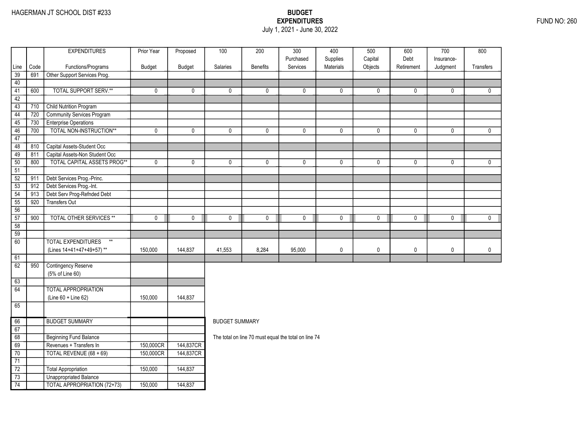### EXPENDITURES FUND NO: 260 July 1, 2021 - June 30, 2022

|                 |      | <b>EXPENDITURES</b>                | Prior Year  | Proposed      | 100                   | 200             | 300                                                  | 400                   | 500                | 600                | 700                    | 800          |
|-----------------|------|------------------------------------|-------------|---------------|-----------------------|-----------------|------------------------------------------------------|-----------------------|--------------------|--------------------|------------------------|--------------|
|                 | Code | Functions/Programs                 | Budget      | <b>Budget</b> | Salaries              | <b>Benefits</b> | Purchased<br>Services                                | Supplies<br>Materials | Capital<br>Objects | Debt<br>Retirement | Insurance-<br>Judgment | Transfers    |
| Line<br>39      | 691  | Other Support Services Prog.       |             |               |                       |                 |                                                      |                       |                    |                    |                        |              |
| 40              |      |                                    |             |               |                       |                 |                                                      |                       |                    |                    |                        |              |
| 41              | 600  | <b>TOTAL SUPPORT SERV.**</b>       | $\mathbf 0$ | 0             | 0                     | $\mathbf 0$     | $\mathbf{0}$                                         | 0                     | 0                  | 0                  | 0                      | 0            |
| 42              |      |                                    |             |               |                       |                 |                                                      |                       |                    |                    |                        |              |
| 43              | 710  | <b>Child Nutrition Program</b>     |             |               |                       |                 |                                                      |                       |                    |                    |                        |              |
| 44              | 720  | <b>Community Services Program</b>  |             |               |                       |                 |                                                      |                       |                    |                    |                        |              |
| 45              | 730  | <b>Enterprise Operations</b>       |             |               |                       |                 |                                                      |                       |                    |                    |                        |              |
| 46              | 700  | TOTAL NON-INSTRUCTION**            | $\pmb{0}$   | 0             | 0                     | $\mathbf 0$     | 0                                                    | 0                     | 0                  | $\mathbf 0$        | 0                      | $\mathbf 0$  |
| 47              |      |                                    |             |               |                       |                 |                                                      |                       |                    |                    |                        |              |
| 48              | 810  | Capital Assets-Student Occ         |             |               |                       |                 |                                                      |                       |                    |                    |                        |              |
| 49              | 811  | Capital Assets-Non Student Occ     |             |               |                       |                 |                                                      |                       |                    |                    |                        |              |
| 50              | 800  | <b>TOTAL CAPITAL ASSETS PROG**</b> | $\mathbf 0$ | 0             | $\mathbf 0$           | $\mathbf 0$     | $\mathbf{0}$                                         | $\mathbf{0}$          | 0                  | $\mathbf{0}$       | $\mathbf{0}$           | $\mathbf{0}$ |
| 51              |      |                                    |             |               |                       |                 |                                                      |                       |                    |                    |                        |              |
| $\overline{52}$ | 911  | Debt Services Prog.-Princ.         |             |               |                       |                 |                                                      |                       |                    |                    |                        |              |
| 53              | 912  | Debt Services Prog.-Int.           |             |               |                       |                 |                                                      |                       |                    |                    |                        |              |
| 54              | 913  | Debt Serv Prog-Refnded Debt        |             |               |                       |                 |                                                      |                       |                    |                    |                        |              |
| 55              | 920  | <b>Transfers Out</b>               |             |               |                       |                 |                                                      |                       |                    |                    |                        |              |
| 56              |      |                                    |             |               |                       |                 |                                                      |                       |                    |                    |                        |              |
| 57              | 900  | <b>TOTAL OTHER SERVICES **</b>     | $\pmb{0}$   | 0             | $\pmb{0}$             | $\overline{0}$  | $\mathbf 0$                                          | $\pmb{0}$             | 0                  | $\mathbf 0$        | $\mathbf 0$            | $\mathbf 0$  |
| 58              |      |                                    |             |               |                       |                 |                                                      |                       |                    |                    |                        |              |
| $\overline{59}$ |      |                                    |             |               |                       |                 |                                                      |                       |                    |                    |                        |              |
| $\overline{60}$ |      | <b>TOTAL EXPENDITURES</b><br>$**$  |             |               |                       |                 |                                                      |                       |                    |                    |                        |              |
|                 |      | (Lines 14+41+47+49+57)**           | 150,000     | 144,837       | 41,553                | 8,284           | 95,000                                               | 0                     | 0                  | $\pmb{0}$          | 0                      | $\pmb{0}$    |
| 61              |      |                                    |             |               |                       |                 |                                                      |                       |                    |                    |                        |              |
| 62              | 950  | Contingency Reserve                |             |               |                       |                 |                                                      |                       |                    |                    |                        |              |
|                 |      | (5% of Line 60)                    |             |               |                       |                 |                                                      |                       |                    |                    |                        |              |
| 63              |      |                                    |             |               |                       |                 |                                                      |                       |                    |                    |                        |              |
| 64              |      | <b>TOTAL APPROPRIATION</b>         |             |               |                       |                 |                                                      |                       |                    |                    |                        |              |
|                 |      | (Line 60 + Line 62)                | 150,000     | 144,837       |                       |                 |                                                      |                       |                    |                    |                        |              |
| 65              |      |                                    |             |               |                       |                 |                                                      |                       |                    |                    |                        |              |
| 66              |      | <b>BUDGET SUMMARY</b>              |             |               | <b>BUDGET SUMMARY</b> |                 |                                                      |                       |                    |                    |                        |              |
| 67              |      |                                    |             |               |                       |                 |                                                      |                       |                    |                    |                        |              |
| 68              |      | <b>Beginning Fund Balance</b>      |             |               |                       |                 | The total on line 70 must equal the total on line 74 |                       |                    |                    |                        |              |
| 69              |      | Revenues + Transfers In            | 150,000CR   | 144,837CR     |                       |                 |                                                      |                       |                    |                    |                        |              |
| 70              |      | TOTAL REVENUE (68 + 69)            | 150,000CR   | 144,837CR     |                       |                 |                                                      |                       |                    |                    |                        |              |
| 71              |      |                                    |             |               |                       |                 |                                                      |                       |                    |                    |                        |              |
| $\overline{72}$ |      | Total Appropriation                | 150,000     | 144,837       |                       |                 |                                                      |                       |                    |                    |                        |              |
| 73              |      | Unappropriated Balance             |             |               |                       |                 |                                                      |                       |                    |                    |                        |              |
| 74              |      | <b>TOTAL APPROPRIATION (72+73)</b> | 150,000     | 144,837       |                       |                 |                                                      |                       |                    |                    |                        |              |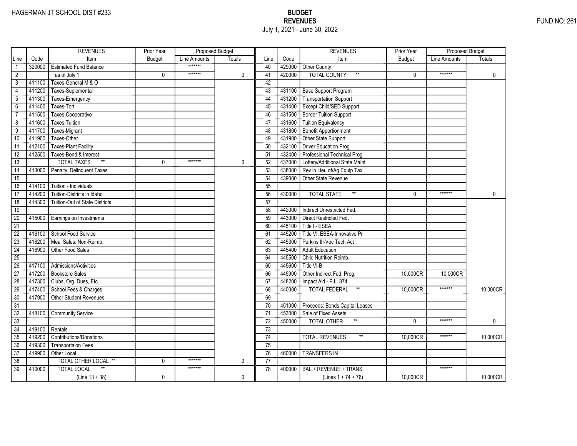|                 |        | <b>REVENUES</b>                       | Prior Year    | Proposed Budget |               |                 |        | <b>REVENUES</b>                       | Prior Year    | <b>Proposed Budget</b> |              |
|-----------------|--------|---------------------------------------|---------------|-----------------|---------------|-----------------|--------|---------------------------------------|---------------|------------------------|--------------|
| Line            | Code   | Item                                  | <b>Budget</b> | Line Amounts    | <b>Totals</b> | Line            | Code   | Item                                  | <b>Budget</b> | Line Amounts           | Totals       |
| $\mathbf{1}$    | 320000 | <b>Estimated Fund Balance</b>         |               | *******         |               | 40              | 429000 | Other County                          |               |                        |              |
| $\overline{2}$  |        | as of July 1                          | 0             | *******         | 0             | 41              | 420000 | <b>TOTAL COUNTY</b><br>$\star\star$   | 0             | *******                | $\mathbf 0$  |
| 3               | 411100 | Taxes-General M & O                   |               |                 |               | 42              |        |                                       |               |                        |              |
| $\overline{4}$  | 411200 | Taxes-Suplemental                     |               |                 |               | 43              | 431100 | <b>Base Support Program</b>           |               |                        |              |
| 5               | 411300 | Taxes-Emergency                       |               |                 |               | 44              | 431200 | <b>Transportation Support</b>         |               |                        |              |
| $6\overline{}$  | 411400 | Taxes-Tort                            |               |                 |               | 45              | 431400 | Except Child/SED Support              |               |                        |              |
| $\overline{7}$  | 411500 | Taxes-Cooperative                     |               |                 |               | 46              | 431500 | <b>Border Tuition Support</b>         |               |                        |              |
| 8               | 411600 | Taxes-Tuition                         |               |                 |               | 47              | 431600 | <b>Tuition Equivalency</b>            |               |                        |              |
| $\overline{9}$  | 411700 | Taxes-Migrant                         |               |                 |               | 48              | 431800 | <b>Benefit Apportionment</b>          |               |                        |              |
| 10              | 411900 | Taxes-Other                           |               |                 |               | 49              | 431900 | Other State Support                   |               |                        |              |
| 11              | 412100 | <b>Taxes-Plant Facility</b>           |               |                 |               | 50              | 432100 | Driver Education Prog.                |               |                        |              |
| 12              | 412500 | Taxes-Bond & Interest                 |               |                 |               | 51              | 432400 | Professional Technical Prog           |               |                        |              |
| 13              |        | $\ast\ast$<br><b>TOTAL TAXES</b>      | 0             | *******         | 0             | 52              | 437000 | Lottery/Additional State Maint        |               |                        |              |
| $\overline{14}$ | 413000 | Penalty: Delinquent Taxes             |               |                 |               | 53              | 438000 | Rev in Lieu of/Ag Equip Tax           |               |                        |              |
| $\overline{15}$ |        |                                       |               |                 |               | 54              | 439000 | Other State Revenue                   |               |                        |              |
| 16              | 414100 | Tuition - Individuals                 |               |                 |               | 55              |        |                                       |               |                        |              |
| 17              | 414200 | Tuition-Districts in Idaho            |               |                 |               | 56              | 430000 | $^{\star\star}$<br><b>TOTAL STATE</b> | $\Omega$      | *******                | $\mathbf{0}$ |
| $\overline{18}$ | 414300 | <b>Tuition-Out of State Districts</b> |               |                 |               | $\overline{57}$ |        |                                       |               |                        |              |
| 19              |        |                                       |               |                 |               | 58              | 442000 | Indirect Unrestricted Fed.            |               |                        |              |
| $\overline{20}$ | 415000 | Earnings on Investments               |               |                 |               | 59              | 443000 | Direct Restricted Fed.                |               |                        |              |
| $\overline{21}$ |        |                                       |               |                 |               | 60              | 445100 | Title I - ESEA                        |               |                        |              |
| $\overline{22}$ | 416100 | School Food Service                   |               |                 |               | 61              | 445200 | Title VI, ESEA-Innovative Pr          |               |                        |              |
| $\overline{23}$ | 416200 | Meal Sales: Non-Reimb.                |               |                 |               | 62              | 445300 | Perkins III-Voc Tech Act              |               |                        |              |
| $\overline{24}$ | 416900 | Other Food Sales                      |               |                 |               | 63              | 445400 | <b>Adult Education</b>                |               |                        |              |
| $\overline{25}$ |        |                                       |               |                 |               | 64              | 445500 | Child Nutrition Reimb.                |               |                        |              |
| 26              | 417100 | Admissions/Activities                 |               |                 |               | 65              | 445600 | Title VI-B                            |               |                        |              |
| 27              | 417200 | <b>Bookstore Sales</b>                |               |                 |               | 66              | 445900 | Other Indirect Fed. Prog.             | 10,000CR      | 10,000CR               |              |
| 28              | 417300 | Clubs, Org. Dues, Etc.                |               |                 |               | 67              | 448200 | Impact Aid - P.L. 874                 |               |                        |              |
| 29              | 417400 | School Fees & Charges                 |               |                 |               | 68              | 440000 | $^{\star\star}$<br>TOTAL FEDERAL      | 10,000CR      | *******                | 10,000CR     |
| 30              | 417900 | Other Student Revenues                |               |                 |               | 69              |        |                                       |               |                        |              |
| $\overline{31}$ |        |                                       |               |                 |               | 70              | 451000 | Proceeds: Bonds, Capital Leases       |               |                        |              |
| $\overline{32}$ | 418100 | <b>Community Service</b>              |               |                 |               | 71              | 453000 | Sale of Fixed Assets                  |               |                        |              |
| $\overline{33}$ |        |                                       |               |                 |               | $\overline{72}$ | 450000 | <b>TOTAL OTHER</b>                    | $\Omega$      | *******                | 0            |
| 34              | 419100 | Rentals                               |               |                 |               | 73              |        |                                       |               |                        |              |
| 35              | 419200 | <b>Contributions/Donations</b>        |               |                 |               | 74              |        | <b>TOTAL REVENUES</b>                 | 10,000CR      | *******                | 10,000CR     |
| 36              | 419300 | <b>Transportaion Fees</b>             |               |                 |               | 75              |        |                                       |               |                        |              |
| $\overline{37}$ | 419900 | Other Local                           |               |                 |               | 76              | 460000 | <b>TRANSFERS IN</b>                   |               |                        |              |
| 38              |        | TOTAL OTHER LOCAL **                  | 0             | *******         | 0             | 77              |        |                                       |               |                        |              |
| $\overline{39}$ | 410000 | <b>TOTAL LOCAL</b>                    |               | *******         |               | 78              | 400000 | BAL.+ REVENUE + TRANS.                |               | *******                |              |
|                 |        | $(Line 13 + 38)$                      | 0             |                 | 0             |                 |        | (Lines $1 + 74 + 76$ )                | 10,000CR      |                        | 10,000CR     |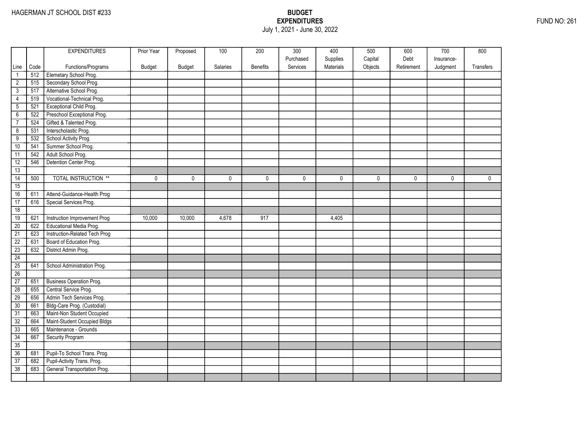### EXPENDITURES FUND NO: 261 July 1, 2021 - June 30, 2022

|                       |             | <b>EXPENDITURES</b>                                        | Prior Year | Proposed     | 100         | 200          | 300         | 400         | 500          | 600          | 700          | 800          |
|-----------------------|-------------|------------------------------------------------------------|------------|--------------|-------------|--------------|-------------|-------------|--------------|--------------|--------------|--------------|
|                       |             |                                                            |            |              |             |              | Purchased   | Supplies    | Capital      | Debt         | Insurance-   |              |
| Line                  | Code<br>512 | Functions/Programs                                         | Budget     | Budget       | Salaries    | Benefits     | Services    | Materials   | Objects      | Retirement   | Judgment     | Transfers    |
| $\mathbf{1}$          | 515         | Elemetary School Prog.<br>Secondary School Prog.           |            |              |             |              |             |             |              |              |              |              |
| $\overline{2}$        | 517         | Alternative School Prog.                                   |            |              |             |              |             |             |              |              |              |              |
| 3                     |             | Vocational-Technical Prog.                                 |            |              |             |              |             |             |              |              |              |              |
| $\overline{4}$        | 519         |                                                            |            |              |             |              |             |             |              |              |              |              |
| $\overline{5}$        | 521         | <b>Exceptional Child Prog.</b>                             |            |              |             |              |             |             |              |              |              |              |
| $6\overline{}$        | 522         | Preschool Exceptional Prog.                                |            |              |             |              |             |             |              |              |              |              |
| $\overline{7}$        | 524         | Gifted & Talented Prog.                                    |            |              |             |              |             |             |              |              |              |              |
| $\overline{8}$        | 531         | Interscholastic Prog.                                      |            |              |             |              |             |             |              |              |              |              |
| $\overline{9}$        | 532         | School Activity Prog.                                      |            |              |             |              |             |             |              |              |              |              |
| 10                    | 541         | Summer School Prog.                                        |            |              |             |              |             |             |              |              |              |              |
| 11                    | 542         | Adult School Prog.                                         |            |              |             |              |             |             |              |              |              |              |
| 12                    | 546         | Detention Center Prog.                                     |            |              |             |              |             |             |              |              |              |              |
| 13                    |             | <b>TOTAL INSTRUCTION **</b>                                |            | $\mathbf{0}$ |             | $\mathbf{0}$ |             |             | $\mathbf{0}$ | $\mathbf{0}$ | $\mathbf{0}$ | $\mathbf{0}$ |
| $\overline{14}$<br>15 | 500         |                                                            | 0          |              | $\mathbf 0$ |              | $\mathbf 0$ | $\mathbf 0$ |              |              |              |              |
| 16                    | 611         | Attend-Guidance-Health Prog                                |            |              |             |              |             |             |              |              |              |              |
| 17                    | 616         | Special Services Prog.                                     |            |              |             |              |             |             |              |              |              |              |
| 18                    |             |                                                            |            |              |             |              |             |             |              |              |              |              |
| 19                    | 621         | Instruction Improvement Prog                               | 10,000     | 10,000       | 4,678       | 917          |             | 4,405       |              |              |              |              |
| $\overline{20}$       | 622         | Educational Media Prog.                                    |            |              |             |              |             |             |              |              |              |              |
| $\overline{21}$       | 623         | Instruction-Related Tech Prog                              |            |              |             |              |             |             |              |              |              |              |
| $\overline{22}$       | 631         | Board of Education Prog.                                   |            |              |             |              |             |             |              |              |              |              |
| $\overline{23}$       |             | District Admin Prog.                                       |            |              |             |              |             |             |              |              |              |              |
| 24                    | 632         |                                                            |            |              |             |              |             |             |              |              |              |              |
| 25                    |             |                                                            |            |              |             |              |             |             |              |              |              |              |
| 26                    | 641         | School Administration Prog.                                |            |              |             |              |             |             |              |              |              |              |
| 27                    | 651         | <b>Business Operation Prog.</b>                            |            |              |             |              |             |             |              |              |              |              |
| 28                    | 655         | Central Service Prog.                                      |            |              |             |              |             |             |              |              |              |              |
| 29                    | 656         | Admin Tech Services Prog.                                  |            |              |             |              |             |             |              |              |              |              |
|                       | 661         | Bldg-Care Prog. (Custodial)                                |            |              |             |              |             |             |              |              |              |              |
| 30                    |             |                                                            |            |              |             |              |             |             |              |              |              |              |
| $\overline{31}$       | 663         | Maint-Non Student Occupied<br>Maint-Student Occupied Bldgs |            |              |             |              |             |             |              |              |              |              |
| 32                    | 664         |                                                            |            |              |             |              |             |             |              |              |              |              |
| 33                    | 665         | Maintenance - Grounds                                      |            |              |             |              |             |             |              |              |              |              |
| 34<br>35              | 667         | Security Program                                           |            |              |             |              |             |             |              |              |              |              |
| 36                    |             | Pupil-To School Trans. Prog.                               |            |              |             |              |             |             |              |              |              |              |
|                       | 681<br>682  |                                                            |            |              |             |              |             |             |              |              |              |              |
| $\overline{37}$       |             | Pupil-Activity Trans. Prog.                                |            |              |             |              |             |             |              |              |              |              |
| $\overline{38}$       | 683         | General Transportation Prog.                               |            |              |             |              |             |             |              |              |              |              |
|                       |             |                                                            |            |              |             |              |             |             |              |              |              |              |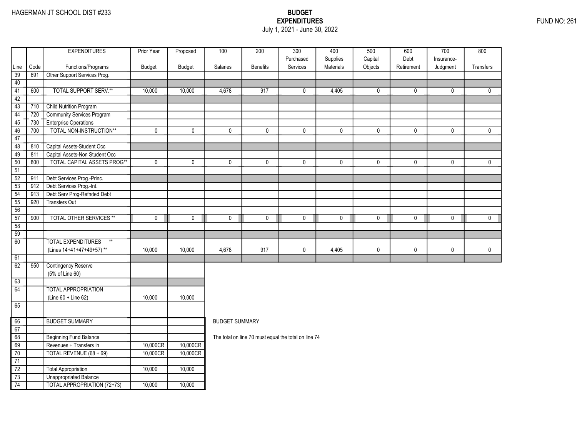### EXPENDITURES FUND NO: 261 July 1, 2021 - June 30, 2022

|                 |             | <b>EXPENDITURES</b>                                | Prior Year  | Proposed | 100                   | 200                                                  | $\overline{300}$      | 400         | 500         | 600         | 700          | 800          |
|-----------------|-------------|----------------------------------------------------|-------------|----------|-----------------------|------------------------------------------------------|-----------------------|-------------|-------------|-------------|--------------|--------------|
|                 |             |                                                    |             |          |                       |                                                      | Purchased<br>Services | Supplies    | Capital     | Debt        | Insurance-   |              |
| Line<br>39      | Code<br>691 | Functions/Programs<br>Other Support Services Prog. | Budget      | Budget   | Salaries              | <b>Benefits</b>                                      |                       | Materials   | Objects     | Retirement  | Judgment     | Transfers    |
| 40              |             |                                                    |             |          |                       |                                                      |                       |             |             |             |              |              |
| 41              | 600         | <b>TOTAL SUPPORT SERV.**</b>                       | 10,000      | 10,000   | 4,678                 | 917                                                  | 0                     | 4,405       | 0           | $\mathbf 0$ | 0            | $\mathbf{0}$ |
| 42              |             |                                                    |             |          |                       |                                                      |                       |             |             |             |              |              |
| $\overline{43}$ | 710         | Child Nutrition Program                            |             |          |                       |                                                      |                       |             |             |             |              |              |
| $\overline{44}$ | 720         | <b>Community Services Program</b>                  |             |          |                       |                                                      |                       |             |             |             |              |              |
| 45              | 730         | <b>Enterprise Operations</b>                       |             |          |                       |                                                      |                       |             |             |             |              |              |
| 46              | 700         | TOTAL NON-INSTRUCTION**                            | $\pmb{0}$   | 0        | 0                     | 0                                                    | 0                     | 0           | 0           | $\mathbf 0$ | 0            | $\mathbf 0$  |
| 47              |             |                                                    |             |          |                       |                                                      |                       |             |             |             |              |              |
| 48              | 810         | Capital Assets-Student Occ                         |             |          |                       |                                                      |                       |             |             |             |              |              |
| 49              | 811         | Capital Assets-Non Student Occ                     |             |          |                       |                                                      |                       |             |             |             |              |              |
| 50              | 800         | <b>TOTAL CAPITAL ASSETS PROG**</b>                 | $\mathbf 0$ | 0        | $\mathbf{0}$          | 0                                                    | $\mathbf{0}$          | $\mathbf 0$ | $\mathbf 0$ | $\mathbf 0$ | $\mathbf{0}$ | $\mathbf{0}$ |
| 51              |             |                                                    |             |          |                       |                                                      |                       |             |             |             |              |              |
| $\overline{52}$ | 911         | Debt Services Prog.-Princ.                         |             |          |                       |                                                      |                       |             |             |             |              |              |
| $\overline{53}$ | 912         | Debt Services Prog.-Int.                           |             |          |                       |                                                      |                       |             |             |             |              |              |
| 54              | 913         | Debt Serv Prog-Refnded Debt                        |             |          |                       |                                                      |                       |             |             |             |              |              |
| 55              | 920         | <b>Transfers Out</b>                               |             |          |                       |                                                      |                       |             |             |             |              |              |
| 56              |             |                                                    |             |          |                       |                                                      |                       |             |             |             |              |              |
| 57              | 900         | <b>TOTAL OTHER SERVICES **</b>                     | $\mathbf 0$ | 0        | 0                     | $\mathbf 0$                                          | 0                     | $\mathbf 0$ | $\mathbf 0$ | 0           | $\mathsf{O}$ | $\mathbf 0$  |
| 58              |             |                                                    |             |          |                       |                                                      |                       |             |             |             |              |              |
| 59              |             |                                                    |             |          |                       |                                                      |                       |             |             |             |              |              |
| $\overline{60}$ |             | <b>TOTAL EXPENDITURES</b><br>$**$                  |             |          |                       |                                                      |                       |             |             |             |              |              |
|                 |             | (Lines 14+41+47+49+57)**                           | 10,000      | 10,000   | 4,678                 | 917                                                  | $\mathbf 0$           | 4,405       | $\mathbf 0$ | $\mathbf 0$ | $\mathbf 0$  | $\mathbf 0$  |
| 61              |             |                                                    |             |          |                       |                                                      |                       |             |             |             |              |              |
| 62              | 950         | <b>Contingency Reserve</b>                         |             |          |                       |                                                      |                       |             |             |             |              |              |
|                 |             | (5% of Line 60)                                    |             |          |                       |                                                      |                       |             |             |             |              |              |
| 63              |             |                                                    |             |          |                       |                                                      |                       |             |             |             |              |              |
| 64              |             | <b>TOTAL APPROPRIATION</b>                         |             |          |                       |                                                      |                       |             |             |             |              |              |
|                 |             | $(Line 60 + Line 62)$                              | 10,000      | 10,000   |                       |                                                      |                       |             |             |             |              |              |
| 65              |             |                                                    |             |          |                       |                                                      |                       |             |             |             |              |              |
| 66              |             | <b>BUDGET SUMMARY</b>                              |             |          | <b>BUDGET SUMMARY</b> |                                                      |                       |             |             |             |              |              |
| 67              |             |                                                    |             |          |                       |                                                      |                       |             |             |             |              |              |
| 68              |             | <b>Beginning Fund Balance</b>                      |             |          |                       | The total on line 70 must equal the total on line 74 |                       |             |             |             |              |              |
| 69              |             | Revenues + Transfers In                            | 10,000CR    | 10,000CR |                       |                                                      |                       |             |             |             |              |              |
| 70              |             | TOTAL REVENUE (68 + 69)                            | 10,000CR    | 10,000CR |                       |                                                      |                       |             |             |             |              |              |
| 71              |             |                                                    |             |          |                       |                                                      |                       |             |             |             |              |              |
| $\overline{72}$ |             | <b>Total Appropriation</b>                         | 10,000      | 10,000   |                       |                                                      |                       |             |             |             |              |              |
| 73              |             | <b>Unappropriated Balance</b>                      |             |          |                       |                                                      |                       |             |             |             |              |              |
| 74              |             | <b>TOTAL APPROPRIATION (72+73)</b>                 | 10,000      | 10,000   |                       |                                                      |                       |             |             |             |              |              |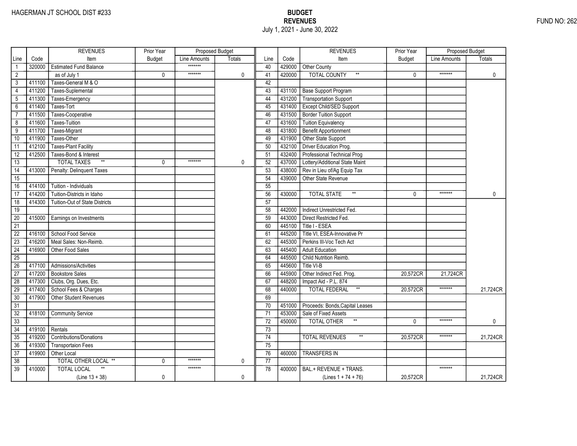|                 |        | <b>REVENUES</b>                       | Prior Year    | Proposed Budget |               |                 |        | <b>REVENUES</b>                         | Prior Year    | Proposed Budget |               |
|-----------------|--------|---------------------------------------|---------------|-----------------|---------------|-----------------|--------|-----------------------------------------|---------------|-----------------|---------------|
| Line            | Code   | Item                                  | <b>Budget</b> | Line Amounts    | <b>Totals</b> | Line            | Code   | Item                                    | <b>Budget</b> | Line Amounts    | <b>Totals</b> |
|                 | 320000 | <b>Estimated Fund Balance</b>         |               | *******         |               | 40              | 429000 | Other County                            |               |                 |               |
| $\overline{2}$  |        | as of July 1                          | 0             | *******         | $\mathbf 0$   | 41              | 420000 | <b>TOTAL COUNTY</b>                     | 0             | *******         | 0             |
| 3               | 411100 | Taxes-General M & O                   |               |                 |               | 42              |        |                                         |               |                 |               |
| 4               | 411200 | Taxes-Suplemental                     |               |                 |               | 43              |        | 431100 Base Support Program             |               |                 |               |
| 5               | 411300 | Taxes-Emergency                       |               |                 |               | 44              | 431200 | Transportation Support                  |               |                 |               |
| $6\overline{}$  | 411400 | Taxes-Tort                            |               |                 |               | 45              | 431400 | <b>Except Child/SED Support</b>         |               |                 |               |
| $\overline{7}$  | 411500 | Taxes-Cooperative                     |               |                 |               | 46              | 431500 | <b>Border Tuition Support</b>           |               |                 |               |
| 8               | 411600 | <b>Taxes-Tuition</b>                  |               |                 |               | 47              | 431600 | <b>Tuition Equivalency</b>              |               |                 |               |
| $\overline{9}$  | 411700 | Taxes-Migrant                         |               |                 |               | 48              | 431800 | Benefit Apportionment                   |               |                 |               |
| 10              | 411900 | Taxes-Other                           |               |                 |               | 49              | 431900 | Other State Support                     |               |                 |               |
| 11              | 412100 | <b>Taxes-Plant Facility</b>           |               |                 |               | 50              | 432100 | Driver Education Prog.                  |               |                 |               |
| $\overline{12}$ | 412500 | Taxes-Bond & Interest                 |               |                 |               | 51              | 432400 | Professional Technical Prog             |               |                 |               |
| 13              |        | $\ast\ast$<br><b>TOTAL TAXES</b>      | 0             | *******         | 0             | 52              | 437000 | Lottery/Additional State Maint          |               |                 |               |
| $\overline{14}$ | 413000 | Penalty: Delinquent Taxes             |               |                 |               | 53              | 438000 | Rev in Lieu of/Ag Equip Tax             |               |                 |               |
| $\overline{15}$ |        |                                       |               |                 |               | $\overline{54}$ | 439000 | Other State Revenue                     |               |                 |               |
| 16              | 414100 | Tuition - Individuals                 |               |                 |               | 55              |        |                                         |               |                 |               |
| 17              | 414200 | Tuition-Districts in Idaho            |               |                 |               | 56              | 430000 | $^{\star\star}$<br><b>TOTAL STATE</b>   | $\Omega$      | *******         | $\mathbf{0}$  |
| $\overline{18}$ | 414300 | <b>Tuition-Out of State Districts</b> |               |                 |               | 57              |        |                                         |               |                 |               |
| 19              |        |                                       |               |                 |               | 58              | 442000 | Indirect Unrestricted Fed.              |               |                 |               |
| 20              | 415000 | Earnings on Investments               |               |                 |               | 59              | 443000 | Direct Restricted Fed.                  |               |                 |               |
| $\overline{21}$ |        |                                       |               |                 |               | 60              | 445100 | Title I - ESEA                          |               |                 |               |
| $\overline{22}$ | 416100 | School Food Service                   |               |                 |               | 61              | 445200 | Title VI, ESEA-Innovative Pr            |               |                 |               |
| $\overline{23}$ | 416200 | Meal Sales: Non-Reimb.                |               |                 |               | 62              | 445300 | Perkins III-Voc Tech Act                |               |                 |               |
| $\overline{24}$ | 416900 | Other Food Sales                      |               |                 |               | 63              | 445400 | <b>Adult Education</b>                  |               |                 |               |
| $\overline{25}$ |        |                                       |               |                 |               | 64              | 445500 | Child Nutrition Reimb.                  |               |                 |               |
| 26              | 417100 | Admissions/Activities                 |               |                 |               | 65              | 445600 | Title VI-B                              |               |                 |               |
| $\overline{27}$ | 417200 | <b>Bookstore Sales</b>                |               |                 |               | 66              | 445900 | Other Indirect Fed. Prog.               | 20,572CR      | 21,724CR        |               |
| 28              | 417300 | Clubs, Org. Dues, Etc.                |               |                 |               | 67              | 448200 | Impact Aid - P.L. 874                   |               |                 |               |
| 29              | 417400 | School Fees & Charges                 |               |                 |               | 68              | 440000 | $^{\star\star}$<br><b>TOTAL FEDERAL</b> | 20,572CR      | *******         | 21,724CR      |
| 30              | 417900 | <b>Other Student Revenues</b>         |               |                 |               | 69              |        |                                         |               |                 |               |
| $\overline{31}$ |        |                                       |               |                 |               | $\overline{70}$ | 451000 | Proceeds: Bonds, Capital Leases         |               |                 |               |
| $\overline{32}$ | 418100 | <b>Community Service</b>              |               |                 |               | $\overline{71}$ | 453000 | Sale of Fixed Assets                    |               |                 |               |
| 33              |        |                                       |               |                 |               | $\overline{72}$ | 450000 | $^{\star\star}$<br>TOTAL OTHER          | $\Omega$      | *******         | 0             |
| $\overline{34}$ | 419100 | Rentals                               |               |                 |               | 73              |        |                                         |               |                 |               |
| 35              | 419200 | <b>Contributions/Donations</b>        |               |                 |               | 74              |        | <b>TOTAL REVENUES</b><br>$\star\star$   | 20,572CR      | *******         | 21,724CR      |
| 36              | 419300 | <b>Transportaion Fees</b>             |               |                 |               | 75              |        |                                         |               |                 |               |
| $\overline{37}$ | 419900 | Other Local                           |               |                 |               | 76              | 460000 | <b>TRANSFERS IN</b>                     |               |                 |               |
| 38              |        | TOTAL OTHER LOCAL **                  | 0             | *******         | 0             | $\overline{77}$ |        |                                         |               |                 |               |
| $\overline{39}$ | 410000 | <b>TOTAL LOCAL</b>                    |               | *******         |               | 78              | 400000 | BAL.+ REVENUE + TRANS.                  |               | *******         |               |
|                 |        | $(Line 13 + 38)$                      | 0             |                 | $\mathbf 0$   |                 |        | (Lines $1 + 74 + 76$ )                  | 20,572CR      |                 | 21,724CR      |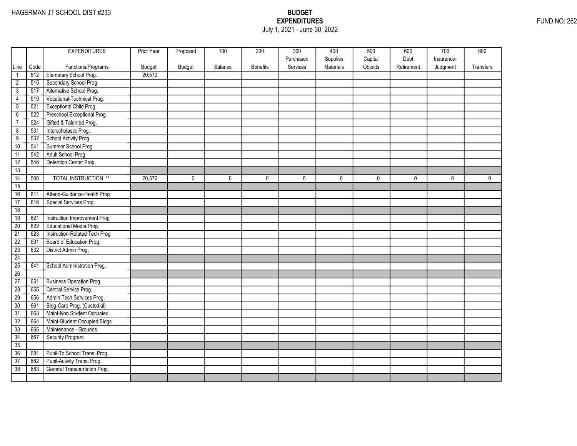### EXPENDITURES FUND NO: 262 July 1, 2021 - June 30, 2022

|                 |      | <b>EXPENDITURES</b>             | Prior Year    | Proposed      | 100      | 200             | 300       | 400       | 500     | 600        | 700        | 800         |
|-----------------|------|---------------------------------|---------------|---------------|----------|-----------------|-----------|-----------|---------|------------|------------|-------------|
|                 |      |                                 |               |               |          |                 | Purchased | Supplies  | Capital | Debt       | Insurance- |             |
| Line            | Code | Functions/Programs              | <b>Budget</b> | <b>Budget</b> | Salaries | <b>Benefits</b> | Services  | Materials | Objects | Retirement | Judgment   | Transfers   |
| $\mathbf{1}$    | 512  | Elemetary School Prog.          | 20,572        |               |          |                 |           |           |         |            |            |             |
| $\overline{2}$  | 515  | Secondary School Prog.          |               |               |          |                 |           |           |         |            |            |             |
| $\overline{3}$  | 517  | Alternative School Prog.        |               |               |          |                 |           |           |         |            |            |             |
| 4               | 519  | Vocational-Technical Prog.      |               |               |          |                 |           |           |         |            |            |             |
| $\overline{5}$  | 521  | Exceptional Child Prog.         |               |               |          |                 |           |           |         |            |            |             |
| $\overline{6}$  | 522  | Preschool Exceptional Prog.     |               |               |          |                 |           |           |         |            |            |             |
| $\overline{7}$  | 524  | Gifted & Talented Prog.         |               |               |          |                 |           |           |         |            |            |             |
| $\overline{8}$  | 531  | Interscholastic Prog.           |               |               |          |                 |           |           |         |            |            |             |
| $\overline{9}$  | 532  | School Activity Prog.           |               |               |          |                 |           |           |         |            |            |             |
| 10              | 541  | Summer School Prog.             |               |               |          |                 |           |           |         |            |            |             |
| 11              | 542  | Adult School Prog.              |               |               |          |                 |           |           |         |            |            |             |
| 12              | 546  | Detention Center Prog.          |               |               |          |                 |           |           |         |            |            |             |
| 13              |      |                                 |               |               |          |                 |           |           |         |            |            |             |
| $\overline{14}$ | 500  | <b>TOTAL INSTRUCTION **</b>     | 20,572        | $\mathbf 0$   | 0        | 0               | 0         | 0         | 0       | 0          | 0          | $\mathbf 0$ |
| 15              |      |                                 |               |               |          |                 |           |           |         |            |            |             |
| 16              | 611  | Attend-Guidance-Health Prog     |               |               |          |                 |           |           |         |            |            |             |
| 17              | 616  | Special Services Prog.          |               |               |          |                 |           |           |         |            |            |             |
| 18              |      |                                 |               |               |          |                 |           |           |         |            |            |             |
| 19              | 621  | Instruction Improvement Prog    |               |               |          |                 |           |           |         |            |            |             |
| 20              | 622  | Educational Media Prog.         |               |               |          |                 |           |           |         |            |            |             |
| $\overline{21}$ | 623  | Instruction-Related Tech Prog   |               |               |          |                 |           |           |         |            |            |             |
| $\overline{22}$ | 631  | Board of Education Prog.        |               |               |          |                 |           |           |         |            |            |             |
| $\overline{23}$ | 632  | District Admin Prog.            |               |               |          |                 |           |           |         |            |            |             |
| 24              |      |                                 |               |               |          |                 |           |           |         |            |            |             |
| 25              | 641  | School Administration Prog.     |               |               |          |                 |           |           |         |            |            |             |
| 26              |      |                                 |               |               |          |                 |           |           |         |            |            |             |
| 27              | 651  | <b>Business Operation Prog.</b> |               |               |          |                 |           |           |         |            |            |             |
| $\overline{28}$ | 655  | Central Service Prog.           |               |               |          |                 |           |           |         |            |            |             |
| 29              | 656  | Admin Tech Services Prog.       |               |               |          |                 |           |           |         |            |            |             |
| 30              | 661  | Bldg-Care Prog. (Custodial)     |               |               |          |                 |           |           |         |            |            |             |
| $\overline{31}$ | 663  | Maint-Non Student Occupied      |               |               |          |                 |           |           |         |            |            |             |
| 32              | 664  | Maint-Student Occupied Bldgs    |               |               |          |                 |           |           |         |            |            |             |
| 33              | 665  | Maintenance - Grounds           |               |               |          |                 |           |           |         |            |            |             |
| 34              | 667  | Security Program                |               |               |          |                 |           |           |         |            |            |             |
| 35              |      |                                 |               |               |          |                 |           |           |         |            |            |             |
| 36              | 681  | Pupil-To School Trans. Prog.    |               |               |          |                 |           |           |         |            |            |             |
| $\overline{37}$ | 682  | Pupil-Activity Trans. Prog.     |               |               |          |                 |           |           |         |            |            |             |
| 38              | 683  | General Transportation Prog.    |               |               |          |                 |           |           |         |            |            |             |
|                 |      |                                 |               |               |          |                 |           |           |         |            |            |             |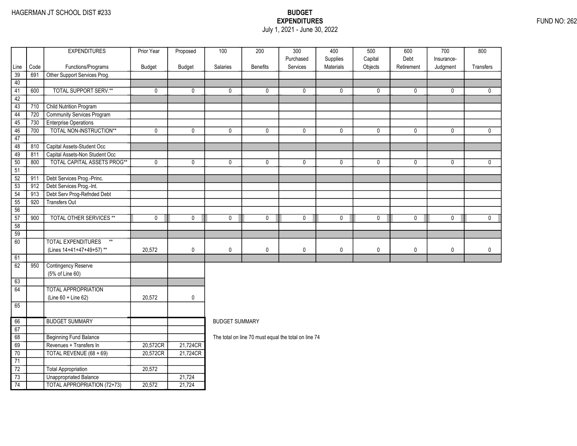### EXPENDITURES FUND NO: 262 July 1, 2021 - June 30, 2022

|                 |      | <b>EXPENDITURES</b>                | Prior Year  | Proposed | 100                   | 200                                                  | $\overline{300}$      | 400                   | 500                | 600                | 700                    | 800          |
|-----------------|------|------------------------------------|-------------|----------|-----------------------|------------------------------------------------------|-----------------------|-----------------------|--------------------|--------------------|------------------------|--------------|
| Line            | Code | Functions/Programs                 | Budget      | Budget   | <b>Salaries</b>       | <b>Benefits</b>                                      | Purchased<br>Services | Supplies<br>Materials | Capital<br>Objects | Debt<br>Retirement | Insurance-<br>Judgment | Transfers    |
| 39              | 691  | Other Support Services Prog.       |             |          |                       |                                                      |                       |                       |                    |                    |                        |              |
| 40              |      |                                    |             |          |                       |                                                      |                       |                       |                    |                    |                        |              |
| 41              | 600  | <b>TOTAL SUPPORT SERV.**</b>       | $\mathbf 0$ | 0        | 0                     | 0                                                    | 0                     | 0                     | 0                  | $\mathbf 0$        | $\mathbf 0$            | $\mathbf 0$  |
| 42              |      |                                    |             |          |                       |                                                      |                       |                       |                    |                    |                        |              |
| $\overline{43}$ | 710  | <b>Child Nutrition Program</b>     |             |          |                       |                                                      |                       |                       |                    |                    |                        |              |
| $\overline{44}$ | 720  | Community Services Program         |             |          |                       |                                                      |                       |                       |                    |                    |                        |              |
| 45              | 730  | <b>Enterprise Operations</b>       |             |          |                       |                                                      |                       |                       |                    |                    |                        |              |
| 46              | 700  | TOTAL NON-INSTRUCTION**            | $\mathbf 0$ | 0        | 0                     | 0                                                    | 0                     | $\mathbf 0$           | $\pmb{0}$          | $\mathbf 0$        | $\mathbf 0$            | $\mathbf{0}$ |
| 47              |      |                                    |             |          |                       |                                                      |                       |                       |                    |                    |                        |              |
| 48              | 810  | Capital Assets-Student Occ         |             |          |                       |                                                      |                       |                       |                    |                    |                        |              |
| 49              | 811  | Capital Assets-Non Student Occ     |             |          |                       |                                                      |                       |                       |                    |                    |                        |              |
| 50              | 800  | <b>TOTAL CAPITAL ASSETS PROG**</b> | $\mathbf 0$ | 0        | $\mathbf{0}$          | $\mathbf 0$                                          | $\mathbf{0}$          | $\mathbf 0$           | $\mathbf 0$        | $\mathbf 0$        | $\mathbf 0$            | $\mathbf 0$  |
| 51              |      |                                    |             |          |                       |                                                      |                       |                       |                    |                    |                        |              |
| $\overline{52}$ | 911  | Debt Services Prog.-Princ.         |             |          |                       |                                                      |                       |                       |                    |                    |                        |              |
| 53              | 912  | Debt Services Prog.-Int.           |             |          |                       |                                                      |                       |                       |                    |                    |                        |              |
| 54              | 913  | Debt Serv Prog-Refnded Debt        |             |          |                       |                                                      |                       |                       |                    |                    |                        |              |
| 55              | 920  | <b>Transfers Out</b>               |             |          |                       |                                                      |                       |                       |                    |                    |                        |              |
| 56              |      |                                    |             |          |                       |                                                      |                       |                       |                    |                    |                        |              |
| 57              | 900  | <b>TOTAL OTHER SERVICES **</b>     | $\mathbf 0$ | 0        | 0                     | 0                                                    | $\mathbf 0$           | $\mathbf 0$           | $\mathbf 0$        | $\mathbf 0$        | $\mathbf 0$            | $\mathbf 0$  |
| 58              |      |                                    |             |          |                       |                                                      |                       |                       |                    |                    |                        |              |
| 59              |      |                                    |             |          |                       |                                                      |                       |                       |                    |                    |                        |              |
| $\overline{60}$ |      | <b>TOTAL EXPENDITURES</b><br>$**$  |             |          |                       |                                                      |                       |                       |                    |                    |                        |              |
|                 |      | (Lines 14+41+47+49+57)**           | 20,572      | 0        | 0                     | 0                                                    | $\mathbf 0$           | 0                     | 0                  | $\mathbf 0$        | 0                      | $\mathbf 0$  |
| 61              |      |                                    |             |          |                       |                                                      |                       |                       |                    |                    |                        |              |
| 62              | 950  | <b>Contingency Reserve</b>         |             |          |                       |                                                      |                       |                       |                    |                    |                        |              |
|                 |      | (5% of Line 60)                    |             |          |                       |                                                      |                       |                       |                    |                    |                        |              |
| 63              |      |                                    |             |          |                       |                                                      |                       |                       |                    |                    |                        |              |
| 64              |      | <b>TOTAL APPROPRIATION</b>         |             |          |                       |                                                      |                       |                       |                    |                    |                        |              |
|                 |      | (Line 60 + Line 62)                | 20,572      | 0        |                       |                                                      |                       |                       |                    |                    |                        |              |
| 65              |      |                                    |             |          |                       |                                                      |                       |                       |                    |                    |                        |              |
|                 |      |                                    |             |          |                       |                                                      |                       |                       |                    |                    |                        |              |
| 66              |      | <b>BUDGET SUMMARY</b>              |             |          | <b>BUDGET SUMMARY</b> |                                                      |                       |                       |                    |                    |                        |              |
| 67              |      |                                    |             |          |                       |                                                      |                       |                       |                    |                    |                        |              |
| 68              |      | <b>Beginning Fund Balance</b>      |             |          |                       | The total on line 70 must equal the total on line 74 |                       |                       |                    |                    |                        |              |
| 69              |      | Revenues + Transfers In            | 20,572CR    | 21,724CR |                       |                                                      |                       |                       |                    |                    |                        |              |
| 70              |      | TOTAL REVENUE (68 + 69)            | 20,572CR    | 21,724CR |                       |                                                      |                       |                       |                    |                    |                        |              |
| $\overline{71}$ |      |                                    |             |          |                       |                                                      |                       |                       |                    |                    |                        |              |
| $\overline{72}$ |      | <b>Total Appropriation</b>         | 20,572      |          |                       |                                                      |                       |                       |                    |                    |                        |              |
| $\overline{73}$ |      | <b>Unappropriated Balance</b>      |             | 21,724   |                       |                                                      |                       |                       |                    |                    |                        |              |
| 74              |      | <b>TOTAL APPROPRIATION (72+73)</b> | 20,572      | 21,724   |                       |                                                      |                       |                       |                    |                    |                        |              |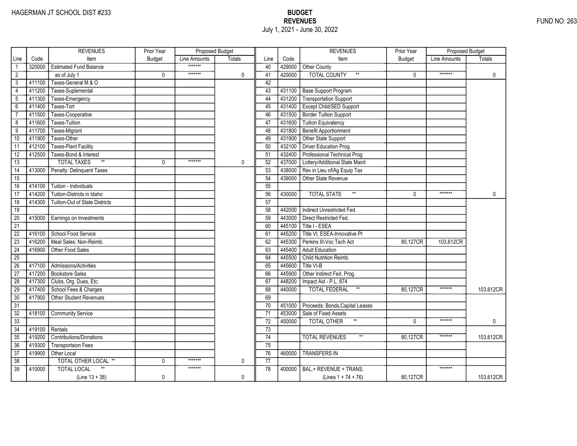|                 |        | <b>REVENUES</b>                       | Prior Year    | Proposed Budget |               |                 |        | <b>REVENUES</b>                       | Prior Year    | <b>Proposed Budget</b> |              |
|-----------------|--------|---------------------------------------|---------------|-----------------|---------------|-----------------|--------|---------------------------------------|---------------|------------------------|--------------|
| Line            | Code   | Item                                  | <b>Budget</b> | Line Amounts    | <b>Totals</b> | Line            | Code   | Item                                  | <b>Budget</b> | Line Amounts           | Totals       |
|                 | 320000 | <b>Estimated Fund Balance</b>         |               | *******         |               | 40              | 429000 | Other County                          |               |                        |              |
| $\overline{2}$  |        | as of July 1                          | 0             | *******         | 0             | 41              | 420000 | <b>TOTAL COUNTY</b><br>$\star\star$   | 0             | *******                | $\mathbf 0$  |
| 3               | 411100 | Taxes-General M & O                   |               |                 |               | 42              |        |                                       |               |                        |              |
| $\overline{4}$  | 411200 | Taxes-Suplemental                     |               |                 |               | 43              | 431100 | <b>Base Support Program</b>           |               |                        |              |
| 5               | 411300 | Taxes-Emergency                       |               |                 |               | 44              | 431200 | <b>Transportation Support</b>         |               |                        |              |
| $6\overline{}$  | 411400 | Taxes-Tort                            |               |                 |               | 45              | 431400 | Except Child/SED Support              |               |                        |              |
| $\overline{7}$  | 411500 | Taxes-Cooperative                     |               |                 |               | 46              | 431500 | <b>Border Tuition Support</b>         |               |                        |              |
| 8               | 411600 | Taxes-Tuition                         |               |                 |               | 47              | 431600 | <b>Tuition Equivalency</b>            |               |                        |              |
| $\overline{9}$  | 411700 | Taxes-Migrant                         |               |                 |               | 48              | 431800 | <b>Benefit Apportionment</b>          |               |                        |              |
| 10              | 411900 | Taxes-Other                           |               |                 |               | 49              | 431900 | Other State Support                   |               |                        |              |
| 11              | 412100 | <b>Taxes-Plant Facility</b>           |               |                 |               | 50              | 432100 | Driver Education Prog.                |               |                        |              |
| 12              | 412500 | Taxes-Bond & Interest                 |               |                 |               | 51              | 432400 | Professional Technical Prog           |               |                        |              |
| 13              |        | $\ast\ast$<br><b>TOTAL TAXES</b>      | 0             | *******         | 0             | 52              | 437000 | Lottery/Additional State Maint        |               |                        |              |
| $\overline{14}$ | 413000 | Penalty: Delinquent Taxes             |               |                 |               | 53              | 438000 | Rev in Lieu of/Ag Equip Tax           |               |                        |              |
| $\overline{15}$ |        |                                       |               |                 |               | 54              | 439000 | Other State Revenue                   |               |                        |              |
| 16              | 414100 | Tuition - Individuals                 |               |                 |               | 55              |        |                                       |               |                        |              |
| 17              | 414200 | Tuition-Districts in Idaho            |               |                 |               | 56              | 430000 | $^{\star\star}$<br><b>TOTAL STATE</b> | $\Omega$      | *******                | $\mathbf{0}$ |
| $\overline{18}$ | 414300 | <b>Tuition-Out of State Districts</b> |               |                 |               | $\overline{57}$ |        |                                       |               |                        |              |
| 19              |        |                                       |               |                 |               | 58              | 442000 | Indirect Unrestricted Fed.            |               |                        |              |
| $\overline{20}$ | 415000 | Earnings on Investments               |               |                 |               | 59              | 443000 | Direct Restricted Fed.                |               |                        |              |
| $\overline{21}$ |        |                                       |               |                 |               | 60              | 445100 | Title I - ESEA                        |               |                        |              |
| $\overline{22}$ | 416100 | School Food Service                   |               |                 |               | 61              | 445200 | Title VI, ESEA-Innovative Pr          |               |                        |              |
| $\overline{23}$ | 416200 | Meal Sales: Non-Reimb.                |               |                 |               | 62              | 445300 | Perkins III-Voc Tech Act              | 80,127CR      | 103.612CR              |              |
| $\overline{24}$ | 416900 | Other Food Sales                      |               |                 |               | 63              | 445400 | <b>Adult Education</b>                |               |                        |              |
| $\overline{25}$ |        |                                       |               |                 |               | 64              | 445500 | Child Nutrition Reimb.                |               |                        |              |
| 26              | 417100 | Admissions/Activities                 |               |                 |               | 65              | 445600 | Title VI-B                            |               |                        |              |
| 27              | 417200 | <b>Bookstore Sales</b>                |               |                 |               | 66              | 445900 | Other Indirect Fed. Prog.             |               |                        |              |
| 28              | 417300 | Clubs, Org. Dues, Etc.                |               |                 |               | 67              | 448200 | Impact Aid - P.L. 874                 |               |                        |              |
| 29              | 417400 | School Fees & Charges                 |               |                 |               | 68              | 440000 | $^{\star\star}$<br>TOTAL FEDERAL      | 80,127CR      | *******                | 103,612CR    |
| 30              | 417900 | Other Student Revenues                |               |                 |               | 69              |        |                                       |               |                        |              |
| $\overline{31}$ |        |                                       |               |                 |               | 70              | 451000 | Proceeds: Bonds, Capital Leases       |               |                        |              |
| $\overline{32}$ | 418100 | <b>Community Service</b>              |               |                 |               | 71              | 453000 | Sale of Fixed Assets                  |               |                        |              |
| $\overline{33}$ |        |                                       |               |                 |               | $\overline{72}$ | 450000 | <b>TOTAL OTHER</b>                    | $\Omega$      | *******                | 0            |
| 34              | 419100 | Rentals                               |               |                 |               | 73              |        |                                       |               |                        |              |
| 35              | 419200 | <b>Contributions/Donations</b>        |               |                 |               | 74              |        | <b>TOTAL REVENUES</b>                 | 80,127CR      | *******                | 103,612CR    |
| 36              | 419300 | <b>Transportaion Fees</b>             |               |                 |               | 75              |        |                                       |               |                        |              |
| $\overline{37}$ | 419900 | Other Local                           |               |                 |               | 76              | 460000 | <b>TRANSFERS IN</b>                   |               |                        |              |
| 38              |        | TOTAL OTHER LOCAL **                  | 0             | *******         | 0             | 77              |        |                                       |               |                        |              |
| $\overline{39}$ | 410000 | <b>TOTAL LOCAL</b>                    |               | *******         |               | 78              | 400000 | BAL.+ REVENUE + TRANS.                |               | *******                |              |
|                 |        | $(Line 13 + 38)$                      | 0             |                 | 0             |                 |        | (Lines $1 + 74 + 76$ )                | 80,127CR      |                        | 103,612CR    |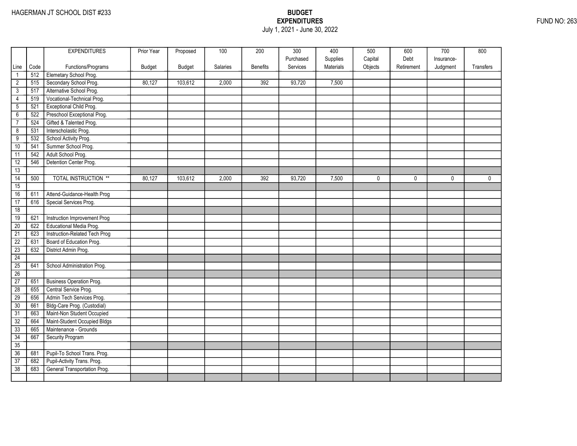## EXPENDITURES FUND NO: 263 July 1, 2021 - June 30, 2022

|                 |      | <b>EXPENDITURES</b>             | Prior Year    | Proposed      | 100      | 200              | 300       | 400       | 500     | 600         | 700        | 800         |
|-----------------|------|---------------------------------|---------------|---------------|----------|------------------|-----------|-----------|---------|-------------|------------|-------------|
|                 |      |                                 |               |               |          |                  | Purchased | Supplies  | Capital | Debt        | Insurance- |             |
| Line            | Code | Functions/Programs              | <b>Budget</b> | <b>Budget</b> | Salaries | <b>Benefits</b>  | Services  | Materials | Objects | Retirement  | Judgment   | Transfers   |
| $\mathbf{1}$    | 512  | Elemetary School Prog.          |               |               |          |                  |           |           |         |             |            |             |
| $\overline{2}$  | 515  | Secondary School Prog.          | 80,127        | 103,612       | 2,000    | 392              | 93,720    | 7,500     |         |             |            |             |
| 3               | 517  | Alternative School Prog.        |               |               |          |                  |           |           |         |             |            |             |
| 4               | 519  | Vocational-Technical Prog.      |               |               |          |                  |           |           |         |             |            |             |
| 5               | 521  | <b>Exceptional Child Prog.</b>  |               |               |          |                  |           |           |         |             |            |             |
| $\overline{6}$  | 522  | Preschool Exceptional Prog.     |               |               |          |                  |           |           |         |             |            |             |
| $\overline{7}$  | 524  | Gifted & Talented Prog.         |               |               |          |                  |           |           |         |             |            |             |
| $\overline{8}$  | 531  | Interscholastic Prog.           |               |               |          |                  |           |           |         |             |            |             |
| $\overline{9}$  | 532  | School Activity Prog.           |               |               |          |                  |           |           |         |             |            |             |
| 10              | 541  | Summer School Prog.             |               |               |          |                  |           |           |         |             |            |             |
| 11              | 542  | Adult School Prog.              |               |               |          |                  |           |           |         |             |            |             |
| 12              | 546  | Detention Center Prog.          |               |               |          |                  |           |           |         |             |            |             |
| 13              |      |                                 |               |               |          |                  |           |           |         |             |            |             |
| $\overline{14}$ | 500  | <b>TOTAL INSTRUCTION **</b>     | 80,127        | 103,612       | 2,000    | $\overline{392}$ | 93,720    | 7,500     | 0       | $\mathbf 0$ | 0          | $\mathbf 0$ |
| $\overline{15}$ |      |                                 |               |               |          |                  |           |           |         |             |            |             |
| 16              | 611  | Attend-Guidance-Health Prog     |               |               |          |                  |           |           |         |             |            |             |
| 17              | 616  | Special Services Prog.          |               |               |          |                  |           |           |         |             |            |             |
| 18              |      |                                 |               |               |          |                  |           |           |         |             |            |             |
| 19              | 621  | Instruction Improvement Prog    |               |               |          |                  |           |           |         |             |            |             |
| $\overline{20}$ | 622  | Educational Media Prog.         |               |               |          |                  |           |           |         |             |            |             |
| $\overline{21}$ | 623  | Instruction-Related Tech Prog   |               |               |          |                  |           |           |         |             |            |             |
| $\overline{22}$ | 631  | Board of Education Prog.        |               |               |          |                  |           |           |         |             |            |             |
| 23              | 632  | District Admin Prog.            |               |               |          |                  |           |           |         |             |            |             |
| $\overline{24}$ |      |                                 |               |               |          |                  |           |           |         |             |            |             |
| 25              | 641  | School Administration Prog.     |               |               |          |                  |           |           |         |             |            |             |
| 26              |      |                                 |               |               |          |                  |           |           |         |             |            |             |
| 27              | 651  | <b>Business Operation Prog.</b> |               |               |          |                  |           |           |         |             |            |             |
| $\overline{28}$ | 655  | Central Service Prog.           |               |               |          |                  |           |           |         |             |            |             |
| 29              | 656  | Admin Tech Services Prog.       |               |               |          |                  |           |           |         |             |            |             |
| 30              | 661  | Bldg-Care Prog. (Custodial)     |               |               |          |                  |           |           |         |             |            |             |
| $\overline{31}$ | 663  | Maint-Non Student Occupied      |               |               |          |                  |           |           |         |             |            |             |
| 32              | 664  | Maint-Student Occupied Bldgs    |               |               |          |                  |           |           |         |             |            |             |
| 33              | 665  | Maintenance - Grounds           |               |               |          |                  |           |           |         |             |            |             |
| 34              | 667  | Security Program                |               |               |          |                  |           |           |         |             |            |             |
| 35              |      |                                 |               |               |          |                  |           |           |         |             |            |             |
| 36              | 681  | Pupil-To School Trans. Prog.    |               |               |          |                  |           |           |         |             |            |             |
| 37              | 682  | Pupil-Activity Trans. Prog.     |               |               |          |                  |           |           |         |             |            |             |
| $\overline{38}$ | 683  | General Transportation Prog.    |               |               |          |                  |           |           |         |             |            |             |
|                 |      |                                 |               |               |          |                  |           |           |         |             |            |             |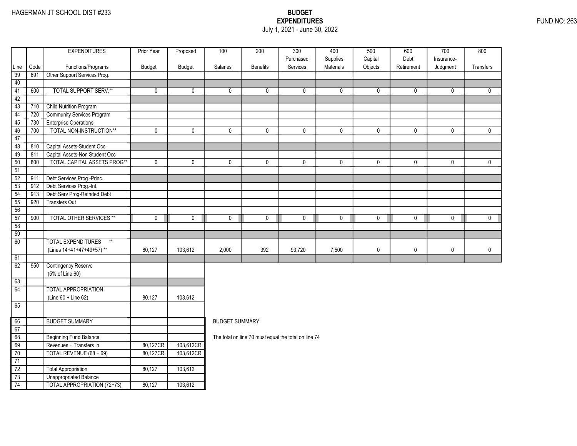### EXPENDITURES FUND NO: 263 July 1, 2021 - June 30, 2022

|                 |             | <b>EXPENDITURES</b>                                | Prior Year  | Proposed  | $\overline{100}$      | $\overline{200}$                                     | $\overline{300}$      | 400                   | 500       | 600          | $\overline{700}$ | 800          |
|-----------------|-------------|----------------------------------------------------|-------------|-----------|-----------------------|------------------------------------------------------|-----------------------|-----------------------|-----------|--------------|------------------|--------------|
|                 |             |                                                    |             |           |                       |                                                      | Purchased<br>Services | Supplies<br>Materials | Capital   | Debt         | Insurance-       |              |
| Line<br>39      | Code<br>691 | Functions/Programs<br>Other Support Services Prog. | Budget      | Budget    | Salaries              | <b>Benefits</b>                                      |                       |                       | Objects   | Retirement   | Judgment         | Transfers    |
| 40              |             |                                                    |             |           |                       |                                                      |                       |                       |           |              |                  |              |
| 41              | 600         | <b>TOTAL SUPPORT SERV.**</b>                       | 0           | 0         | 0                     | $\mathbf{0}$                                         | 0                     | $\mathbf{0}$          | 0         | $\mathbf{0}$ | 0                | $\mathbf{0}$ |
| 42              |             |                                                    |             |           |                       |                                                      |                       |                       |           |              |                  |              |
| $\overline{43}$ | 710         | <b>Child Nutrition Program</b>                     |             |           |                       |                                                      |                       |                       |           |              |                  |              |
| 44              | 720         | Community Services Program                         |             |           |                       |                                                      |                       |                       |           |              |                  |              |
| 45              | 730         | <b>Enterprise Operations</b>                       |             |           |                       |                                                      |                       |                       |           |              |                  |              |
| 46              | 700         | TOTAL NON-INSTRUCTION**                            | $\mathbf 0$ | 0         | 0                     | 0                                                    | $\mathbf 0$           | 0                     | 0         | $\mathbf 0$  | 0                | $\mathbf{0}$ |
| 47              |             |                                                    |             |           |                       |                                                      |                       |                       |           |              |                  |              |
| 48              | 810         | Capital Assets-Student Occ                         |             |           |                       |                                                      |                       |                       |           |              |                  |              |
| 49              | 811         | Capital Assets-Non Student Occ                     |             |           |                       |                                                      |                       |                       |           |              |                  |              |
| 50              | 800         | <b>TOTAL CAPITAL ASSETS PROG**</b>                 | $\mathbf 0$ | 0         | $\mathbf 0$           | $\mathbf 0$                                          | $\mathbf 0$           | 0                     | 0         | $\mathbf 0$  | $\mathbf 0$      | $\mathbf 0$  |
| 51              |             |                                                    |             |           |                       |                                                      |                       |                       |           |              |                  |              |
| $\overline{52}$ | 911         | Debt Services Prog.-Princ.                         |             |           |                       |                                                      |                       |                       |           |              |                  |              |
| 53              | 912         | Debt Services Prog.-Int.                           |             |           |                       |                                                      |                       |                       |           |              |                  |              |
| 54              | 913         | Debt Serv Prog-Refnded Debt                        |             |           |                       |                                                      |                       |                       |           |              |                  |              |
| 55              | 920         | <b>Transfers Out</b>                               |             |           |                       |                                                      |                       |                       |           |              |                  |              |
| 56              |             |                                                    |             |           |                       |                                                      |                       |                       |           |              |                  |              |
| 57              | 900         | <b>TOTAL OTHER SERVICES **</b>                     | $\mathbf 0$ | 0         | $\mathbf 0$           | $\mathbf 0$                                          | $\mathbf 0$           | $\mathbf 0$           | $\pmb{0}$ | $\mathbf 0$  | $\mathbf 0$      | $\mathbf 0$  |
| 58              |             |                                                    |             |           |                       |                                                      |                       |                       |           |              |                  |              |
| $\overline{59}$ |             |                                                    |             |           |                       |                                                      |                       |                       |           |              |                  |              |
| $\overline{60}$ |             | <b>TOTAL EXPENDITURES</b><br>$**$                  |             |           |                       |                                                      |                       |                       |           |              |                  |              |
|                 |             | (Lines 14+41+47+49+57)**                           | 80,127      | 103,612   | 2,000                 | 392                                                  | 93,720                | 7,500                 | $\pmb{0}$ | $\pmb{0}$    | 0                | $\pmb{0}$    |
| 61              |             |                                                    |             |           |                       |                                                      |                       |                       |           |              |                  |              |
| 62              | 950         | <b>Contingency Reserve</b>                         |             |           |                       |                                                      |                       |                       |           |              |                  |              |
|                 |             | (5% of Line 60)                                    |             |           |                       |                                                      |                       |                       |           |              |                  |              |
| 63              |             |                                                    |             |           |                       |                                                      |                       |                       |           |              |                  |              |
| 64              |             | <b>TOTAL APPROPRIATION</b>                         |             |           |                       |                                                      |                       |                       |           |              |                  |              |
|                 |             | (Line 60 + Line 62)                                | 80,127      | 103,612   |                       |                                                      |                       |                       |           |              |                  |              |
| 65              |             |                                                    |             |           |                       |                                                      |                       |                       |           |              |                  |              |
| 66              |             | <b>BUDGET SUMMARY</b>                              |             |           | <b>BUDGET SUMMARY</b> |                                                      |                       |                       |           |              |                  |              |
| 67              |             |                                                    |             |           |                       |                                                      |                       |                       |           |              |                  |              |
| 68              |             | <b>Beginning Fund Balance</b>                      |             |           |                       | The total on line 70 must equal the total on line 74 |                       |                       |           |              |                  |              |
| 69              |             | Revenues + Transfers In                            | 80,127CR    | 103,612CR |                       |                                                      |                       |                       |           |              |                  |              |
| 70              |             | TOTAL REVENUE (68 + 69)                            | 80,127CR    | 103,612CR |                       |                                                      |                       |                       |           |              |                  |              |
| 71              |             |                                                    |             |           |                       |                                                      |                       |                       |           |              |                  |              |
| $\overline{72}$ |             | Total Appropriation                                | 80,127      | 103,612   |                       |                                                      |                       |                       |           |              |                  |              |
| $\overline{73}$ |             | <b>Unappropriated Balance</b>                      |             |           |                       |                                                      |                       |                       |           |              |                  |              |
| 74              |             | <b>TOTAL APPROPRIATION (72+73)</b>                 | 80,127      | 103,612   |                       |                                                      |                       |                       |           |              |                  |              |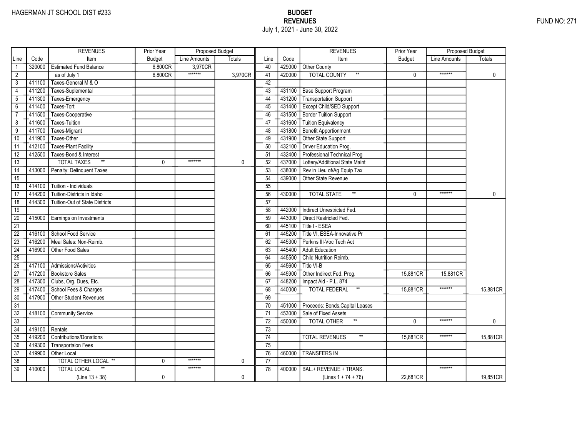|                 |        | <b>REVENUES</b>                       | Prior Year    | Proposed Budget |         |                 |        | <b>REVENUES</b>                        | Prior Year    | <b>Proposed Budget</b> |              |
|-----------------|--------|---------------------------------------|---------------|-----------------|---------|-----------------|--------|----------------------------------------|---------------|------------------------|--------------|
| Line            | Code   | Item                                  | <b>Budget</b> | Line Amounts    | Totals  | Line            | Code   | Item                                   | <b>Budget</b> | Line Amounts           | Totals       |
|                 | 320000 | <b>Estimated Fund Balance</b>         | 6,800CR       | 3,970CR         |         | 40              | 429000 | Other County                           |               |                        |              |
| $\overline{2}$  |        | as of July 1                          | 6,800CR       | *******         | 3,970CR | 41              | 420000 | <b>TOTAL COUNTY</b><br>$^{\star\star}$ | 0             | *******                | $\mathbf 0$  |
| 3               | 411100 | Taxes-General M & O                   |               |                 |         | 42              |        |                                        |               |                        |              |
| $\overline{4}$  | 411200 | Taxes-Suplemental                     |               |                 |         | 43              | 431100 | <b>Base Support Program</b>            |               |                        |              |
| 5               | 411300 | Taxes-Emergency                       |               |                 |         | 44              | 431200 | <b>Transportation Support</b>          |               |                        |              |
| $6\overline{}$  | 411400 | Taxes-Tort                            |               |                 |         | 45              | 431400 | Except Child/SED Support               |               |                        |              |
| $\overline{7}$  | 411500 | Taxes-Cooperative                     |               |                 |         | 46              | 431500 | <b>Border Tuition Support</b>          |               |                        |              |
| 8               | 411600 | Taxes-Tuition                         |               |                 |         | 47              | 431600 | <b>Tuition Equivalency</b>             |               |                        |              |
| $\overline{9}$  | 411700 | Taxes-Migrant                         |               |                 |         | 48              | 431800 | <b>Benefit Apportionment</b>           |               |                        |              |
| 10              | 411900 | Taxes-Other                           |               |                 |         | 49              | 431900 | Other State Support                    |               |                        |              |
| 11              | 412100 | <b>Taxes-Plant Facility</b>           |               |                 |         | 50              | 432100 | Driver Education Prog.                 |               |                        |              |
| 12              | 412500 | Taxes-Bond & Interest                 |               |                 |         | 51              | 432400 | Professional Technical Prog            |               |                        |              |
| 13              |        | $\ast\ast$<br><b>TOTAL TAXES</b>      | 0             | *******         | 0       | 52              | 437000 | Lottery/Additional State Maint         |               |                        |              |
| $\overline{14}$ | 413000 | Penalty: Delinquent Taxes             |               |                 |         | 53              | 438000 | Rev in Lieu of/Ag Equip Tax            |               |                        |              |
| $\overline{15}$ |        |                                       |               |                 |         | 54              | 439000 | Other State Revenue                    |               |                        |              |
| 16              | 414100 | Tuition - Individuals                 |               |                 |         | 55              |        |                                        |               |                        |              |
| 17              | 414200 | Tuition-Districts in Idaho            |               |                 |         | 56              | 430000 | $^{\star\star}$<br><b>TOTAL STATE</b>  | $\Omega$      | *******                | $\mathbf{0}$ |
| $\overline{18}$ | 414300 | <b>Tuition-Out of State Districts</b> |               |                 |         | $\overline{57}$ |        |                                        |               |                        |              |
| 19              |        |                                       |               |                 |         | 58              | 442000 | Indirect Unrestricted Fed.             |               |                        |              |
| $\overline{20}$ | 415000 | Earnings on Investments               |               |                 |         | 59              | 443000 | Direct Restricted Fed.                 |               |                        |              |
| $\overline{21}$ |        |                                       |               |                 |         | 60              | 445100 | Title I - ESEA                         |               |                        |              |
| $\overline{22}$ | 416100 | School Food Service                   |               |                 |         | 61              | 445200 | Title VI, ESEA-Innovative Pr           |               |                        |              |
| $\overline{23}$ | 416200 | Meal Sales: Non-Reimb.                |               |                 |         | 62              | 445300 | Perkins III-Voc Tech Act               |               |                        |              |
| $\overline{24}$ | 416900 | Other Food Sales                      |               |                 |         | 63              | 445400 | <b>Adult Education</b>                 |               |                        |              |
| $\overline{25}$ |        |                                       |               |                 |         | 64              | 445500 | Child Nutrition Reimb.                 |               |                        |              |
| 26              | 417100 | Admissions/Activities                 |               |                 |         | 65              | 445600 | Title VI-B                             |               |                        |              |
| $\overline{27}$ | 417200 | <b>Bookstore Sales</b>                |               |                 |         | 66              | 445900 | Other Indirect Fed. Prog.              | 15,881CR      | 15,881CR               |              |
| 28              | 417300 | Clubs, Org. Dues, Etc.                |               |                 |         | 67              | 448200 | Impact Aid - P.L. 874                  |               |                        |              |
| 29              | 417400 | School Fees & Charges                 |               |                 |         | 68              | 440000 | $^{\star\star}$<br>TOTAL FEDERAL       | 15,881CR      | *******                | 15,881CR     |
| 30              | 417900 | Other Student Revenues                |               |                 |         | 69              |        |                                        |               |                        |              |
| $\overline{31}$ |        |                                       |               |                 |         | 70              | 451000 | Proceeds: Bonds, Capital Leases        |               |                        |              |
| $\overline{32}$ | 418100 | <b>Community Service</b>              |               |                 |         | 71              | 453000 | Sale of Fixed Assets                   |               |                        |              |
| $\overline{33}$ |        |                                       |               |                 |         | $\overline{72}$ | 450000 | <b>TOTAL OTHER</b>                     | $\Omega$      | *******                | 0            |
| 34              | 419100 | Rentals                               |               |                 |         | 73              |        |                                        |               |                        |              |
| 35              | 419200 | <b>Contributions/Donations</b>        |               |                 |         | 74              |        | <b>TOTAL REVENUES</b>                  | 15,881CR      | *******                | 15,881CR     |
| 36              | 419300 | <b>Transportaion Fees</b>             |               |                 |         | 75              |        |                                        |               |                        |              |
| $\overline{37}$ | 419900 | Other Local                           |               |                 |         | 76              | 460000 | <b>TRANSFERS IN</b>                    |               |                        |              |
| 38              |        | TOTAL OTHER LOCAL **                  | 0             | *******         | 0       | 77              |        |                                        |               |                        |              |
| $\overline{39}$ | 410000 | <b>TOTAL LOCAL</b>                    |               | *******         |         | 78              | 400000 | BAL.+ REVENUE + TRANS.                 |               | *******                |              |
|                 |        | $(Line 13 + 38)$                      | 0             |                 | 0       |                 |        | (Lines $1 + 74 + 76$ )                 | 22,681CR      |                        | 19,851CR     |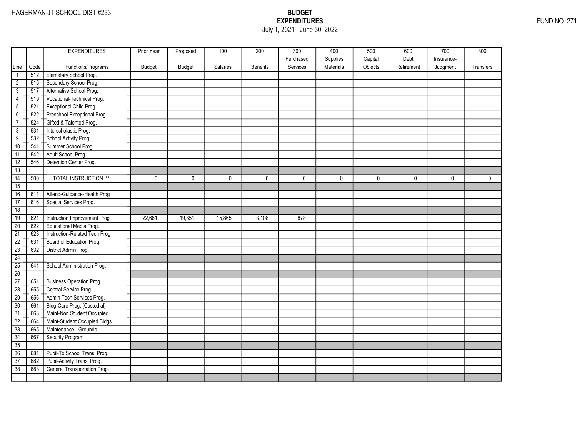### EXPENDITURES FUND NO: 271 July 1, 2021 - June 30, 2022

|                 |      | <b>EXPENDITURES</b>             | Prior Year | Proposed      | 100      | 200             | 300       | 400       | 500     | 600        | 700        | 800          |
|-----------------|------|---------------------------------|------------|---------------|----------|-----------------|-----------|-----------|---------|------------|------------|--------------|
|                 |      |                                 |            |               |          |                 | Purchased | Supplies  | Capital | Debt       | Insurance- |              |
| Line            | Code | Functions/Programs              | Budget     | <b>Budget</b> | Salaries | <b>Benefits</b> | Services  | Materials | Objects | Retirement | Judgment   | Transfers    |
| $\mathbf{1}$    | 512  | Elemetary School Prog.          |            |               |          |                 |           |           |         |            |            |              |
| $\overline{2}$  | 515  | Secondary School Prog.          |            |               |          |                 |           |           |         |            |            |              |
| $\overline{3}$  | 517  | Alternative School Prog.        |            |               |          |                 |           |           |         |            |            |              |
| 4               | 519  | Vocational-Technical Prog.      |            |               |          |                 |           |           |         |            |            |              |
| $\overline{5}$  | 521  | Exceptional Child Prog.         |            |               |          |                 |           |           |         |            |            |              |
| $\overline{6}$  | 522  | Preschool Exceptional Prog.     |            |               |          |                 |           |           |         |            |            |              |
| $\overline{7}$  | 524  | Gifted & Talented Prog.         |            |               |          |                 |           |           |         |            |            |              |
| $\overline{8}$  | 531  | Interscholastic Prog.           |            |               |          |                 |           |           |         |            |            |              |
| $\overline{9}$  | 532  | School Activity Prog.           |            |               |          |                 |           |           |         |            |            |              |
| 10              | 541  | Summer School Prog.             |            |               |          |                 |           |           |         |            |            |              |
| 11              | 542  | Adult School Prog.              |            |               |          |                 |           |           |         |            |            |              |
| 12              | 546  | Detention Center Prog.          |            |               |          |                 |           |           |         |            |            |              |
| 13              |      |                                 |            |               |          |                 |           |           |         |            |            |              |
| $\overline{14}$ | 500  | <b>TOTAL INSTRUCTION **</b>     | 0          | $\mathbf{0}$  | 0        | 0               | 0         | 0         | 0       | 0          | 0          | $\mathbf{0}$ |
| 15              |      |                                 |            |               |          |                 |           |           |         |            |            |              |
| 16              | 611  | Attend-Guidance-Health Prog     |            |               |          |                 |           |           |         |            |            |              |
| 17              | 616  | Special Services Prog.          |            |               |          |                 |           |           |         |            |            |              |
| 18              |      |                                 |            |               |          |                 |           |           |         |            |            |              |
| 19              | 621  | Instruction Improvement Prog    | 22,681     | 19,851        | 15,865   | 3,108           | 878       |           |         |            |            |              |
| 20              | 622  | Educational Media Prog.         |            |               |          |                 |           |           |         |            |            |              |
| $\overline{21}$ | 623  | Instruction-Related Tech Prog   |            |               |          |                 |           |           |         |            |            |              |
| $\overline{22}$ | 631  | Board of Education Prog.        |            |               |          |                 |           |           |         |            |            |              |
| $\overline{23}$ | 632  | District Admin Prog.            |            |               |          |                 |           |           |         |            |            |              |
| 24              |      |                                 |            |               |          |                 |           |           |         |            |            |              |
| 25              | 641  | School Administration Prog.     |            |               |          |                 |           |           |         |            |            |              |
| 26              |      |                                 |            |               |          |                 |           |           |         |            |            |              |
| 27              | 651  | <b>Business Operation Prog.</b> |            |               |          |                 |           |           |         |            |            |              |
| $\overline{28}$ | 655  | Central Service Prog.           |            |               |          |                 |           |           |         |            |            |              |
| 29              | 656  | Admin Tech Services Prog.       |            |               |          |                 |           |           |         |            |            |              |
| 30              | 661  | Bldg-Care Prog. (Custodial)     |            |               |          |                 |           |           |         |            |            |              |
| $\overline{31}$ | 663  | Maint-Non Student Occupied      |            |               |          |                 |           |           |         |            |            |              |
| 32              | 664  | Maint-Student Occupied Bldgs    |            |               |          |                 |           |           |         |            |            |              |
| 33              | 665  | Maintenance - Grounds           |            |               |          |                 |           |           |         |            |            |              |
| 34              | 667  | Security Program                |            |               |          |                 |           |           |         |            |            |              |
| 35              |      |                                 |            |               |          |                 |           |           |         |            |            |              |
| 36              | 681  | Pupil-To School Trans. Prog.    |            |               |          |                 |           |           |         |            |            |              |
| $\overline{37}$ | 682  | Pupil-Activity Trans. Prog.     |            |               |          |                 |           |           |         |            |            |              |
| 38              | 683  | General Transportation Prog.    |            |               |          |                 |           |           |         |            |            |              |
|                 |      |                                 |            |               |          |                 |           |           |         |            |            |              |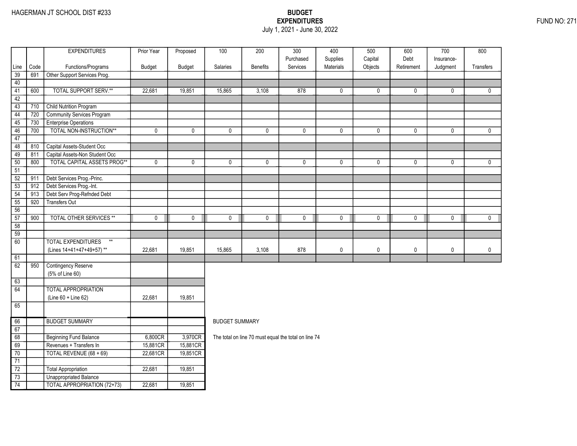### EXPENDITURES FUND NO: 271 July 1, 2021 - June 30, 2022

|                 |             | <b>EXPENDITURES</b>                                | Prior Year  | Proposed    | 100                   | 200             | $\overline{300}$                                     | 400                   | 500                | 600         | 700         | 800          |
|-----------------|-------------|----------------------------------------------------|-------------|-------------|-----------------------|-----------------|------------------------------------------------------|-----------------------|--------------------|-------------|-------------|--------------|
|                 |             |                                                    |             |             |                       |                 | Purchased<br>Services                                | Supplies<br>Materials | Capital<br>Objects | Debt        | Insurance-  |              |
| Line<br>39      | Code<br>691 | Functions/Programs<br>Other Support Services Prog. | Budget      | Budget      | Salaries              | <b>Benefits</b> |                                                      |                       |                    | Retirement  | Judgment    | Transfers    |
| 40              |             |                                                    |             |             |                       |                 |                                                      |                       |                    |             |             |              |
| 41              | 600         | <b>TOTAL SUPPORT SERV.**</b>                       | 22,681      | 19,851      | 15,865                | 3,108           | 878                                                  | 0                     | 0                  | $\mathbf 0$ | 0           | $\mathbf{0}$ |
| 42              |             |                                                    |             |             |                       |                 |                                                      |                       |                    |             |             |              |
| $\overline{43}$ | 710         | <b>Child Nutrition Program</b>                     |             |             |                       |                 |                                                      |                       |                    |             |             |              |
| 44              | 720         | <b>Community Services Program</b>                  |             |             |                       |                 |                                                      |                       |                    |             |             |              |
| 45              | 730         | <b>Enterprise Operations</b>                       |             |             |                       |                 |                                                      |                       |                    |             |             |              |
| 46              | 700         | TOTAL NON-INSTRUCTION**                            | $\pmb{0}$   | 0           | 0                     | 0               | $\mathbf 0$                                          | $\mathbf 0$           | 0                  | $\mathbf 0$ | 0           | $\mathbf{0}$ |
| 47              |             |                                                    |             |             |                       |                 |                                                      |                       |                    |             |             |              |
| 48              | 810         | Capital Assets-Student Occ                         |             |             |                       |                 |                                                      |                       |                    |             |             |              |
| 49              | 811         | Capital Assets-Non Student Occ                     |             |             |                       |                 |                                                      |                       |                    |             |             |              |
| 50              | 800         | <b>TOTAL CAPITAL ASSETS PROG**</b>                 | $\mathbf 0$ | 0           | 0                     | 0               | $\mathbf 0$                                          | $\mathbf 0$           | 0                  | $\mathbf 0$ | $\mathbf 0$ | $\mathbf 0$  |
| 51              |             |                                                    |             |             |                       |                 |                                                      |                       |                    |             |             |              |
| $\overline{52}$ | 911         | Debt Services Prog.-Princ.                         |             |             |                       |                 |                                                      |                       |                    |             |             |              |
| $\overline{53}$ | 912         | Debt Services Prog.-Int.                           |             |             |                       |                 |                                                      |                       |                    |             |             |              |
| 54              | 913         | Debt Serv Prog-Refnded Debt                        |             |             |                       |                 |                                                      |                       |                    |             |             |              |
| 55              | 920         | <b>Transfers Out</b>                               |             |             |                       |                 |                                                      |                       |                    |             |             |              |
| 56              |             |                                                    |             |             |                       |                 |                                                      |                       |                    |             |             |              |
| $\overline{57}$ | 900         | TOTAL OTHER SERVICES **                            | $\mathbf 0$ | $\mathbf 0$ | 0                     | $\mathbf 0$     | $\mathbf 0$                                          | $\pmb{0}$             | $\mathbf 0$        | $\mathbf 0$ | $\mathbf 0$ | $\mathbf 0$  |
| 58              |             |                                                    |             |             |                       |                 |                                                      |                       |                    |             |             |              |
| 59              |             |                                                    |             |             |                       |                 |                                                      |                       |                    |             |             |              |
| $\overline{60}$ |             | <b>TOTAL EXPENDITURES</b><br>$^{\star\star}$       |             |             |                       |                 |                                                      |                       |                    |             |             |              |
|                 |             | (Lines 14+41+47+49+57)**                           | 22,681      | 19,851      | 15,865                | 3,108           | 878                                                  | 0                     | 0                  | $\pmb{0}$   | 0           | $\mathsf{O}$ |
| 61              |             |                                                    |             |             |                       |                 |                                                      |                       |                    |             |             |              |
| 62              | 950         | <b>Contingency Reserve</b>                         |             |             |                       |                 |                                                      |                       |                    |             |             |              |
|                 |             | (5% of Line 60)                                    |             |             |                       |                 |                                                      |                       |                    |             |             |              |
| 63              |             |                                                    |             |             |                       |                 |                                                      |                       |                    |             |             |              |
| 64              |             | <b>TOTAL APPROPRIATION</b>                         |             |             |                       |                 |                                                      |                       |                    |             |             |              |
|                 |             | (Line 60 + Line 62)                                | 22,681      | 19,851      |                       |                 |                                                      |                       |                    |             |             |              |
| 65              |             |                                                    |             |             |                       |                 |                                                      |                       |                    |             |             |              |
| 66              |             | <b>BUDGET SUMMARY</b>                              |             |             | <b>BUDGET SUMMARY</b> |                 |                                                      |                       |                    |             |             |              |
| 67              |             |                                                    |             |             |                       |                 |                                                      |                       |                    |             |             |              |
| 68              |             | <b>Beginning Fund Balance</b>                      | 6,800CR     | 3,970CR     |                       |                 | The total on line 70 must equal the total on line 74 |                       |                    |             |             |              |
| 69              |             | Revenues + Transfers In                            | 15,881CR    | 15,881CR    |                       |                 |                                                      |                       |                    |             |             |              |
| 70              |             | TOTAL REVENUE (68 + 69)                            | 22,681CR    | 19,851CR    |                       |                 |                                                      |                       |                    |             |             |              |
| $\overline{71}$ |             |                                                    |             |             |                       |                 |                                                      |                       |                    |             |             |              |
| $\overline{72}$ |             | Total Appropriation                                | 22,681      | 19,851      |                       |                 |                                                      |                       |                    |             |             |              |
| $\overline{73}$ |             | <b>Unappropriated Balance</b>                      |             |             |                       |                 |                                                      |                       |                    |             |             |              |
| 74              |             | <b>TOTAL APPROPRIATION (72+73)</b>                 | 22,681      | 19,851      |                       |                 |                                                      |                       |                    |             |             |              |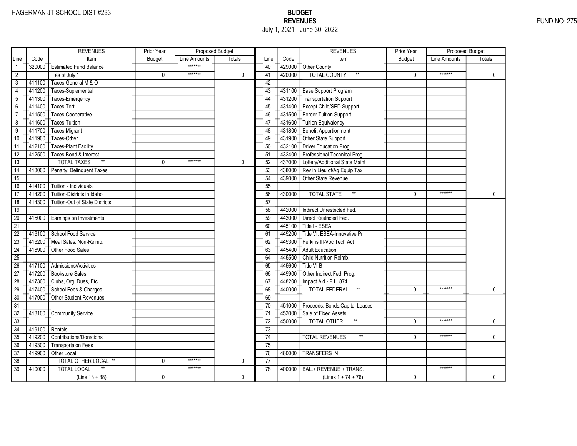|                 |        | <b>REVENUES</b>                | Prior Year    | Proposed Budget |               |                 |        | <b>REVENUES</b>                          | Prior Year   | Proposed Budget |               |
|-----------------|--------|--------------------------------|---------------|-----------------|---------------|-----------------|--------|------------------------------------------|--------------|-----------------|---------------|
| Line            | Code   | Item                           | <b>Budget</b> | Line Amounts    | <b>Totals</b> | Line            | Code   | Item                                     | Budget       | Line Amounts    | <b>Totals</b> |
|                 | 320000 | <b>Estimated Fund Balance</b>  |               | *******         |               | 40              |        | 429000 Other County                      |              |                 |               |
| $\overline{2}$  |        | as of July 1                   | 0             | *******         | 0             | 41              | 420000 | <b>TOTAL COUNTY</b><br>$\star\star$      | $\mathbf{0}$ | *******         | 0             |
| 3               | 411100 | Taxes-General M & O            |               |                 |               | 42              |        |                                          |              |                 |               |
| $\overline{4}$  | 411200 | Taxes-Suplemental              |               |                 |               | 43              |        | 431100 Base Support Program              |              |                 |               |
| $\overline{5}$  | 411300 | Taxes-Emergency                |               |                 |               | 44              |        | 431200 Transportation Support            |              |                 |               |
| $\overline{6}$  | 411400 | Taxes-Tort                     |               |                 |               | $\overline{45}$ |        | 431400 Except Child/SED Support          |              |                 |               |
| $\overline{7}$  | 411500 | Taxes-Cooperative              |               |                 |               | 46              |        | 431500   Border Tuition Support          |              |                 |               |
| $\overline{8}$  | 411600 | Taxes-Tuition                  |               |                 |               | 47              |        | 431600 Tuition Equivalency               |              |                 |               |
| $\overline{9}$  | 411700 | Taxes-Migrant                  |               |                 |               | 48              |        | 431800 Benefit Apportionment             |              |                 |               |
| 10              | 411900 | Taxes-Other                    |               |                 |               | 49              |        | 431900 Other State Support               |              |                 |               |
| 11              | 412100 | <b>Taxes-Plant Facility</b>    |               |                 |               | 50              | 432100 | Driver Education Prog.                   |              |                 |               |
| $\overline{12}$ | 412500 | Taxes-Bond & Interest          |               |                 |               | 51              |        | 432400 Professional Technical Prog       |              |                 |               |
| 13              |        | <b>TOTAL TAXES</b><br>$\ast$   | 0             | *******         | 0             | 52              |        | 437000 Lottery/Additional State Maint    |              |                 |               |
| 14              | 413000 | Penalty: Delinquent Taxes      |               |                 |               | 53              | 438000 | Rev in Lieu of/Ag Equip Tax              |              |                 |               |
| $\overline{15}$ |        |                                |               |                 |               | 54              | 439000 | Other State Revenue                      |              |                 |               |
| $\overline{16}$ | 414100 | Tuition - Individuals          |               |                 |               | 55              |        |                                          |              |                 |               |
| $\overline{17}$ | 414200 | Tuition-Districts in Idaho     |               |                 |               | 56              | 430000 | $^{\star\star}$<br><b>TOTAL STATE</b>    | $\Omega$     | *******         | 0             |
| $\overline{18}$ | 414300 | Tuition-Out of State Districts |               |                 |               | 57              |        |                                          |              |                 |               |
| 19              |        |                                |               |                 |               | 58              | 442000 | Indirect Unrestricted Fed.               |              |                 |               |
| $\overline{20}$ | 415000 | Earnings on Investments        |               |                 |               | 59              | 443000 | Direct Restricted Fed.                   |              |                 |               |
| $\overline{21}$ |        |                                |               |                 |               | 60              | 445100 | Title I - ESEA                           |              |                 |               |
| $\overline{22}$ | 416100 | School Food Service            |               |                 |               | 61              | 445200 | Title VI, ESEA-Innovative Pr             |              |                 |               |
| $\overline{23}$ | 416200 | Meal Sales: Non-Reimb.         |               |                 |               | 62              | 445300 | Perkins III-Voc Tech Act                 |              |                 |               |
| 24              | 416900 | Other Food Sales               |               |                 |               | 63              | 445400 | <b>Adult Education</b>                   |              |                 |               |
| 25              |        |                                |               |                 |               | 64              | 445500 | Child Nutrition Reimb.                   |              |                 |               |
| 26              | 417100 | Admissions/Activities          |               |                 |               | 65              | 445600 | Title VI-B                               |              |                 |               |
| 27              | 417200 | <b>Bookstore Sales</b>         |               |                 |               | 66              | 445900 | Other Indirect Fed. Prog.                |              |                 |               |
| 28              | 417300 | Clubs, Org. Dues, Etc.         |               |                 |               | 67              | 448200 | Impact Aid - P.L. 874                    |              |                 |               |
| 29              | 417400 | School Fees & Charges          |               |                 |               | 68              | 440000 | <b>TOTAL FEDERAL</b><br>$^{\star\star}$  | $\mathbf{0}$ | *******         | 0             |
| $\overline{30}$ | 417900 | Other Student Revenues         |               |                 |               | 69              |        |                                          |              |                 |               |
| $\overline{31}$ |        |                                |               |                 |               | 70              |        | 451000 Proceeds: Bonds, Capital Leases   |              |                 |               |
| $\overline{32}$ | 418100 | <b>Community Service</b>       |               |                 |               | 71              | 453000 | Sale of Fixed Assets                     |              |                 |               |
| $\overline{33}$ |        |                                |               |                 |               | 72              | 450000 | $^{\star\star}$<br><b>TOTAL OTHER</b>    | $\Omega$     | *******         | 0             |
| 34              | 419100 | Rentals                        |               |                 |               | $\overline{73}$ |        |                                          |              |                 |               |
| 35              | 419200 | Contributions/Donations        |               |                 |               | 74              |        | <b>TOTAL REVENUES</b><br>$^{\star\star}$ | $\Omega$     | *******         | 0             |
| 36              | 419300 | <b>Transportaion Fees</b>      |               |                 |               | $\overline{75}$ |        |                                          |              |                 |               |
| 37              | 419900 | Other Local                    |               |                 |               | 76              | 460000 | <b>TRANSFERS IN</b>                      |              |                 |               |
| 38              |        | TOTAL OTHER LOCAL **           | 0             | *******         | 0             | 77              |        |                                          |              |                 |               |
| $\overline{39}$ | 410000 | <b>TOTAL LOCAL</b>             |               | *******         |               | 78              |        | 400000 BAL.+ REVENUE + TRANS.            |              | *******         |               |
|                 |        | $(Line 13 + 38)$               | 0             |                 | 0             |                 |        | (Lines $1 + 74 + 76$ )                   | 0            |                 | $\mathbf 0$   |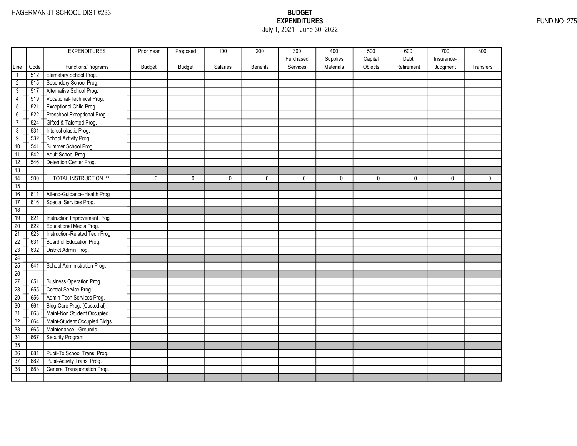## EXPENDITURES FUND NO: 275 July 1, 2021 - June 30, 2022

|                 |      | <b>EXPENDITURES</b>             | Prior Year | Proposed      | 100      | 200             | 300       | 400       | 500     | 600        | 700        | 800         |
|-----------------|------|---------------------------------|------------|---------------|----------|-----------------|-----------|-----------|---------|------------|------------|-------------|
|                 |      |                                 |            |               |          |                 | Purchased | Supplies  | Capital | Debt       | Insurance- |             |
| Line            | Code | Functions/Programs              | Budget     | <b>Budget</b> | Salaries | <b>Benefits</b> | Services  | Materials | Objects | Retirement | Judgment   | Transfers   |
| $\mathbf{1}$    | 512  | Elemetary School Prog.          |            |               |          |                 |           |           |         |            |            |             |
| $\overline{2}$  | 515  | Secondary School Prog.          |            |               |          |                 |           |           |         |            |            |             |
| $\overline{3}$  | 517  | Alternative School Prog.        |            |               |          |                 |           |           |         |            |            |             |
| 4               | 519  | Vocational-Technical Prog.      |            |               |          |                 |           |           |         |            |            |             |
| $\overline{5}$  | 521  | Exceptional Child Prog.         |            |               |          |                 |           |           |         |            |            |             |
| $\overline{6}$  | 522  | Preschool Exceptional Prog.     |            |               |          |                 |           |           |         |            |            |             |
| $\overline{7}$  | 524  | Gifted & Talented Prog.         |            |               |          |                 |           |           |         |            |            |             |
| $\overline{8}$  | 531  | Interscholastic Prog.           |            |               |          |                 |           |           |         |            |            |             |
| $\overline{9}$  | 532  | School Activity Prog.           |            |               |          |                 |           |           |         |            |            |             |
| 10              | 541  | Summer School Prog.             |            |               |          |                 |           |           |         |            |            |             |
| 11              | 542  | Adult School Prog.              |            |               |          |                 |           |           |         |            |            |             |
| 12              | 546  | Detention Center Prog.          |            |               |          |                 |           |           |         |            |            |             |
| 13              |      |                                 |            |               |          |                 |           |           |         |            |            |             |
| $\overline{14}$ | 500  | <b>TOTAL INSTRUCTION **</b>     | 0          | $\mathbf 0$   | 0        | 0               | 0         | 0         | 0       | 0          | 0          | $\mathbf 0$ |
| 15              |      |                                 |            |               |          |                 |           |           |         |            |            |             |
| 16              | 611  | Attend-Guidance-Health Prog     |            |               |          |                 |           |           |         |            |            |             |
| 17              | 616  | Special Services Prog.          |            |               |          |                 |           |           |         |            |            |             |
| 18              |      |                                 |            |               |          |                 |           |           |         |            |            |             |
| 19              | 621  | Instruction Improvement Prog    |            |               |          |                 |           |           |         |            |            |             |
| 20              | 622  | Educational Media Prog.         |            |               |          |                 |           |           |         |            |            |             |
| $\overline{21}$ | 623  | Instruction-Related Tech Prog   |            |               |          |                 |           |           |         |            |            |             |
| $\overline{22}$ | 631  | Board of Education Prog.        |            |               |          |                 |           |           |         |            |            |             |
| $\overline{23}$ | 632  | District Admin Prog.            |            |               |          |                 |           |           |         |            |            |             |
| 24              |      |                                 |            |               |          |                 |           |           |         |            |            |             |
| 25              | 641  | School Administration Prog.     |            |               |          |                 |           |           |         |            |            |             |
| 26              |      |                                 |            |               |          |                 |           |           |         |            |            |             |
| 27              | 651  | <b>Business Operation Prog.</b> |            |               |          |                 |           |           |         |            |            |             |
| $\overline{28}$ | 655  | Central Service Prog.           |            |               |          |                 |           |           |         |            |            |             |
| 29              | 656  | Admin Tech Services Prog.       |            |               |          |                 |           |           |         |            |            |             |
| 30              | 661  | Bldg-Care Prog. (Custodial)     |            |               |          |                 |           |           |         |            |            |             |
| $\overline{31}$ | 663  | Maint-Non Student Occupied      |            |               |          |                 |           |           |         |            |            |             |
| 32              | 664  | Maint-Student Occupied Bldgs    |            |               |          |                 |           |           |         |            |            |             |
| 33              | 665  | Maintenance - Grounds           |            |               |          |                 |           |           |         |            |            |             |
| 34              | 667  | Security Program                |            |               |          |                 |           |           |         |            |            |             |
| 35              |      |                                 |            |               |          |                 |           |           |         |            |            |             |
| 36              | 681  | Pupil-To School Trans. Prog.    |            |               |          |                 |           |           |         |            |            |             |
| $\overline{37}$ | 682  | Pupil-Activity Trans. Prog.     |            |               |          |                 |           |           |         |            |            |             |
| 38              | 683  | General Transportation Prog.    |            |               |          |                 |           |           |         |            |            |             |
|                 |      |                                 |            |               |          |                 |           |           |         |            |            |             |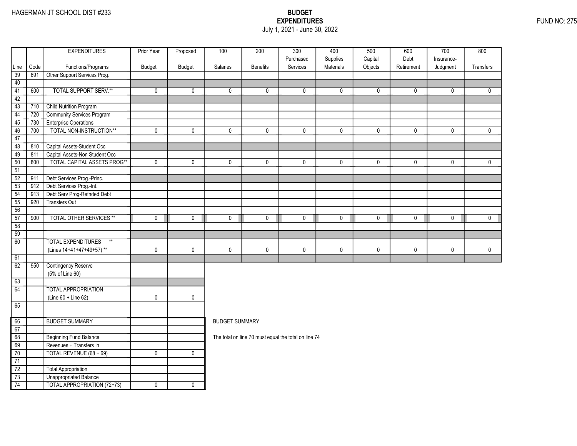### EXPENDITURES FUND NO: 275 July 1, 2021 - June 30, 2022

| Code<br>Line<br>691<br>39<br>40<br>41<br>600<br>42<br>$\overline{43}$<br>710<br>44<br>720<br>730<br>45<br>46<br>700 | Functions/Programs<br>Other Support Services Prog.<br><b>TOTAL SUPPORT SERV.**</b><br><b>Child Nutrition Program</b> | Budget<br>0 | Budget       | Salaries              | <b>Benefits</b> | Purchased<br>Services                                | Supplies<br>Materials | Capital<br>Objects | Debt<br>Retirement | Insurance-<br>Judgment | Transfers    |
|---------------------------------------------------------------------------------------------------------------------|----------------------------------------------------------------------------------------------------------------------|-------------|--------------|-----------------------|-----------------|------------------------------------------------------|-----------------------|--------------------|--------------------|------------------------|--------------|
|                                                                                                                     |                                                                                                                      |             |              |                       |                 |                                                      |                       |                    |                    |                        |              |
|                                                                                                                     |                                                                                                                      |             |              |                       |                 |                                                      |                       |                    |                    |                        |              |
|                                                                                                                     |                                                                                                                      |             |              |                       |                 |                                                      |                       |                    |                    |                        |              |
|                                                                                                                     |                                                                                                                      |             | $\mathbf{0}$ | $\mathbf{0}$          | $\mathbf 0$     | $\mathbf{0}$                                         | $\mathbf{0}$          | 0                  | $\mathbf{0}$       | $\mathbf{0}$           | $\mathbf{0}$ |
|                                                                                                                     |                                                                                                                      |             |              |                       |                 |                                                      |                       |                    |                    |                        |              |
|                                                                                                                     |                                                                                                                      |             |              |                       |                 |                                                      |                       |                    |                    |                        |              |
|                                                                                                                     | Community Services Program                                                                                           |             |              |                       |                 |                                                      |                       |                    |                    |                        |              |
|                                                                                                                     | <b>Enterprise Operations</b>                                                                                         |             |              |                       |                 |                                                      |                       |                    |                    |                        |              |
|                                                                                                                     | TOTAL NON-INSTRUCTION**                                                                                              | 0           | 0            | 0                     | 0               | 0                                                    | $\mathbf 0$           | 0                  | $\mathbf 0$        | $\mathbf 0$            | $\mathbf 0$  |
| 47                                                                                                                  |                                                                                                                      |             |              |                       |                 |                                                      |                       |                    |                    |                        |              |
| 48<br>810                                                                                                           | Capital Assets-Student Occ                                                                                           |             |              |                       |                 |                                                      |                       |                    |                    |                        |              |
| 49<br>811                                                                                                           | Capital Assets-Non Student Occ                                                                                       |             |              |                       |                 |                                                      |                       |                    |                    |                        |              |
| 800<br>50                                                                                                           | <b>TOTAL CAPITAL ASSETS PROG**</b>                                                                                   | $\mathbf 0$ | $\mathbf 0$  | $\mathbf 0$           | $\mathbf 0$     | $\mathbf{0}$                                         | $\mathbf 0$           | 0                  | $\mathbf 0$        | $\mathbf{0}$           | $\mathbf 0$  |
| 51                                                                                                                  |                                                                                                                      |             |              |                       |                 |                                                      |                       |                    |                    |                        |              |
| 52<br>911                                                                                                           | Debt Services Prog.-Princ.                                                                                           |             |              |                       |                 |                                                      |                       |                    |                    |                        |              |
| 53<br>912                                                                                                           | Debt Services Prog.-Int.                                                                                             |             |              |                       |                 |                                                      |                       |                    |                    |                        |              |
| 54<br>913                                                                                                           | Debt Serv Prog-Refnded Debt                                                                                          |             |              |                       |                 |                                                      |                       |                    |                    |                        |              |
| 920<br>55                                                                                                           | <b>Transfers Out</b>                                                                                                 |             |              |                       |                 |                                                      |                       |                    |                    |                        |              |
| 56                                                                                                                  |                                                                                                                      |             |              |                       |                 |                                                      |                       |                    |                    |                        |              |
| 57<br>900                                                                                                           | <b>TOTAL OTHER SERVICES **</b>                                                                                       | $\mathbf 0$ | $\mathbf 0$  | 0                     | $\mathbf 0$     | 0                                                    | $\mathbf 0$           | 0                  | $\mathbf 0$        | 0                      | $\mathbf 0$  |
| 58                                                                                                                  |                                                                                                                      |             |              |                       |                 |                                                      |                       |                    |                    |                        |              |
| $\overline{59}$                                                                                                     |                                                                                                                      |             |              |                       |                 |                                                      |                       |                    |                    |                        |              |
| 60                                                                                                                  | <b>TOTAL EXPENDITURES</b><br>$**$                                                                                    |             |              |                       |                 |                                                      |                       |                    |                    |                        |              |
|                                                                                                                     | (Lines 14+41+47+49+57)**                                                                                             | 0           | $\mathbf 0$  | $\pmb{0}$             | $\pmb{0}$       | 0                                                    | $\pmb{0}$             | 0                  | $\pmb{0}$          | 0                      | $\mathbf 0$  |
| 61                                                                                                                  |                                                                                                                      |             |              |                       |                 |                                                      |                       |                    |                    |                        |              |
| 62<br>950                                                                                                           | <b>Contingency Reserve</b>                                                                                           |             |              |                       |                 |                                                      |                       |                    |                    |                        |              |
|                                                                                                                     | (5% of Line 60)                                                                                                      |             |              |                       |                 |                                                      |                       |                    |                    |                        |              |
| 63                                                                                                                  |                                                                                                                      |             |              |                       |                 |                                                      |                       |                    |                    |                        |              |
| 64                                                                                                                  | <b>TOTAL APPROPRIATION</b>                                                                                           |             |              |                       |                 |                                                      |                       |                    |                    |                        |              |
|                                                                                                                     | (Line 60 + Line 62)                                                                                                  | 0           | 0            |                       |                 |                                                      |                       |                    |                    |                        |              |
| 65                                                                                                                  |                                                                                                                      |             |              |                       |                 |                                                      |                       |                    |                    |                        |              |
| 66                                                                                                                  | <b>BUDGET SUMMARY</b>                                                                                                |             |              | <b>BUDGET SUMMARY</b> |                 |                                                      |                       |                    |                    |                        |              |
| 67                                                                                                                  |                                                                                                                      |             |              |                       |                 |                                                      |                       |                    |                    |                        |              |
| 68                                                                                                                  | <b>Beginning Fund Balance</b>                                                                                        |             |              |                       |                 | The total on line 70 must equal the total on line 74 |                       |                    |                    |                        |              |
| 69                                                                                                                  | Revenues + Transfers In                                                                                              |             |              |                       |                 |                                                      |                       |                    |                    |                        |              |
| 70                                                                                                                  | TOTAL REVENUE (68 + 69)                                                                                              | $\pmb{0}$   | $\pmb{0}$    |                       |                 |                                                      |                       |                    |                    |                        |              |
| $\overline{71}$                                                                                                     |                                                                                                                      |             |              |                       |                 |                                                      |                       |                    |                    |                        |              |
| $\overline{72}$                                                                                                     | Total Appropriation                                                                                                  |             |              |                       |                 |                                                      |                       |                    |                    |                        |              |
| $\overline{73}$                                                                                                     | Unappropriated Balance                                                                                               |             |              |                       |                 |                                                      |                       |                    |                    |                        |              |
| $\overline{74}$                                                                                                     | <b>TOTAL APPROPRIATION (72+73)</b>                                                                                   | $\mathbf 0$ | $\mathbf 0$  |                       |                 |                                                      |                       |                    |                    |                        |              |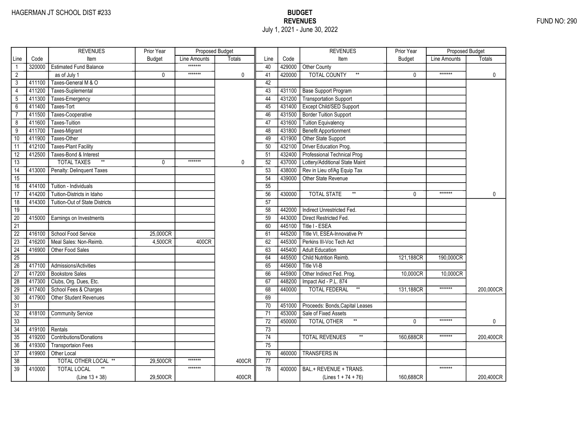# HAGERMAN JT SCHOOL DIST #233 BUDGET EXERCISE A SALE AND THE MANUSCRIPT OF THE MANUSCRIPT OF THE MANUSCRIPT OF THE MANUSCRIPT OF THE MANUSCRIPT OF THE MANUSCRIPT OF THE MANUSCRIPT OF THE MANUSCRIPT OF THE MANUSCRIPT OF THE July 1, 2021 - June 30, 2022

|                 |        | <b>REVENUES</b>                       | Prior Year    | Proposed Budget |               |                 |        | <b>REVENUES</b>                       | Prior Year    | Proposed Budget |               |
|-----------------|--------|---------------------------------------|---------------|-----------------|---------------|-----------------|--------|---------------------------------------|---------------|-----------------|---------------|
| Line            | Code   | Item                                  | <b>Budget</b> | Line Amounts    | <b>Totals</b> | Line            | Code   | Item                                  | <b>Budget</b> | Line Amounts    | <b>Totals</b> |
|                 | 320000 | <b>Estimated Fund Balance</b>         |               | *******         |               | 40              | 429000 | Other County                          |               |                 |               |
| $\overline{2}$  |        | as of July 1                          | $\mathbf 0$   | *******         | 0             | 41              | 420000 | <b>TOTAL COUNTY</b><br>$\star\star$   | $\Omega$      | *******         | 0             |
| 3               | 411100 | Taxes-General M & O                   |               |                 |               | 42              |        |                                       |               |                 |               |
| $\overline{4}$  | 411200 | Taxes-Suplemental                     |               |                 |               | 43              |        | 431100 Base Support Program           |               |                 |               |
| $\overline{5}$  | 411300 | Taxes-Emergency                       |               |                 |               | 44              |        | 431200 Transportation Support         |               |                 |               |
| 6               | 411400 | Taxes-Tort                            |               |                 |               | 45              | 431400 | <b>Except Child/SED Support</b>       |               |                 |               |
| $\overline{7}$  | 411500 | Taxes-Cooperative                     |               |                 |               | 46              | 431500 | <b>Border Tuition Support</b>         |               |                 |               |
| 8               | 411600 | <b>Taxes-Tuition</b>                  |               |                 |               | 47              | 431600 | Tuition Equivalency                   |               |                 |               |
| 9               | 411700 | Taxes-Migrant                         |               |                 |               | 48              | 431800 | Benefit Apportionment                 |               |                 |               |
| 10              | 411900 | Taxes-Other                           |               |                 |               | 49              | 431900 | Other State Support                   |               |                 |               |
| 11              | 412100 | <b>Taxes-Plant Facility</b>           |               |                 |               | 50              | 432100 | Driver Education Prog.                |               |                 |               |
| $\overline{12}$ | 412500 | Taxes-Bond & Interest                 |               |                 |               | 51              | 432400 | Professional Technical Prog           |               |                 |               |
| 13              |        | <b>TOTAL TAXES</b><br>$^{\star\star}$ | 0             | *******         | $\mathbf{0}$  | 52              | 437000 | Lottery/Additional State Maint        |               |                 |               |
| 14              | 413000 | Penalty: Delinquent Taxes             |               |                 |               | 53              | 438000 | Rev in Lieu of/Ag Equip Tax           |               |                 |               |
| $\overline{15}$ |        |                                       |               |                 |               | 54              | 439000 | Other State Revenue                   |               |                 |               |
| 16              | 414100 | Tuition - Individuals                 |               |                 |               | $\overline{55}$ |        |                                       |               |                 |               |
| 17              | 414200 | Tuition-Districts in Idaho            |               |                 |               | 56              | 430000 | $^{\star\star}$<br><b>TOTAL STATE</b> | $\Omega$      | *******         | $\mathbf{0}$  |
| $\overline{18}$ | 414300 | <b>Tuition-Out of State Districts</b> |               |                 |               | $\overline{57}$ |        |                                       |               |                 |               |
| 19              |        |                                       |               |                 |               | 58              | 442000 | Indirect Unrestricted Fed.            |               |                 |               |
| $\overline{20}$ | 415000 | Earnings on Investments               |               |                 |               | 59              | 443000 | Direct Restricted Fed.                |               |                 |               |
| $\overline{21}$ |        |                                       |               |                 |               | 60              | 445100 | Title I - ESEA                        |               |                 |               |
| $\overline{22}$ | 416100 | School Food Service                   | 25,000CR      |                 |               | 61              | 445200 | Title VI, ESEA-Innovative Pr          |               |                 |               |
| $\overline{23}$ | 416200 | Meal Sales: Non-Reimb.                | 4,500CR       | 400CR           |               | 62              | 445300 | Perkins III-Voc Tech Act              |               |                 |               |
| $\overline{24}$ | 416900 | Other Food Sales                      |               |                 |               | 63              | 445400 | <b>Adult Education</b>                |               |                 |               |
| $\overline{25}$ |        |                                       |               |                 |               | 64              | 445500 | Child Nutrition Reimb.                | 121.188CR     | 190,000CR       |               |
| 26              | 417100 | Admissions/Activities                 |               |                 |               | 65              | 445600 | Title VI-B                            |               |                 |               |
| 27              | 417200 | <b>Bookstore Sales</b>                |               |                 |               | 66              | 445900 | Other Indirect Fed. Prog.             | 10,000CR      | 10,000CR        |               |
| 28              | 417300 | Clubs, Org. Dues, Etc.                |               |                 |               | 67              | 448200 | Impact Aid - P.L. 874                 |               |                 |               |
| 29              | 417400 | School Fees & Charges                 |               |                 |               | 68              | 440000 | $\ast\ast$<br><b>TOTAL FEDERAL</b>    | 131,188CR     | *******         | 200,000CR     |
| 30              | 417900 | Other Student Revenues                |               |                 |               | 69              |        |                                       |               |                 |               |
| $\overline{31}$ |        |                                       |               |                 |               | $\overline{70}$ | 451000 | Proceeds: Bonds, Capital Leases       |               |                 |               |
| $\overline{32}$ | 418100 | <b>Community Service</b>              |               |                 |               | $\overline{71}$ | 453000 | Sale of Fixed Assets                  |               |                 |               |
| $\overline{33}$ |        |                                       |               |                 |               | 72              | 450000 | <b>TOTAL OTHER</b><br>$\star\star$    | $\Omega$      | *******         | 0             |
| 34              | 419100 | Rentals                               |               |                 |               | 73              |        |                                       |               |                 |               |
| 35              | 419200 | <b>Contributions/Donations</b>        |               |                 |               | 74              |        | <b>TOTAL REVENUES</b>                 | 160,688CR     | *******         | 200,400CR     |
| 36              | 419300 | <b>Transportaion Fees</b>             |               |                 |               | 75              |        |                                       |               |                 |               |
| 37              | 419900 | Other Local                           |               |                 |               | 76              | 460000 | <b>TRANSFERS IN</b>                   |               |                 |               |
| 38              |        | <b>TOTAL OTHER LOCAL **</b>           | 29,500CR      | *******         | 400CR         | $\overline{77}$ |        |                                       |               |                 |               |
| $\overline{39}$ | 410000 | <b>TOTAL LOCAL</b>                    |               | *******         |               | 78              | 400000 | BAL.+ REVENUE + TRANS.                |               | *******         |               |
|                 |        | $(Line 13 + 38)$                      | 29,500CR      |                 | 400CR         |                 |        | (Lines $1 + 74 + 76$ )                | 160,688CR     |                 | 200,400CR     |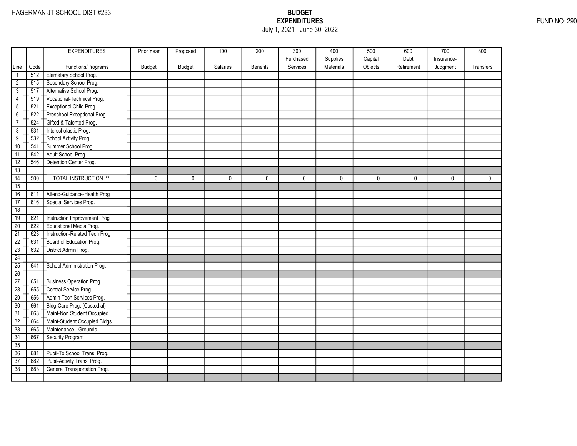## EXPENDITURES FUND NO: 290 July 1, 2021 - June 30, 2022

|                 |      | <b>EXPENDITURES</b>             | Prior Year | Proposed      | 100      | 200             | 300       | 400       | 500     | 600        | 700        | 800         |
|-----------------|------|---------------------------------|------------|---------------|----------|-----------------|-----------|-----------|---------|------------|------------|-------------|
|                 |      |                                 |            |               |          |                 | Purchased | Supplies  | Capital | Debt       | Insurance- |             |
| Line            | Code | Functions/Programs              | Budget     | <b>Budget</b> | Salaries | <b>Benefits</b> | Services  | Materials | Objects | Retirement | Judgment   | Transfers   |
| $\mathbf{1}$    | 512  | Elemetary School Prog.          |            |               |          |                 |           |           |         |            |            |             |
| $\overline{2}$  | 515  | Secondary School Prog.          |            |               |          |                 |           |           |         |            |            |             |
| $\overline{3}$  | 517  | Alternative School Prog.        |            |               |          |                 |           |           |         |            |            |             |
| 4               | 519  | Vocational-Technical Prog.      |            |               |          |                 |           |           |         |            |            |             |
| $\overline{5}$  | 521  | Exceptional Child Prog.         |            |               |          |                 |           |           |         |            |            |             |
| $\overline{6}$  | 522  | Preschool Exceptional Prog.     |            |               |          |                 |           |           |         |            |            |             |
| $\overline{7}$  | 524  | Gifted & Talented Prog.         |            |               |          |                 |           |           |         |            |            |             |
| $\overline{8}$  | 531  | Interscholastic Prog.           |            |               |          |                 |           |           |         |            |            |             |
| $\overline{9}$  | 532  | School Activity Prog.           |            |               |          |                 |           |           |         |            |            |             |
| 10              | 541  | Summer School Prog.             |            |               |          |                 |           |           |         |            |            |             |
| 11              | 542  | Adult School Prog.              |            |               |          |                 |           |           |         |            |            |             |
| 12              | 546  | Detention Center Prog.          |            |               |          |                 |           |           |         |            |            |             |
| 13              |      |                                 |            |               |          |                 |           |           |         |            |            |             |
| $\overline{14}$ | 500  | <b>TOTAL INSTRUCTION **</b>     | 0          | $\mathbf 0$   | 0        | 0               | 0         | 0         | 0       | 0          | 0          | $\mathbf 0$ |
| 15              |      |                                 |            |               |          |                 |           |           |         |            |            |             |
| 16              | 611  | Attend-Guidance-Health Prog     |            |               |          |                 |           |           |         |            |            |             |
| 17              | 616  | Special Services Prog.          |            |               |          |                 |           |           |         |            |            |             |
| 18              |      |                                 |            |               |          |                 |           |           |         |            |            |             |
| 19              | 621  | Instruction Improvement Prog    |            |               |          |                 |           |           |         |            |            |             |
| 20              | 622  | Educational Media Prog.         |            |               |          |                 |           |           |         |            |            |             |
| $\overline{21}$ | 623  | Instruction-Related Tech Prog   |            |               |          |                 |           |           |         |            |            |             |
| $\overline{22}$ | 631  | Board of Education Prog.        |            |               |          |                 |           |           |         |            |            |             |
| $\overline{23}$ | 632  | District Admin Prog.            |            |               |          |                 |           |           |         |            |            |             |
| 24              |      |                                 |            |               |          |                 |           |           |         |            |            |             |
| 25              | 641  | School Administration Prog.     |            |               |          |                 |           |           |         |            |            |             |
| 26              |      |                                 |            |               |          |                 |           |           |         |            |            |             |
| 27              | 651  | <b>Business Operation Prog.</b> |            |               |          |                 |           |           |         |            |            |             |
| $\overline{28}$ | 655  | Central Service Prog.           |            |               |          |                 |           |           |         |            |            |             |
| 29              | 656  | Admin Tech Services Prog.       |            |               |          |                 |           |           |         |            |            |             |
| 30              | 661  | Bldg-Care Prog. (Custodial)     |            |               |          |                 |           |           |         |            |            |             |
| $\overline{31}$ | 663  | Maint-Non Student Occupied      |            |               |          |                 |           |           |         |            |            |             |
| 32              | 664  | Maint-Student Occupied Bldgs    |            |               |          |                 |           |           |         |            |            |             |
| 33              | 665  | Maintenance - Grounds           |            |               |          |                 |           |           |         |            |            |             |
| 34              | 667  | Security Program                |            |               |          |                 |           |           |         |            |            |             |
| 35              |      |                                 |            |               |          |                 |           |           |         |            |            |             |
| 36              | 681  | Pupil-To School Trans. Prog.    |            |               |          |                 |           |           |         |            |            |             |
| $\overline{37}$ | 682  | Pupil-Activity Trans. Prog.     |            |               |          |                 |           |           |         |            |            |             |
| 38              | 683  | General Transportation Prog.    |            |               |          |                 |           |           |         |            |            |             |
|                 |      |                                 |            |               |          |                 |           |           |         |            |            |             |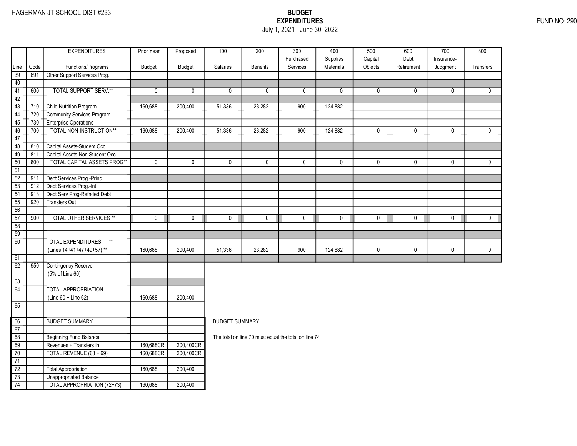### EXPENDITURES FUND NO: 290 July 1, 2021 - June 30, 2022

|                 |      | <b>EXPENDITURES</b>                | Prior Year     | Proposed    | 100                   | 200             | $\overline{300}$                                     | 400          | 500       | 600         | 700         | 800          |
|-----------------|------|------------------------------------|----------------|-------------|-----------------------|-----------------|------------------------------------------------------|--------------|-----------|-------------|-------------|--------------|
|                 |      |                                    |                |             |                       |                 | Purchased                                            | Supplies     | Capital   | Debt        | Insurance-  |              |
| Line            | Code | Functions/Programs                 | Budget         | Budget      | Salaries              | <b>Benefits</b> | Services                                             | Materials    | Objects   | Retirement  | Judgment    | Transfers    |
| 39              | 691  | Other Support Services Prog.       |                |             |                       |                 |                                                      |              |           |             |             |              |
| 40              |      |                                    |                |             |                       |                 |                                                      |              |           |             |             |              |
| 41              | 600  | <b>TOTAL SUPPORT SERV.**</b>       | $\mathbf 0$    | 0           | 0                     | $\mathbf 0$     | 0                                                    | $\mathbf{0}$ | 0         | $\mathbf 0$ | 0           | $\mathbf{0}$ |
| 42              |      |                                    |                |             |                       |                 |                                                      |              |           |             |             |              |
| 43              | 710  | Child Nutrition Program            | 160,688        | 200,400     | 51,336                | 23,282          | $\overline{900}$                                     | 124,882      |           |             |             |              |
| 44              | 720  | <b>Community Services Program</b>  |                |             |                       |                 |                                                      |              |           |             |             |              |
| 45              | 730  | <b>Enterprise Operations</b>       |                |             |                       |                 |                                                      |              |           |             |             |              |
| 46              | 700  | TOTAL NON-INSTRUCTION**            | 160,688        | 200,400     | 51,336                | 23,282          | 900                                                  | 124,882      | $\pmb{0}$ | $\mathbf 0$ | 0           | $\mathbf 0$  |
| 47              |      |                                    |                |             |                       |                 |                                                      |              |           |             |             |              |
| 48              | 810  | Capital Assets-Student Occ         |                |             |                       |                 |                                                      |              |           |             |             |              |
| 49              | 811  | Capital Assets-Non Student Occ     |                |             |                       |                 |                                                      |              |           |             |             |              |
| 50              | 800  | <b>TOTAL CAPITAL ASSETS PROG**</b> | $\pmb{0}$      | $\mathbf 0$ | 0                     | $\pmb{0}$       | 0                                                    | $\pmb{0}$    | $\pmb{0}$ | $\mathbf 0$ | $\mathbf 0$ | $\mathbf 0$  |
| $\overline{51}$ |      |                                    |                |             |                       |                 |                                                      |              |           |             |             |              |
| $\overline{52}$ | 911  | Debt Services Prog.-Princ.         |                |             |                       |                 |                                                      |              |           |             |             |              |
| $\overline{53}$ | 912  | Debt Services Prog.-Int.           |                |             |                       |                 |                                                      |              |           |             |             |              |
| 54              | 913  | Debt Serv Prog-Refnded Debt        |                |             |                       |                 |                                                      |              |           |             |             |              |
| 55              | 920  | <b>Transfers Out</b>               |                |             |                       |                 |                                                      |              |           |             |             |              |
| 56              |      |                                    |                |             |                       |                 |                                                      |              |           |             |             |              |
| 57              | 900  | <b>TOTAL OTHER SERVICES **</b>     | $\overline{0}$ | $\pmb{0}$   | 0                     | $\overline{0}$  | 0                                                    | $\pmb{0}$    | $\pmb{0}$ | $\pmb{0}$   | $\mathbf 0$ | $\pmb{0}$    |
| 58              |      |                                    |                |             |                       |                 |                                                      |              |           |             |             |              |
| $\overline{59}$ |      |                                    |                |             |                       |                 |                                                      |              |           |             |             |              |
| $\overline{60}$ |      | <b>TOTAL EXPENDITURES</b><br>$**$  |                |             |                       |                 |                                                      |              |           |             |             |              |
|                 |      | (Lines 14+41+47+49+57)**           | 160,688        | 200,400     | 51,336                | 23,282          | 900                                                  | 124,882      | 0         | $\pmb{0}$   | 0           | $\mathbf 0$  |
| 61              |      |                                    |                |             |                       |                 |                                                      |              |           |             |             |              |
| 62              | 950  | <b>Contingency Reserve</b>         |                |             |                       |                 |                                                      |              |           |             |             |              |
|                 |      | (5% of Line 60)                    |                |             |                       |                 |                                                      |              |           |             |             |              |
| 63              |      |                                    |                |             |                       |                 |                                                      |              |           |             |             |              |
| 64              |      | <b>TOTAL APPROPRIATION</b>         |                |             |                       |                 |                                                      |              |           |             |             |              |
|                 |      | (Line 60 + Line 62)                | 160,688        | 200,400     |                       |                 |                                                      |              |           |             |             |              |
| 65              |      |                                    |                |             |                       |                 |                                                      |              |           |             |             |              |
| 66              |      | <b>BUDGET SUMMARY</b>              |                |             | <b>BUDGET SUMMARY</b> |                 |                                                      |              |           |             |             |              |
| 67              |      |                                    |                |             |                       |                 |                                                      |              |           |             |             |              |
| 68              |      | <b>Beginning Fund Balance</b>      |                |             |                       |                 | The total on line 70 must equal the total on line 74 |              |           |             |             |              |
| 69              |      | Revenues + Transfers In            | 160,688CR      | 200,400CR   |                       |                 |                                                      |              |           |             |             |              |
| $\overline{70}$ |      | TOTAL REVENUE (68 + 69)            | 160,688CR      | 200,400CR   |                       |                 |                                                      |              |           |             |             |              |
| $\overline{71}$ |      |                                    |                |             |                       |                 |                                                      |              |           |             |             |              |
| $\overline{72}$ |      | Total Appropriation                | 160,688        | 200,400     |                       |                 |                                                      |              |           |             |             |              |
| $\overline{73}$ |      | <b>Unappropriated Balance</b>      |                |             |                       |                 |                                                      |              |           |             |             |              |
| $\overline{74}$ |      | <b>TOTAL APPROPRIATION (72+73)</b> | 160,688        | 200,400     |                       |                 |                                                      |              |           |             |             |              |
|                 |      |                                    |                |             |                       |                 |                                                      |              |           |             |             |              |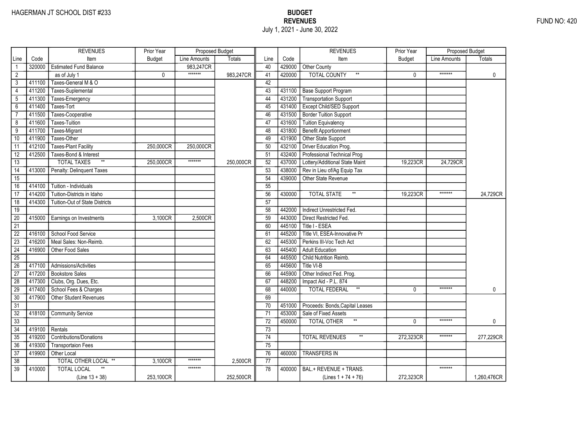# HAGERMAN JT SCHOOL DIST #233 BUDGET EXERCISE A SALE AND THE MANUSCRIPT OF THE MANUSCRIPT OF THE MANUSCRIPT OF THE MANUSCRIPT OF THE MANUSCRIPT OF THE MANUSCRIPT OF THE MANUSCRIPT OF THE MANUSCRIPT OF THE MANUSCRIPT OF THE July 1, 2021 - June 30, 2022

|                 |        | <b>REVENUES</b>                       | Prior Year    | Proposed Budget |               |                 |        | <b>REVENUES</b>                     | Prior Year    | Proposed Budget |               |
|-----------------|--------|---------------------------------------|---------------|-----------------|---------------|-----------------|--------|-------------------------------------|---------------|-----------------|---------------|
| Line            | Code   | Item                                  | <b>Budget</b> | Line Amounts    | <b>Totals</b> | Line            | Code   | Item                                | <b>Budget</b> | Line Amounts    | <b>Totals</b> |
|                 | 320000 | <b>Estimated Fund Balance</b>         |               | 983.247CR       |               | 40              | 429000 | <b>Other County</b>                 |               |                 |               |
| $\overline{2}$  |        | as of July 1                          | 0             | *******         | 983,247CR     | 41              | 420000 | <b>TOTAL COUNTY</b><br>$\star\star$ | $\Omega$      | *******         | $\mathbf{0}$  |
| 3               | 411100 | Taxes-General M & O                   |               |                 |               | 42              |        |                                     |               |                 |               |
| $\overline{4}$  | 411200 | Taxes-Suplemental                     |               |                 |               | 43              |        | 431100 Base Support Program         |               |                 |               |
| $\overline{5}$  | 411300 | Taxes-Emergency                       |               |                 |               | 44              |        | 431200 Transportation Support       |               |                 |               |
| 6               | 411400 | Taxes-Tort                            |               |                 |               | 45              | 431400 | Except Child/SED Support            |               |                 |               |
| $\overline{7}$  | 411500 | Taxes-Cooperative                     |               |                 |               | 46              | 431500 | Border Tuition Support              |               |                 |               |
| $\overline{8}$  | 411600 | <b>Taxes-Tuition</b>                  |               |                 |               | 47              | 431600 | <b>Tuition Equivalency</b>          |               |                 |               |
| 9               | 411700 | Taxes-Migrant                         |               |                 |               | 48              | 431800 | Benefit Apportionment               |               |                 |               |
| 10              | 411900 | Taxes-Other                           |               |                 |               | 49              | 431900 | Other State Support                 |               |                 |               |
| 11              | 412100 | <b>Taxes-Plant Facility</b>           | 250,000CR     | 250,000CR       |               | 50              | 432100 | Driver Education Prog.              |               |                 |               |
| $\overline{12}$ | 412500 | Taxes-Bond & Interest                 |               |                 |               | 51              | 432400 | Professional Technical Prog         |               |                 |               |
| 13              |        | $^{\star\star}$<br><b>TOTAL TAXES</b> | 250,000CR     | *******         | 250,000CR     | 52              | 437000 | Lottery/Additional State Maint      | 19.223CR      | 24.729CR        |               |
| 14              | 413000 | Penalty: Delinguent Taxes             |               |                 |               | 53              | 438000 | Rev in Lieu of/Ag Equip Tax         |               |                 |               |
| $\overline{15}$ |        |                                       |               |                 |               | 54              | 439000 | Other State Revenue                 |               |                 |               |
| 16              | 414100 | Tuition - Individuals                 |               |                 |               | 55              |        |                                     |               |                 |               |
| 17              | 414200 | Tuition-Districts in Idaho            |               |                 |               | 56              | 430000 | $**$<br><b>TOTAL STATE</b>          | 19.223CR      | *******         | 24.729CR      |
| $\overline{18}$ | 414300 | <b>Tuition-Out of State Districts</b> |               |                 |               | 57              |        |                                     |               |                 |               |
| 19              |        |                                       |               |                 |               | 58              | 442000 | Indirect Unrestricted Fed.          |               |                 |               |
| 20              | 415000 | Earnings on Investments               | 3.100CR       | 2.500CR         |               | 59              | 443000 | Direct Restricted Fed.              |               |                 |               |
| $\overline{21}$ |        |                                       |               |                 |               | 60              | 445100 | Title I - ESEA                      |               |                 |               |
| $\overline{22}$ | 416100 | School Food Service                   |               |                 |               | 61              | 445200 | Title VI, ESEA-Innovative Pr        |               |                 |               |
| $\overline{23}$ | 416200 | Meal Sales: Non-Reimb.                |               |                 |               | 62              | 445300 | Perkins III-Voc Tech Act            |               |                 |               |
| $\overline{24}$ | 416900 | Other Food Sales                      |               |                 |               | 63              | 445400 | <b>Adult Education</b>              |               |                 |               |
| $\overline{25}$ |        |                                       |               |                 |               | 64              | 445500 | Child Nutrition Reimb.              |               |                 |               |
| 26              | 417100 | Admissions/Activities                 |               |                 |               | 65              | 445600 | Title VI-B                          |               |                 |               |
| 27              | 417200 | <b>Bookstore Sales</b>                |               |                 |               | 66              | 445900 | Other Indirect Fed. Prog.           |               |                 |               |
| 28              | 417300 | Clubs, Org. Dues, Etc.                |               |                 |               | 67              | 448200 | Impact Aid - P.L. 874               |               |                 |               |
| 29              | 417400 | School Fees & Charges                 |               |                 |               | 68              | 440000 | $\ast\ast$<br><b>TOTAL FEDERAL</b>  | $\mathbf{0}$  | *******         | $\mathbf{0}$  |
| 30              | 417900 | <b>Other Student Revenues</b>         |               |                 |               | 69              |        |                                     |               |                 |               |
| $\overline{31}$ |        |                                       |               |                 |               | $\overline{70}$ | 451000 | Proceeds: Bonds, Capital Leases     |               |                 |               |
| $\overline{32}$ | 418100 | <b>Community Service</b>              |               |                 |               | $\overline{71}$ | 453000 | Sale of Fixed Assets                |               |                 |               |
| $\overline{33}$ |        |                                       |               |                 |               | 72              | 450000 | <b>TOTAL OTHER</b>                  | $\Omega$      | *******         | $\mathbf{0}$  |
| 34              | 419100 | Rentals                               |               |                 |               | 73              |        |                                     |               |                 |               |
| 35              | 419200 | <b>Contributions/Donations</b>        |               |                 |               | 74              |        | <b>TOTAL REVENUES</b>               | 272,323CR     | *******         | 277,229CR     |
| 36              | 419300 | <b>Transportaion Fees</b>             |               |                 |               | 75              |        |                                     |               |                 |               |
| 37              | 419900 | Other Local                           |               |                 |               | 76              | 460000 | <b>TRANSFERS IN</b>                 |               |                 |               |
| 38              |        | <b>TOTAL OTHER LOCAL **</b>           | 3,100CR       | *******         | 2,500CR       | 77              |        |                                     |               |                 |               |
| $\overline{39}$ | 410000 | <b>TOTAL LOCAL</b>                    |               | *******         |               | 78              | 400000 | BAL.+ REVENUE + TRANS.              |               | *******         |               |
|                 |        | $(Line 13 + 38)$                      | 253,100CR     |                 | 252,500CR     |                 |        | $(Lines 1 + 74 + 76)$               | 272,323CR     |                 | 1,260,476CR   |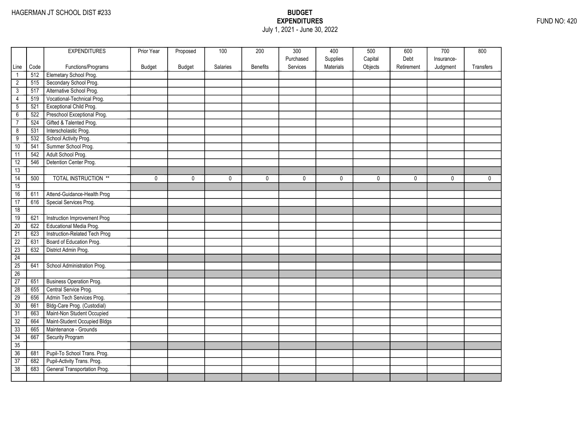## EXPENDITURES FUND NO: 420 July 1, 2021 - June 30, 2022

|                 |      | <b>EXPENDITURES</b>             | Prior Year | Proposed      | 100      | 200             | 300       | 400       | 500     | 600        | 700        | 800         |
|-----------------|------|---------------------------------|------------|---------------|----------|-----------------|-----------|-----------|---------|------------|------------|-------------|
|                 |      |                                 |            |               |          |                 | Purchased | Supplies  | Capital | Debt       | Insurance- |             |
| Line            | Code | Functions/Programs              | Budget     | <b>Budget</b> | Salaries | <b>Benefits</b> | Services  | Materials | Objects | Retirement | Judgment   | Transfers   |
| $\mathbf{1}$    | 512  | Elemetary School Prog.          |            |               |          |                 |           |           |         |            |            |             |
| $\overline{2}$  | 515  | Secondary School Prog.          |            |               |          |                 |           |           |         |            |            |             |
| $\overline{3}$  | 517  | Alternative School Prog.        |            |               |          |                 |           |           |         |            |            |             |
| 4               | 519  | Vocational-Technical Prog.      |            |               |          |                 |           |           |         |            |            |             |
| $\overline{5}$  | 521  | Exceptional Child Prog.         |            |               |          |                 |           |           |         |            |            |             |
| $\overline{6}$  | 522  | Preschool Exceptional Prog.     |            |               |          |                 |           |           |         |            |            |             |
| $\overline{7}$  | 524  | Gifted & Talented Prog.         |            |               |          |                 |           |           |         |            |            |             |
| $\overline{8}$  | 531  | Interscholastic Prog.           |            |               |          |                 |           |           |         |            |            |             |
| $\overline{9}$  | 532  | School Activity Prog.           |            |               |          |                 |           |           |         |            |            |             |
| 10              | 541  | Summer School Prog.             |            |               |          |                 |           |           |         |            |            |             |
| 11              | 542  | Adult School Prog.              |            |               |          |                 |           |           |         |            |            |             |
| 12              | 546  | Detention Center Prog.          |            |               |          |                 |           |           |         |            |            |             |
| 13              |      |                                 |            |               |          |                 |           |           |         |            |            |             |
| $\overline{14}$ | 500  | <b>TOTAL INSTRUCTION **</b>     | 0          | $\mathbf 0$   | 0        | 0               | 0         | 0         | 0       | 0          | 0          | $\mathbf 0$ |
| 15              |      |                                 |            |               |          |                 |           |           |         |            |            |             |
| 16              | 611  | Attend-Guidance-Health Prog     |            |               |          |                 |           |           |         |            |            |             |
| 17              | 616  | Special Services Prog.          |            |               |          |                 |           |           |         |            |            |             |
| 18              |      |                                 |            |               |          |                 |           |           |         |            |            |             |
| 19              | 621  | Instruction Improvement Prog    |            |               |          |                 |           |           |         |            |            |             |
| 20              | 622  | Educational Media Prog.         |            |               |          |                 |           |           |         |            |            |             |
| $\overline{21}$ | 623  | Instruction-Related Tech Prog   |            |               |          |                 |           |           |         |            |            |             |
| $\overline{22}$ | 631  | Board of Education Prog.        |            |               |          |                 |           |           |         |            |            |             |
| $\overline{23}$ | 632  | District Admin Prog.            |            |               |          |                 |           |           |         |            |            |             |
| 24              |      |                                 |            |               |          |                 |           |           |         |            |            |             |
| 25              | 641  | School Administration Prog.     |            |               |          |                 |           |           |         |            |            |             |
| 26              |      |                                 |            |               |          |                 |           |           |         |            |            |             |
| 27              | 651  | <b>Business Operation Prog.</b> |            |               |          |                 |           |           |         |            |            |             |
| $\overline{28}$ | 655  | Central Service Prog.           |            |               |          |                 |           |           |         |            |            |             |
| 29              | 656  | Admin Tech Services Prog.       |            |               |          |                 |           |           |         |            |            |             |
| 30              | 661  | Bldg-Care Prog. (Custodial)     |            |               |          |                 |           |           |         |            |            |             |
| $\overline{31}$ | 663  | Maint-Non Student Occupied      |            |               |          |                 |           |           |         |            |            |             |
| 32              | 664  | Maint-Student Occupied Bldgs    |            |               |          |                 |           |           |         |            |            |             |
| 33              | 665  | Maintenance - Grounds           |            |               |          |                 |           |           |         |            |            |             |
| 34              | 667  | Security Program                |            |               |          |                 |           |           |         |            |            |             |
| 35              |      |                                 |            |               |          |                 |           |           |         |            |            |             |
| 36              | 681  | Pupil-To School Trans. Prog.    |            |               |          |                 |           |           |         |            |            |             |
| $\overline{37}$ | 682  | Pupil-Activity Trans. Prog.     |            |               |          |                 |           |           |         |            |            |             |
| 38              | 683  | General Transportation Prog.    |            |               |          |                 |           |           |         |            |            |             |
|                 |      |                                 |            |               |          |                 |           |           |         |            |            |             |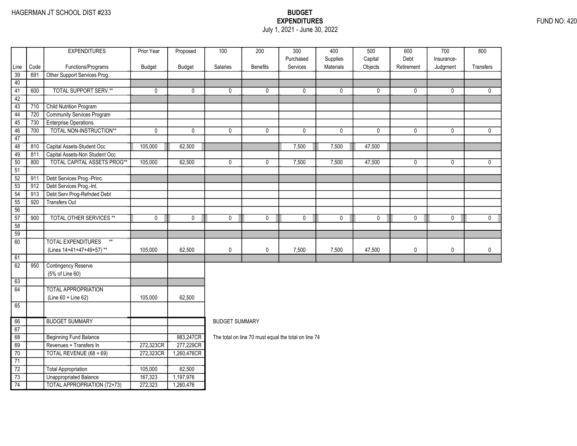### EXPENDITURES FUND NO: 420 July 1, 2021 - June 30, 2022

|                 |      | <b>EXPENDITURES</b>                                      | Prior Year              | Proposed               | 100                   | 200             | $\overline{300}$                                     | 400                   | 500                | 600                | $\overline{700}$       | 800              |  |  |
|-----------------|------|----------------------------------------------------------|-------------------------|------------------------|-----------------------|-----------------|------------------------------------------------------|-----------------------|--------------------|--------------------|------------------------|------------------|--|--|
| Line            | Code | Functions/Programs                                       | Budget                  | <b>Budget</b>          | Salaries              | <b>Benefits</b> | Purchased<br>Services                                | Supplies<br>Materials | Capital<br>Objects | Debt<br>Retirement | Insurance-<br>Judgment | <b>Transfers</b> |  |  |
| 39              | 691  | Other Support Services Prog.                             |                         |                        |                       |                 |                                                      |                       |                    |                    |                        |                  |  |  |
| 40              |      |                                                          |                         |                        |                       |                 |                                                      |                       |                    |                    |                        |                  |  |  |
| 41              | 600  | <b>TOTAL SUPPORT SERV.**</b>                             | 0                       | 0                      | 0                     | 0               | 0                                                    | 0                     | 0                  | 0                  | 0                      | 0                |  |  |
| 42              |      |                                                          |                         |                        |                       |                 |                                                      |                       |                    |                    |                        |                  |  |  |
| 43              | 710  | Child Nutrition Program                                  |                         |                        |                       |                 |                                                      |                       |                    |                    |                        |                  |  |  |
| 44              | 720  | <b>Community Services Program</b>                        |                         |                        |                       |                 |                                                      |                       |                    |                    |                        |                  |  |  |
| 45              | 730  | <b>Enterprise Operations</b>                             |                         |                        |                       |                 |                                                      |                       |                    |                    |                        |                  |  |  |
| 46              | 700  | TOTAL NON-INSTRUCTION**                                  | $\overline{\mathbf{0}}$ | 0                      | $\mathbf 0$           | 0               | $\mathbf 0$                                          | $\pmb{0}$             | $\pmb{0}$          | 0                  | $\mathbf 0$            | $\mathbf 0$      |  |  |
| 47              |      |                                                          |                         |                        |                       |                 |                                                      |                       |                    |                    |                        |                  |  |  |
| 48              | 810  | Capital Assets-Student Occ                               | 105,000                 | 62,500                 |                       |                 | 7,500                                                | 7,500                 | 47,500             |                    |                        |                  |  |  |
| 49              | 811  | Capital Assets-Non Student Occ                           |                         |                        |                       |                 |                                                      |                       |                    |                    |                        |                  |  |  |
| 50              | 800  | TOTAL CAPITAL ASSETS PROG**                              | 105,000                 | 62,500                 | $\pmb{0}$             | $\mathbf 0$     | 7,500                                                | 7,500                 | 47,500             | 0                  | 0                      | 0                |  |  |
| 51              |      |                                                          |                         |                        |                       |                 |                                                      |                       |                    |                    |                        |                  |  |  |
| $\overline{52}$ | 911  | Debt Services Prog.-Princ.                               |                         |                        |                       |                 |                                                      |                       |                    |                    |                        |                  |  |  |
| $\overline{53}$ | 912  | Debt Services Prog.-Int.                                 |                         |                        |                       |                 |                                                      |                       |                    |                    |                        |                  |  |  |
| 54              | 913  | Debt Serv Prog-Refnded Debt                              |                         |                        |                       |                 |                                                      |                       |                    |                    |                        |                  |  |  |
| 55              | 920  | Transfers Out                                            |                         |                        |                       |                 |                                                      |                       |                    |                    |                        |                  |  |  |
| 56              |      |                                                          |                         |                        |                       |                 |                                                      |                       |                    |                    |                        |                  |  |  |
| 57              | 900  | <b>TOTAL OTHER SERVICES **</b>                           | $\pmb{0}$               | 0                      | $\mathbf 0$           | $\mathbf 0$     | $\mathbf 0$                                          | 0                     | $\mathbf 0$        | 0                  | $\mathbf 0$            | $\mathbf 0$      |  |  |
| 58              |      |                                                          |                         |                        |                       |                 |                                                      |                       |                    |                    |                        |                  |  |  |
| 59              |      |                                                          |                         |                        |                       |                 |                                                      |                       |                    |                    |                        |                  |  |  |
| 60              |      | <b>TOTAL EXPENDITURES</b><br>$^{\star\star}$             |                         |                        |                       |                 |                                                      |                       |                    |                    |                        |                  |  |  |
|                 |      | (Lines 14+41+47+49+57)**                                 | 105,000                 | 62,500                 | $\pmb{0}$             | $\pmb{0}$       | 7,500                                                | 7,500                 | 47,500             | 0                  | $\pmb{0}$              | 0                |  |  |
| 61              |      |                                                          |                         |                        |                       |                 |                                                      |                       |                    |                    |                        |                  |  |  |
| 62              | 950  | <b>Contingency Reserve</b>                               |                         |                        |                       |                 |                                                      |                       |                    |                    |                        |                  |  |  |
|                 |      | (5% of Line 60)                                          |                         |                        |                       |                 |                                                      |                       |                    |                    |                        |                  |  |  |
| 63              |      |                                                          |                         |                        |                       |                 |                                                      |                       |                    |                    |                        |                  |  |  |
| 64              |      | <b>TOTAL APPROPRIATION</b>                               |                         |                        |                       |                 |                                                      |                       |                    |                    |                        |                  |  |  |
|                 |      | (Line 60 + Line 62)                                      | 105,000                 | 62,500                 |                       |                 |                                                      |                       |                    |                    |                        |                  |  |  |
| 65              |      |                                                          |                         |                        |                       |                 |                                                      |                       |                    |                    |                        |                  |  |  |
|                 |      |                                                          |                         |                        |                       |                 |                                                      |                       |                    |                    |                        |                  |  |  |
| 66              |      | <b>BUDGET SUMMARY</b>                                    |                         |                        | <b>BUDGET SUMMARY</b> |                 |                                                      |                       |                    |                    |                        |                  |  |  |
| 67<br>68        |      |                                                          |                         |                        |                       |                 |                                                      |                       |                    |                    |                        |                  |  |  |
| 69              |      | <b>Beginning Fund Balance</b><br>Revenues + Transfers In | 272,323CR               | 983,247CR<br>277,229CR |                       |                 | The total on line 70 must equal the total on line 74 |                       |                    |                    |                        |                  |  |  |
| 70              |      | TOTAL REVENUE (68 + 69)                                  | 272,323CR               | 1,260,476CR            |                       |                 |                                                      |                       |                    |                    |                        |                  |  |  |
| 71              |      |                                                          |                         |                        |                       |                 |                                                      |                       |                    |                    |                        |                  |  |  |
| $\overline{72}$ |      | Total Appropriation                                      | 105,000                 | 62,500                 |                       |                 |                                                      |                       |                    |                    |                        |                  |  |  |
| $\overline{73}$ |      | <b>Unappropriated Balance</b>                            | 167,323                 | 1,197,976              |                       |                 |                                                      |                       |                    |                    |                        |                  |  |  |
| 74              |      | <b>TOTAL APPROPRIATION (72+73)</b>                       | 272,323                 | 1,260,476              |                       |                 |                                                      |                       |                    |                    |                        |                  |  |  |
|                 |      |                                                          |                         |                        |                       |                 |                                                      |                       |                    |                    |                        |                  |  |  |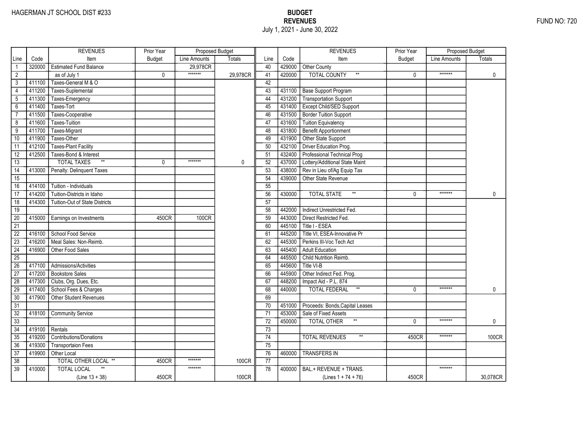# HAGERMAN JT SCHOOL DIST #233 BUDGET EXERCISE A SALE AND THE MANUSCRIPT OF THE MANUSCRIPT OF THE MANUSCRIPT OF THE MANUSCRIPT OF THE MANUSCRIPT OF THE MANUSCRIPT OF THE MANUSCRIPT OF THE MANUSCRIPT OF THE MANUSCRIPT OF THE July 1, 2021 - June 30, 2022

|                 |        | <b>REVENUES</b>                       | Prior Year    | Proposed Budget |          |                 |        | <b>REVENUES</b>                       | Prior Year    | Proposed Budget |              |
|-----------------|--------|---------------------------------------|---------------|-----------------|----------|-----------------|--------|---------------------------------------|---------------|-----------------|--------------|
| Line            | Code   | Item                                  | <b>Budget</b> | Line Amounts    | Totals   | Line            | Code   | Item                                  | <b>Budget</b> | Line Amounts    | Totals       |
| $\mathbf{1}$    | 320000 | <b>Estimated Fund Balance</b>         |               | 29,978CR        |          | 40              | 429000 | Other County                          |               |                 |              |
| $\overline{2}$  |        | as of July 1                          | 0             | *******         | 29,978CR | 41              | 420000 | <b>TOTAL COUNTY</b><br>$\star\star$   | 0             | *******         | $\mathbf 0$  |
| 3               | 411100 | Taxes-General M & O                   |               |                 |          | 42              |        |                                       |               |                 |              |
| $\overline{4}$  | 411200 | Taxes-Suplemental                     |               |                 |          | 43              | 431100 | <b>Base Support Program</b>           |               |                 |              |
| 5               | 411300 | Taxes-Emergency                       |               |                 |          | 44              | 431200 | <b>Transportation Support</b>         |               |                 |              |
| $6\overline{}$  | 411400 | Taxes-Tort                            |               |                 |          | 45              | 431400 | Except Child/SED Support              |               |                 |              |
| $\overline{7}$  | 411500 | Taxes-Cooperative                     |               |                 |          | 46              | 431500 | <b>Border Tuition Support</b>         |               |                 |              |
| 8               | 411600 | <b>Taxes-Tuition</b>                  |               |                 |          | 47              | 431600 | <b>Tuition Equivalency</b>            |               |                 |              |
| $\overline{9}$  | 411700 | Taxes-Migrant                         |               |                 |          | 48              | 431800 | <b>Benefit Apportionment</b>          |               |                 |              |
| 10              | 411900 | Taxes-Other                           |               |                 |          | 49              | 431900 | Other State Support                   |               |                 |              |
| 11              | 412100 | <b>Taxes-Plant Facility</b>           |               |                 |          | 50              | 432100 | Driver Education Prog.                |               |                 |              |
| 12              | 412500 | Taxes-Bond & Interest                 |               |                 |          | 51              | 432400 | Professional Technical Prog           |               |                 |              |
| 13              |        | $\ast\ast$<br><b>TOTAL TAXES</b>      | 0             | *******         | 0        | 52              | 437000 | Lottery/Additional State Maint        |               |                 |              |
| $\overline{14}$ | 413000 | Penalty: Delinquent Taxes             |               |                 |          | 53              | 438000 | Rev in Lieu of/Ag Equip Tax           |               |                 |              |
| $\overline{15}$ |        |                                       |               |                 |          | 54              | 439000 | Other State Revenue                   |               |                 |              |
| 16              | 414100 | Tuition - Individuals                 |               |                 |          | 55              |        |                                       |               |                 |              |
| 17              | 414200 | Tuition-Districts in Idaho            |               |                 |          | 56              | 430000 | $^{\star\star}$<br><b>TOTAL STATE</b> | $\Omega$      | *******         | $\mathbf{0}$ |
| $\overline{18}$ | 414300 | <b>Tuition-Out of State Districts</b> |               |                 |          | $\overline{57}$ |        |                                       |               |                 |              |
| 19              |        |                                       |               |                 |          | 58              | 442000 | Indirect Unrestricted Fed.            |               |                 |              |
| $\overline{20}$ | 415000 | Earnings on Investments               | 450CR         | <b>100CR</b>    |          | 59              | 443000 | Direct Restricted Fed.                |               |                 |              |
| $\overline{21}$ |        |                                       |               |                 |          | 60              | 445100 | Title I - ESEA                        |               |                 |              |
| $\overline{22}$ | 416100 | School Food Service                   |               |                 |          | 61              | 445200 | Title VI, ESEA-Innovative Pr          |               |                 |              |
| $\overline{23}$ | 416200 | Meal Sales: Non-Reimb.                |               |                 |          | 62              | 445300 | Perkins III-Voc Tech Act              |               |                 |              |
| $\overline{24}$ | 416900 | Other Food Sales                      |               |                 |          | 63              | 445400 | <b>Adult Education</b>                |               |                 |              |
| $\overline{25}$ |        |                                       |               |                 |          | 64              | 445500 | Child Nutrition Reimb.                |               |                 |              |
| 26              | 417100 | Admissions/Activities                 |               |                 |          | 65              | 445600 | Title VI-B                            |               |                 |              |
| 27              | 417200 | <b>Bookstore Sales</b>                |               |                 |          | 66              | 445900 | Other Indirect Fed. Prog.             |               |                 |              |
| 28              | 417300 | Clubs, Org. Dues, Etc.                |               |                 |          | 67              | 448200 | Impact Aid - P.L. 874                 |               |                 |              |
| 29              | 417400 | School Fees & Charges                 |               |                 |          | 68              | 440000 | $^{\star\star}$<br>TOTAL FEDERAL      | 0             | *******         | 0            |
| 30              | 417900 | Other Student Revenues                |               |                 |          | 69              |        |                                       |               |                 |              |
| $\overline{31}$ |        |                                       |               |                 |          | 70              | 451000 | Proceeds: Bonds, Capital Leases       |               |                 |              |
| $\overline{32}$ | 418100 | <b>Community Service</b>              |               |                 |          | 71              | 453000 | Sale of Fixed Assets                  |               |                 |              |
| $\overline{33}$ |        |                                       |               |                 |          | $\overline{72}$ | 450000 | <b>TOTAL OTHER</b>                    | $\Omega$      | *******         | 0            |
| 34              | 419100 | Rentals                               |               |                 |          | 73              |        |                                       |               |                 |              |
| 35              | 419200 | <b>Contributions/Donations</b>        |               |                 |          | 74              |        | <b>TOTAL REVENUES</b>                 | 450CR         | *******         | 100CR        |
| 36              | 419300 | <b>Transportaion Fees</b>             |               |                 |          | 75              |        |                                       |               |                 |              |
| $\overline{37}$ | 419900 | Other Local                           |               |                 |          | 76              | 460000 | <b>TRANSFERS IN</b>                   |               |                 |              |
| 38              |        | TOTAL OTHER LOCAL **                  | 450CR         | *******         | 100CR    | 77              |        |                                       |               |                 |              |
| $\overline{39}$ | 410000 | <b>TOTAL LOCAL</b>                    |               | *******         |          | 78              | 400000 | BAL.+ REVENUE + TRANS.                |               | *******         |              |
|                 |        | $(Line 13 + 38)$                      | 450CR         |                 | 100CR    |                 |        | (Lines $1 + 74 + 76$ )                | 450CR         |                 | 30,078CR     |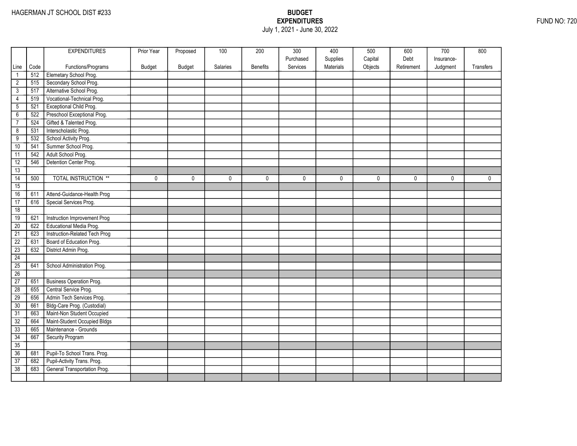### EXPENDITURES FUND NO: 720 July 1, 2021 - June 30, 2022

|                 |      | <b>EXPENDITURES</b>             | Prior Year | Proposed      | 100      | 200             | 300       | 400       | 500     | 600        | 700        | 800         |
|-----------------|------|---------------------------------|------------|---------------|----------|-----------------|-----------|-----------|---------|------------|------------|-------------|
|                 |      |                                 |            |               |          |                 | Purchased | Supplies  | Capital | Debt       | Insurance- |             |
| Line            | Code | Functions/Programs              | Budget     | <b>Budget</b> | Salaries | <b>Benefits</b> | Services  | Materials | Objects | Retirement | Judgment   | Transfers   |
| $\mathbf{1}$    | 512  | Elemetary School Prog.          |            |               |          |                 |           |           |         |            |            |             |
| $\overline{2}$  | 515  | Secondary School Prog.          |            |               |          |                 |           |           |         |            |            |             |
| $\overline{3}$  | 517  | Alternative School Prog.        |            |               |          |                 |           |           |         |            |            |             |
| 4               | 519  | Vocational-Technical Prog.      |            |               |          |                 |           |           |         |            |            |             |
| $\overline{5}$  | 521  | Exceptional Child Prog.         |            |               |          |                 |           |           |         |            |            |             |
| $\overline{6}$  | 522  | Preschool Exceptional Prog.     |            |               |          |                 |           |           |         |            |            |             |
| $\overline{7}$  | 524  | Gifted & Talented Prog.         |            |               |          |                 |           |           |         |            |            |             |
| $\overline{8}$  | 531  | Interscholastic Prog.           |            |               |          |                 |           |           |         |            |            |             |
| $\overline{9}$  | 532  | School Activity Prog.           |            |               |          |                 |           |           |         |            |            |             |
| 10              | 541  | Summer School Prog.             |            |               |          |                 |           |           |         |            |            |             |
| 11              | 542  | Adult School Prog.              |            |               |          |                 |           |           |         |            |            |             |
| 12              | 546  | Detention Center Prog.          |            |               |          |                 |           |           |         |            |            |             |
| 13              |      |                                 |            |               |          |                 |           |           |         |            |            |             |
| $\overline{14}$ | 500  | <b>TOTAL INSTRUCTION **</b>     | 0          | $\mathbf 0$   | 0        | 0               | 0         | 0         | 0       | 0          | 0          | $\mathbf 0$ |
| 15              |      |                                 |            |               |          |                 |           |           |         |            |            |             |
| 16              | 611  | Attend-Guidance-Health Prog     |            |               |          |                 |           |           |         |            |            |             |
| 17              | 616  | Special Services Prog.          |            |               |          |                 |           |           |         |            |            |             |
| 18              |      |                                 |            |               |          |                 |           |           |         |            |            |             |
| 19              | 621  | Instruction Improvement Prog    |            |               |          |                 |           |           |         |            |            |             |
| 20              | 622  | Educational Media Prog.         |            |               |          |                 |           |           |         |            |            |             |
| $\overline{21}$ | 623  | Instruction-Related Tech Prog   |            |               |          |                 |           |           |         |            |            |             |
| $\overline{22}$ | 631  | Board of Education Prog.        |            |               |          |                 |           |           |         |            |            |             |
| $\overline{23}$ | 632  | District Admin Prog.            |            |               |          |                 |           |           |         |            |            |             |
| 24              |      |                                 |            |               |          |                 |           |           |         |            |            |             |
| 25              | 641  | School Administration Prog.     |            |               |          |                 |           |           |         |            |            |             |
| 26              |      |                                 |            |               |          |                 |           |           |         |            |            |             |
| 27              | 651  | <b>Business Operation Prog.</b> |            |               |          |                 |           |           |         |            |            |             |
| $\overline{28}$ | 655  | Central Service Prog.           |            |               |          |                 |           |           |         |            |            |             |
| 29              | 656  | Admin Tech Services Prog.       |            |               |          |                 |           |           |         |            |            |             |
| 30              | 661  | Bldg-Care Prog. (Custodial)     |            |               |          |                 |           |           |         |            |            |             |
| $\overline{31}$ | 663  | Maint-Non Student Occupied      |            |               |          |                 |           |           |         |            |            |             |
| 32              | 664  | Maint-Student Occupied Bldgs    |            |               |          |                 |           |           |         |            |            |             |
| 33              | 665  | Maintenance - Grounds           |            |               |          |                 |           |           |         |            |            |             |
| 34              | 667  | Security Program                |            |               |          |                 |           |           |         |            |            |             |
| 35              |      |                                 |            |               |          |                 |           |           |         |            |            |             |
| 36              | 681  | Pupil-To School Trans. Prog.    |            |               |          |                 |           |           |         |            |            |             |
| $\overline{37}$ | 682  | Pupil-Activity Trans. Prog.     |            |               |          |                 |           |           |         |            |            |             |
| 38              | 683  | General Transportation Prog.    |            |               |          |                 |           |           |         |            |            |             |
|                 |      |                                 |            |               |          |                 |           |           |         |            |            |             |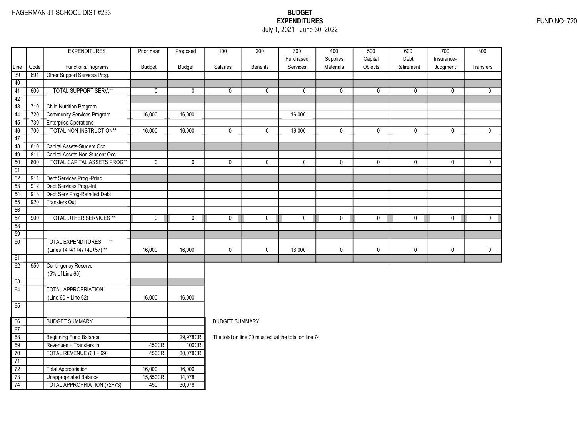### EXPENDITURES FUND NO: 720 July 1, 2021 - June 30, 2022

| Code<br>Services<br>Materials<br>Objects<br>Line<br>Functions/Programs<br>Budget<br><b>Budget</b><br>Salaries<br><b>Benefits</b><br>Retirement<br>Judgment<br>Transfers<br>39<br>691<br>Other Support Services Prog.<br>40<br><b>TOTAL SUPPORT SERV.**</b><br>$\overline{41}$<br>600<br>0<br>$\mathbf 0$<br>0<br>0<br>$\mathbf{0}$<br>0<br>0<br>$\mathbf{0}$<br>0<br>$\mathbf{0}$<br>42<br>43<br><b>Child Nutrition Program</b><br>710<br>720<br>Community Services Program<br>44<br>16,000<br>16,000<br>16,000<br>$\overline{45}$<br>730<br><b>Enterprise Operations</b><br>46<br>TOTAL NON-INSTRUCTION**<br>16,000<br>700<br>16,000<br>16,000<br>0<br>0<br>0<br>0<br>$\pmb{0}$<br>0<br>$\mathbf{0}$<br>47<br>Capital Assets-Student Occ<br>48<br>810<br>49<br>Capital Assets-Non Student Occ<br>811<br><b>TOTAL CAPITAL ASSETS PROG**</b><br>50<br>800<br>0<br>$\mathbf 0$<br>0<br>0<br>$\mathbf{0}$<br>$\mathbf 0$<br>0<br>$\mathbf 0$<br>0<br>$\mathbf 0$<br>51<br>$\overline{52}$<br>Debt Services Prog.-Princ.<br>911<br>53<br>Debt Services Prog.-Int.<br>912<br>$\overline{54}$<br>913<br>Debt Serv Prog-Refnded Debt<br>$\overline{55}$<br>920<br><b>Transfers Out</b><br>56<br><b>TOTAL OTHER SERVICES **</b><br>57<br>900<br>$\mathbf 0$<br>0<br>$\mathbf 0$<br>$\mathbf 0$<br>$\mathbf 0$<br>0<br>$\mathbf 0$<br>$\mathbf 0$<br>$\mathbf 0$<br>$\mathbf 0$<br>$\overline{58}$<br>$\overline{59}$<br><b>TOTAL EXPENDITURES</b><br>60<br>$^{\star\star}$<br>(Lines 14+41+47+49+57)**<br>16,000<br>16,000<br>0<br>0<br>16,000<br>0<br>0<br>$\mathbf 0$<br>0<br>$\mathbf 0$<br>61<br><b>Contingency Reserve</b><br>62<br>950<br>(5% of Line 60)<br>63<br>64<br><b>TOTAL APPROPRIATION</b><br>(Line 60 + Line 62)<br>16,000<br>16,000<br>65<br><b>BUDGET SUMMARY</b><br>66<br><b>BUDGET SUMMARY</b><br>67<br>68<br><b>Beginning Fund Balance</b><br>29,978CR<br>The total on line 70 must equal the total on line 74<br>69<br>Revenues + Transfers In<br>100CR<br>450CR<br>70<br>450CR<br>30,078CR<br>TOTAL REVENUE (68 + 69)<br>$\overline{71}$<br>$\overline{72}$<br><b>Total Appropriation</b><br>16,000<br>16,000<br><b>Unappropriated Balance</b><br>14,078<br>$\overline{73}$<br>15,550CR<br>74<br>TOTAL APPROPRIATION (72+73)<br>450<br>30,078 |  | <b>EXPENDITURES</b> | Prior Year | Proposed | 100 | 200 | 300       | 400      | 500     | 600  | $\overline{700}$ | 800 |
|--------------------------------------------------------------------------------------------------------------------------------------------------------------------------------------------------------------------------------------------------------------------------------------------------------------------------------------------------------------------------------------------------------------------------------------------------------------------------------------------------------------------------------------------------------------------------------------------------------------------------------------------------------------------------------------------------------------------------------------------------------------------------------------------------------------------------------------------------------------------------------------------------------------------------------------------------------------------------------------------------------------------------------------------------------------------------------------------------------------------------------------------------------------------------------------------------------------------------------------------------------------------------------------------------------------------------------------------------------------------------------------------------------------------------------------------------------------------------------------------------------------------------------------------------------------------------------------------------------------------------------------------------------------------------------------------------------------------------------------------------------------------------------------------------------------------------------------------------------------------------------------------------------------------------------------------------------------------------------------------------------------------------------------------------------------------------------------------------------------------------------------------------------------------------------------------------------------------------------------------------------------|--|---------------------|------------|----------|-----|-----|-----------|----------|---------|------|------------------|-----|
|                                                                                                                                                                                                                                                                                                                                                                                                                                                                                                                                                                                                                                                                                                                                                                                                                                                                                                                                                                                                                                                                                                                                                                                                                                                                                                                                                                                                                                                                                                                                                                                                                                                                                                                                                                                                                                                                                                                                                                                                                                                                                                                                                                                                                                                              |  |                     |            |          |     |     | Purchased | Supplies | Capital | Debt | Insurance-       |     |
|                                                                                                                                                                                                                                                                                                                                                                                                                                                                                                                                                                                                                                                                                                                                                                                                                                                                                                                                                                                                                                                                                                                                                                                                                                                                                                                                                                                                                                                                                                                                                                                                                                                                                                                                                                                                                                                                                                                                                                                                                                                                                                                                                                                                                                                              |  |                     |            |          |     |     |           |          |         |      |                  |     |
|                                                                                                                                                                                                                                                                                                                                                                                                                                                                                                                                                                                                                                                                                                                                                                                                                                                                                                                                                                                                                                                                                                                                                                                                                                                                                                                                                                                                                                                                                                                                                                                                                                                                                                                                                                                                                                                                                                                                                                                                                                                                                                                                                                                                                                                              |  |                     |            |          |     |     |           |          |         |      |                  |     |
|                                                                                                                                                                                                                                                                                                                                                                                                                                                                                                                                                                                                                                                                                                                                                                                                                                                                                                                                                                                                                                                                                                                                                                                                                                                                                                                                                                                                                                                                                                                                                                                                                                                                                                                                                                                                                                                                                                                                                                                                                                                                                                                                                                                                                                                              |  |                     |            |          |     |     |           |          |         |      |                  |     |
|                                                                                                                                                                                                                                                                                                                                                                                                                                                                                                                                                                                                                                                                                                                                                                                                                                                                                                                                                                                                                                                                                                                                                                                                                                                                                                                                                                                                                                                                                                                                                                                                                                                                                                                                                                                                                                                                                                                                                                                                                                                                                                                                                                                                                                                              |  |                     |            |          |     |     |           |          |         |      |                  |     |
|                                                                                                                                                                                                                                                                                                                                                                                                                                                                                                                                                                                                                                                                                                                                                                                                                                                                                                                                                                                                                                                                                                                                                                                                                                                                                                                                                                                                                                                                                                                                                                                                                                                                                                                                                                                                                                                                                                                                                                                                                                                                                                                                                                                                                                                              |  |                     |            |          |     |     |           |          |         |      |                  |     |
|                                                                                                                                                                                                                                                                                                                                                                                                                                                                                                                                                                                                                                                                                                                                                                                                                                                                                                                                                                                                                                                                                                                                                                                                                                                                                                                                                                                                                                                                                                                                                                                                                                                                                                                                                                                                                                                                                                                                                                                                                                                                                                                                                                                                                                                              |  |                     |            |          |     |     |           |          |         |      |                  |     |
|                                                                                                                                                                                                                                                                                                                                                                                                                                                                                                                                                                                                                                                                                                                                                                                                                                                                                                                                                                                                                                                                                                                                                                                                                                                                                                                                                                                                                                                                                                                                                                                                                                                                                                                                                                                                                                                                                                                                                                                                                                                                                                                                                                                                                                                              |  |                     |            |          |     |     |           |          |         |      |                  |     |
|                                                                                                                                                                                                                                                                                                                                                                                                                                                                                                                                                                                                                                                                                                                                                                                                                                                                                                                                                                                                                                                                                                                                                                                                                                                                                                                                                                                                                                                                                                                                                                                                                                                                                                                                                                                                                                                                                                                                                                                                                                                                                                                                                                                                                                                              |  |                     |            |          |     |     |           |          |         |      |                  |     |
|                                                                                                                                                                                                                                                                                                                                                                                                                                                                                                                                                                                                                                                                                                                                                                                                                                                                                                                                                                                                                                                                                                                                                                                                                                                                                                                                                                                                                                                                                                                                                                                                                                                                                                                                                                                                                                                                                                                                                                                                                                                                                                                                                                                                                                                              |  |                     |            |          |     |     |           |          |         |      |                  |     |
|                                                                                                                                                                                                                                                                                                                                                                                                                                                                                                                                                                                                                                                                                                                                                                                                                                                                                                                                                                                                                                                                                                                                                                                                                                                                                                                                                                                                                                                                                                                                                                                                                                                                                                                                                                                                                                                                                                                                                                                                                                                                                                                                                                                                                                                              |  |                     |            |          |     |     |           |          |         |      |                  |     |
|                                                                                                                                                                                                                                                                                                                                                                                                                                                                                                                                                                                                                                                                                                                                                                                                                                                                                                                                                                                                                                                                                                                                                                                                                                                                                                                                                                                                                                                                                                                                                                                                                                                                                                                                                                                                                                                                                                                                                                                                                                                                                                                                                                                                                                                              |  |                     |            |          |     |     |           |          |         |      |                  |     |
|                                                                                                                                                                                                                                                                                                                                                                                                                                                                                                                                                                                                                                                                                                                                                                                                                                                                                                                                                                                                                                                                                                                                                                                                                                                                                                                                                                                                                                                                                                                                                                                                                                                                                                                                                                                                                                                                                                                                                                                                                                                                                                                                                                                                                                                              |  |                     |            |          |     |     |           |          |         |      |                  |     |
|                                                                                                                                                                                                                                                                                                                                                                                                                                                                                                                                                                                                                                                                                                                                                                                                                                                                                                                                                                                                                                                                                                                                                                                                                                                                                                                                                                                                                                                                                                                                                                                                                                                                                                                                                                                                                                                                                                                                                                                                                                                                                                                                                                                                                                                              |  |                     |            |          |     |     |           |          |         |      |                  |     |
|                                                                                                                                                                                                                                                                                                                                                                                                                                                                                                                                                                                                                                                                                                                                                                                                                                                                                                                                                                                                                                                                                                                                                                                                                                                                                                                                                                                                                                                                                                                                                                                                                                                                                                                                                                                                                                                                                                                                                                                                                                                                                                                                                                                                                                                              |  |                     |            |          |     |     |           |          |         |      |                  |     |
|                                                                                                                                                                                                                                                                                                                                                                                                                                                                                                                                                                                                                                                                                                                                                                                                                                                                                                                                                                                                                                                                                                                                                                                                                                                                                                                                                                                                                                                                                                                                                                                                                                                                                                                                                                                                                                                                                                                                                                                                                                                                                                                                                                                                                                                              |  |                     |            |          |     |     |           |          |         |      |                  |     |
|                                                                                                                                                                                                                                                                                                                                                                                                                                                                                                                                                                                                                                                                                                                                                                                                                                                                                                                                                                                                                                                                                                                                                                                                                                                                                                                                                                                                                                                                                                                                                                                                                                                                                                                                                                                                                                                                                                                                                                                                                                                                                                                                                                                                                                                              |  |                     |            |          |     |     |           |          |         |      |                  |     |
|                                                                                                                                                                                                                                                                                                                                                                                                                                                                                                                                                                                                                                                                                                                                                                                                                                                                                                                                                                                                                                                                                                                                                                                                                                                                                                                                                                                                                                                                                                                                                                                                                                                                                                                                                                                                                                                                                                                                                                                                                                                                                                                                                                                                                                                              |  |                     |            |          |     |     |           |          |         |      |                  |     |
|                                                                                                                                                                                                                                                                                                                                                                                                                                                                                                                                                                                                                                                                                                                                                                                                                                                                                                                                                                                                                                                                                                                                                                                                                                                                                                                                                                                                                                                                                                                                                                                                                                                                                                                                                                                                                                                                                                                                                                                                                                                                                                                                                                                                                                                              |  |                     |            |          |     |     |           |          |         |      |                  |     |
|                                                                                                                                                                                                                                                                                                                                                                                                                                                                                                                                                                                                                                                                                                                                                                                                                                                                                                                                                                                                                                                                                                                                                                                                                                                                                                                                                                                                                                                                                                                                                                                                                                                                                                                                                                                                                                                                                                                                                                                                                                                                                                                                                                                                                                                              |  |                     |            |          |     |     |           |          |         |      |                  |     |
|                                                                                                                                                                                                                                                                                                                                                                                                                                                                                                                                                                                                                                                                                                                                                                                                                                                                                                                                                                                                                                                                                                                                                                                                                                                                                                                                                                                                                                                                                                                                                                                                                                                                                                                                                                                                                                                                                                                                                                                                                                                                                                                                                                                                                                                              |  |                     |            |          |     |     |           |          |         |      |                  |     |
|                                                                                                                                                                                                                                                                                                                                                                                                                                                                                                                                                                                                                                                                                                                                                                                                                                                                                                                                                                                                                                                                                                                                                                                                                                                                                                                                                                                                                                                                                                                                                                                                                                                                                                                                                                                                                                                                                                                                                                                                                                                                                                                                                                                                                                                              |  |                     |            |          |     |     |           |          |         |      |                  |     |
|                                                                                                                                                                                                                                                                                                                                                                                                                                                                                                                                                                                                                                                                                                                                                                                                                                                                                                                                                                                                                                                                                                                                                                                                                                                                                                                                                                                                                                                                                                                                                                                                                                                                                                                                                                                                                                                                                                                                                                                                                                                                                                                                                                                                                                                              |  |                     |            |          |     |     |           |          |         |      |                  |     |
|                                                                                                                                                                                                                                                                                                                                                                                                                                                                                                                                                                                                                                                                                                                                                                                                                                                                                                                                                                                                                                                                                                                                                                                                                                                                                                                                                                                                                                                                                                                                                                                                                                                                                                                                                                                                                                                                                                                                                                                                                                                                                                                                                                                                                                                              |  |                     |            |          |     |     |           |          |         |      |                  |     |
|                                                                                                                                                                                                                                                                                                                                                                                                                                                                                                                                                                                                                                                                                                                                                                                                                                                                                                                                                                                                                                                                                                                                                                                                                                                                                                                                                                                                                                                                                                                                                                                                                                                                                                                                                                                                                                                                                                                                                                                                                                                                                                                                                                                                                                                              |  |                     |            |          |     |     |           |          |         |      |                  |     |
|                                                                                                                                                                                                                                                                                                                                                                                                                                                                                                                                                                                                                                                                                                                                                                                                                                                                                                                                                                                                                                                                                                                                                                                                                                                                                                                                                                                                                                                                                                                                                                                                                                                                                                                                                                                                                                                                                                                                                                                                                                                                                                                                                                                                                                                              |  |                     |            |          |     |     |           |          |         |      |                  |     |
|                                                                                                                                                                                                                                                                                                                                                                                                                                                                                                                                                                                                                                                                                                                                                                                                                                                                                                                                                                                                                                                                                                                                                                                                                                                                                                                                                                                                                                                                                                                                                                                                                                                                                                                                                                                                                                                                                                                                                                                                                                                                                                                                                                                                                                                              |  |                     |            |          |     |     |           |          |         |      |                  |     |
|                                                                                                                                                                                                                                                                                                                                                                                                                                                                                                                                                                                                                                                                                                                                                                                                                                                                                                                                                                                                                                                                                                                                                                                                                                                                                                                                                                                                                                                                                                                                                                                                                                                                                                                                                                                                                                                                                                                                                                                                                                                                                                                                                                                                                                                              |  |                     |            |          |     |     |           |          |         |      |                  |     |
|                                                                                                                                                                                                                                                                                                                                                                                                                                                                                                                                                                                                                                                                                                                                                                                                                                                                                                                                                                                                                                                                                                                                                                                                                                                                                                                                                                                                                                                                                                                                                                                                                                                                                                                                                                                                                                                                                                                                                                                                                                                                                                                                                                                                                                                              |  |                     |            |          |     |     |           |          |         |      |                  |     |
|                                                                                                                                                                                                                                                                                                                                                                                                                                                                                                                                                                                                                                                                                                                                                                                                                                                                                                                                                                                                                                                                                                                                                                                                                                                                                                                                                                                                                                                                                                                                                                                                                                                                                                                                                                                                                                                                                                                                                                                                                                                                                                                                                                                                                                                              |  |                     |            |          |     |     |           |          |         |      |                  |     |
|                                                                                                                                                                                                                                                                                                                                                                                                                                                                                                                                                                                                                                                                                                                                                                                                                                                                                                                                                                                                                                                                                                                                                                                                                                                                                                                                                                                                                                                                                                                                                                                                                                                                                                                                                                                                                                                                                                                                                                                                                                                                                                                                                                                                                                                              |  |                     |            |          |     |     |           |          |         |      |                  |     |
|                                                                                                                                                                                                                                                                                                                                                                                                                                                                                                                                                                                                                                                                                                                                                                                                                                                                                                                                                                                                                                                                                                                                                                                                                                                                                                                                                                                                                                                                                                                                                                                                                                                                                                                                                                                                                                                                                                                                                                                                                                                                                                                                                                                                                                                              |  |                     |            |          |     |     |           |          |         |      |                  |     |
|                                                                                                                                                                                                                                                                                                                                                                                                                                                                                                                                                                                                                                                                                                                                                                                                                                                                                                                                                                                                                                                                                                                                                                                                                                                                                                                                                                                                                                                                                                                                                                                                                                                                                                                                                                                                                                                                                                                                                                                                                                                                                                                                                                                                                                                              |  |                     |            |          |     |     |           |          |         |      |                  |     |
|                                                                                                                                                                                                                                                                                                                                                                                                                                                                                                                                                                                                                                                                                                                                                                                                                                                                                                                                                                                                                                                                                                                                                                                                                                                                                                                                                                                                                                                                                                                                                                                                                                                                                                                                                                                                                                                                                                                                                                                                                                                                                                                                                                                                                                                              |  |                     |            |          |     |     |           |          |         |      |                  |     |
|                                                                                                                                                                                                                                                                                                                                                                                                                                                                                                                                                                                                                                                                                                                                                                                                                                                                                                                                                                                                                                                                                                                                                                                                                                                                                                                                                                                                                                                                                                                                                                                                                                                                                                                                                                                                                                                                                                                                                                                                                                                                                                                                                                                                                                                              |  |                     |            |          |     |     |           |          |         |      |                  |     |
|                                                                                                                                                                                                                                                                                                                                                                                                                                                                                                                                                                                                                                                                                                                                                                                                                                                                                                                                                                                                                                                                                                                                                                                                                                                                                                                                                                                                                                                                                                                                                                                                                                                                                                                                                                                                                                                                                                                                                                                                                                                                                                                                                                                                                                                              |  |                     |            |          |     |     |           |          |         |      |                  |     |
|                                                                                                                                                                                                                                                                                                                                                                                                                                                                                                                                                                                                                                                                                                                                                                                                                                                                                                                                                                                                                                                                                                                                                                                                                                                                                                                                                                                                                                                                                                                                                                                                                                                                                                                                                                                                                                                                                                                                                                                                                                                                                                                                                                                                                                                              |  |                     |            |          |     |     |           |          |         |      |                  |     |
|                                                                                                                                                                                                                                                                                                                                                                                                                                                                                                                                                                                                                                                                                                                                                                                                                                                                                                                                                                                                                                                                                                                                                                                                                                                                                                                                                                                                                                                                                                                                                                                                                                                                                                                                                                                                                                                                                                                                                                                                                                                                                                                                                                                                                                                              |  |                     |            |          |     |     |           |          |         |      |                  |     |
|                                                                                                                                                                                                                                                                                                                                                                                                                                                                                                                                                                                                                                                                                                                                                                                                                                                                                                                                                                                                                                                                                                                                                                                                                                                                                                                                                                                                                                                                                                                                                                                                                                                                                                                                                                                                                                                                                                                                                                                                                                                                                                                                                                                                                                                              |  |                     |            |          |     |     |           |          |         |      |                  |     |
|                                                                                                                                                                                                                                                                                                                                                                                                                                                                                                                                                                                                                                                                                                                                                                                                                                                                                                                                                                                                                                                                                                                                                                                                                                                                                                                                                                                                                                                                                                                                                                                                                                                                                                                                                                                                                                                                                                                                                                                                                                                                                                                                                                                                                                                              |  |                     |            |          |     |     |           |          |         |      |                  |     |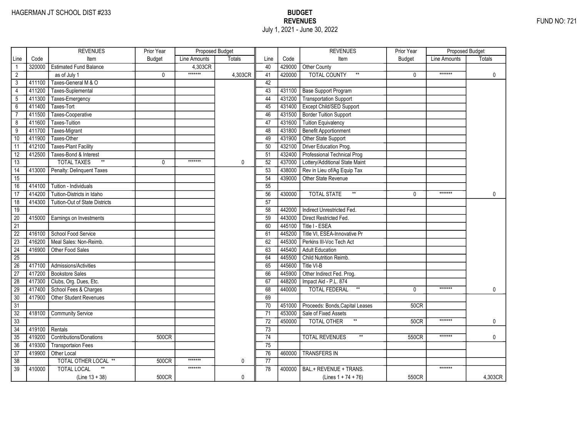# HAGERMAN JT SCHOOL DIST #233 BUDGET EXERCISE A SALE AND THE MANUSCRIPT OF THE MANUSCRIPT OF THE MANUSCRIPT OF THE MANUSCRIPT OF THE MANUSCRIPT OF THE MANUSCRIPT OF THE MANUSCRIPT OF THE MANUSCRIPT OF THE MANUSCRIPT OF THE July 1, 2021 - June 30, 2022

|                 |        | <b>REVENUES</b>                       | Prior Year    | Proposed Budget |               |                 |        | <b>REVENUES</b>                          | Prior Year    | <b>Proposed Budget</b> |               |
|-----------------|--------|---------------------------------------|---------------|-----------------|---------------|-----------------|--------|------------------------------------------|---------------|------------------------|---------------|
| Line            | Code   | Item                                  | <b>Budget</b> | Line Amounts    | <b>Totals</b> | Line            | Code   | Item                                     | <b>Budget</b> | Line Amounts           | <b>Totals</b> |
| $\mathbf{1}$    | 320000 | <b>Estimated Fund Balance</b>         |               | 4,303CR         |               | 40              | 429000 | Other County                             |               |                        |               |
| $\overline{2}$  |        | as of July 1                          | 0             | *******         | 4,303CR       | 41              | 420000 | <b>TOTAL COUNTY</b><br>$^{\star\star}$   | $\mathbf{0}$  | *******                | $\mathbf 0$   |
| 3               | 411100 | Taxes-General M & O                   |               |                 |               | 42              |        |                                          |               |                        |               |
| $\overline{4}$  | 411200 | Taxes-Suplemental                     |               |                 |               | 43              | 431100 | <b>Base Support Program</b>              |               |                        |               |
| $5\phantom{.0}$ | 411300 | Taxes-Emergency                       |               |                 |               | 44              | 431200 | Transportation Support                   |               |                        |               |
| $6\overline{}$  | 411400 | Taxes-Tort                            |               |                 |               | 45              | 431400 | Except Child/SED Support                 |               |                        |               |
| $\overline{7}$  | 411500 | Taxes-Cooperative                     |               |                 |               | 46              | 431500 | <b>Border Tuition Support</b>            |               |                        |               |
| 8               | 411600 | Taxes-Tuition                         |               |                 |               | 47              | 431600 | <b>Tuition Equivalency</b>               |               |                        |               |
| 9               | 411700 | Taxes-Migrant                         |               |                 |               | 48              | 431800 | <b>Benefit Apportionment</b>             |               |                        |               |
| 10              | 411900 | Taxes-Other                           |               |                 |               | 49              | 431900 | Other State Support                      |               |                        |               |
| 11              | 412100 | <b>Taxes-Plant Facility</b>           |               |                 |               | 50              | 432100 | Driver Education Prog.                   |               |                        |               |
| $\overline{12}$ | 412500 | Taxes-Bond & Interest                 |               |                 |               | 51              | 432400 | Professional Technical Prog              |               |                        |               |
| 13              |        | $**$<br><b>TOTAL TAXES</b>            | 0             | *******         | 0             | 52              | 437000 | Lottery/Additional State Maint           |               |                        |               |
| 14              | 413000 | Penalty: Delinquent Taxes             |               |                 |               | 53              | 438000 | Rev in Lieu of/Ag Equip Tax              |               |                        |               |
| $\overline{15}$ |        |                                       |               |                 |               | 54              | 439000 | Other State Revenue                      |               |                        |               |
| 16              | 414100 | Tuition - Individuals                 |               |                 |               | 55              |        |                                          |               |                        |               |
| 17              | 414200 | Tuition-Districts in Idaho            |               |                 |               | 56              | 430000 | $^{\star\star}$<br><b>TOTAL STATE</b>    | $\Omega$      | *******                | 0             |
| 18              | 414300 | <b>Tuition-Out of State Districts</b> |               |                 |               | 57              |        |                                          |               |                        |               |
| 19              |        |                                       |               |                 |               | 58              | 442000 | Indirect Unrestricted Fed.               |               |                        |               |
| $\overline{20}$ | 415000 | Earnings on Investments               |               |                 |               | 59              | 443000 | Direct Restricted Fed.                   |               |                        |               |
| 21              |        |                                       |               |                 |               | 60              | 445100 | Title I - ESEA                           |               |                        |               |
| 22              | 416100 | School Food Service                   |               |                 |               | 61              | 445200 | Title VI, ESEA-Innovative Pr             |               |                        |               |
| $\overline{23}$ | 416200 | Meal Sales: Non-Reimb.                |               |                 |               | 62              | 445300 | Perkins III-Voc Tech Act                 |               |                        |               |
| $\overline{24}$ | 416900 | Other Food Sales                      |               |                 |               | 63              | 445400 | <b>Adult Education</b>                   |               |                        |               |
| $\overline{25}$ |        |                                       |               |                 |               | 64              | 445500 | Child Nutrition Reimb.                   |               |                        |               |
| 26              | 417100 | Admissions/Activities                 |               |                 |               | 65              | 445600 | Title VI-B                               |               |                        |               |
| $\overline{27}$ | 417200 | <b>Bookstore Sales</b>                |               |                 |               | 66              | 445900 | Other Indirect Fed. Prog.                |               |                        |               |
| $\overline{28}$ | 417300 | Clubs, Org. Dues, Etc.                |               |                 |               | 67              | 448200 | Impact Aid - P.L. 874                    |               |                        |               |
| 29              | 417400 | School Fees & Charges                 |               |                 |               | 68              | 440000 | $^{\star\star}$<br><b>TOTAL FEDERAL</b>  | $\mathbf{0}$  | *******                | 0             |
| $\overline{30}$ | 417900 | <b>Other Student Revenues</b>         |               |                 |               | 69              |        |                                          |               |                        |               |
| 31              |        |                                       |               |                 |               | 70              | 451000 | Proceeds: Bonds, Capital Leases          | <b>50CR</b>   |                        |               |
| $\overline{32}$ | 418100 | <b>Community Service</b>              |               |                 |               | 71              | 453000 | Sale of Fixed Assets                     |               |                        |               |
| 33              |        |                                       |               |                 |               | $\overline{72}$ | 450000 | <b>TOTAL OTHER</b>                       | <b>50CR</b>   | *******                | 0             |
| $\overline{34}$ | 419100 | Rentals                               |               |                 |               | 73              |        |                                          |               |                        |               |
| 35              | 419200 | Contributions/Donations               | 500CR         |                 |               | 74              |        | <b>TOTAL REVENUES</b><br>$^{\star\star}$ | 550CR         | *******                | 0             |
| 36              | 419300 | <b>Transportaion Fees</b>             |               |                 |               | 75              |        |                                          |               |                        |               |
| 37              | 419900 | Other Local                           |               |                 |               | 76              | 460000 | <b>TRANSFERS IN</b>                      |               |                        |               |
| 38              |        | TOTAL OTHER LOCAL **                  | 500CR         | *******         | 0             | 77              |        |                                          |               |                        |               |
| 39              | 410000 | <b>TOTAL LOCAL</b>                    |               | *******         |               | 78              | 400000 | BAL.+ REVENUE + TRANS.                   |               | *******                |               |
|                 |        | $(Line 13 + 38)$                      | 500CR         |                 | 0             |                 |        | (Lines $1 + 74 + 76$ )                   | 550CR         |                        | 4,303CR       |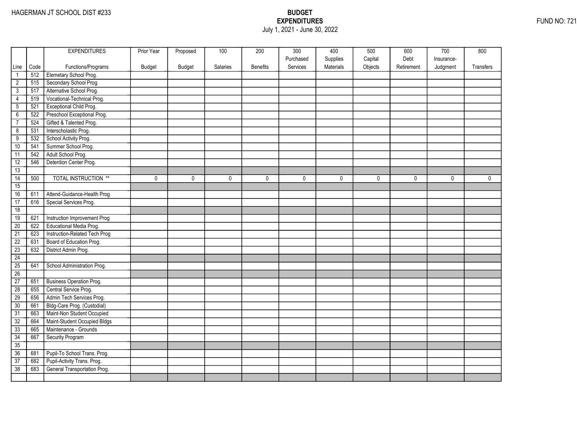## EXPENDITURES FUND NO: 721 July 1, 2021 - June 30, 2022

|                 |      | <b>EXPENDITURES</b>             | Prior Year | Proposed      | 100      | 200             | 300       | 400       | 500     | 600        | 700        | 800         |
|-----------------|------|---------------------------------|------------|---------------|----------|-----------------|-----------|-----------|---------|------------|------------|-------------|
|                 |      |                                 |            |               |          |                 | Purchased | Supplies  | Capital | Debt       | Insurance- |             |
| Line            | Code | Functions/Programs              | Budget     | <b>Budget</b> | Salaries | <b>Benefits</b> | Services  | Materials | Objects | Retirement | Judgment   | Transfers   |
| $\mathbf{1}$    | 512  | Elemetary School Prog.          |            |               |          |                 |           |           |         |            |            |             |
| $\overline{2}$  | 515  | Secondary School Prog.          |            |               |          |                 |           |           |         |            |            |             |
| $\overline{3}$  | 517  | Alternative School Prog.        |            |               |          |                 |           |           |         |            |            |             |
| 4               | 519  | Vocational-Technical Prog.      |            |               |          |                 |           |           |         |            |            |             |
| $\overline{5}$  | 521  | Exceptional Child Prog.         |            |               |          |                 |           |           |         |            |            |             |
| $\overline{6}$  | 522  | Preschool Exceptional Prog.     |            |               |          |                 |           |           |         |            |            |             |
| $\overline{7}$  | 524  | Gifted & Talented Prog.         |            |               |          |                 |           |           |         |            |            |             |
| $\overline{8}$  | 531  | Interscholastic Prog.           |            |               |          |                 |           |           |         |            |            |             |
| $\overline{9}$  | 532  | School Activity Prog.           |            |               |          |                 |           |           |         |            |            |             |
| 10              | 541  | Summer School Prog.             |            |               |          |                 |           |           |         |            |            |             |
| 11              | 542  | Adult School Prog.              |            |               |          |                 |           |           |         |            |            |             |
| 12              | 546  | Detention Center Prog.          |            |               |          |                 |           |           |         |            |            |             |
| 13              |      |                                 |            |               |          |                 |           |           |         |            |            |             |
| $\overline{14}$ | 500  | <b>TOTAL INSTRUCTION **</b>     | 0          | $\mathbf 0$   | 0        | 0               | 0         | 0         | 0       | 0          | 0          | $\mathbf 0$ |
| 15              |      |                                 |            |               |          |                 |           |           |         |            |            |             |
| 16              | 611  | Attend-Guidance-Health Prog     |            |               |          |                 |           |           |         |            |            |             |
| 17              | 616  | Special Services Prog.          |            |               |          |                 |           |           |         |            |            |             |
| 18              |      |                                 |            |               |          |                 |           |           |         |            |            |             |
| 19              | 621  | Instruction Improvement Prog    |            |               |          |                 |           |           |         |            |            |             |
| 20              | 622  | Educational Media Prog.         |            |               |          |                 |           |           |         |            |            |             |
| $\overline{21}$ | 623  | Instruction-Related Tech Prog   |            |               |          |                 |           |           |         |            |            |             |
| $\overline{22}$ | 631  | Board of Education Prog.        |            |               |          |                 |           |           |         |            |            |             |
| $\overline{23}$ | 632  | District Admin Prog.            |            |               |          |                 |           |           |         |            |            |             |
| 24              |      |                                 |            |               |          |                 |           |           |         |            |            |             |
| 25              | 641  | School Administration Prog.     |            |               |          |                 |           |           |         |            |            |             |
| 26              |      |                                 |            |               |          |                 |           |           |         |            |            |             |
| 27              | 651  | <b>Business Operation Prog.</b> |            |               |          |                 |           |           |         |            |            |             |
| $\overline{28}$ | 655  | Central Service Prog.           |            |               |          |                 |           |           |         |            |            |             |
| 29              | 656  | Admin Tech Services Prog.       |            |               |          |                 |           |           |         |            |            |             |
| 30              | 661  | Bldg-Care Prog. (Custodial)     |            |               |          |                 |           |           |         |            |            |             |
| $\overline{31}$ | 663  | Maint-Non Student Occupied      |            |               |          |                 |           |           |         |            |            |             |
| 32              | 664  | Maint-Student Occupied Bldgs    |            |               |          |                 |           |           |         |            |            |             |
| 33              | 665  | Maintenance - Grounds           |            |               |          |                 |           |           |         |            |            |             |
| 34              | 667  | Security Program                |            |               |          |                 |           |           |         |            |            |             |
| 35              |      |                                 |            |               |          |                 |           |           |         |            |            |             |
| 36              | 681  | Pupil-To School Trans. Prog.    |            |               |          |                 |           |           |         |            |            |             |
| $\overline{37}$ | 682  | Pupil-Activity Trans. Prog.     |            |               |          |                 |           |           |         |            |            |             |
| 38              | 683  | General Transportation Prog.    |            |               |          |                 |           |           |         |            |            |             |
|                 |      |                                 |            |               |          |                 |           |           |         |            |            |             |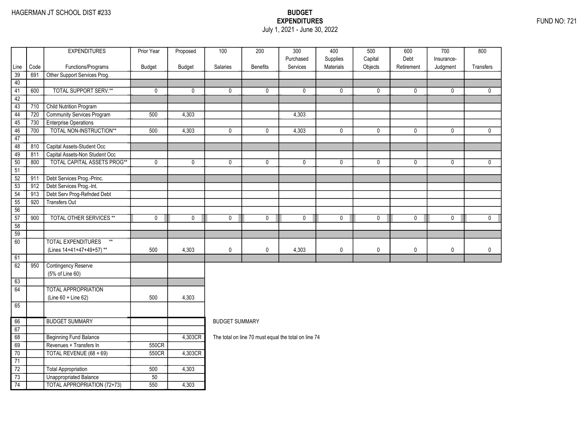### EXPENDITURES FUND NO: 721 July 1, 2021 - June 30, 2022

|                 |      | <b>EXPENDITURES</b>                | Prior Year      | Proposed    | 100                   | 200             | 300                                                  | 400                   | 500                | 600                | 700        | 800          |
|-----------------|------|------------------------------------|-----------------|-------------|-----------------------|-----------------|------------------------------------------------------|-----------------------|--------------------|--------------------|------------|--------------|
| Line            | Code | Functions/Programs                 |                 |             | Salaries              | <b>Benefits</b> | Purchased<br>Services                                | Supplies<br>Materials | Capital<br>Objects | Debt<br>Retirement | Insurance- | Transfers    |
| 39              | 691  | Other Support Services Prog.       | Budget          | Budget      |                       |                 |                                                      |                       |                    |                    | Judgment   |              |
| 40              |      |                                    |                 |             |                       |                 |                                                      |                       |                    |                    |            |              |
| $\overline{41}$ | 600  | <b>TOTAL SUPPORT SERV.**</b>       | $\mathbf 0$     | $\mathbf 0$ | 0                     | $\mathbf 0$     | $\mathbf{0}$                                         | $\mathbf 0$           | 0                  | $\mathbf 0$        | 0          | $\mathbf{0}$ |
| 42              |      |                                    |                 |             |                       |                 |                                                      |                       |                    |                    |            |              |
| 43              | 710  | <b>Child Nutrition Program</b>     |                 |             |                       |                 |                                                      |                       |                    |                    |            |              |
| $\overline{44}$ | 720  | Community Services Program         | 500             | 4,303       |                       |                 | 4,303                                                |                       |                    |                    |            |              |
| 45              | 730  | <b>Enterprise Operations</b>       |                 |             |                       |                 |                                                      |                       |                    |                    |            |              |
| 46              | 700  | TOTAL NON-INSTRUCTION**            | 500             | 4,303       | 0                     | $\mathbf 0$     | 4,303                                                | $\mathbf 0$           | 0                  | $\mathbf 0$        | 0          | $\mathbf 0$  |
| 47              |      |                                    |                 |             |                       |                 |                                                      |                       |                    |                    |            |              |
| 48              | 810  | Capital Assets-Student Occ         |                 |             |                       |                 |                                                      |                       |                    |                    |            |              |
| 49              | 811  | Capital Assets-Non Student Occ     |                 |             |                       |                 |                                                      |                       |                    |                    |            |              |
| 50              | 800  | <b>TOTAL CAPITAL ASSETS PROG**</b> | $\pmb{0}$       | $\mathbf 0$ | 0                     | $\mathbf 0$     | $\mathbf 0$                                          | $\pmb{0}$             | $\pmb{0}$          | $\mathbf 0$        | 0          | $\mathbf 0$  |
| 51              |      |                                    |                 |             |                       |                 |                                                      |                       |                    |                    |            |              |
| $\overline{52}$ | 911  | Debt Services Prog.-Princ.         |                 |             |                       |                 |                                                      |                       |                    |                    |            |              |
| $\overline{53}$ | 912  | Debt Services Prog.-Int.           |                 |             |                       |                 |                                                      |                       |                    |                    |            |              |
| $\overline{54}$ | 913  | Debt Serv Prog-Refnded Debt        |                 |             |                       |                 |                                                      |                       |                    |                    |            |              |
| $\overline{55}$ | 920  | Transfers Out                      |                 |             |                       |                 |                                                      |                       |                    |                    |            |              |
| 56              |      |                                    |                 |             |                       |                 |                                                      |                       |                    |                    |            |              |
| 57              | 900  | <b>TOTAL OTHER SERVICES **</b>     | $\mathbf 0$     | $\mathbf 0$ | 0                     | $\mathbf 0$     | $\mathbf 0$                                          | 0                     | 0                  | 0                  | 0          | $\mathbf 0$  |
| 58              |      |                                    |                 |             |                       |                 |                                                      |                       |                    |                    |            |              |
| $\overline{59}$ |      |                                    |                 |             |                       |                 |                                                      |                       |                    |                    |            |              |
| 60              |      | <b>TOTAL EXPENDITURES</b><br>$**$  |                 |             |                       |                 |                                                      |                       |                    |                    |            |              |
|                 |      | (Lines 14+41+47+49+57)**           | 500             | 4,303       | 0                     | $\mathbf 0$     | 4,303                                                | $\mathbf 0$           | 0                  | $\pmb{0}$          | 0          | $\mathbf 0$  |
| 61              |      |                                    |                 |             |                       |                 |                                                      |                       |                    |                    |            |              |
| 62              | 950  | <b>Contingency Reserve</b>         |                 |             |                       |                 |                                                      |                       |                    |                    |            |              |
|                 |      | (5% of Line 60)                    |                 |             |                       |                 |                                                      |                       |                    |                    |            |              |
| 63              |      |                                    |                 |             |                       |                 |                                                      |                       |                    |                    |            |              |
| 64              |      | <b>TOTAL APPROPRIATION</b>         |                 |             |                       |                 |                                                      |                       |                    |                    |            |              |
|                 |      | (Line 60 + Line 62)                | 500             | 4,303       |                       |                 |                                                      |                       |                    |                    |            |              |
| 65              |      |                                    |                 |             |                       |                 |                                                      |                       |                    |                    |            |              |
| 66              |      | <b>BUDGET SUMMARY</b>              |                 |             | <b>BUDGET SUMMARY</b> |                 |                                                      |                       |                    |                    |            |              |
| 67              |      |                                    |                 |             |                       |                 |                                                      |                       |                    |                    |            |              |
| 68              |      | <b>Beginning Fund Balance</b>      |                 | 4,303CR     |                       |                 |                                                      |                       |                    |                    |            |              |
| 69              |      | Revenues + Transfers In            | 550CR           |             |                       |                 | The total on line 70 must equal the total on line 74 |                       |                    |                    |            |              |
| 70              |      | TOTAL REVENUE (68 + 69)            | 550CR           | 4,303CR     |                       |                 |                                                      |                       |                    |                    |            |              |
| $\overline{71}$ |      |                                    |                 |             |                       |                 |                                                      |                       |                    |                    |            |              |
| $\overline{72}$ |      | <b>Total Appropriation</b>         | 500             | 4,303       |                       |                 |                                                      |                       |                    |                    |            |              |
| $\overline{73}$ |      | <b>Unappropriated Balance</b>      | $\overline{50}$ |             |                       |                 |                                                      |                       |                    |                    |            |              |
| 74              |      | <b>TOTAL APPROPRIATION (72+73)</b> | 550             | 4,303       |                       |                 |                                                      |                       |                    |                    |            |              |
|                 |      |                                    |                 |             |                       |                 |                                                      |                       |                    |                    |            |              |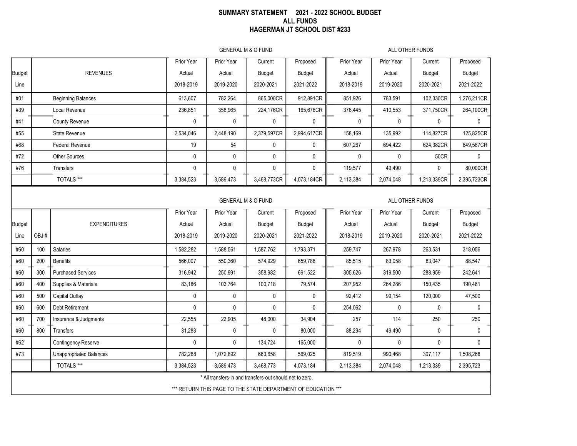#### SUMMARY STATEMENT 2021 - 2022 SCHOOL BUDGET ALL FUNDS HAGERMAN JT SCHOOL DIST #233

GENERAL M & O FUND ALL OTHER FUNDS GENERAL M & O FUND ALL OTHER FUNDS Prior Year | Prior Year | Current | Proposed || Prior Year | Prior Year | Current | Proposed Prior Year | Prior Year | Current | Proposed || Prior Year | Prior Year | Current | Proposed Budget REVENUES Actual Actual Budget Budget Actual Actual Budget Budget Budget | EXPENDITURES | Actual | Actual | Budget | Budget || Actual | Actual | Budget | Budget | Budget Line 2018-2019 2019-2020 2020-2021 2021-2022 2018-2019 2019-2020 2020-2021 2021-2022 Line | OBJ # | | 2018-2019 | 2019-2020 | 2020-2021 | 2021-2022 || 2018-2019 | 2019-2020 | 2020-2021 | 2021-2022 #01 #39 #41 #55 #68 #72 #76 #60 #60 #60 #60 #60 #60 #60 #60 #62 #73 100 200 300 400 500 600 700 800 \* All transfers-in and transfers-out should net to zero. Beginning Balances 613,607 782,264 865,000CR 912,891CR 851,926 783,591 102,330CR 1,276,211CR Local Revenue 236,851 358,965 224,176CR 165,676CR 376,445 410,553 371,750CR 264,100CR County Revenue | 0 | 0 | 0 | 0 | 0 | 0 | 0 State Revenue | 2,534,046 | 2,448,190 | 2,379,597CR | 2,994,617CR || 158,169 | 135,992 | 114,827CR | 125,825CR Federal Revenue | 19 | 54 | 0 | 0 || 607,267 | 694,422 | 624,382CR | 649,587CR Other Sources 0 0 0 0 0 0 50CR 0 Transfers 0 0 0 0 119,577 49,490 0 80,000CR TOTALS \*\*\* | 3,384,523 | 3,589,473 | 3,468,773CR | 4,073,184CR || 2,113,384 | 2,074,048 | 1,213,339CR | 2,395,723CR Salaries 1,582,282 | 1,588,561 | 1,587,762 | 1,793,371 || 259,747 | 267,978 | 263,531 | 318,056 | 318,056 Benefits 566,007 550,360 574,929 659,788 85,515 83,058 83,047 88,547 Purchased Services | 316,942 | 250,991 | 358,982 | 691,522 || 305,626 | 319,500 | 288,959 | 242,641 Supplies & Materials | 83,186 | 103,764 | 100,718 | 79,574 || 207,952 | 264,286 | 150,435 | 190,461 Capital Outlay 0 0 0 0 92,412 99,154 120,000 47,500 Debt Retirement | 0 | 0 | 0 | 254,062 | 0 | 0 | 0 Insurance & Judgments | 22,555 | 22,905 | 48,000 | 34,904 || 257 | 114 | 250 | 250 Transfers 31,283 0 0 80,000 88,294 49,490 0 0 Contingency Reserve 0 0 134,724 165,000 0 0 0 0 Unappropriated Balances 782,268 1,072,892 663,658 569,025 819,519 990,468 307,117 1,508,268 TOTALS \*\*\* | 3,384,523 | 3,589,473 | 3,468,773 | 4,073,184 || 2,113,384 | 2,074,048 | 1,213,339 | 2,395,723

\*\*\* RETURN THIS PAGE TO THE STATE DEPARTMENT OF EDUCATION \*\*\*